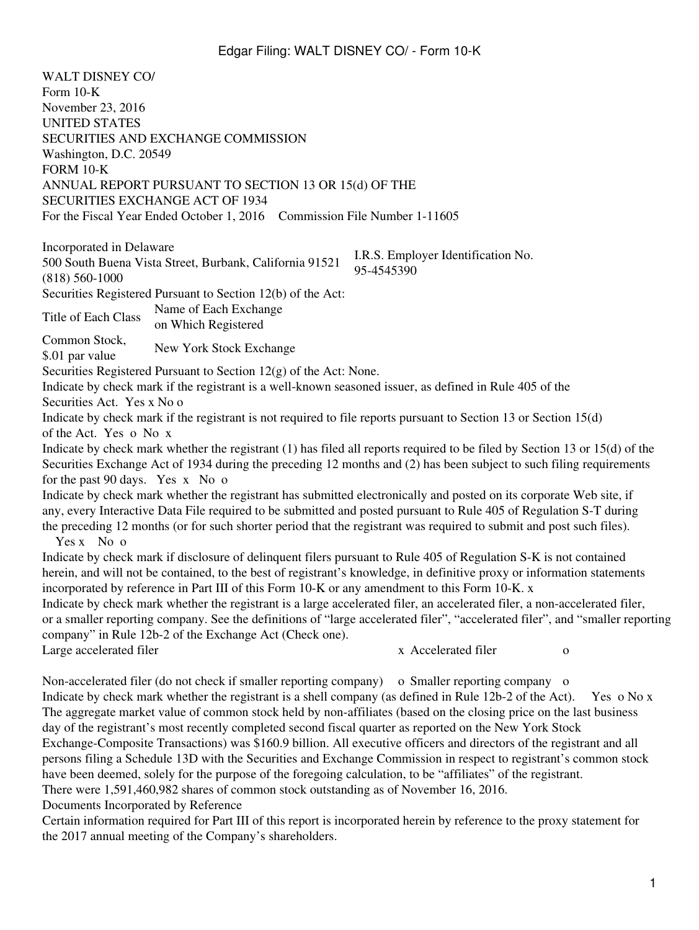WALT DISNEY CO/ Form 10-K November 23, 2016 UNITED STATES SECURITIES AND EXCHANGE COMMISSION Washington, D.C. 20549 FORM 10-K ANNUAL REPORT PURSUANT TO SECTION 13 OR 15(d) OF THE SECURITIES EXCHANGE ACT OF 1934 For the Fiscal Year Ended October 1, 2016 Commission File Number 1-11605 Incorporated in Delaware 500 South Buena Vista Street, Burbank, California 91521 (818) 560-1000 I.R.S. Employer Identification No. 95-4545390 Securities Registered Pursuant to Section 12(b) of the Act: Title of Each Class Name of Each Exchange on Which Registered Common Stock, \$.01 par value New York Stock Exchange Securities Registered Pursuant to Section 12(g) of the Act: None. Indicate by check mark if the registrant is a well-known seasoned issuer, as defined in Rule 405 of the Securities Act. Yes x No o Indicate by check mark if the registrant is not required to file reports pursuant to Section 13 or Section 15(d) of the Act. Yes o No x Indicate by check mark whether the registrant (1) has filed all reports required to be filed by Section 13 or 15(d) of the Securities Exchange Act of 1934 during the preceding 12 months and (2) has been subject to such filing requirements for the past 90 days. Yes x No o Indicate by check mark whether the registrant has submitted electronically and posted on its corporate Web site, if any, every Interactive Data File required to be submitted and posted pursuant to Rule 405 of Regulation S-T during the preceding 12 months (or for such shorter period that the registrant was required to submit and post such files). Yes x No o Indicate by check mark if disclosure of delinquent filers pursuant to Rule 405 of Regulation S-K is not contained herein, and will not be contained, to the best of registrant's knowledge, in definitive proxy or information statements incorporated by reference in Part III of this Form 10-K or any amendment to this Form 10-K. x Indicate by check mark whether the registrant is a large accelerated filer, an accelerated filer, a non-accelerated filer, or a smaller reporting company. See the definitions of "large accelerated filer", "accelerated filer", and "smaller reporting company" in Rule 12b-2 of the Exchange Act (Check one). Large accelerated filer on the state of the state of the state of the state of the state of the state of the state of the state of the state of the state of the state of the state of the state of the state of the state of Non-accelerated filer (do not check if smaller reporting company) o Smaller reporting company o Indicate by check mark whether the registrant is a shell company (as defined in Rule 12b-2 of the Act). Yes o No x The aggregate market value of common stock held by non-affiliates (based on the closing price on the last business day of the registrant's most recently completed second fiscal quarter as reported on the New York Stock Exchange-Composite Transactions) was \$160.9 billion. All executive officers and directors of the registrant and all persons filing a Schedule 13D with the Securities and Exchange Commission in respect to registrant's common stock have been deemed, solely for the purpose of the foregoing calculation, to be "affiliates" of the registrant. There were 1,591,460,982 shares of common stock outstanding as of November 16, 2016. Documents Incorporated by Reference

Certain information required for Part III of this report is incorporated herein by reference to the proxy statement for the 2017 annual meeting of the Company's shareholders.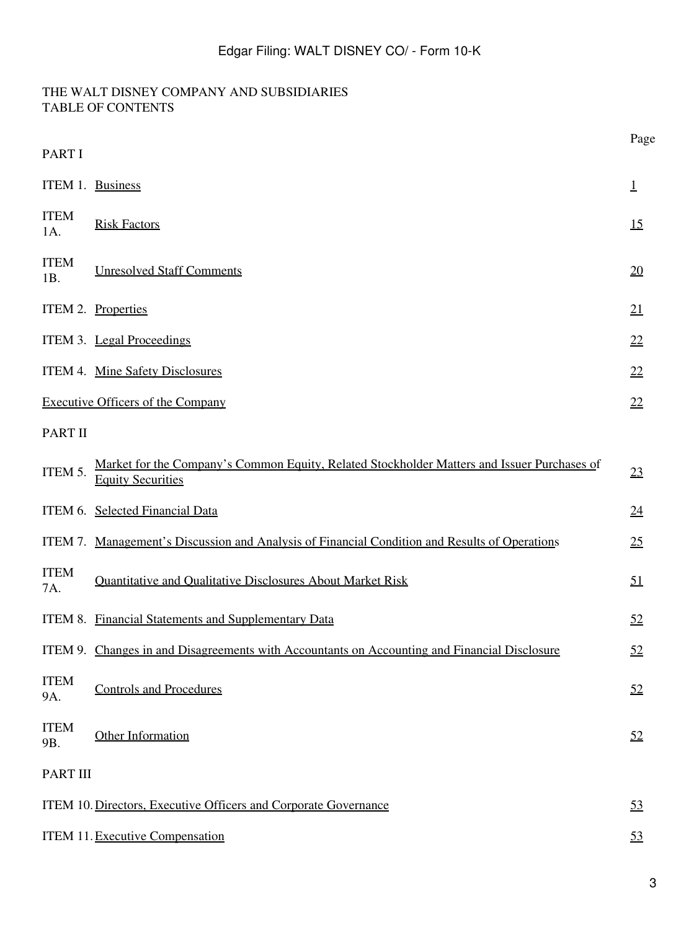# <span id="page-2-0"></span>THE WALT DISNEY COMPANY AND SUBSIDIARIES TABLE OF CONTENTS

|                                              |                                                                                                                         | Page |  |  |
|----------------------------------------------|-------------------------------------------------------------------------------------------------------------------------|------|--|--|
| <b>PART I</b>                                |                                                                                                                         |      |  |  |
|                                              | ITEM 1. Business                                                                                                        | 1    |  |  |
| <b>ITEM</b><br>1A.                           | <b>Risk Factors</b>                                                                                                     | 15   |  |  |
| <b>ITEM</b><br>1B.                           | <b>Unresolved Staff Comments</b>                                                                                        | 20   |  |  |
|                                              | ITEM 2. Properties                                                                                                      | 21   |  |  |
|                                              | ITEM 3. Legal Proceedings                                                                                               | 22   |  |  |
|                                              | ITEM 4. Mine Safety Disclosures                                                                                         | 22   |  |  |
|                                              | <b>Executive Officers of the Company</b>                                                                                | 22   |  |  |
| PART II                                      |                                                                                                                         |      |  |  |
| ITEM 5.                                      | Market for the Company's Common Equity, Related Stockholder Matters and Issuer Purchases of<br><b>Equity Securities</b> | 23   |  |  |
|                                              | ITEM 6. Selected Financial Data                                                                                         | 24   |  |  |
|                                              | ITEM 7. Management's Discussion and Analysis of Financial Condition and Results of Operations                           | 25   |  |  |
| <b>ITEM</b><br>7A.                           | Quantitative and Qualitative Disclosures About Market Risk                                                              | 51   |  |  |
|                                              | ITEM 8. Financial Statements and Supplementary Data                                                                     | 52   |  |  |
|                                              | ITEM 9. Changes in and Disagreements with Accountants on Accounting and Financial Disclosure                            | 52   |  |  |
| <b>ITEM</b><br>9A.                           | <b>Controls and Procedures</b>                                                                                          | 52   |  |  |
| <b>ITEM</b><br>9B.                           | Other Information                                                                                                       | 52   |  |  |
| <b>PART III</b>                              |                                                                                                                         |      |  |  |
|                                              | ITEM 10. Directors, Executive Officers and Corporate Governance                                                         | 53   |  |  |
| <b>ITEM 11. Executive Compensation</b><br>53 |                                                                                                                         |      |  |  |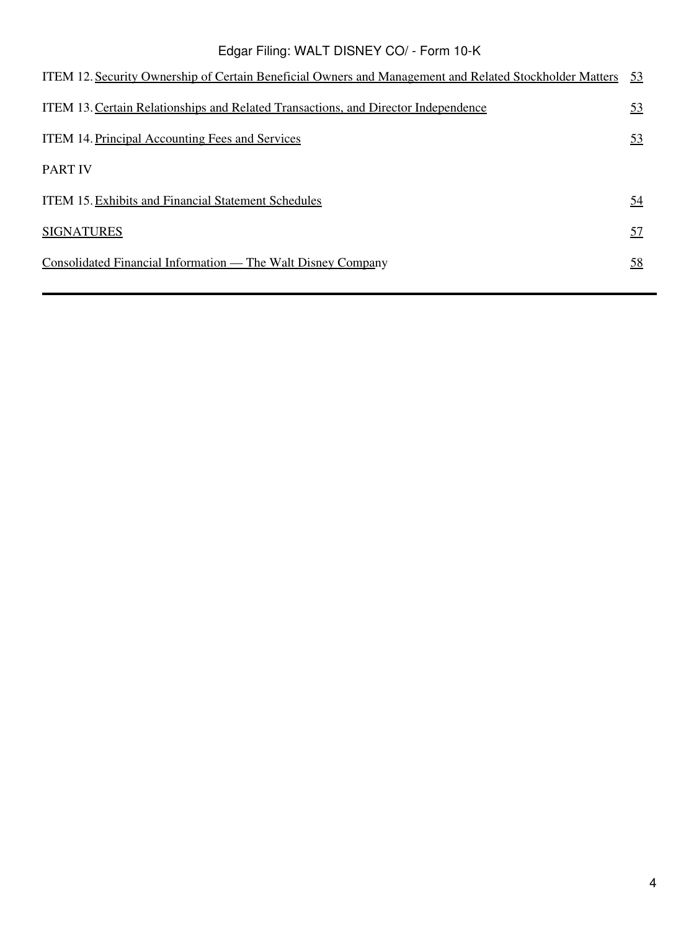| <b>ITEM 12. Security Ownership of Certain Beneficial Owners and Management and Related Stockholder Matters</b> | 53        |
|----------------------------------------------------------------------------------------------------------------|-----------|
| ITEM 13. Certain Relationships and Related Transactions, and Director Independence                             | <u>53</u> |
| ITEM 14. Principal Accounting Fees and Services                                                                | <u>53</u> |
| <b>PART IV</b>                                                                                                 |           |
| <b>ITEM 15. Exhibits and Financial Statement Schedules</b>                                                     | <u>54</u> |
| <b>SIGNATURES</b>                                                                                              | <u>57</u> |
| Consolidated Financial Information — The Walt Disney Company                                                   | <u>58</u> |
|                                                                                                                |           |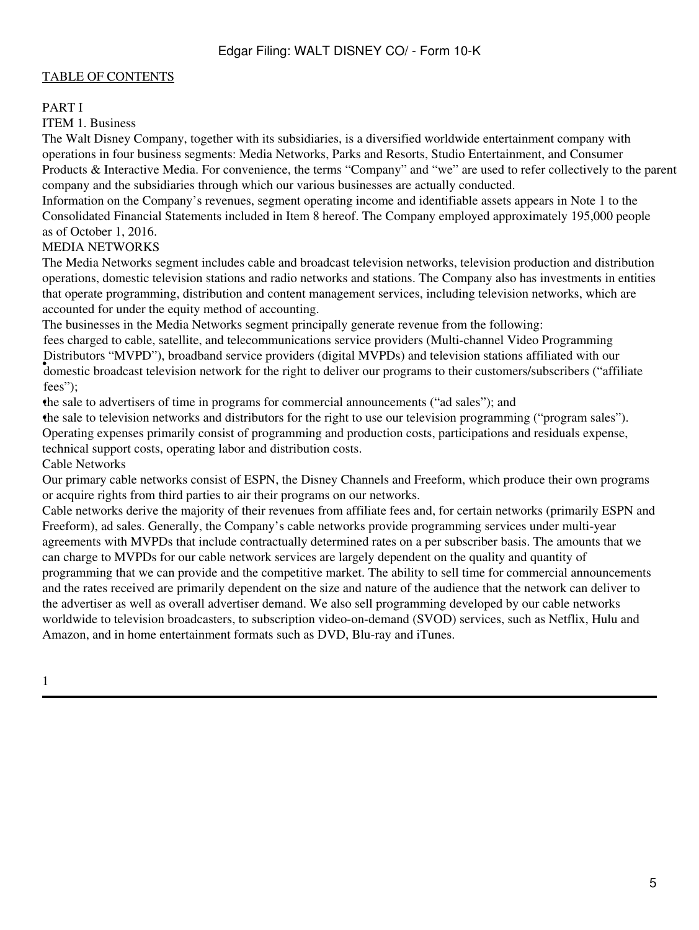# PART I

<span id="page-4-0"></span>ITEM 1. Business

The Walt Disney Company, together with its subsidiaries, is a diversified worldwide entertainment company with operations in four business segments: Media Networks, Parks and Resorts, Studio Entertainment, and Consumer Products & Interactive Media. For convenience, the terms "Company" and "we" are used to refer collectively to the parent company and the subsidiaries through which our various businesses are actually conducted.

Information on the Company's revenues, segment operating income and identifiable assets appears in Note 1 to the Consolidated Financial Statements included in Item 8 hereof. The Company employed approximately 195,000 people as of October 1, 2016.

# MEDIA NETWORKS

The Media Networks segment includes cable and broadcast television networks, television production and distribution operations, domestic television stations and radio networks and stations. The Company also has investments in entities that operate programming, distribution and content management services, including television networks, which are accounted for under the equity method of accounting.

The businesses in the Media Networks segment principally generate revenue from the following:

• domestic broadcast television network for the right to deliver our programs to their customers/subscribers ("affiliate fees charged to cable, satellite, and telecommunications service providers (Multi-channel Video Programming Distributors "MVPD"), broadband service providers (digital MVPDs) and television stations affiliated with our fees");

•the sale to advertisers of time in programs for commercial announcements ("ad sales"); and

•the sale to television networks and distributors for the right to use our television programming ("program sales"). Operating expenses primarily consist of programming and production costs, participations and residuals expense, technical support costs, operating labor and distribution costs.

# Cable Networks

Our primary cable networks consist of ESPN, the Disney Channels and Freeform, which produce their own programs or acquire rights from third parties to air their programs on our networks.

Cable networks derive the majority of their revenues from affiliate fees and, for certain networks (primarily ESPN and Freeform), ad sales. Generally, the Company's cable networks provide programming services under multi-year agreements with MVPDs that include contractually determined rates on a per subscriber basis. The amounts that we can charge to MVPDs for our cable network services are largely dependent on the quality and quantity of programming that we can provide and the competitive market. The ability to sell time for commercial announcements and the rates received are primarily dependent on the size and nature of the audience that the network can deliver to the advertiser as well as overall advertiser demand. We also sell programming developed by our cable networks worldwide to television broadcasters, to subscription video-on-demand (SVOD) services, such as Netflix, Hulu and Amazon, and in home entertainment formats such as DVD, Blu-ray and iTunes.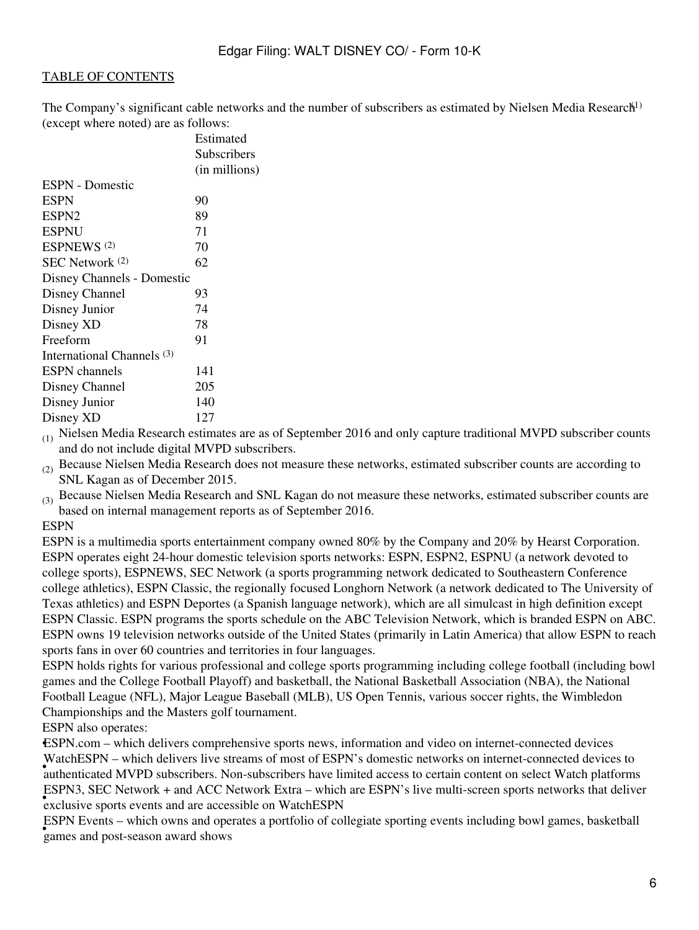The Company's significant cable networks and the number of subscribers as estimated by Nielsen Media Research<sup>(1)</sup> (except where noted) are as follows:

|                                       | Estimated          |
|---------------------------------------|--------------------|
|                                       | <b>Subscribers</b> |
|                                       | (in millions)      |
| <b>ESPN</b> - Domestic                |                    |
| <b>ESPN</b>                           | 90                 |
| ESPN <sub>2</sub>                     | 89                 |
| <b>ESPNU</b>                          | 71                 |
| ESPNEWS <sup>(2)</sup>                | 70                 |
| SEC Network <sup>(2)</sup>            | 62                 |
| Disney Channels - Domestic            |                    |
| Disney Channel                        | 93                 |
| Disney Junior                         | 74                 |
| Disney XD                             | 78                 |
| Freeform                              | 91                 |
| International Channels <sup>(3)</sup> |                    |
| <b>ESPN</b> channels                  | 141                |
| Disney Channel                        | 205                |
| Disney Junior                         | 140                |
| Disney XD                             | 127                |

 $_{(1)}$  Nielsen Media Research estimates are as of September 2016 and only capture traditional MVPD subscriber counts and do not include digital MVPD subscribers.

 $(2)$  Because Nielsen Media Research does not measure these networks, estimated subscriber counts are according to SNL Kagan as of December 2015.

(3) Because Nielsen Media Research and SNL Kagan do not measure these networks, estimated subscriber counts are based on internal management reports as of September 2016.

#### ESPN

ESPN is a multimedia sports entertainment company owned 80% by the Company and 20% by Hearst Corporation. ESPN operates eight 24-hour domestic television sports networks: ESPN, ESPN2, ESPNU (a network devoted to college sports), ESPNEWS, SEC Network (a sports programming network dedicated to Southeastern Conference college athletics), ESPN Classic, the regionally focused Longhorn Network (a network dedicated to The University of Texas athletics) and ESPN Deportes (a Spanish language network), which are all simulcast in high definition except ESPN Classic. ESPN programs the sports schedule on the ABC Television Network, which is branded ESPN on ABC. ESPN owns 19 television networks outside of the United States (primarily in Latin America) that allow ESPN to reach sports fans in over 60 countries and territories in four languages.

ESPN holds rights for various professional and college sports programming including college football (including bowl games and the College Football Playoff) and basketball, the National Basketball Association (NBA), the National Football League (NFL), Major League Baseball (MLB), US Open Tennis, various soccer rights, the Wimbledon Championships and the Masters golf tournament.

ESPN also operates:

•ESPN.com – which delivers comprehensive sports news, information and video on internet-connected devices watch BST IV which derivers live subdities of host of BSTIV submissive hetworks on internet connected devices to authenticated MVPD subscribers. Non-subscribers have limited access to certain content on select Watch platfo WatchESPN – which delivers live streams of most of ESPN's domestic networks on internet-connected devices to **EXECUTE:** THE TREAT TEXT THE TREAT TREAT THE EXCLUSIVE SPONSIBLE ON WATCHESPIN ESPN3, SEC Network + and ACC Network Extra – which are ESPN's live multi-screen sports networks that deliver

games and post-season award shows ESPN Events – which owns and operates a portfolio of collegiate sporting events including bowl games, basketball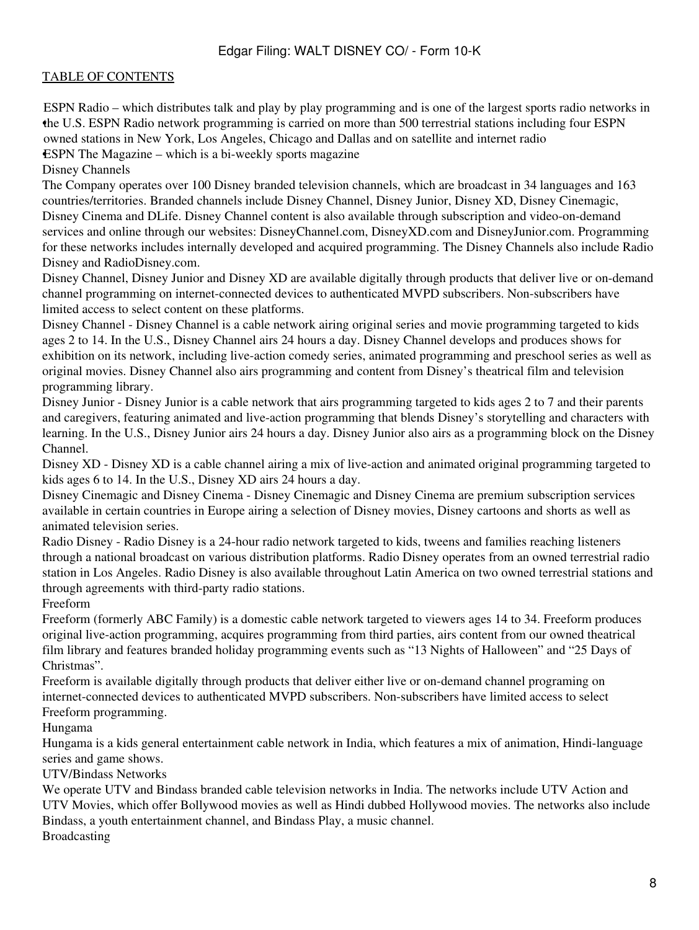#### [TABLE OF CONTENTS](#page-2-0)

• the U.S. ESPN Radio network programming is carried on more than 500 terrestrial stations including four ESPN ESPN Radio – which distributes talk and play by play programming and is one of the largest sports radio networks in owned stations in New York, Los Angeles, Chicago and Dallas and on satellite and internet radio •ESPN The Magazine – which is a bi-weekly sports magazine

Disney Channels

The Company operates over 100 Disney branded television channels, which are broadcast in 34 languages and 163 countries/territories. Branded channels include Disney Channel, Disney Junior, Disney XD, Disney Cinemagic, Disney Cinema and DLife. Disney Channel content is also available through subscription and video-on-demand services and online through our websites: DisneyChannel.com, DisneyXD.com and DisneyJunior.com. Programming for these networks includes internally developed and acquired programming. The Disney Channels also include Radio Disney and RadioDisney.com.

Disney Channel, Disney Junior and Disney XD are available digitally through products that deliver live or on-demand channel programming on internet-connected devices to authenticated MVPD subscribers. Non-subscribers have limited access to select content on these platforms.

Disney Channel - Disney Channel is a cable network airing original series and movie programming targeted to kids ages 2 to 14. In the U.S., Disney Channel airs 24 hours a day. Disney Channel develops and produces shows for exhibition on its network, including live-action comedy series, animated programming and preschool series as well as original movies. Disney Channel also airs programming and content from Disney's theatrical film and television programming library.

Disney Junior - Disney Junior is a cable network that airs programming targeted to kids ages 2 to 7 and their parents and caregivers, featuring animated and live-action programming that blends Disney's storytelling and characters with learning. In the U.S., Disney Junior airs 24 hours a day. Disney Junior also airs as a programming block on the Disney Channel.

Disney XD - Disney XD is a cable channel airing a mix of live-action and animated original programming targeted to kids ages 6 to 14. In the U.S., Disney XD airs 24 hours a day.

Disney Cinemagic and Disney Cinema - Disney Cinemagic and Disney Cinema are premium subscription services available in certain countries in Europe airing a selection of Disney movies, Disney cartoons and shorts as well as animated television series.

Radio Disney - Radio Disney is a 24-hour radio network targeted to kids, tweens and families reaching listeners through a national broadcast on various distribution platforms. Radio Disney operates from an owned terrestrial radio station in Los Angeles. Radio Disney is also available throughout Latin America on two owned terrestrial stations and through agreements with third-party radio stations.

Freeform

Freeform (formerly ABC Family) is a domestic cable network targeted to viewers ages 14 to 34. Freeform produces original live-action programming, acquires programming from third parties, airs content from our owned theatrical film library and features branded holiday programming events such as "13 Nights of Halloween" and "25 Days of Christmas".

Freeform is available digitally through products that deliver either live or on-demand channel programing on internet-connected devices to authenticated MVPD subscribers. Non-subscribers have limited access to select Freeform programming.

Hungama

Hungama is a kids general entertainment cable network in India, which features a mix of animation, Hindi-language series and game shows.

UTV/Bindass Networks

We operate UTV and Bindass branded cable television networks in India. The networks include UTV Action and UTV Movies, which offer Bollywood movies as well as Hindi dubbed Hollywood movies. The networks also include Bindass, a youth entertainment channel, and Bindass Play, a music channel. Broadcasting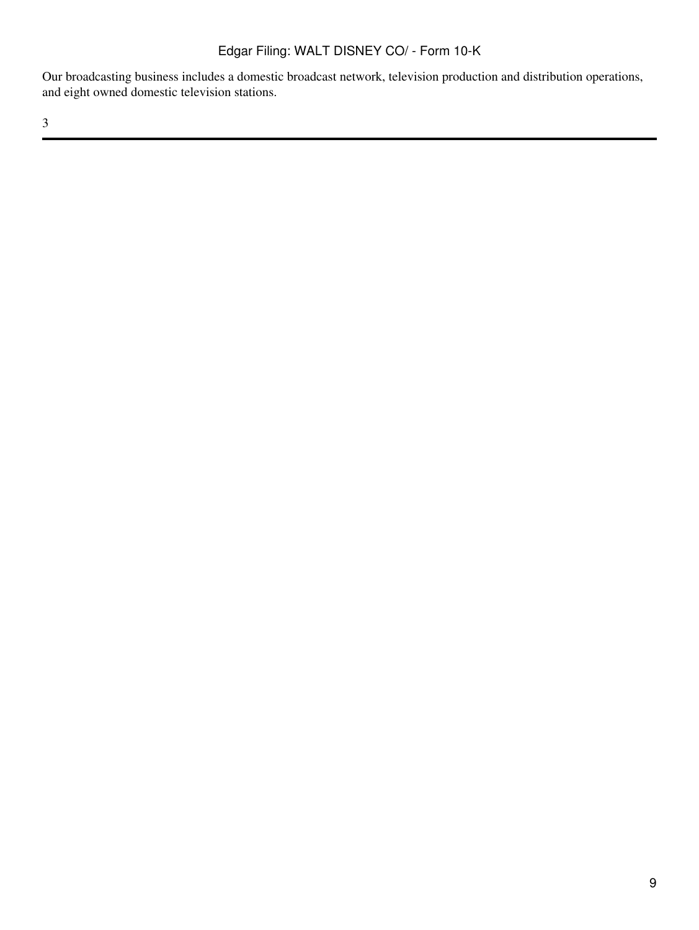Our broadcasting business includes a domestic broadcast network, television production and distribution operations, and eight owned domestic television stations.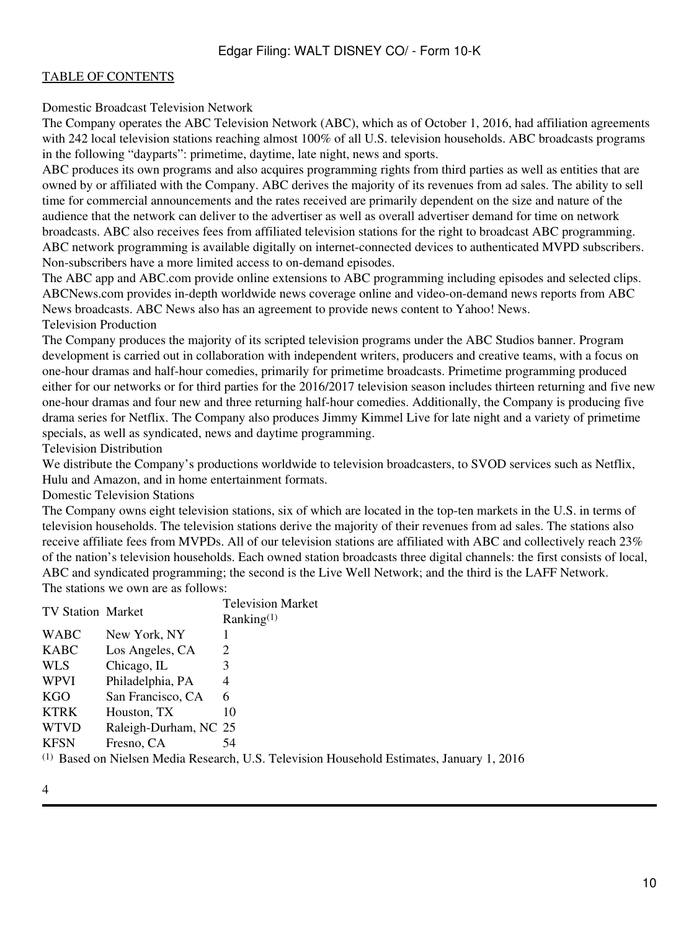Domestic Broadcast Television Network

The Company operates the ABC Television Network (ABC), which as of October 1, 2016, had affiliation agreements with 242 local television stations reaching almost 100% of all U.S. television households. ABC broadcasts programs in the following "dayparts": primetime, daytime, late night, news and sports.

ABC produces its own programs and also acquires programming rights from third parties as well as entities that are owned by or affiliated with the Company. ABC derives the majority of its revenues from ad sales. The ability to sell time for commercial announcements and the rates received are primarily dependent on the size and nature of the audience that the network can deliver to the advertiser as well as overall advertiser demand for time on network broadcasts. ABC also receives fees from affiliated television stations for the right to broadcast ABC programming. ABC network programming is available digitally on internet-connected devices to authenticated MVPD subscribers. Non-subscribers have a more limited access to on-demand episodes.

The ABC app and ABC.com provide online extensions to ABC programming including episodes and selected clips. ABCNews.com provides in-depth worldwide news coverage online and video-on-demand news reports from ABC News broadcasts. ABC News also has an agreement to provide news content to Yahoo! News.

Television Production

The Company produces the majority of its scripted television programs under the ABC Studios banner. Program development is carried out in collaboration with independent writers, producers and creative teams, with a focus on one-hour dramas and half-hour comedies, primarily for primetime broadcasts. Primetime programming produced either for our networks or for third parties for the 2016/2017 television season includes thirteen returning and five new one-hour dramas and four new and three returning half-hour comedies. Additionally, the Company is producing five drama series for Netflix. The Company also produces Jimmy Kimmel Live for late night and a variety of primetime specials, as well as syndicated, news and daytime programming.

Television Distribution

We distribute the Company's productions worldwide to television broadcasters, to SVOD services such as Netflix, Hulu and Amazon, and in home entertainment formats.

Domestic Television Stations

The Company owns eight television stations, six of which are located in the top-ten markets in the U.S. in terms of television households. The television stations derive the majority of their revenues from ad sales. The stations also receive affiliate fees from MVPDs. All of our television stations are affiliated with ABC and collectively reach 23% of the nation's television households. Each owned station broadcasts three digital channels: the first consists of local, ABC and syndicated programming; the second is the Live Well Network; and the third is the LAFF Network. The stations we own are as follows:

| <b>TV Station Market</b> |                       | <b>Television Market</b>                                                                |
|--------------------------|-----------------------|-----------------------------------------------------------------------------------------|
|                          |                       | Ranking $(1)$                                                                           |
| <b>WABC</b>              | New York, NY          |                                                                                         |
| <b>KABC</b>              | Los Angeles, CA       | 2                                                                                       |
| <b>WLS</b>               | Chicago, IL           | 3                                                                                       |
| <b>WPVI</b>              | Philadelphia, PA      | 4                                                                                       |
| <b>KGO</b>               | San Francisco, CA     | 6                                                                                       |
| <b>KTRK</b>              | Houston, TX           | 10                                                                                      |
| <b>WTVD</b>              | Raleigh-Durham, NC 25 |                                                                                         |
| <b>KFSN</b>              | Fresno, CA            | 54                                                                                      |
|                          |                       | (1) Deced on Miclean Medic December II.C. Television Household Fetimeter January 1, 201 |

(1) Based on Nielsen Media Research, U.S. Television Household Estimates, January 1, 2016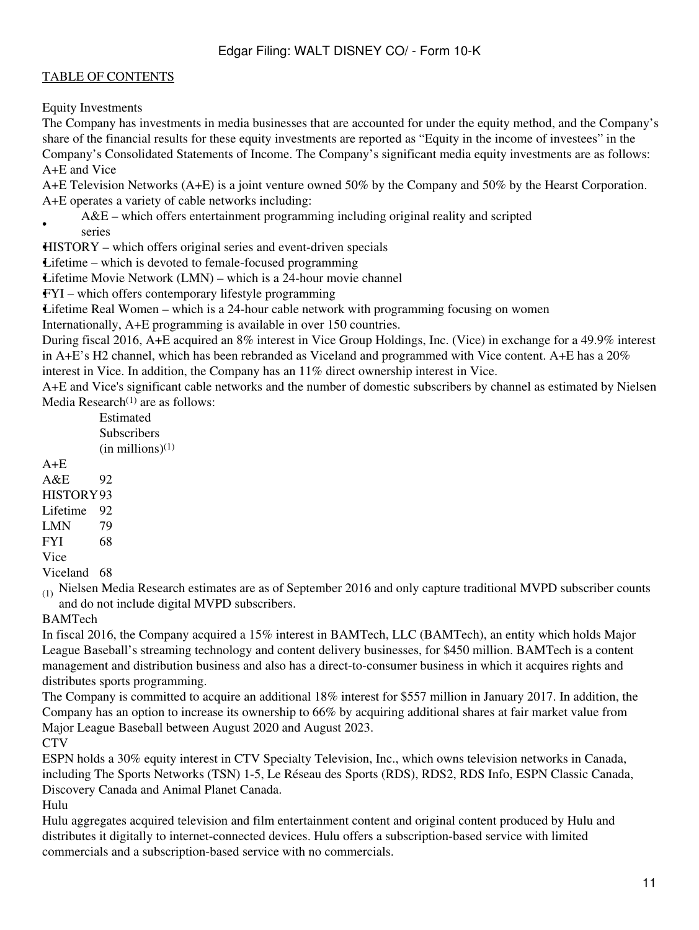Equity Investments

The Company has investments in media businesses that are accounted for under the equity method, and the Company's share of the financial results for these equity investments are reported as "Equity in the income of investees" in the Company's Consolidated Statements of Income. The Company's significant media equity investments are as follows: A+E and Vice

A+E Television Networks (A+E) is a joint venture owned 50% by the Company and 50% by the Hearst Corporation. A+E operates a variety of cable networks including:

A&E – which offers entertainment programming including original reality and scripted

series

•

•HISTORY – which offers original series and event-driven specials

•Lifetime – which is devoted to female-focused programming

•Lifetime Movie Network (LMN) – which is a 24-hour movie channel

•FYI – which offers contemporary lifestyle programming

•Lifetime Real Women – which is a 24-hour cable network with programming focusing on women

Internationally, A+E programming is available in over 150 countries.

During fiscal 2016, A+E acquired an 8% interest in Vice Group Holdings, Inc. (Vice) in exchange for a 49.9% interest in A+E's H2 channel, which has been rebranded as Viceland and programmed with Vice content. A+E has a 20% interest in Vice. In addition, the Company has an 11% direct ownership interest in Vice.

A+E and Vice's significant cable networks and the number of domestic subscribers by channel as estimated by Nielsen Media Research $(1)$  are as follows:

Estimated Subscribers  $(in$  millions)<sup>(1)</sup>

 $A+E$ A&E 92 HISTORY93 Lifetime 92 LMN 79 FYI 68 Vice

Viceland 68

 $(1)$  Nielsen Media Research estimates are as of September 2016 and only capture traditional MVPD subscriber counts and do not include digital MVPD subscribers.

BAMTech

In fiscal 2016, the Company acquired a 15% interest in BAMTech, LLC (BAMTech), an entity which holds Major League Baseball's streaming technology and content delivery businesses, for \$450 million. BAMTech is a content management and distribution business and also has a direct-to-consumer business in which it acquires rights and distributes sports programming.

The Company is committed to acquire an additional 18% interest for \$557 million in January 2017. In addition, the Company has an option to increase its ownership to 66% by acquiring additional shares at fair market value from Major League Baseball between August 2020 and August 2023.

**CTV** 

ESPN holds a 30% equity interest in CTV Specialty Television, Inc., which owns television networks in Canada, including The Sports Networks (TSN) 1-5, Le Réseau des Sports (RDS), RDS2, RDS Info, ESPN Classic Canada, Discovery Canada and Animal Planet Canada.

Hulu

Hulu aggregates acquired television and film entertainment content and original content produced by Hulu and distributes it digitally to internet-connected devices. Hulu offers a subscription-based service with limited commercials and a subscription-based service with no commercials.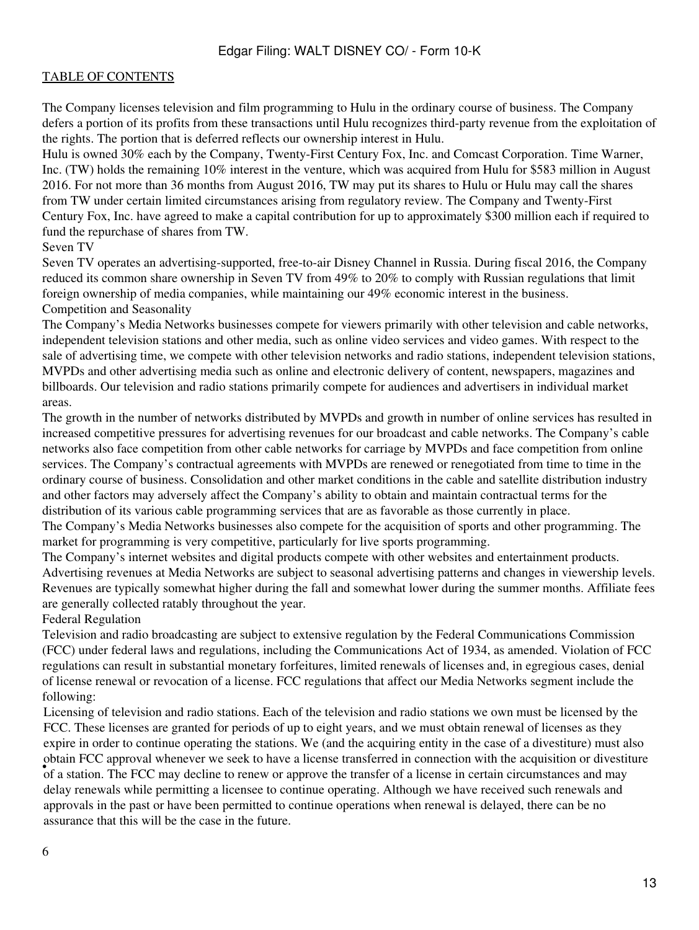The Company licenses television and film programming to Hulu in the ordinary course of business. The Company defers a portion of its profits from these transactions until Hulu recognizes third-party revenue from the exploitation of the rights. The portion that is deferred reflects our ownership interest in Hulu.

Hulu is owned 30% each by the Company, Twenty-First Century Fox, Inc. and Comcast Corporation. Time Warner, Inc. (TW) holds the remaining 10% interest in the venture, which was acquired from Hulu for \$583 million in August 2016. For not more than 36 months from August 2016, TW may put its shares to Hulu or Hulu may call the shares from TW under certain limited circumstances arising from regulatory review. The Company and Twenty-First Century Fox, Inc. have agreed to make a capital contribution for up to approximately \$300 million each if required to fund the repurchase of shares from TW.

### Seven TV

Seven TV operates an advertising-supported, free-to-air Disney Channel in Russia. During fiscal 2016, the Company reduced its common share ownership in Seven TV from 49% to 20% to comply with Russian regulations that limit foreign ownership of media companies, while maintaining our 49% economic interest in the business. Competition and Seasonality

The Company's Media Networks businesses compete for viewers primarily with other television and cable networks, independent television stations and other media, such as online video services and video games. With respect to the sale of advertising time, we compete with other television networks and radio stations, independent television stations, MVPDs and other advertising media such as online and electronic delivery of content, newspapers, magazines and billboards. Our television and radio stations primarily compete for audiences and advertisers in individual market areas.

The growth in the number of networks distributed by MVPDs and growth in number of online services has resulted in increased competitive pressures for advertising revenues for our broadcast and cable networks. The Company's cable networks also face competition from other cable networks for carriage by MVPDs and face competition from online services. The Company's contractual agreements with MVPDs are renewed or renegotiated from time to time in the ordinary course of business. Consolidation and other market conditions in the cable and satellite distribution industry and other factors may adversely affect the Company's ability to obtain and maintain contractual terms for the distribution of its various cable programming services that are as favorable as those currently in place.

The Company's Media Networks businesses also compete for the acquisition of sports and other programming. The market for programming is very competitive, particularly for live sports programming.

The Company's internet websites and digital products compete with other websites and entertainment products. Advertising revenues at Media Networks are subject to seasonal advertising patterns and changes in viewership levels. Revenues are typically somewhat higher during the fall and somewhat lower during the summer months. Affiliate fees are generally collected ratably throughout the year.

# Federal Regulation

Television and radio broadcasting are subject to extensive regulation by the Federal Communications Commission (FCC) under federal laws and regulations, including the Communications Act of 1934, as amended. Violation of FCC regulations can result in substantial monetary forfeitures, limited renewals of licenses and, in egregious cases, denial of license renewal or revocation of a license. FCC regulations that affect our Media Networks segment include the following:

of a station. The FCC may decline to renew or approve the transfer of a license in certain circumstances and may be Licensing of television and radio stations. Each of the television and radio stations we own must be licensed by the FCC. These licenses are granted for periods of up to eight years, and we must obtain renewal of licenses as they expire in order to continue operating the stations. We (and the acquiring entity in the case of a divestiture) must also obtain FCC approval whenever we seek to have a license transferred in connection with the acquisition or divestiture delay renewals while permitting a licensee to continue operating. Although we have received such renewals and approvals in the past or have been permitted to continue operations when renewal is delayed, there can be no assurance that this will be the case in the future.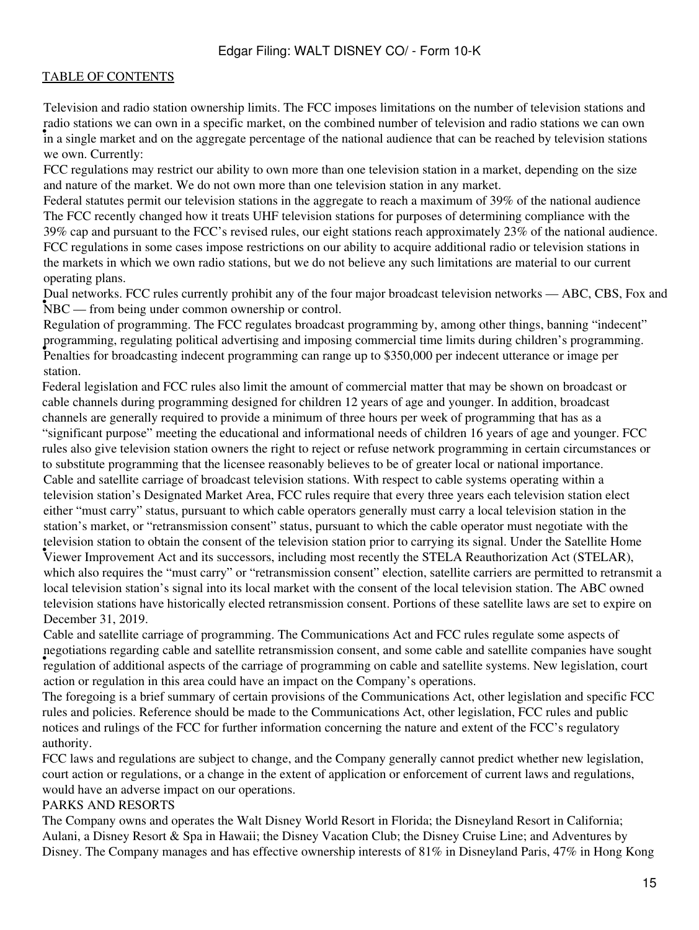#### [TABLE OF CONTENTS](#page-2-0)

and stations we can own in a specific market, on the combined namber of television and radio stations we can own<br>in a single market and on the aggregate percentage of the national audience that can be reached by television Television and radio station ownership limits. The FCC imposes limitations on the number of television stations and radio stations we can own in a specific market, on the combined number of television and radio stations we can own we own. Currently:

FCC regulations may restrict our ability to own more than one television station in a market, depending on the size and nature of the market. We do not own more than one television station in any market.

Federal statutes permit our television stations in the aggregate to reach a maximum of 39% of the national audience The FCC recently changed how it treats UHF television stations for purposes of determining compliance with the 39% cap and pursuant to the FCC's revised rules, our eight stations reach approximately 23% of the national audience. FCC regulations in some cases impose restrictions on our ability to acquire additional radio or television stations in the markets in which we own radio stations, but we do not believe any such limitations are material to our current operating plans.

**Example 18 For the State of the State of the State of the State State Inc.** Dual networks. FCC rules currently prohibit any of the four major broadcast television networks — ABC, CBS, Fox and

• Penalties for broadcasting indecent programming can range up to \$350,000 per indecent utterance or image per Regulation of programming. The FCC regulates broadcast programming by, among other things, banning "indecent" programming, regulating political advertising and imposing commercial time limits during children's programming. station.

Federal legislation and FCC rules also limit the amount of commercial matter that may be shown on broadcast or cable channels during programming designed for children 12 years of age and younger. In addition, broadcast channels are generally required to provide a minimum of three hours per week of programming that has as a "significant purpose" meeting the educational and informational needs of children 16 years of age and younger. FCC rules also give television station owners the right to reject or refuse network programming in certain circumstances or to substitute programming that the licensee reasonably believes to be of greater local or national importance. • Viewer Improvement Act and its successors, including most recently the STELA Reauthorization Act (STELAR), Cable and satellite carriage of broadcast television stations. With respect to cable systems operating within a television station's Designated Market Area, FCC rules require that every three years each television station elect either "must carry" status, pursuant to which cable operators generally must carry a local television station in the station's market, or "retransmission consent" status, pursuant to which the cable operator must negotiate with the television station to obtain the consent of the television station prior to carrying its signal. Under the Satellite Home which also requires the "must carry" or "retransmission consent" election, satellite carriers are permitted to retransmit a local television station's signal into its local market with the consent of the local television station. The ABC owned television stations have historically elected retransmission consent. Portions of these satellite laws are set to expire on December 31, 2019.

regulations regulational aspects of the carriage of programming on cable and satellite systems. New legislation, court Cable and satellite carriage of programming. The Communications Act and FCC rules regulate some aspects of negotiations regarding cable and satellite retransmission consent, and some cable and satellite companies have sought action or regulation in this area could have an impact on the Company's operations.

The foregoing is a brief summary of certain provisions of the Communications Act, other legislation and specific FCC rules and policies. Reference should be made to the Communications Act, other legislation, FCC rules and public notices and rulings of the FCC for further information concerning the nature and extent of the FCC's regulatory authority.

FCC laws and regulations are subject to change, and the Company generally cannot predict whether new legislation, court action or regulations, or a change in the extent of application or enforcement of current laws and regulations, would have an adverse impact on our operations.

### PARKS AND RESORTS

The Company owns and operates the Walt Disney World Resort in Florida; the Disneyland Resort in California; Aulani, a Disney Resort & Spa in Hawaii; the Disney Vacation Club; the Disney Cruise Line; and Adventures by Disney. The Company manages and has effective ownership interests of 81% in Disneyland Paris, 47% in Hong Kong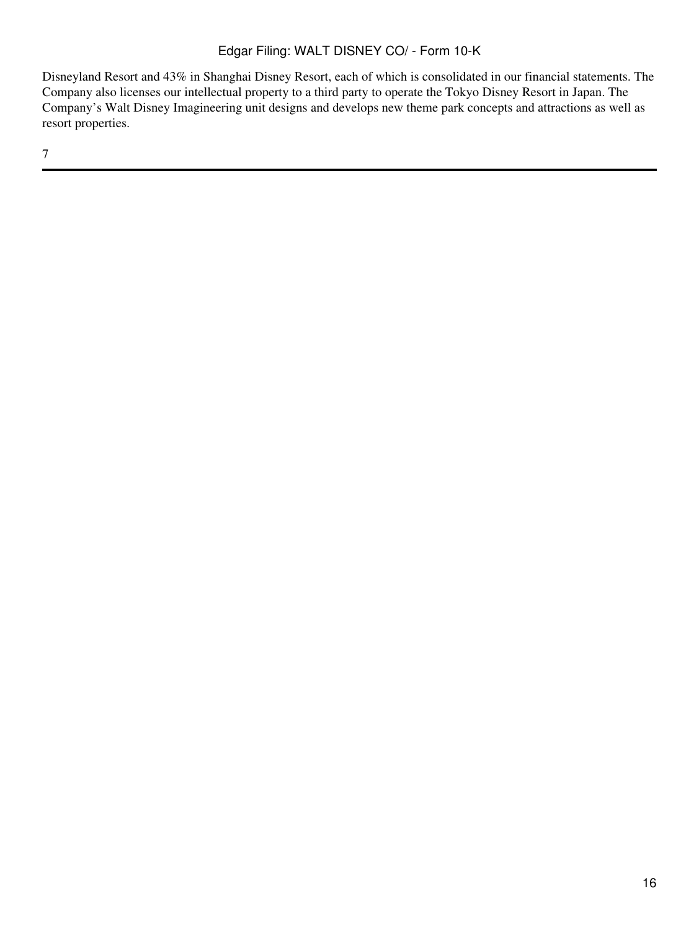Disneyland Resort and 43% in Shanghai Disney Resort, each of which is consolidated in our financial statements. The Company also licenses our intellectual property to a third party to operate the Tokyo Disney Resort in Japan. The Company's Walt Disney Imagineering unit designs and develops new theme park concepts and attractions as well as resort properties.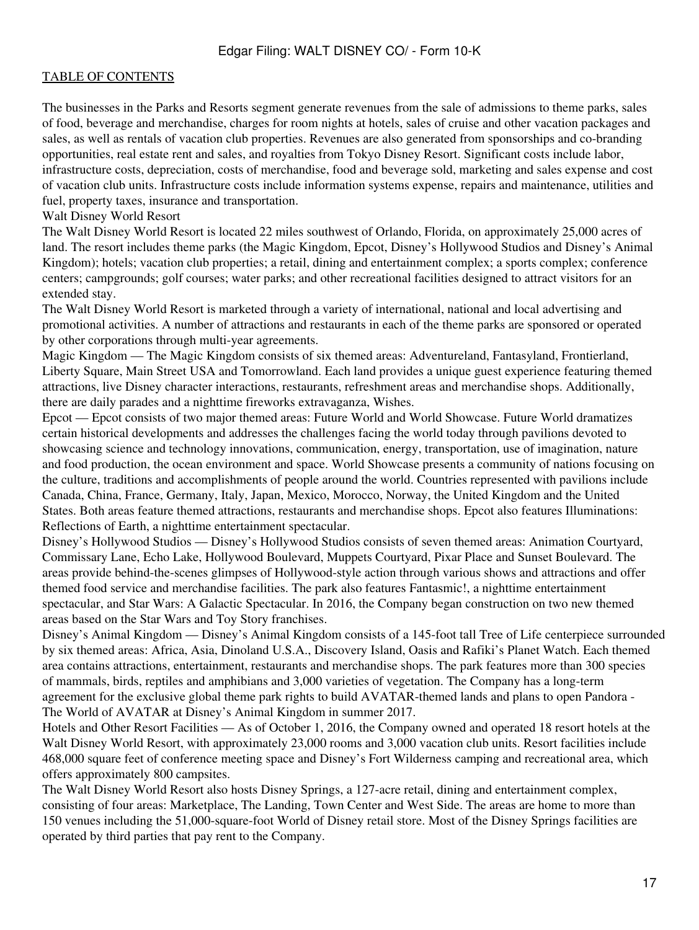The businesses in the Parks and Resorts segment generate revenues from the sale of admissions to theme parks, sales of food, beverage and merchandise, charges for room nights at hotels, sales of cruise and other vacation packages and sales, as well as rentals of vacation club properties. Revenues are also generated from sponsorships and co-branding opportunities, real estate rent and sales, and royalties from Tokyo Disney Resort. Significant costs include labor, infrastructure costs, depreciation, costs of merchandise, food and beverage sold, marketing and sales expense and cost of vacation club units. Infrastructure costs include information systems expense, repairs and maintenance, utilities and fuel, property taxes, insurance and transportation.

Walt Disney World Resort

The Walt Disney World Resort is located 22 miles southwest of Orlando, Florida, on approximately 25,000 acres of land. The resort includes theme parks (the Magic Kingdom, Epcot, Disney's Hollywood Studios and Disney's Animal Kingdom); hotels; vacation club properties; a retail, dining and entertainment complex; a sports complex; conference centers; campgrounds; golf courses; water parks; and other recreational facilities designed to attract visitors for an extended stay.

The Walt Disney World Resort is marketed through a variety of international, national and local advertising and promotional activities. A number of attractions and restaurants in each of the theme parks are sponsored or operated by other corporations through multi-year agreements.

Magic Kingdom — The Magic Kingdom consists of six themed areas: Adventureland, Fantasyland, Frontierland, Liberty Square, Main Street USA and Tomorrowland. Each land provides a unique guest experience featuring themed attractions, live Disney character interactions, restaurants, refreshment areas and merchandise shops. Additionally, there are daily parades and a nighttime fireworks extravaganza, Wishes.

Epcot — Epcot consists of two major themed areas: Future World and World Showcase. Future World dramatizes certain historical developments and addresses the challenges facing the world today through pavilions devoted to showcasing science and technology innovations, communication, energy, transportation, use of imagination, nature and food production, the ocean environment and space. World Showcase presents a community of nations focusing on the culture, traditions and accomplishments of people around the world. Countries represented with pavilions include Canada, China, France, Germany, Italy, Japan, Mexico, Morocco, Norway, the United Kingdom and the United States. Both areas feature themed attractions, restaurants and merchandise shops. Epcot also features Illuminations: Reflections of Earth, a nighttime entertainment spectacular.

Disney's Hollywood Studios — Disney's Hollywood Studios consists of seven themed areas: Animation Courtyard, Commissary Lane, Echo Lake, Hollywood Boulevard, Muppets Courtyard, Pixar Place and Sunset Boulevard. The areas provide behind-the-scenes glimpses of Hollywood-style action through various shows and attractions and offer themed food service and merchandise facilities. The park also features Fantasmic!, a nighttime entertainment spectacular, and Star Wars: A Galactic Spectacular. In 2016, the Company began construction on two new themed areas based on the Star Wars and Toy Story franchises.

Disney's Animal Kingdom — Disney's Animal Kingdom consists of a 145-foot tall Tree of Life centerpiece surrounded by six themed areas: Africa, Asia, Dinoland U.S.A., Discovery Island, Oasis and Rafiki's Planet Watch. Each themed area contains attractions, entertainment, restaurants and merchandise shops. The park features more than 300 species of mammals, birds, reptiles and amphibians and 3,000 varieties of vegetation. The Company has a long-term agreement for the exclusive global theme park rights to build AVATAR-themed lands and plans to open Pandora - The World of AVATAR at Disney's Animal Kingdom in summer 2017.

Hotels and Other Resort Facilities — As of October 1, 2016, the Company owned and operated 18 resort hotels at the Walt Disney World Resort, with approximately 23,000 rooms and 3,000 vacation club units. Resort facilities include 468,000 square feet of conference meeting space and Disney's Fort Wilderness camping and recreational area, which offers approximately 800 campsites.

The Walt Disney World Resort also hosts Disney Springs, a 127-acre retail, dining and entertainment complex, consisting of four areas: Marketplace, The Landing, Town Center and West Side. The areas are home to more than 150 venues including the 51,000-square-foot World of Disney retail store. Most of the Disney Springs facilities are operated by third parties that pay rent to the Company.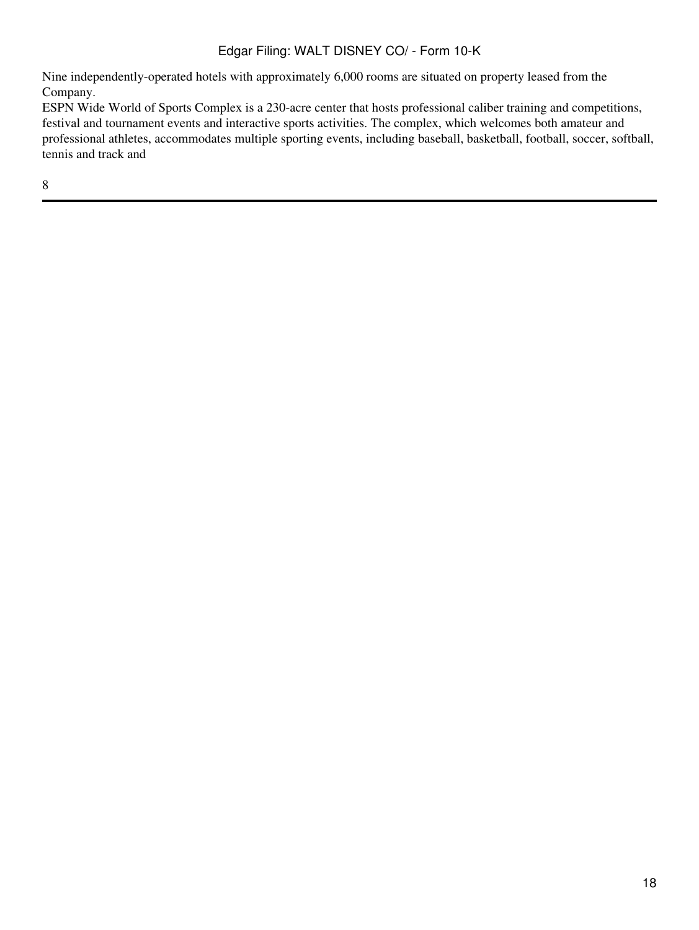Nine independently-operated hotels with approximately 6,000 rooms are situated on property leased from the Company.

ESPN Wide World of Sports Complex is a 230-acre center that hosts professional caliber training and competitions, festival and tournament events and interactive sports activities. The complex, which welcomes both amateur and professional athletes, accommodates multiple sporting events, including baseball, basketball, football, soccer, softball, tennis and track and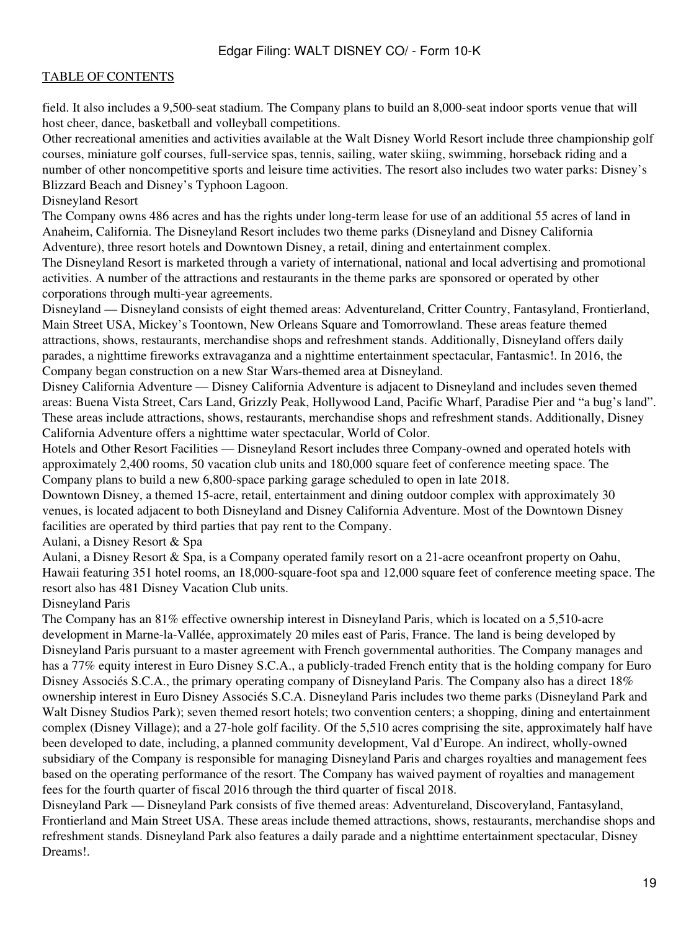field. It also includes a 9,500-seat stadium. The Company plans to build an 8,000-seat indoor sports venue that will host cheer, dance, basketball and volleyball competitions.

Other recreational amenities and activities available at the Walt Disney World Resort include three championship golf courses, miniature golf courses, full-service spas, tennis, sailing, water skiing, swimming, horseback riding and a number of other noncompetitive sports and leisure time activities. The resort also includes two water parks: Disney's Blizzard Beach and Disney's Typhoon Lagoon.

Disneyland Resort

The Company owns 486 acres and has the rights under long-term lease for use of an additional 55 acres of land in Anaheim, California. The Disneyland Resort includes two theme parks (Disneyland and Disney California Adventure), three resort hotels and Downtown Disney, a retail, dining and entertainment complex.

The Disneyland Resort is marketed through a variety of international, national and local advertising and promotional activities. A number of the attractions and restaurants in the theme parks are sponsored or operated by other corporations through multi-year agreements.

Disneyland — Disneyland consists of eight themed areas: Adventureland, Critter Country, Fantasyland, Frontierland, Main Street USA, Mickey's Toontown, New Orleans Square and Tomorrowland. These areas feature themed attractions, shows, restaurants, merchandise shops and refreshment stands. Additionally, Disneyland offers daily parades, a nighttime fireworks extravaganza and a nighttime entertainment spectacular, Fantasmic!. In 2016, the Company began construction on a new Star Wars-themed area at Disneyland.

Disney California Adventure — Disney California Adventure is adjacent to Disneyland and includes seven themed areas: Buena Vista Street, Cars Land, Grizzly Peak, Hollywood Land, Pacific Wharf, Paradise Pier and "a bug's land". These areas include attractions, shows, restaurants, merchandise shops and refreshment stands. Additionally, Disney California Adventure offers a nighttime water spectacular, World of Color.

Hotels and Other Resort Facilities — Disneyland Resort includes three Company-owned and operated hotels with approximately 2,400 rooms, 50 vacation club units and 180,000 square feet of conference meeting space. The Company plans to build a new 6,800-space parking garage scheduled to open in late 2018.

Downtown Disney, a themed 15-acre, retail, entertainment and dining outdoor complex with approximately 30 venues, is located adjacent to both Disneyland and Disney California Adventure. Most of the Downtown Disney facilities are operated by third parties that pay rent to the Company.

Aulani, a Disney Resort & Spa

Aulani, a Disney Resort & Spa, is a Company operated family resort on a 21-acre oceanfront property on Oahu, Hawaii featuring 351 hotel rooms, an 18,000-square-foot spa and 12,000 square feet of conference meeting space. The resort also has 481 Disney Vacation Club units.

### Disneyland Paris

The Company has an 81% effective ownership interest in Disneyland Paris, which is located on a 5,510-acre development in Marne-la-Vallée, approximately 20 miles east of Paris, France. The land is being developed by Disneyland Paris pursuant to a master agreement with French governmental authorities. The Company manages and has a 77% equity interest in Euro Disney S.C.A., a publicly-traded French entity that is the holding company for Euro Disney Associés S.C.A., the primary operating company of Disneyland Paris. The Company also has a direct 18% ownership interest in Euro Disney Associés S.C.A. Disneyland Paris includes two theme parks (Disneyland Park and Walt Disney Studios Park); seven themed resort hotels; two convention centers; a shopping, dining and entertainment complex (Disney Village); and a 27-hole golf facility. Of the 5,510 acres comprising the site, approximately half have been developed to date, including, a planned community development, Val d'Europe. An indirect, wholly-owned subsidiary of the Company is responsible for managing Disneyland Paris and charges royalties and management fees based on the operating performance of the resort. The Company has waived payment of royalties and management fees for the fourth quarter of fiscal 2016 through the third quarter of fiscal 2018.

Disneyland Park — Disneyland Park consists of five themed areas: Adventureland, Discoveryland, Fantasyland, Frontierland and Main Street USA. These areas include themed attractions, shows, restaurants, merchandise shops and refreshment stands. Disneyland Park also features a daily parade and a nighttime entertainment spectacular, Disney Dreams!.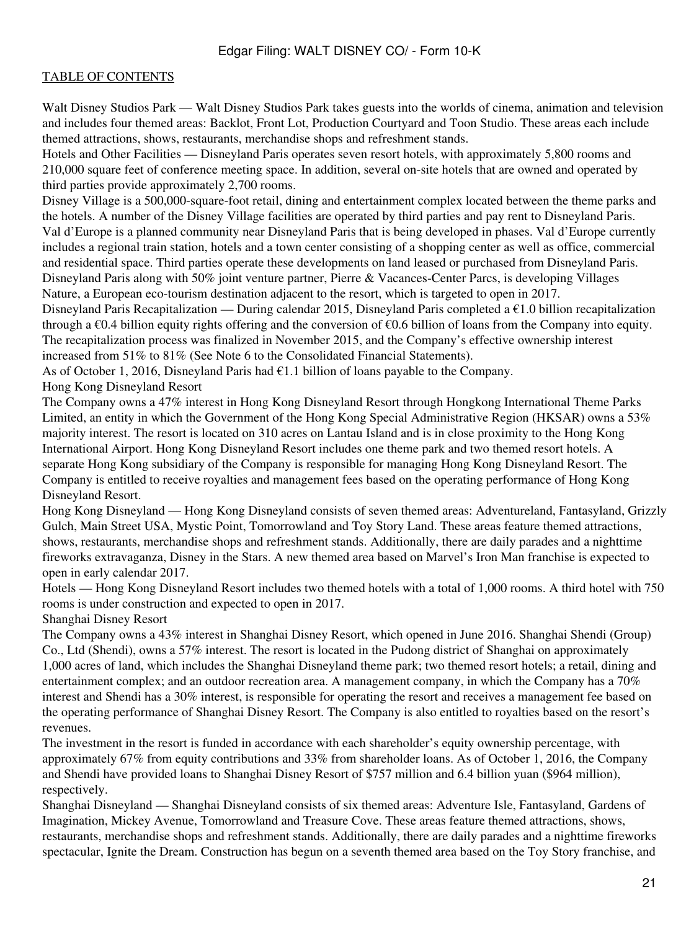Walt Disney Studios Park — Walt Disney Studios Park takes guests into the worlds of cinema, animation and television and includes four themed areas: Backlot, Front Lot, Production Courtyard and Toon Studio. These areas each include themed attractions, shows, restaurants, merchandise shops and refreshment stands.

Hotels and Other Facilities — Disneyland Paris operates seven resort hotels, with approximately 5,800 rooms and 210,000 square feet of conference meeting space. In addition, several on-site hotels that are owned and operated by third parties provide approximately 2,700 rooms.

Disney Village is a 500,000-square-foot retail, dining and entertainment complex located between the theme parks and the hotels. A number of the Disney Village facilities are operated by third parties and pay rent to Disneyland Paris. Val d'Europe is a planned community near Disneyland Paris that is being developed in phases. Val d'Europe currently includes a regional train station, hotels and a town center consisting of a shopping center as well as office, commercial and residential space. Third parties operate these developments on land leased or purchased from Disneyland Paris. Disneyland Paris along with 50% joint venture partner, Pierre & Vacances-Center Parcs, is developing Villages Nature, a European eco-tourism destination adjacent to the resort, which is targeted to open in 2017.

Disneyland Paris Recapitalization — During calendar 2015, Disneyland Paris completed a €1.0 billion recapitalization through a  $\epsilon$ 0.4 billion equity rights offering and the conversion of  $\epsilon$ 0.6 billion of loans from the Company into equity. The recapitalization process was finalized in November 2015, and the Company's effective ownership interest increased from 51% to 81% (See Note 6 to the Consolidated Financial Statements).

As of October 1, 2016, Disneyland Paris had €1.1 billion of loans payable to the Company. Hong Kong Disneyland Resort

The Company owns a 47% interest in Hong Kong Disneyland Resort through Hongkong International Theme Parks Limited, an entity in which the Government of the Hong Kong Special Administrative Region (HKSAR) owns a 53% majority interest. The resort is located on 310 acres on Lantau Island and is in close proximity to the Hong Kong International Airport. Hong Kong Disneyland Resort includes one theme park and two themed resort hotels. A separate Hong Kong subsidiary of the Company is responsible for managing Hong Kong Disneyland Resort. The Company is entitled to receive royalties and management fees based on the operating performance of Hong Kong Disneyland Resort.

Hong Kong Disneyland — Hong Kong Disneyland consists of seven themed areas: Adventureland, Fantasyland, Grizzly Gulch, Main Street USA, Mystic Point, Tomorrowland and Toy Story Land. These areas feature themed attractions, shows, restaurants, merchandise shops and refreshment stands. Additionally, there are daily parades and a nighttime fireworks extravaganza, Disney in the Stars. A new themed area based on Marvel's Iron Man franchise is expected to open in early calendar 2017.

Hotels — Hong Kong Disneyland Resort includes two themed hotels with a total of 1,000 rooms. A third hotel with 750 rooms is under construction and expected to open in 2017.

Shanghai Disney Resort

The Company owns a 43% interest in Shanghai Disney Resort, which opened in June 2016. Shanghai Shendi (Group) Co., Ltd (Shendi), owns a 57% interest. The resort is located in the Pudong district of Shanghai on approximately 1,000 acres of land, which includes the Shanghai Disneyland theme park; two themed resort hotels; a retail, dining and entertainment complex; and an outdoor recreation area. A management company, in which the Company has a 70% interest and Shendi has a 30% interest, is responsible for operating the resort and receives a management fee based on the operating performance of Shanghai Disney Resort. The Company is also entitled to royalties based on the resort's revenues.

The investment in the resort is funded in accordance with each shareholder's equity ownership percentage, with approximately 67% from equity contributions and 33% from shareholder loans. As of October 1, 2016, the Company and Shendi have provided loans to Shanghai Disney Resort of \$757 million and 6.4 billion yuan (\$964 million), respectively.

Shanghai Disneyland — Shanghai Disneyland consists of six themed areas: Adventure Isle, Fantasyland, Gardens of Imagination, Mickey Avenue, Tomorrowland and Treasure Cove. These areas feature themed attractions, shows, restaurants, merchandise shops and refreshment stands. Additionally, there are daily parades and a nighttime fireworks spectacular, Ignite the Dream. Construction has begun on a seventh themed area based on the Toy Story franchise, and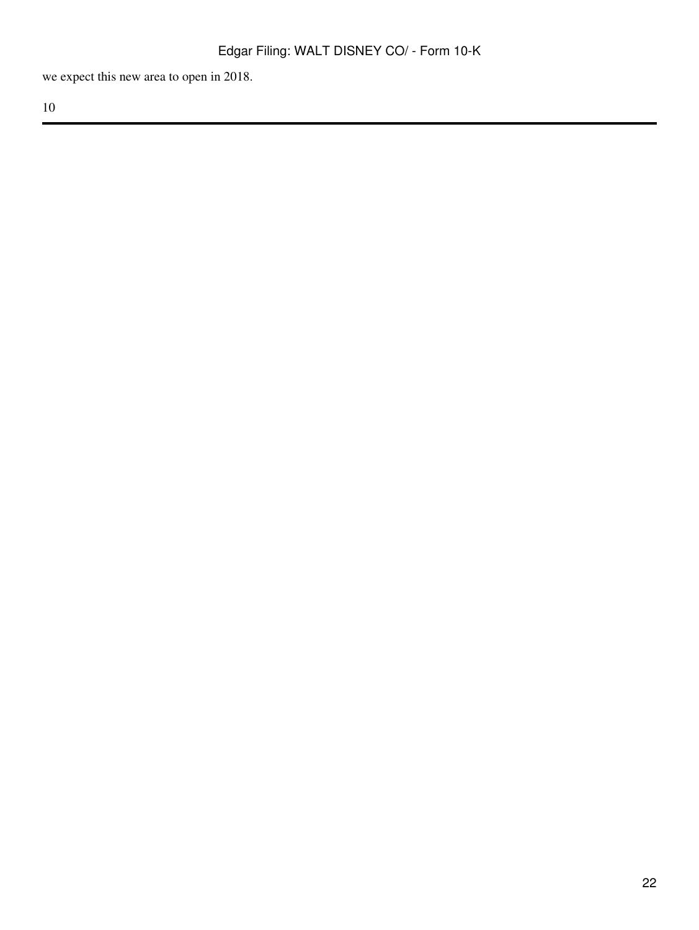we expect this new area to open in 2018.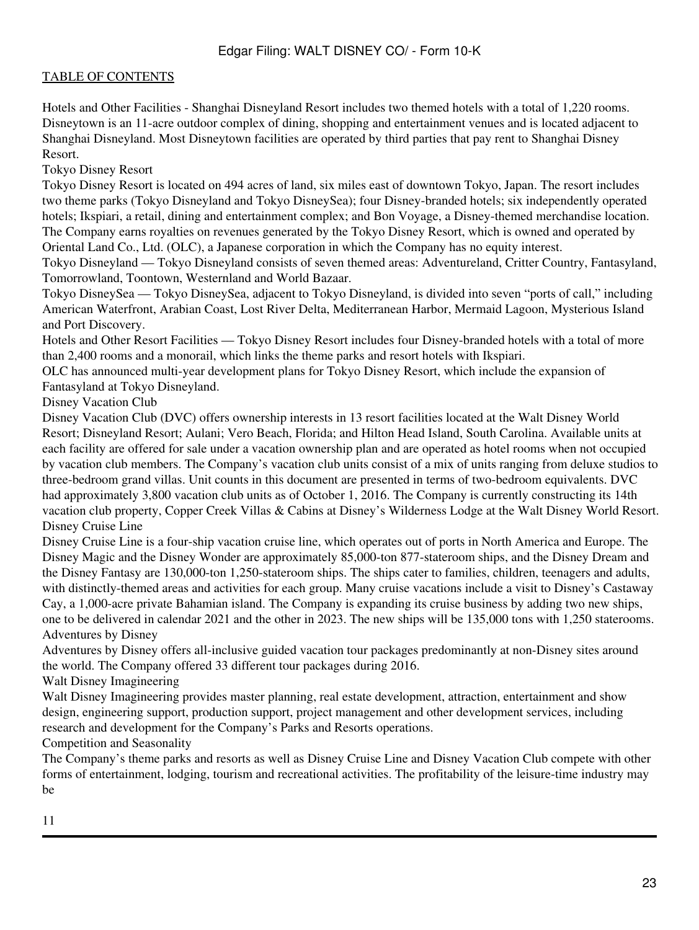Hotels and Other Facilities - Shanghai Disneyland Resort includes two themed hotels with a total of 1,220 rooms. Disneytown is an 11-acre outdoor complex of dining, shopping and entertainment venues and is located adjacent to Shanghai Disneyland. Most Disneytown facilities are operated by third parties that pay rent to Shanghai Disney Resort.

### Tokyo Disney Resort

Tokyo Disney Resort is located on 494 acres of land, six miles east of downtown Tokyo, Japan. The resort includes two theme parks (Tokyo Disneyland and Tokyo DisneySea); four Disney-branded hotels; six independently operated hotels; Ikspiari, a retail, dining and entertainment complex; and Bon Voyage, a Disney-themed merchandise location. The Company earns royalties on revenues generated by the Tokyo Disney Resort, which is owned and operated by Oriental Land Co., Ltd. (OLC), a Japanese corporation in which the Company has no equity interest.

Tokyo Disneyland — Tokyo Disneyland consists of seven themed areas: Adventureland, Critter Country, Fantasyland, Tomorrowland, Toontown, Westernland and World Bazaar.

Tokyo DisneySea — Tokyo DisneySea, adjacent to Tokyo Disneyland, is divided into seven "ports of call," including American Waterfront, Arabian Coast, Lost River Delta, Mediterranean Harbor, Mermaid Lagoon, Mysterious Island and Port Discovery.

Hotels and Other Resort Facilities — Tokyo Disney Resort includes four Disney-branded hotels with a total of more than 2,400 rooms and a monorail, which links the theme parks and resort hotels with Ikspiari.

OLC has announced multi-year development plans for Tokyo Disney Resort, which include the expansion of Fantasyland at Tokyo Disneyland.

Disney Vacation Club

Disney Vacation Club (DVC) offers ownership interests in 13 resort facilities located at the Walt Disney World Resort; Disneyland Resort; Aulani; Vero Beach, Florida; and Hilton Head Island, South Carolina. Available units at each facility are offered for sale under a vacation ownership plan and are operated as hotel rooms when not occupied by vacation club members. The Company's vacation club units consist of a mix of units ranging from deluxe studios to three-bedroom grand villas. Unit counts in this document are presented in terms of two-bedroom equivalents. DVC had approximately 3,800 vacation club units as of October 1, 2016. The Company is currently constructing its 14th vacation club property, Copper Creek Villas & Cabins at Disney's Wilderness Lodge at the Walt Disney World Resort. Disney Cruise Line

Disney Cruise Line is a four-ship vacation cruise line, which operates out of ports in North America and Europe. The Disney Magic and the Disney Wonder are approximately 85,000-ton 877-stateroom ships, and the Disney Dream and the Disney Fantasy are 130,000-ton 1,250-stateroom ships. The ships cater to families, children, teenagers and adults, with distinctly-themed areas and activities for each group. Many cruise vacations include a visit to Disney's Castaway Cay, a 1,000-acre private Bahamian island. The Company is expanding its cruise business by adding two new ships, one to be delivered in calendar 2021 and the other in 2023. The new ships will be 135,000 tons with 1,250 staterooms. Adventures by Disney

Adventures by Disney offers all-inclusive guided vacation tour packages predominantly at non-Disney sites around the world. The Company offered 33 different tour packages during 2016.

Walt Disney Imagineering

Walt Disney Imagineering provides master planning, real estate development, attraction, entertainment and show design, engineering support, production support, project management and other development services, including research and development for the Company's Parks and Resorts operations.

### Competition and Seasonality

The Company's theme parks and resorts as well as Disney Cruise Line and Disney Vacation Club compete with other forms of entertainment, lodging, tourism and recreational activities. The profitability of the leisure-time industry may be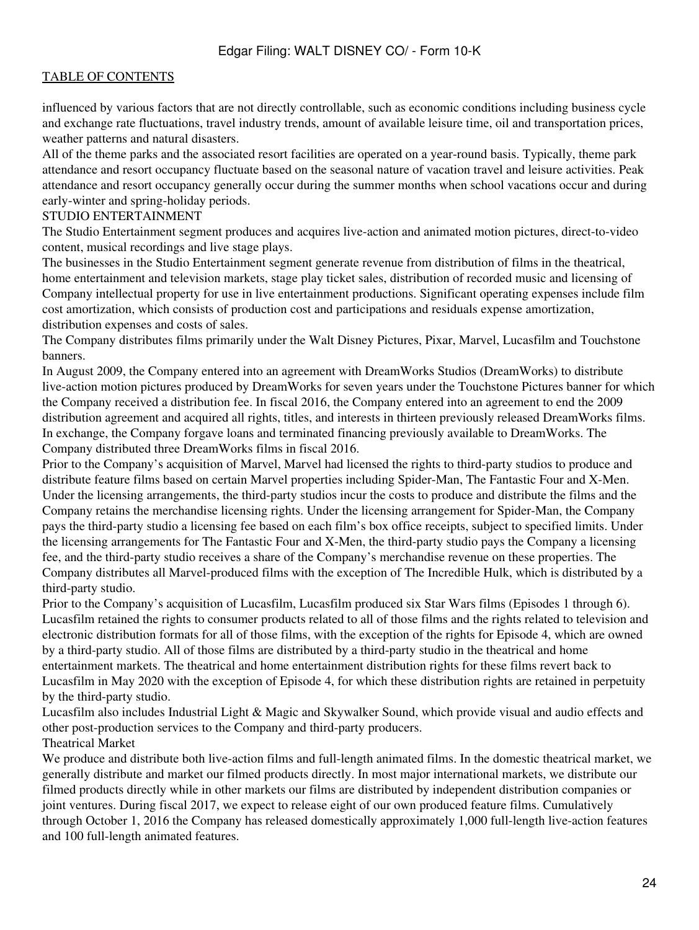influenced by various factors that are not directly controllable, such as economic conditions including business cycle and exchange rate fluctuations, travel industry trends, amount of available leisure time, oil and transportation prices, weather patterns and natural disasters.

All of the theme parks and the associated resort facilities are operated on a year-round basis. Typically, theme park attendance and resort occupancy fluctuate based on the seasonal nature of vacation travel and leisure activities. Peak attendance and resort occupancy generally occur during the summer months when school vacations occur and during early-winter and spring-holiday periods.

# STUDIO ENTERTAINMENT

The Studio Entertainment segment produces and acquires live-action and animated motion pictures, direct-to-video content, musical recordings and live stage plays.

The businesses in the Studio Entertainment segment generate revenue from distribution of films in the theatrical, home entertainment and television markets, stage play ticket sales, distribution of recorded music and licensing of Company intellectual property for use in live entertainment productions. Significant operating expenses include film cost amortization, which consists of production cost and participations and residuals expense amortization, distribution expenses and costs of sales.

The Company distributes films primarily under the Walt Disney Pictures, Pixar, Marvel, Lucasfilm and Touchstone banners.

In August 2009, the Company entered into an agreement with DreamWorks Studios (DreamWorks) to distribute live-action motion pictures produced by DreamWorks for seven years under the Touchstone Pictures banner for which the Company received a distribution fee. In fiscal 2016, the Company entered into an agreement to end the 2009 distribution agreement and acquired all rights, titles, and interests in thirteen previously released DreamWorks films. In exchange, the Company forgave loans and terminated financing previously available to DreamWorks. The Company distributed three DreamWorks films in fiscal 2016.

Prior to the Company's acquisition of Marvel, Marvel had licensed the rights to third-party studios to produce and distribute feature films based on certain Marvel properties including Spider-Man, The Fantastic Four and X-Men. Under the licensing arrangements, the third-party studios incur the costs to produce and distribute the films and the Company retains the merchandise licensing rights. Under the licensing arrangement for Spider-Man, the Company pays the third-party studio a licensing fee based on each film's box office receipts, subject to specified limits. Under the licensing arrangements for The Fantastic Four and X-Men, the third-party studio pays the Company a licensing fee, and the third-party studio receives a share of the Company's merchandise revenue on these properties. The Company distributes all Marvel-produced films with the exception of The Incredible Hulk, which is distributed by a third-party studio.

Prior to the Company's acquisition of Lucasfilm, Lucasfilm produced six Star Wars films (Episodes 1 through 6). Lucasfilm retained the rights to consumer products related to all of those films and the rights related to television and electronic distribution formats for all of those films, with the exception of the rights for Episode 4, which are owned by a third-party studio. All of those films are distributed by a third-party studio in the theatrical and home entertainment markets. The theatrical and home entertainment distribution rights for these films revert back to Lucasfilm in May 2020 with the exception of Episode 4, for which these distribution rights are retained in perpetuity by the third-party studio.

Lucasfilm also includes Industrial Light & Magic and Skywalker Sound, which provide visual and audio effects and other post-production services to the Company and third-party producers. Theatrical Market

We produce and distribute both live-action films and full-length animated films. In the domestic theatrical market, we generally distribute and market our filmed products directly. In most major international markets, we distribute our filmed products directly while in other markets our films are distributed by independent distribution companies or joint ventures. During fiscal 2017, we expect to release eight of our own produced feature films. Cumulatively through October 1, 2016 the Company has released domestically approximately 1,000 full-length live-action features and 100 full-length animated features.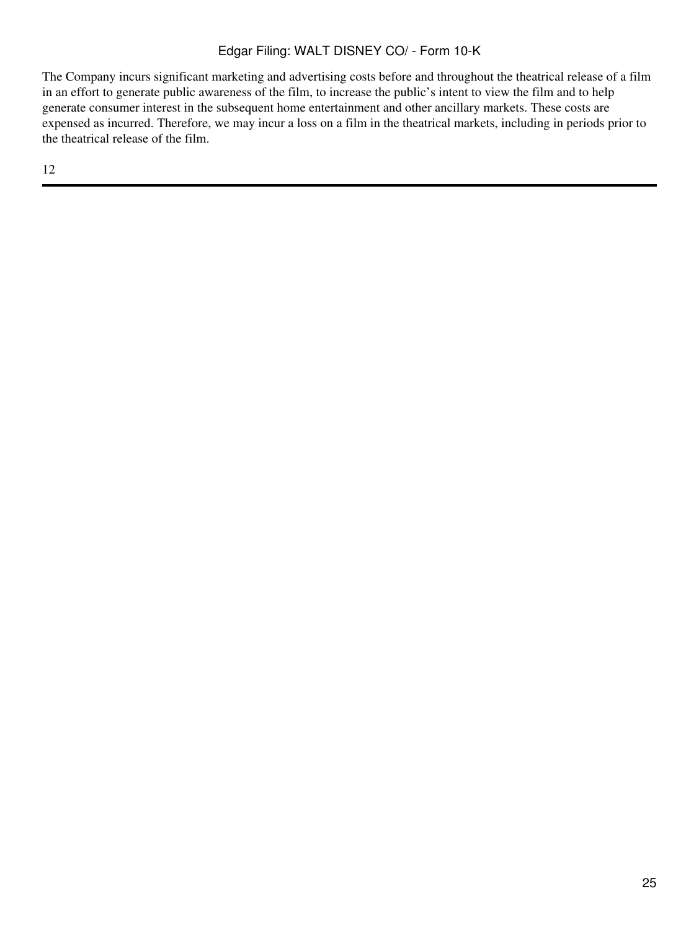The Company incurs significant marketing and advertising costs before and throughout the theatrical release of a film in an effort to generate public awareness of the film, to increase the public's intent to view the film and to help generate consumer interest in the subsequent home entertainment and other ancillary markets. These costs are expensed as incurred. Therefore, we may incur a loss on a film in the theatrical markets, including in periods prior to the theatrical release of the film.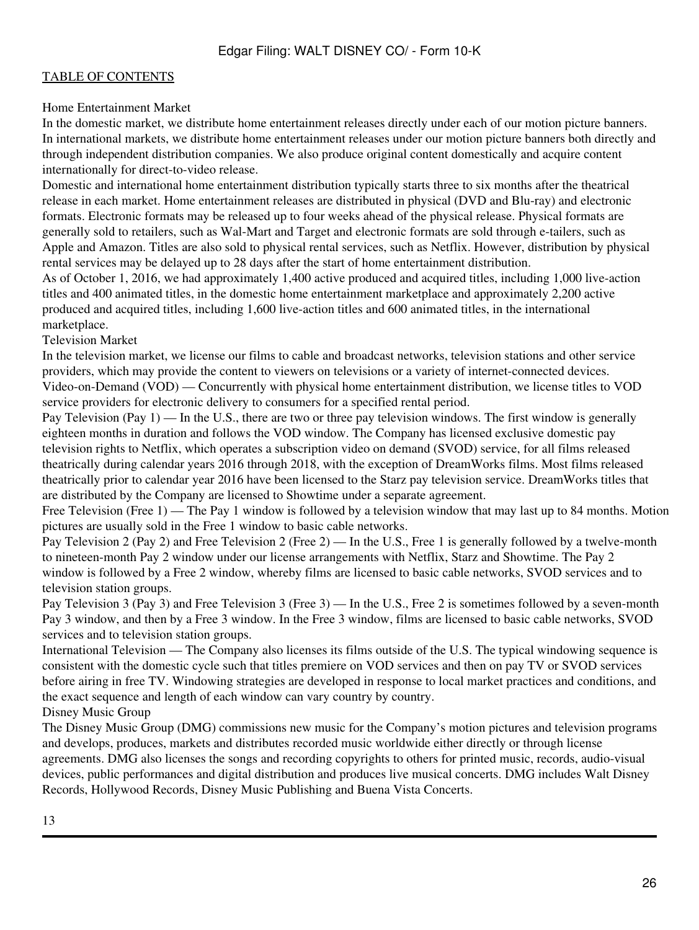#### Home Entertainment Market

In the domestic market, we distribute home entertainment releases directly under each of our motion picture banners. In international markets, we distribute home entertainment releases under our motion picture banners both directly and through independent distribution companies. We also produce original content domestically and acquire content internationally for direct-to-video release.

Domestic and international home entertainment distribution typically starts three to six months after the theatrical release in each market. Home entertainment releases are distributed in physical (DVD and Blu-ray) and electronic formats. Electronic formats may be released up to four weeks ahead of the physical release. Physical formats are generally sold to retailers, such as Wal-Mart and Target and electronic formats are sold through e-tailers, such as Apple and Amazon. Titles are also sold to physical rental services, such as Netflix. However, distribution by physical rental services may be delayed up to 28 days after the start of home entertainment distribution.

As of October 1, 2016, we had approximately 1,400 active produced and acquired titles, including 1,000 live-action titles and 400 animated titles, in the domestic home entertainment marketplace and approximately 2,200 active produced and acquired titles, including 1,600 live-action titles and 600 animated titles, in the international marketplace.

### Television Market

In the television market, we license our films to cable and broadcast networks, television stations and other service providers, which may provide the content to viewers on televisions or a variety of internet-connected devices. Video-on-Demand (VOD) — Concurrently with physical home entertainment distribution, we license titles to VOD service providers for electronic delivery to consumers for a specified rental period.

Pay Television (Pay 1) — In the U.S., there are two or three pay television windows. The first window is generally eighteen months in duration and follows the VOD window. The Company has licensed exclusive domestic pay television rights to Netflix, which operates a subscription video on demand (SVOD) service, for all films released theatrically during calendar years 2016 through 2018, with the exception of DreamWorks films. Most films released theatrically prior to calendar year 2016 have been licensed to the Starz pay television service. DreamWorks titles that are distributed by the Company are licensed to Showtime under a separate agreement.

Free Television (Free 1) — The Pay 1 window is followed by a television window that may last up to 84 months. Motion pictures are usually sold in the Free 1 window to basic cable networks.

Pay Television 2 (Pay 2) and Free Television 2 (Free 2) — In the U.S., Free 1 is generally followed by a twelve-month to nineteen-month Pay 2 window under our license arrangements with Netflix, Starz and Showtime. The Pay 2 window is followed by a Free 2 window, whereby films are licensed to basic cable networks, SVOD services and to television station groups.

Pay Television 3 (Pay 3) and Free Television 3 (Free 3) — In the U.S., Free 2 is sometimes followed by a seven-month Pay 3 window, and then by a Free 3 window. In the Free 3 window, films are licensed to basic cable networks, SVOD services and to television station groups.

International Television — The Company also licenses its films outside of the U.S. The typical windowing sequence is consistent with the domestic cycle such that titles premiere on VOD services and then on pay TV or SVOD services before airing in free TV. Windowing strategies are developed in response to local market practices and conditions, and the exact sequence and length of each window can vary country by country.

# Disney Music Group

The Disney Music Group (DMG) commissions new music for the Company's motion pictures and television programs and develops, produces, markets and distributes recorded music worldwide either directly or through license agreements. DMG also licenses the songs and recording copyrights to others for printed music, records, audio-visual devices, public performances and digital distribution and produces live musical concerts. DMG includes Walt Disney Records, Hollywood Records, Disney Music Publishing and Buena Vista Concerts.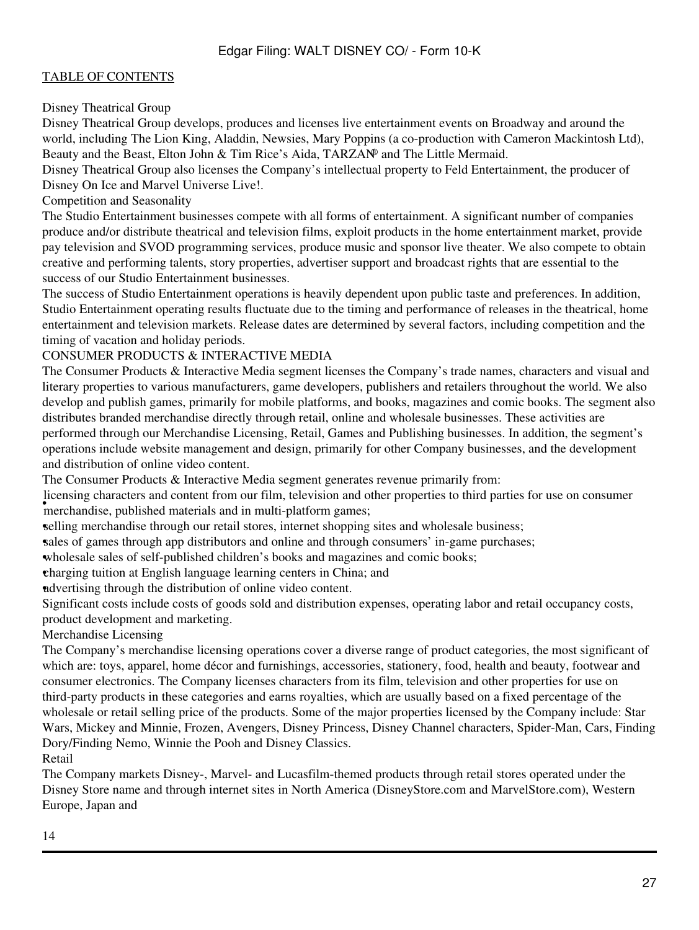Disney Theatrical Group

Disney Theatrical Group develops, produces and licenses live entertainment events on Broadway and around the world, including The Lion King, Aladdin, Newsies, Mary Poppins (a co-production with Cameron Mackintosh Ltd), Beauty and the Beast, Elton John & Tim Rice's Aida, TARZAN® and The Little Mermaid.

Disney Theatrical Group also licenses the Company's intellectual property to Feld Entertainment, the producer of Disney On Ice and Marvel Universe Live!.

Competition and Seasonality

The Studio Entertainment businesses compete with all forms of entertainment. A significant number of companies produce and/or distribute theatrical and television films, exploit products in the home entertainment market, provide pay television and SVOD programming services, produce music and sponsor live theater. We also compete to obtain creative and performing talents, story properties, advertiser support and broadcast rights that are essential to the success of our Studio Entertainment businesses.

The success of Studio Entertainment operations is heavily dependent upon public taste and preferences. In addition, Studio Entertainment operating results fluctuate due to the timing and performance of releases in the theatrical, home entertainment and television markets. Release dates are determined by several factors, including competition and the timing of vacation and holiday periods.

CONSUMER PRODUCTS & INTERACTIVE MEDIA

The Consumer Products & Interactive Media segment licenses the Company's trade names, characters and visual and literary properties to various manufacturers, game developers, publishers and retailers throughout the world. We also develop and publish games, primarily for mobile platforms, and books, magazines and comic books. The segment also distributes branded merchandise directly through retail, online and wholesale businesses. These activities are performed through our Merchandise Licensing, Retail, Games and Publishing businesses. In addition, the segment's operations include website management and design, primarily for other Company businesses, and the development and distribution of online video content.

The Consumer Products & Interactive Media segment generates revenue primarily from:

merising enaracters and content from our film, television and or<br>merchandise, published materials and in multi-platform games; licensing characters and content from our film, television and other properties to third parties for use on consumer

•selling merchandise through our retail stores, internet shopping sites and wholesale business;

•sales of games through app distributors and online and through consumers' in-game purchases;

•wholesale sales of self-published children's books and magazines and comic books;

•charging tuition at English language learning centers in China; and

•advertising through the distribution of online video content.

Significant costs include costs of goods sold and distribution expenses, operating labor and retail occupancy costs, product development and marketing.

Merchandise Licensing

The Company's merchandise licensing operations cover a diverse range of product categories, the most significant of which are: toys, apparel, home décor and furnishings, accessories, stationery, food, health and beauty, footwear and consumer electronics. The Company licenses characters from its film, television and other properties for use on third-party products in these categories and earns royalties, which are usually based on a fixed percentage of the wholesale or retail selling price of the products. Some of the major properties licensed by the Company include: Star Wars, Mickey and Minnie, Frozen, Avengers, Disney Princess, Disney Channel characters, Spider-Man, Cars, Finding Dory/Finding Nemo, Winnie the Pooh and Disney Classics.

Retail

The Company markets Disney-, Marvel- and Lucasfilm-themed products through retail stores operated under the Disney Store name and through internet sites in North America (DisneyStore.com and MarvelStore.com), Western Europe, Japan and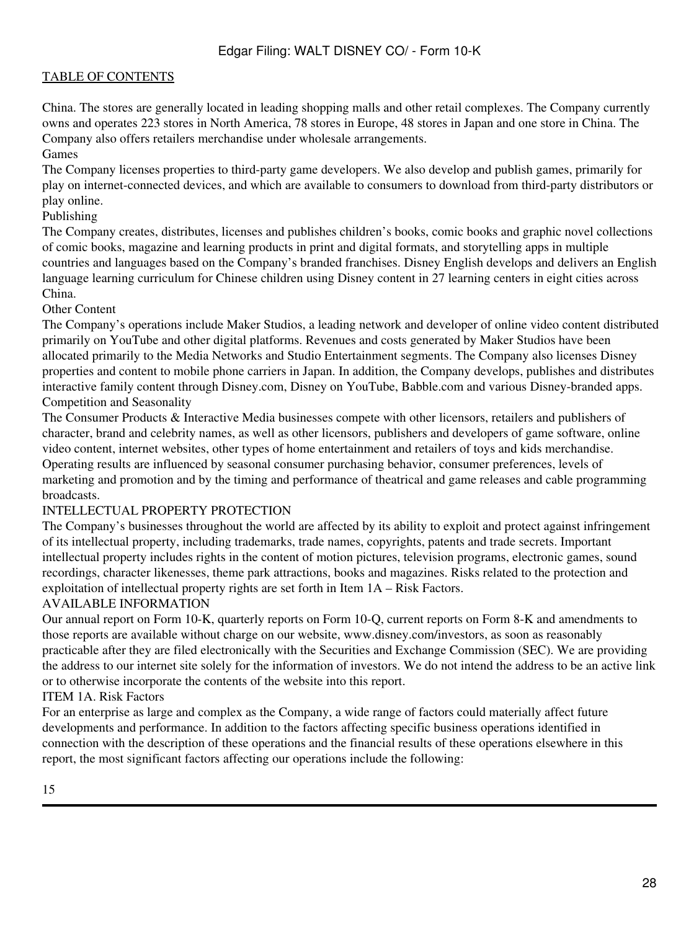China. The stores are generally located in leading shopping malls and other retail complexes. The Company currently owns and operates 223 stores in North America, 78 stores in Europe, 48 stores in Japan and one store in China. The Company also offers retailers merchandise under wholesale arrangements.

# Games

The Company licenses properties to third-party game developers. We also develop and publish games, primarily for play on internet-connected devices, and which are available to consumers to download from third-party distributors or play online.

# Publishing

The Company creates, distributes, licenses and publishes children's books, comic books and graphic novel collections of comic books, magazine and learning products in print and digital formats, and storytelling apps in multiple countries and languages based on the Company's branded franchises. Disney English develops and delivers an English language learning curriculum for Chinese children using Disney content in 27 learning centers in eight cities across China.

### Other Content

The Company's operations include Maker Studios, a leading network and developer of online video content distributed primarily on YouTube and other digital platforms. Revenues and costs generated by Maker Studios have been allocated primarily to the Media Networks and Studio Entertainment segments. The Company also licenses Disney properties and content to mobile phone carriers in Japan. In addition, the Company develops, publishes and distributes interactive family content through Disney.com, Disney on YouTube, Babble.com and various Disney-branded apps. Competition and Seasonality

The Consumer Products & Interactive Media businesses compete with other licensors, retailers and publishers of character, brand and celebrity names, as well as other licensors, publishers and developers of game software, online video content, internet websites, other types of home entertainment and retailers of toys and kids merchandise. Operating results are influenced by seasonal consumer purchasing behavior, consumer preferences, levels of marketing and promotion and by the timing and performance of theatrical and game releases and cable programming broadcasts.

### INTELLECTUAL PROPERTY PROTECTION

The Company's businesses throughout the world are affected by its ability to exploit and protect against infringement of its intellectual property, including trademarks, trade names, copyrights, patents and trade secrets. Important intellectual property includes rights in the content of motion pictures, television programs, electronic games, sound recordings, character likenesses, theme park attractions, books and magazines. Risks related to the protection and exploitation of intellectual property rights are set forth in Item 1A – Risk Factors.

### AVAILABLE INFORMATION

Our annual report on Form 10-K, quarterly reports on Form 10-Q, current reports on Form 8-K and amendments to those reports are available without charge on our website, www.disney.com/investors, as soon as reasonably practicable after they are filed electronically with the Securities and Exchange Commission (SEC). We are providing the address to our internet site solely for the information of investors. We do not intend the address to be an active link or to otherwise incorporate the contents of the website into this report.

# <span id="page-27-0"></span>ITEM 1A. Risk Factors

For an enterprise as large and complex as the Company, a wide range of factors could materially affect future developments and performance. In addition to the factors affecting specific business operations identified in connection with the description of these operations and the financial results of these operations elsewhere in this report, the most significant factors affecting our operations include the following: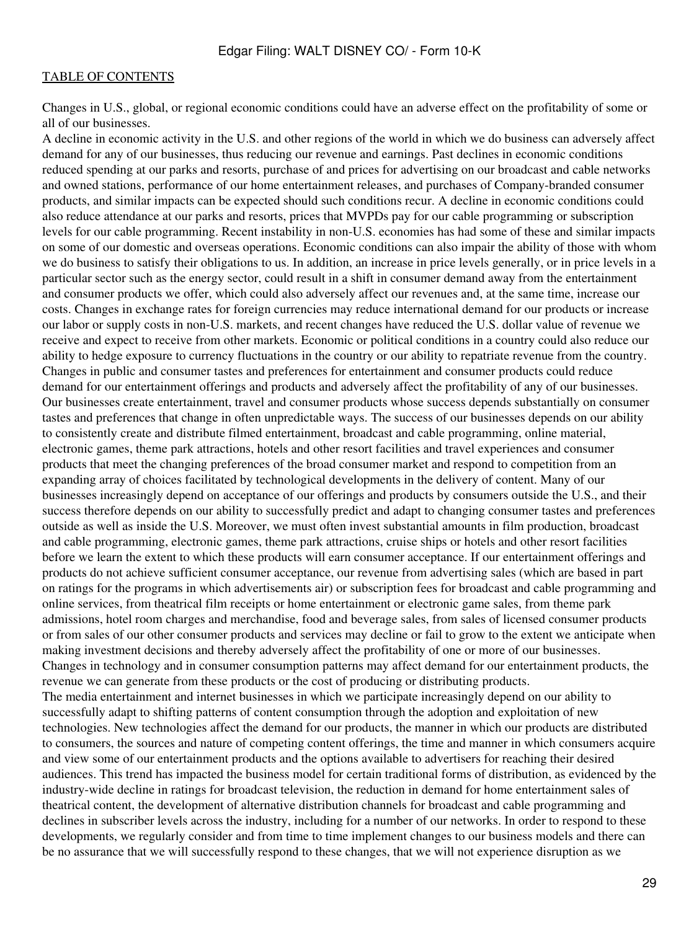Changes in U.S., global, or regional economic conditions could have an adverse effect on the profitability of some or all of our businesses.

A decline in economic activity in the U.S. and other regions of the world in which we do business can adversely affect demand for any of our businesses, thus reducing our revenue and earnings. Past declines in economic conditions reduced spending at our parks and resorts, purchase of and prices for advertising on our broadcast and cable networks and owned stations, performance of our home entertainment releases, and purchases of Company-branded consumer products, and similar impacts can be expected should such conditions recur. A decline in economic conditions could also reduce attendance at our parks and resorts, prices that MVPDs pay for our cable programming or subscription levels for our cable programming. Recent instability in non-U.S. economies has had some of these and similar impacts on some of our domestic and overseas operations. Economic conditions can also impair the ability of those with whom we do business to satisfy their obligations to us. In addition, an increase in price levels generally, or in price levels in a particular sector such as the energy sector, could result in a shift in consumer demand away from the entertainment and consumer products we offer, which could also adversely affect our revenues and, at the same time, increase our costs. Changes in exchange rates for foreign currencies may reduce international demand for our products or increase our labor or supply costs in non-U.S. markets, and recent changes have reduced the U.S. dollar value of revenue we receive and expect to receive from other markets. Economic or political conditions in a country could also reduce our ability to hedge exposure to currency fluctuations in the country or our ability to repatriate revenue from the country. Changes in public and consumer tastes and preferences for entertainment and consumer products could reduce demand for our entertainment offerings and products and adversely affect the profitability of any of our businesses. Our businesses create entertainment, travel and consumer products whose success depends substantially on consumer tastes and preferences that change in often unpredictable ways. The success of our businesses depends on our ability to consistently create and distribute filmed entertainment, broadcast and cable programming, online material, electronic games, theme park attractions, hotels and other resort facilities and travel experiences and consumer products that meet the changing preferences of the broad consumer market and respond to competition from an expanding array of choices facilitated by technological developments in the delivery of content. Many of our businesses increasingly depend on acceptance of our offerings and products by consumers outside the U.S., and their success therefore depends on our ability to successfully predict and adapt to changing consumer tastes and preferences outside as well as inside the U.S. Moreover, we must often invest substantial amounts in film production, broadcast and cable programming, electronic games, theme park attractions, cruise ships or hotels and other resort facilities before we learn the extent to which these products will earn consumer acceptance. If our entertainment offerings and products do not achieve sufficient consumer acceptance, our revenue from advertising sales (which are based in part on ratings for the programs in which advertisements air) or subscription fees for broadcast and cable programming and online services, from theatrical film receipts or home entertainment or electronic game sales, from theme park admissions, hotel room charges and merchandise, food and beverage sales, from sales of licensed consumer products or from sales of our other consumer products and services may decline or fail to grow to the extent we anticipate when making investment decisions and thereby adversely affect the profitability of one or more of our businesses. Changes in technology and in consumer consumption patterns may affect demand for our entertainment products, the revenue we can generate from these products or the cost of producing or distributing products. The media entertainment and internet businesses in which we participate increasingly depend on our ability to successfully adapt to shifting patterns of content consumption through the adoption and exploitation of new technologies. New technologies affect the demand for our products, the manner in which our products are distributed to consumers, the sources and nature of competing content offerings, the time and manner in which consumers acquire and view some of our entertainment products and the options available to advertisers for reaching their desired audiences. This trend has impacted the business model for certain traditional forms of distribution, as evidenced by the industry-wide decline in ratings for broadcast television, the reduction in demand for home entertainment sales of theatrical content, the development of alternative distribution channels for broadcast and cable programming and declines in subscriber levels across the industry, including for a number of our networks. In order to respond to these developments, we regularly consider and from time to time implement changes to our business models and there can be no assurance that we will successfully respond to these changes, that we will not experience disruption as we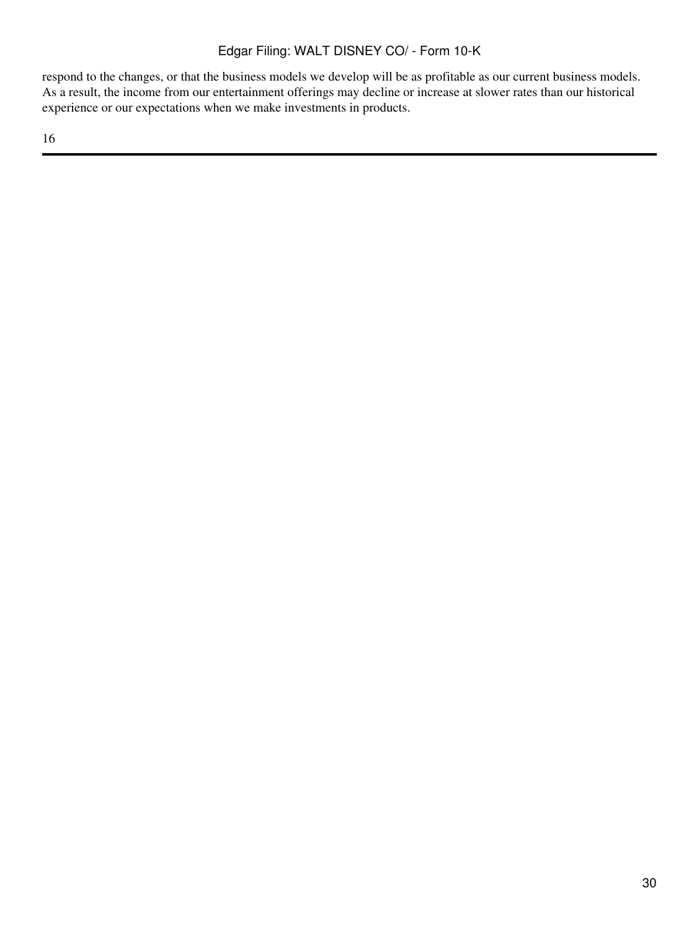respond to the changes, or that the business models we develop will be as profitable as our current business models. As a result, the income from our entertainment offerings may decline or increase at slower rates than our historical experience or our expectations when we make investments in products.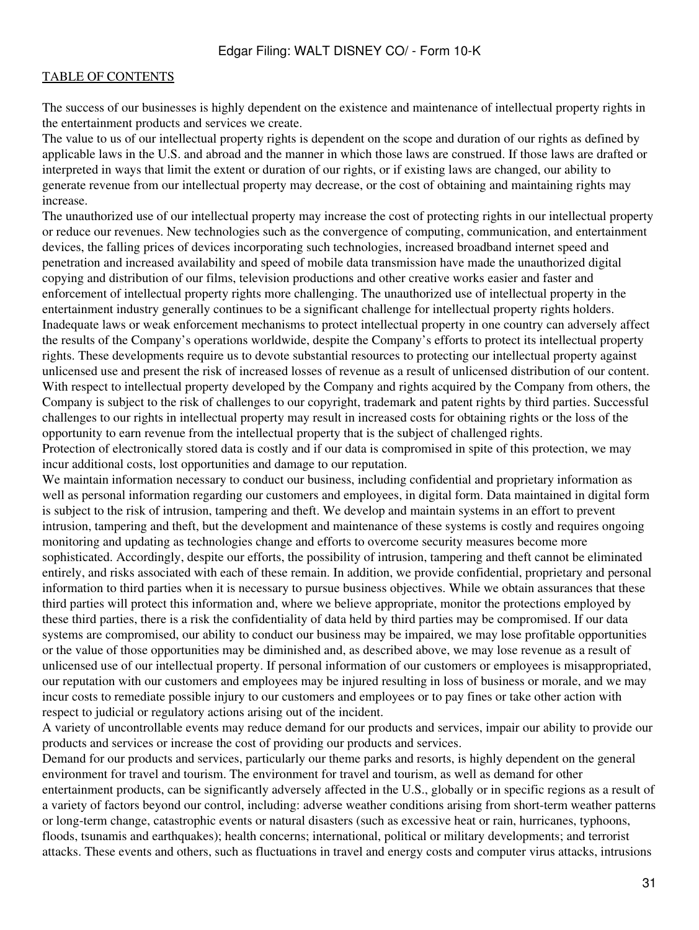The success of our businesses is highly dependent on the existence and maintenance of intellectual property rights in the entertainment products and services we create.

The value to us of our intellectual property rights is dependent on the scope and duration of our rights as defined by applicable laws in the U.S. and abroad and the manner in which those laws are construed. If those laws are drafted or interpreted in ways that limit the extent or duration of our rights, or if existing laws are changed, our ability to generate revenue from our intellectual property may decrease, or the cost of obtaining and maintaining rights may increase.

The unauthorized use of our intellectual property may increase the cost of protecting rights in our intellectual property or reduce our revenues. New technologies such as the convergence of computing, communication, and entertainment devices, the falling prices of devices incorporating such technologies, increased broadband internet speed and penetration and increased availability and speed of mobile data transmission have made the unauthorized digital copying and distribution of our films, television productions and other creative works easier and faster and enforcement of intellectual property rights more challenging. The unauthorized use of intellectual property in the entertainment industry generally continues to be a significant challenge for intellectual property rights holders. Inadequate laws or weak enforcement mechanisms to protect intellectual property in one country can adversely affect the results of the Company's operations worldwide, despite the Company's efforts to protect its intellectual property rights. These developments require us to devote substantial resources to protecting our intellectual property against unlicensed use and present the risk of increased losses of revenue as a result of unlicensed distribution of our content. With respect to intellectual property developed by the Company and rights acquired by the Company from others, the Company is subject to the risk of challenges to our copyright, trademark and patent rights by third parties. Successful challenges to our rights in intellectual property may result in increased costs for obtaining rights or the loss of the opportunity to earn revenue from the intellectual property that is the subject of challenged rights.

Protection of electronically stored data is costly and if our data is compromised in spite of this protection, we may incur additional costs, lost opportunities and damage to our reputation.

We maintain information necessary to conduct our business, including confidential and proprietary information as well as personal information regarding our customers and employees, in digital form. Data maintained in digital form is subject to the risk of intrusion, tampering and theft. We develop and maintain systems in an effort to prevent intrusion, tampering and theft, but the development and maintenance of these systems is costly and requires ongoing monitoring and updating as technologies change and efforts to overcome security measures become more sophisticated. Accordingly, despite our efforts, the possibility of intrusion, tampering and theft cannot be eliminated entirely, and risks associated with each of these remain. In addition, we provide confidential, proprietary and personal information to third parties when it is necessary to pursue business objectives. While we obtain assurances that these third parties will protect this information and, where we believe appropriate, monitor the protections employed by these third parties, there is a risk the confidentiality of data held by third parties may be compromised. If our data systems are compromised, our ability to conduct our business may be impaired, we may lose profitable opportunities or the value of those opportunities may be diminished and, as described above, we may lose revenue as a result of unlicensed use of our intellectual property. If personal information of our customers or employees is misappropriated, our reputation with our customers and employees may be injured resulting in loss of business or morale, and we may incur costs to remediate possible injury to our customers and employees or to pay fines or take other action with respect to judicial or regulatory actions arising out of the incident.

A variety of uncontrollable events may reduce demand for our products and services, impair our ability to provide our products and services or increase the cost of providing our products and services.

Demand for our products and services, particularly our theme parks and resorts, is highly dependent on the general environment for travel and tourism. The environment for travel and tourism, as well as demand for other entertainment products, can be significantly adversely affected in the U.S., globally or in specific regions as a result of a variety of factors beyond our control, including: adverse weather conditions arising from short-term weather patterns or long-term change, catastrophic events or natural disasters (such as excessive heat or rain, hurricanes, typhoons, floods, tsunamis and earthquakes); health concerns; international, political or military developments; and terrorist attacks. These events and others, such as fluctuations in travel and energy costs and computer virus attacks, intrusions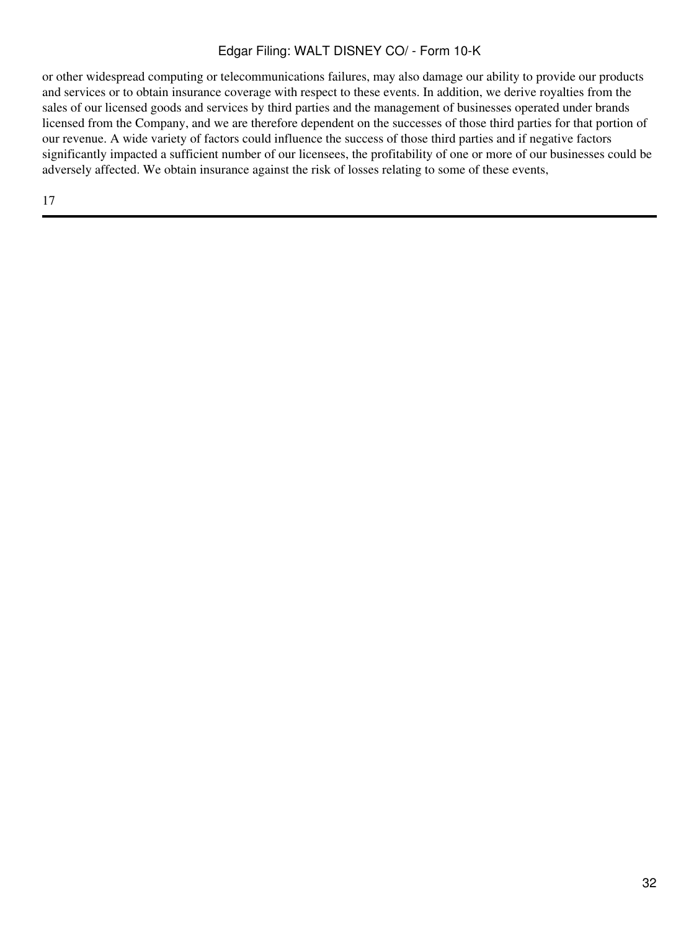or other widespread computing or telecommunications failures, may also damage our ability to provide our products and services or to obtain insurance coverage with respect to these events. In addition, we derive royalties from the sales of our licensed goods and services by third parties and the management of businesses operated under brands licensed from the Company, and we are therefore dependent on the successes of those third parties for that portion of our revenue. A wide variety of factors could influence the success of those third parties and if negative factors significantly impacted a sufficient number of our licensees, the profitability of one or more of our businesses could be adversely affected. We obtain insurance against the risk of losses relating to some of these events,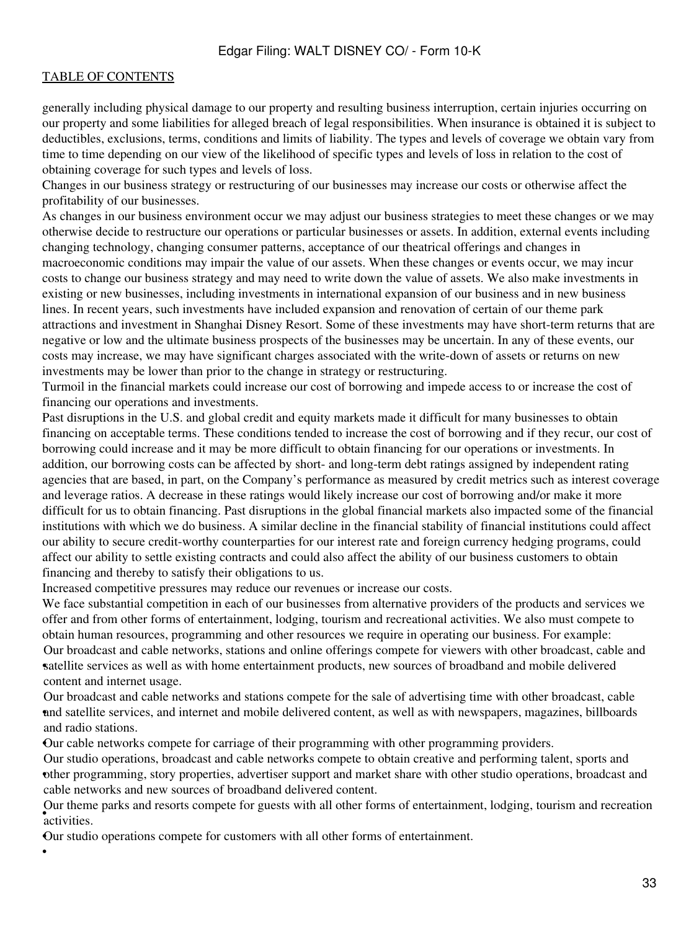#### [TABLE OF CONTENTS](#page-2-0)

generally including physical damage to our property and resulting business interruption, certain injuries occurring on our property and some liabilities for alleged breach of legal responsibilities. When insurance is obtained it is subject to deductibles, exclusions, terms, conditions and limits of liability. The types and levels of coverage we obtain vary from time to time depending on our view of the likelihood of specific types and levels of loss in relation to the cost of obtaining coverage for such types and levels of loss.

Changes in our business strategy or restructuring of our businesses may increase our costs or otherwise affect the profitability of our businesses.

As changes in our business environment occur we may adjust our business strategies to meet these changes or we may otherwise decide to restructure our operations or particular businesses or assets. In addition, external events including changing technology, changing consumer patterns, acceptance of our theatrical offerings and changes in macroeconomic conditions may impair the value of our assets. When these changes or events occur, we may incur costs to change our business strategy and may need to write down the value of assets. We also make investments in existing or new businesses, including investments in international expansion of our business and in new business lines. In recent years, such investments have included expansion and renovation of certain of our theme park attractions and investment in Shanghai Disney Resort. Some of these investments may have short-term returns that are negative or low and the ultimate business prospects of the businesses may be uncertain. In any of these events, our costs may increase, we may have significant charges associated with the write-down of assets or returns on new investments may be lower than prior to the change in strategy or restructuring.

Turmoil in the financial markets could increase our cost of borrowing and impede access to or increase the cost of financing our operations and investments.

Past disruptions in the U.S. and global credit and equity markets made it difficult for many businesses to obtain financing on acceptable terms. These conditions tended to increase the cost of borrowing and if they recur, our cost of borrowing could increase and it may be more difficult to obtain financing for our operations or investments. In addition, our borrowing costs can be affected by short- and long-term debt ratings assigned by independent rating agencies that are based, in part, on the Company's performance as measured by credit metrics such as interest coverage and leverage ratios. A decrease in these ratings would likely increase our cost of borrowing and/or make it more difficult for us to obtain financing. Past disruptions in the global financial markets also impacted some of the financial institutions with which we do business. A similar decline in the financial stability of financial institutions could affect our ability to secure credit-worthy counterparties for our interest rate and foreign currency hedging programs, could affect our ability to settle existing contracts and could also affect the ability of our business customers to obtain financing and thereby to satisfy their obligations to us.

Increased competitive pressures may reduce our revenues or increase our costs.

We face substantial competition in each of our businesses from alternative providers of the products and services we offer and from other forms of entertainment, lodging, tourism and recreational activities. We also must compete to obtain human resources, programming and other resources we require in operating our business. For example: satellite services as well as with home entertainment products, new sources of broadband and mobile delivered Our broadcast and cable networks, stations and online offerings compete for viewers with other broadcast, cable and content and internet usage.

• and satellite services, and internet and mobile delivered content, as well as with newspapers, magazines, billboards Our broadcast and cable networks and stations compete for the sale of advertising time with other broadcast, cable and radio stations.

•Our cable networks compete for carriage of their programming with other programming providers.

• other programming, story properties, advertiser support and market share with other studio operations, broadcast and Our studio operations, broadcast and cable networks compete to obtain creative and performing talent, sports and cable networks and new sources of broadband delivered content.

• activities. Our theme parks and resorts compete for guests with all other forms of entertainment, lodging, tourism and recreation

•Our studio operations compete for customers with all other forms of entertainment.

•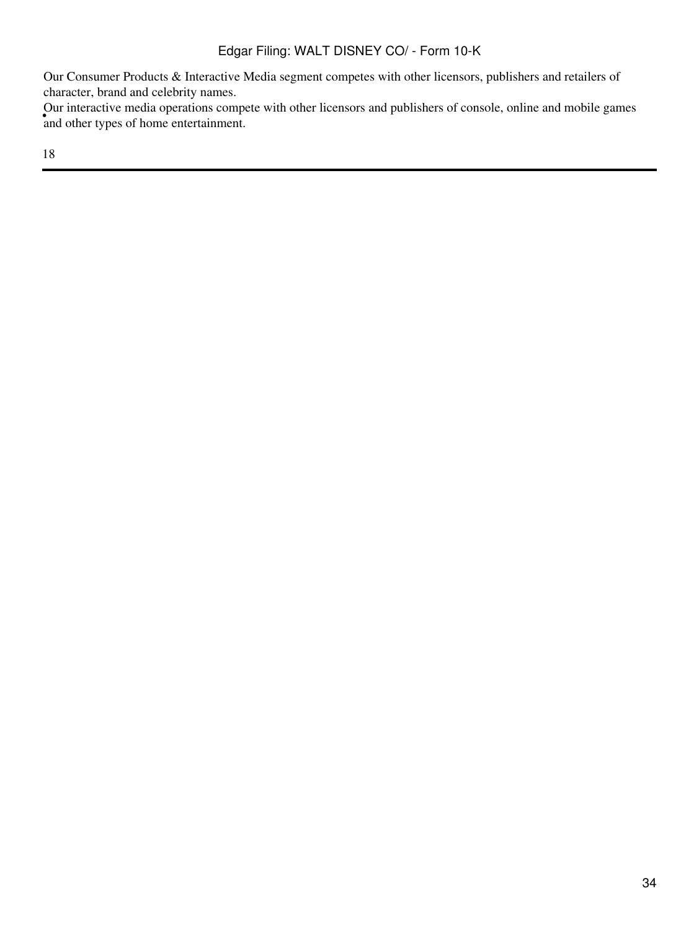Our Consumer Products & Interactive Media segment competes with other licensors, publishers and retailers of character, brand and celebrity names.

and other types of home entertainment. Our interactive media operations compete with other licensors and publishers of console, online and mobile games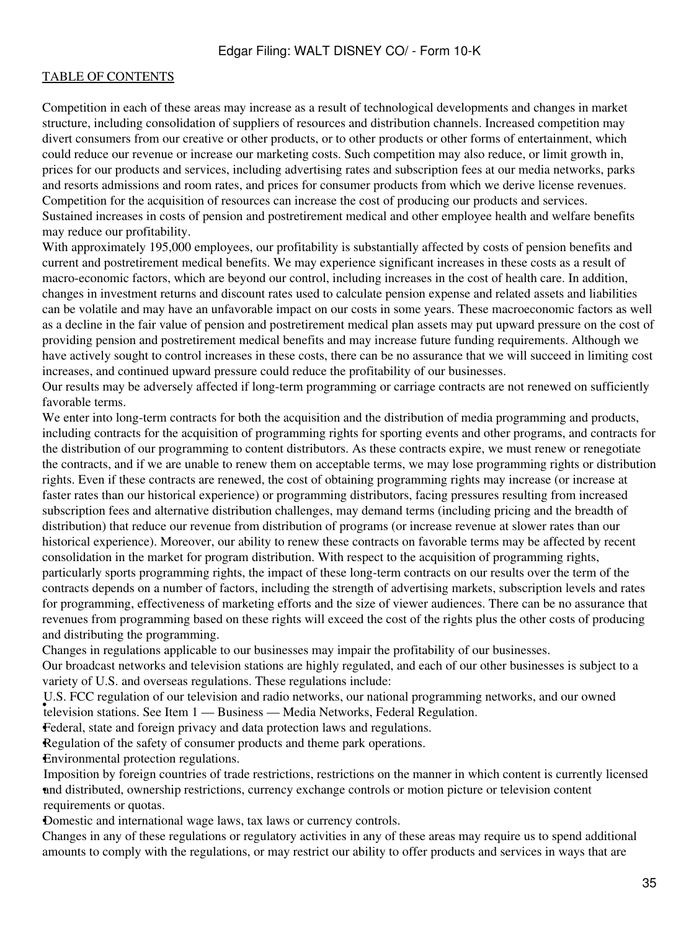Competition in each of these areas may increase as a result of technological developments and changes in market structure, including consolidation of suppliers of resources and distribution channels. Increased competition may divert consumers from our creative or other products, or to other products or other forms of entertainment, which could reduce our revenue or increase our marketing costs. Such competition may also reduce, or limit growth in, prices for our products and services, including advertising rates and subscription fees at our media networks, parks and resorts admissions and room rates, and prices for consumer products from which we derive license revenues. Competition for the acquisition of resources can increase the cost of producing our products and services. Sustained increases in costs of pension and postretirement medical and other employee health and welfare benefits may reduce our profitability.

With approximately 195,000 employees, our profitability is substantially affected by costs of pension benefits and current and postretirement medical benefits. We may experience significant increases in these costs as a result of macro-economic factors, which are beyond our control, including increases in the cost of health care. In addition, changes in investment returns and discount rates used to calculate pension expense and related assets and liabilities can be volatile and may have an unfavorable impact on our costs in some years. These macroeconomic factors as well as a decline in the fair value of pension and postretirement medical plan assets may put upward pressure on the cost of providing pension and postretirement medical benefits and may increase future funding requirements. Although we have actively sought to control increases in these costs, there can be no assurance that we will succeed in limiting cost increases, and continued upward pressure could reduce the profitability of our businesses.

Our results may be adversely affected if long-term programming or carriage contracts are not renewed on sufficiently favorable terms.

We enter into long-term contracts for both the acquisition and the distribution of media programming and products, including contracts for the acquisition of programming rights for sporting events and other programs, and contracts for the distribution of our programming to content distributors. As these contracts expire, we must renew or renegotiate the contracts, and if we are unable to renew them on acceptable terms, we may lose programming rights or distribution rights. Even if these contracts are renewed, the cost of obtaining programming rights may increase (or increase at faster rates than our historical experience) or programming distributors, facing pressures resulting from increased subscription fees and alternative distribution challenges, may demand terms (including pricing and the breadth of distribution) that reduce our revenue from distribution of programs (or increase revenue at slower rates than our historical experience). Moreover, our ability to renew these contracts on favorable terms may be affected by recent consolidation in the market for program distribution. With respect to the acquisition of programming rights, particularly sports programming rights, the impact of these long-term contracts on our results over the term of the contracts depends on a number of factors, including the strength of advertising markets, subscription levels and rates for programming, effectiveness of marketing efforts and the size of viewer audiences. There can be no assurance that revenues from programming based on these rights will exceed the cost of the rights plus the other costs of producing and distributing the programming.

Changes in regulations applicable to our businesses may impair the profitability of our businesses.

Our broadcast networks and television stations are highly regulated, and each of our other businesses is subject to a variety of U.S. and overseas regulations. These regulations include:

• television stations. See Item 1 — Business — Media Networks, Federal Regulation. U.S. FCC regulation of our television and radio networks, our national programming networks, and our owned

•Federal, state and foreign privacy and data protection laws and regulations.

•Regulation of the safety of consumer products and theme park operations.

•Environmental protection regulations.

• and distributed, ownership restrictions, currency exchange controls or motion picture or television content Imposition by foreign countries of trade restrictions, restrictions on the manner in which content is currently licensed requirements or quotas.

•Domestic and international wage laws, tax laws or currency controls.

Changes in any of these regulations or regulatory activities in any of these areas may require us to spend additional amounts to comply with the regulations, or may restrict our ability to offer products and services in ways that are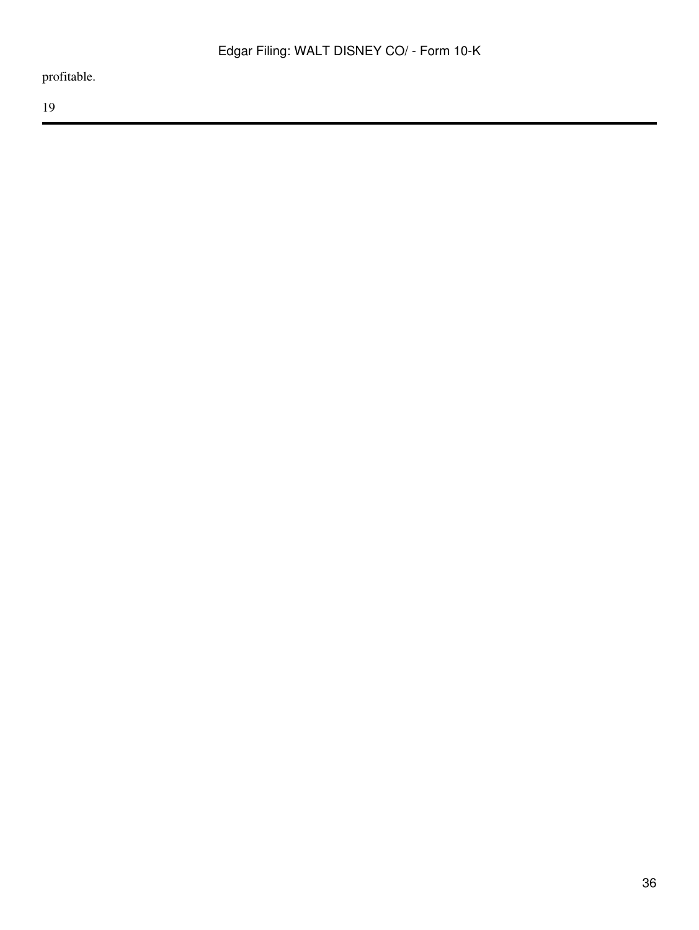profitable.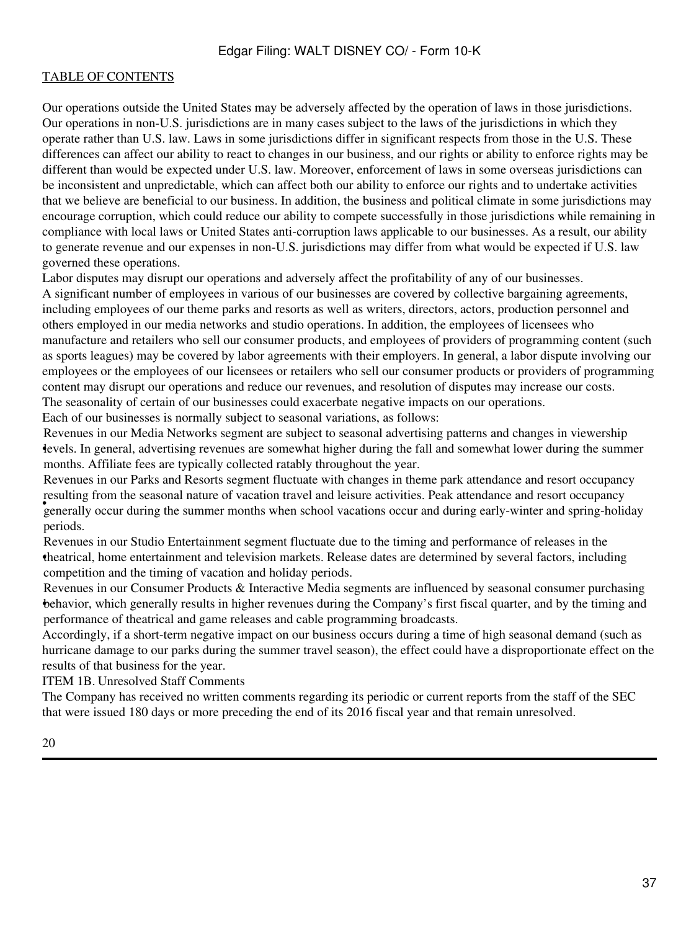Our operations outside the United States may be adversely affected by the operation of laws in those jurisdictions. Our operations in non-U.S. jurisdictions are in many cases subject to the laws of the jurisdictions in which they operate rather than U.S. law. Laws in some jurisdictions differ in significant respects from those in the U.S. These differences can affect our ability to react to changes in our business, and our rights or ability to enforce rights may be different than would be expected under U.S. law. Moreover, enforcement of laws in some overseas jurisdictions can be inconsistent and unpredictable, which can affect both our ability to enforce our rights and to undertake activities that we believe are beneficial to our business. In addition, the business and political climate in some jurisdictions may encourage corruption, which could reduce our ability to compete successfully in those jurisdictions while remaining in compliance with local laws or United States anti-corruption laws applicable to our businesses. As a result, our ability to generate revenue and our expenses in non-U.S. jurisdictions may differ from what would be expected if U.S. law governed these operations.

Labor disputes may disrupt our operations and adversely affect the profitability of any of our businesses.

A significant number of employees in various of our businesses are covered by collective bargaining agreements, including employees of our theme parks and resorts as well as writers, directors, actors, production personnel and others employed in our media networks and studio operations. In addition, the employees of licensees who manufacture and retailers who sell our consumer products, and employees of providers of programming content (such as sports leagues) may be covered by labor agreements with their employers. In general, a labor dispute involving our employees or the employees of our licensees or retailers who sell our consumer products or providers of programming content may disrupt our operations and reduce our revenues, and resolution of disputes may increase our costs. The seasonality of certain of our businesses could exacerbate negative impacts on our operations.

Each of our businesses is normally subject to seasonal variations, as follows:

• levels. In general, advertising revenues are somewhat higher during the fall and somewhat lower during the summer Revenues in our Media Networks segment are subject to seasonal advertising patterns and changes in viewership months. Affiliate fees are typically collected ratably throughout the year.

esting from the seasonal nature of vacation traver and lensure activities. I can attendance and resort occupancy<br>generally occur during the summer months when school vacations occur and during early-winter and spring-holid Revenues in our Parks and Resorts segment fluctuate with changes in theme park attendance and resort occupancy resulting from the seasonal nature of vacation travel and leisure activities. Peak attendance and resort occupancy periods.

• theatrical, home entertainment and television markets. Release dates are determined by several factors, including Revenues in our Studio Entertainment segment fluctuate due to the timing and performance of releases in the competition and the timing of vacation and holiday periods.

• behavior, which generally results in higher revenues during the Company's first fiscal quarter, and by the timing and Revenues in our Consumer Products & Interactive Media segments are influenced by seasonal consumer purchasing performance of theatrical and game releases and cable programming broadcasts.

Accordingly, if a short-term negative impact on our business occurs during a time of high seasonal demand (such as hurricane damage to our parks during the summer travel season), the effect could have a disproportionate effect on the results of that business for the year.

ITEM 1B. Unresolved Staff Comments

The Company has received no written comments regarding its periodic or current reports from the staff of the SEC that were issued 180 days or more preceding the end of its 2016 fiscal year and that remain unresolved.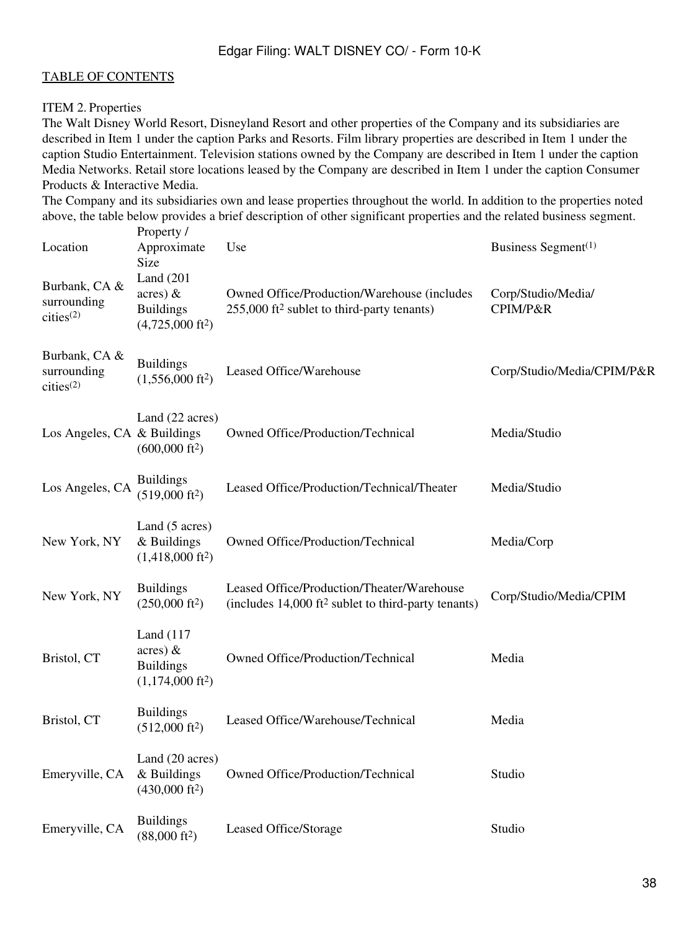# ITEM 2. Properties

The Walt Disney World Resort, Disneyland Resort and other properties of the Company and its subsidiaries are described in Item 1 under the caption Parks and Resorts. Film library properties are described in Item 1 under the caption Studio Entertainment. Television stations owned by the Company are described in Item 1 under the caption Media Networks. Retail store locations leased by the Company are described in Item 1 under the caption Consumer Products & Interactive Media.

The Company and its subsidiaries own and lease properties throughout the world. In addition to the properties noted above, the table below provides a brief description of other significant properties and the related business segment.

| Location                                              | Property /<br>Approximate<br>Size                                             | Use                                                                                                           | Business Segment <sup>(1)</sup> |
|-------------------------------------------------------|-------------------------------------------------------------------------------|---------------------------------------------------------------------------------------------------------------|---------------------------------|
| Burbank, CA &<br>surrounding<br>cities <sup>(2)</sup> | Land $(201)$<br>acres) $\&$<br><b>Buildings</b><br>$(4,725,000 \text{ ft}^2)$ | Owned Office/Production/Warehouse (includes<br>$255,000$ ft <sup>2</sup> sublet to third-party tenants)       | Corp/Studio/Media/<br>CPIM/P&R  |
| Burbank, CA &<br>surrounding<br>cities <sup>(2)</sup> | <b>Buildings</b><br>$(1,556,000 \text{ ft}^2)$                                | Leased Office/Warehouse                                                                                       | Corp/Studio/Media/CPIM/P&R      |
| Los Angeles, CA & Buildings                           | Land (22 acres)<br>$(600,000 \text{ ft}^2)$                                   | Owned Office/Production/Technical                                                                             | Media/Studio                    |
| Los Angeles, CA                                       | <b>Buildings</b><br>$(519,000 \text{ ft}^2)$                                  | Leased Office/Production/Technical/Theater                                                                    | Media/Studio                    |
| New York, NY                                          | Land (5 acres)<br>$&$ Buildings<br>$(1,418,000 \text{ ft}^2)$                 | Owned Office/Production/Technical                                                                             | Media/Corp                      |
| New York, NY                                          | <b>Buildings</b><br>$(250,000 \text{ ft}^2)$                                  | Leased Office/Production/Theater/Warehouse<br>(includes 14,000 ft <sup>2</sup> sublet to third-party tenants) | Corp/Studio/Media/CPIM          |
| Bristol, CT                                           | Land $(117)$<br>acres) $\&$<br><b>Buildings</b><br>$(1,174,000 \text{ ft}^2)$ | Owned Office/Production/Technical                                                                             | Media                           |
| Bristol, CT                                           | <b>Buildings</b><br>$(512,000 \text{ ft}^2)$                                  | Leased Office/Warehouse/Technical                                                                             | Media                           |
| Emeryville, CA                                        | Land (20 acres)<br>& Buildings<br>$(430,000 \text{ ft}^2)$                    | Owned Office/Production/Technical                                                                             | Studio                          |
| Emeryville, CA                                        | <b>Buildings</b><br>$(88,000 \text{ ft}^2)$                                   | Leased Office/Storage                                                                                         | Studio                          |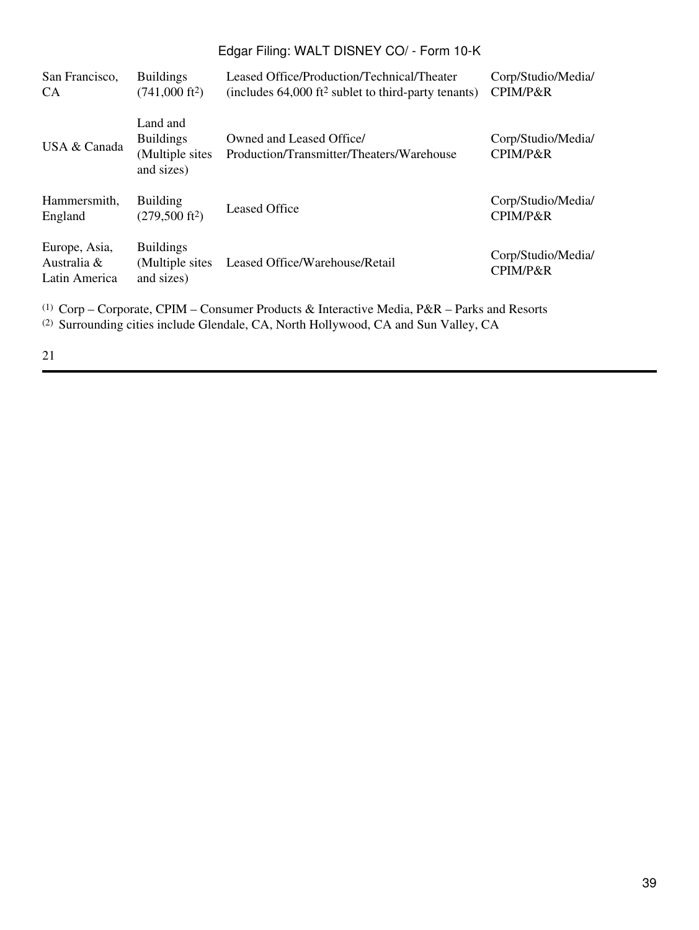# Edgar Filing: WALT DISNEY CO/ - Form 10-K

| San Francisco,<br><b>CA</b>                                                                            | <b>Buildings</b><br>$(741,000 \text{ ft}^2)$                   | Leased Office/Production/Technical/Theater<br>(includes $64,000$ ft <sup>2</sup> sublet to third-party tenants) | Corp/Studio/Media/<br>CPIM/P&R |  |  |  |  |
|--------------------------------------------------------------------------------------------------------|----------------------------------------------------------------|-----------------------------------------------------------------------------------------------------------------|--------------------------------|--|--|--|--|
| USA & Canada                                                                                           | Land and<br><b>Buildings</b><br>(Multiple sites)<br>and sizes) | Owned and Leased Office/<br>Production/Transmitter/Theaters/Warehouse                                           | Corp/Studio/Media/<br>CPIM/P&R |  |  |  |  |
| Hammersmith,<br>England                                                                                | <b>Building</b><br>$(279,500 \text{ ft}^2)$                    | Leased Office                                                                                                   | Corp/Studio/Media/<br>CPIM/P&R |  |  |  |  |
| Europe, Asia,<br>Australia &<br>Latin America                                                          | <b>Buildings</b><br>(Multiple sites)<br>and sizes)             | Leased Office/Warehouse/Retail                                                                                  | Corp/Studio/Media/<br>CPIM/P&R |  |  |  |  |
| <sup>(1)</sup> Corp – Corporate, CPIM – Consumer Products & Interactive Media, P&R – Parks and Resorts |                                                                |                                                                                                                 |                                |  |  |  |  |

(2) Surrounding cities include Glendale, CA, North Hollywood, CA and Sun Valley, CA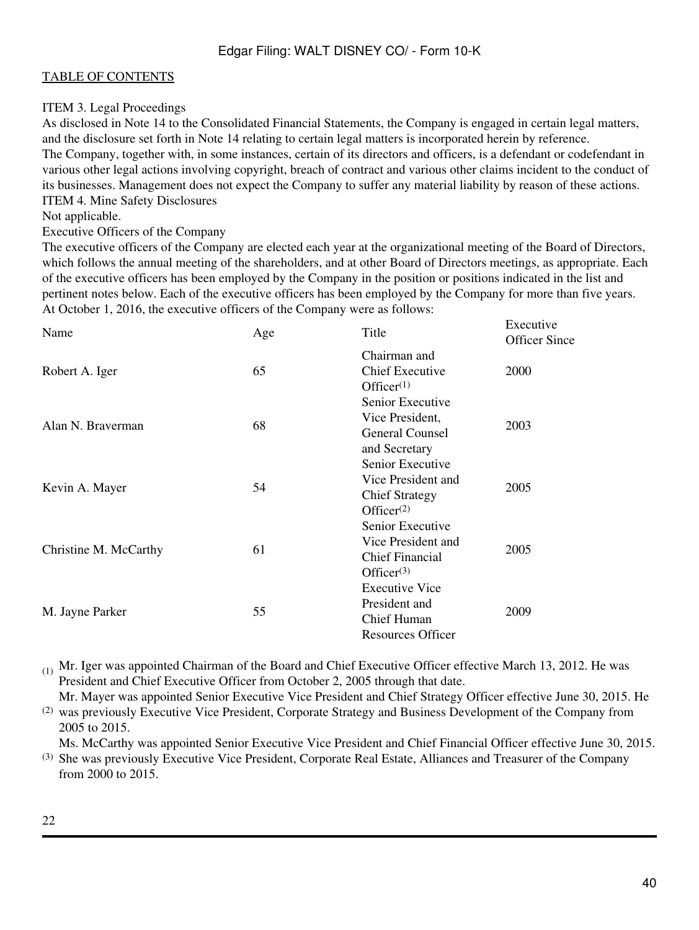# ITEM 3. Legal Proceedings

As disclosed in Note 14 to the Consolidated Financial Statements, the Company is engaged in certain legal matters, and the disclosure set forth in Note 14 relating to certain legal matters is incorporated herein by reference. The Company, together with, in some instances, certain of its directors and officers, is a defendant or codefendant in various other legal actions involving copyright, breach of contract and various other claims incident to the conduct of its businesses. Management does not expect the Company to suffer any material liability by reason of these actions. ITEM 4. Mine Safety Disclosures

Not applicable.

Executive Officers of the Company

The executive officers of the Company are elected each year at the organizational meeting of the Board of Directors, which follows the annual meeting of the shareholders, and at other Board of Directors meetings, as appropriate. Each of the executive officers has been employed by the Company in the position or positions indicated in the list and pertinent notes below. Each of the executive officers has been employed by the Company for more than five years. At October 1, 2016, the executive officers of the Company were as follows:

| Name                  | Age | Title                                                                                    | Executive<br><b>Officer Since</b> |
|-----------------------|-----|------------------------------------------------------------------------------------------|-----------------------------------|
| Robert A. Iger        | 65  | Chairman and<br><b>Chief Executive</b><br>Office $r^{(1)}$                               | 2000                              |
| Alan N. Braverman     | 68  | Senior Executive<br>Vice President,<br><b>General Counsel</b><br>and Secretary           | 2003                              |
| Kevin A. Mayer        | 54  | Senior Executive<br>Vice President and<br><b>Chief Strategy</b><br>Office $r^{(2)}$      | 2005                              |
| Christine M. McCarthy | 61  | Senior Executive<br>Vice President and<br><b>Chief Financial</b><br>Office $r^{(3)}$     | 2005                              |
| M. Jayne Parker       | 55  | <b>Executive Vice</b><br>President and<br><b>Chief Human</b><br><b>Resources Officer</b> | 2009                              |

 $(1)$  Mr. Iger was appointed Chairman of the Board and Chief Executive Officer effective March 13, 2012. He was President and Chief Executive Officer from October 2, 2005 through that date.

(2) was previously Executive Vice President, Corporate Strategy and Business Development of the Company from Mr. Mayer was appointed Senior Executive Vice President and Chief Strategy Officer effective June 30, 2015. He 2005 to 2015.

Ms. McCarthy was appointed Senior Executive Vice President and Chief Financial Officer effective June 30, 2015.

(3) She was previously Executive Vice President, Corporate Real Estate, Alliances and Treasurer of the Company from 2000 to 2015.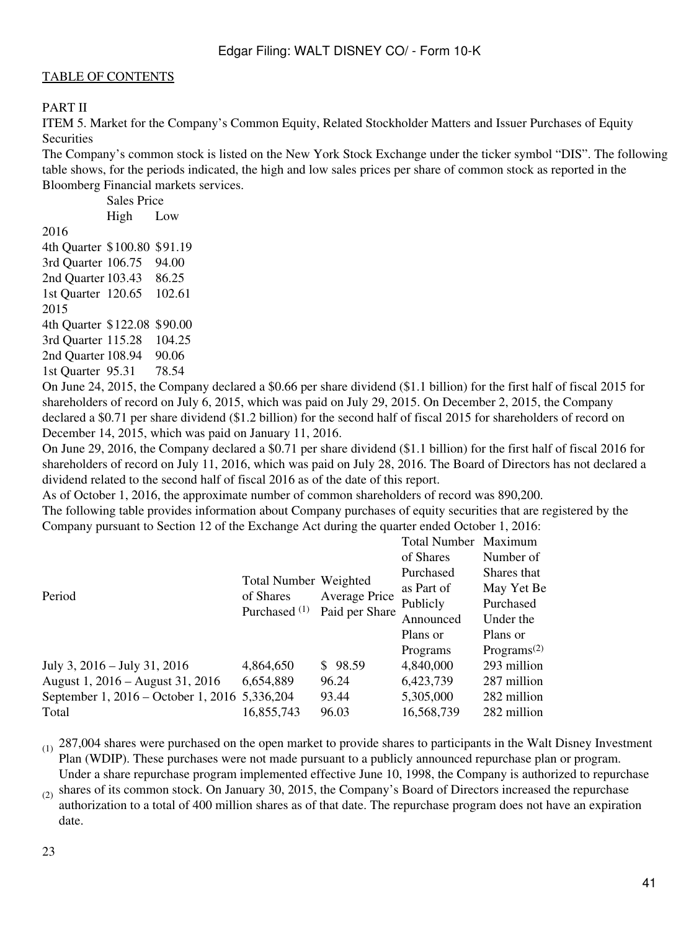# PART II

ITEM 5. Market for the Company's Common Equity, Related Stockholder Matters and Issuer Purchases of Equity **Securities** 

The Company's common stock is listed on the New York Stock Exchange under the ticker symbol "DIS". The following table shows, for the periods indicated, the high and low sales prices per share of common stock as reported in the Bloomberg Financial markets services.

Sales Price High Low 2016 4th Quarter \$100.80 \$91.19 3rd Quarter 106.75 94.00 2nd Quarter 103.43 86.25 1st Quarter 120.65 102.61 2015 4th Quarter \$122.08 \$90.00 3rd Quarter 115.28 104.25 2nd Quarter 108.94 90.06 1st Quarter 95.31 78.54

On June 24, 2015, the Company declared a \$0.66 per share dividend (\$1.1 billion) for the first half of fiscal 2015 for shareholders of record on July 6, 2015, which was paid on July 29, 2015. On December 2, 2015, the Company declared a \$0.71 per share dividend (\$1.2 billion) for the second half of fiscal 2015 for shareholders of record on December 14, 2015, which was paid on January 11, 2016.

On June 29, 2016, the Company declared a \$0.71 per share dividend (\$1.1 billion) for the first half of fiscal 2016 for shareholders of record on July 11, 2016, which was paid on July 28, 2016. The Board of Directors has not declared a dividend related to the second half of fiscal 2016 as of the date of this report.

As of October 1, 2016, the approximate number of common shareholders of record was 890,200.

The following table provides information about Company purchases of equity securities that are registered by the Company pursuant to Section 12 of the Exchange Act during the quarter ended October 1, 2016:

|                                               |                                           |                                 | <b>Total Number</b> | Maximum                              |
|-----------------------------------------------|-------------------------------------------|---------------------------------|---------------------|--------------------------------------|
| Period                                        |                                           |                                 | of Shares           | Number of                            |
|                                               |                                           |                                 | Purchased           | Shares that                          |
|                                               | <b>Total Number Weighted</b><br>of Shares |                                 | as Part of          | May Yet Be                           |
|                                               | Purchased $(1)$                           | Average Price<br>Paid per Share | Publicly            | Purchased                            |
|                                               |                                           |                                 | Announced           | Under the                            |
|                                               |                                           |                                 | Plans or            | Plans or                             |
|                                               |                                           |                                 | Programs            | Programs <sup><math>(2)</math></sup> |
| July 3, $2016 -$ July 31, $2016$              | 4,864,650                                 | \$98.59                         | 4,840,000           | 293 million                          |
| August 1, 2016 – August 31, 2016              | 6,654,889                                 | 96.24                           | 6,423,739           | 287 million                          |
| September 1, 2016 – October 1, 2016 5,336,204 |                                           | 93.44                           | 5,305,000           | 282 million                          |
| Total                                         | 16,855,743                                | 96.03                           | 16,568,739          | 282 million                          |
|                                               |                                           |                                 |                     |                                      |

 $(1)$  287,004 shares were purchased on the open market to provide shares to participants in the Walt Disney Investment Plan (WDIP). These purchases were not made pursuant to a publicly announced repurchase plan or program. Under a share repurchase program implemented effective June 10, 1998, the Company is authorized to repurchase

 $(2)$  shares of its common stock. On January 30, 2015, the Company's Board of Directors increased the repurchase authorization to a total of 400 million shares as of that date. The repurchase program does not have an expiration date.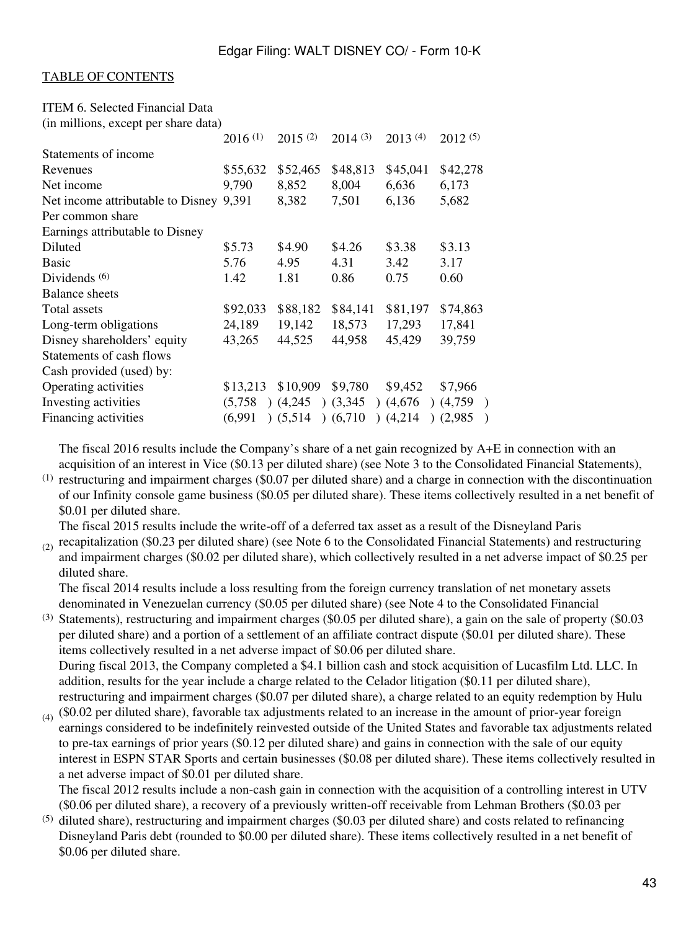| (in millions, except per share data)       |              |                    |                    |                          |
|--------------------------------------------|--------------|--------------------|--------------------|--------------------------|
| 2016(1)                                    | $2015^{(2)}$ | 2014(3)            | 2013(4)            | 2012(5)                  |
|                                            |              |                    |                    |                          |
| \$55,632                                   | \$52,465     | \$48,813           | \$45,041           | \$42,278                 |
| 9,790                                      | 8,852        | 8,004              | 6,636              | 6,173                    |
| Net income attributable to Disney<br>9,391 | 8,382        | 7,501              | 6,136              | 5,682                    |
|                                            |              |                    |                    |                          |
|                                            |              |                    |                    |                          |
| \$5.73                                     | \$4.90       | \$4.26             | \$3.38             | \$3.13                   |
| 5.76                                       | 4.95         | 4.31               | 3.42               | 3.17                     |
| 1.42                                       | 1.81         | 0.86               | 0.75               | 0.60                     |
|                                            |              |                    |                    |                          |
| \$92,033                                   | \$88,182     | \$84,141           | \$81,197           | \$74,863                 |
| 24,189                                     | 19,142       | 18,573             | 17,293             | 17,841                   |
| 43,265                                     | 44,525       | 44,958             | 45,429             | 39,759                   |
|                                            |              |                    |                    |                          |
|                                            |              |                    |                    |                          |
| \$13,213                                   | \$10,909     | \$9,780            | \$9,452            | \$7,966                  |
| (5,758)                                    |              |                    |                    | (4,759)                  |
| (6,991)                                    |              |                    |                    | (2,985)<br>$\rightarrow$ |
|                                            |              | (4,245)<br>(5,514) | (3,345)<br>(6,710) | (4,676)<br>(4,214)       |

The fiscal 2016 results include the Company's share of a net gain recognized by A+E in connection with an acquisition of an interest in Vice (\$0.13 per diluted share) (see Note 3 to the Consolidated Financial Statements),

 $<sup>(1)</sup>$  restructuring and impairment charges (\$0.07 per diluted share) and a charge in connection with the discontinuation</sup> of our Infinity console game business (\$0.05 per diluted share). These items collectively resulted in a net benefit of \$0.01 per diluted share.

The fiscal 2015 results include the write-off of a deferred tax asset as a result of the Disneyland Paris

 $_{(2)}$  recapitalization (\$0.23 per diluted share) (see Note 6 to the Consolidated Financial Statements) and restructuring and impairment charges (\$0.02 per diluted share), which collectively resulted in a net adverse impact of \$0.25 per diluted share.

The fiscal 2014 results include a loss resulting from the foreign currency translation of net monetary assets denominated in Venezuelan currency (\$0.05 per diluted share) (see Note 4 to the Consolidated Financial

- (3) Statements), restructuring and impairment charges (\$0.05 per diluted share), a gain on the sale of property (\$0.03 per diluted share) and a portion of a settlement of an affiliate contract dispute (\$0.01 per diluted share). These items collectively resulted in a net adverse impact of \$0.06 per diluted share. During fiscal 2013, the Company completed a \$4.1 billion cash and stock acquisition of Lucasfilm Ltd. LLC. In addition, results for the year include a charge related to the Celador litigation (\$0.11 per diluted share), restructuring and impairment charges (\$0.07 per diluted share), a charge related to an equity redemption by Hulu
- $(4)$  (\$0.02 per diluted share), favorable tax adjustments related to an increase in the amount of prior-year foreign earnings considered to be indefinitely reinvested outside of the United States and favorable tax adjustments related to pre-tax earnings of prior years (\$0.12 per diluted share) and gains in connection with the sale of our equity interest in ESPN STAR Sports and certain businesses (\$0.08 per diluted share). These items collectively resulted in a net adverse impact of \$0.01 per diluted share.

The fiscal 2012 results include a non-cash gain in connection with the acquisition of a controlling interest in UTV (\$0.06 per diluted share), a recovery of a previously written-off receivable from Lehman Brothers (\$0.03 per

(5) diluted share), restructuring and impairment charges (\$0.03 per diluted share) and costs related to refinancing Disneyland Paris debt (rounded to \$0.00 per diluted share). These items collectively resulted in a net benefit of \$0.06 per diluted share.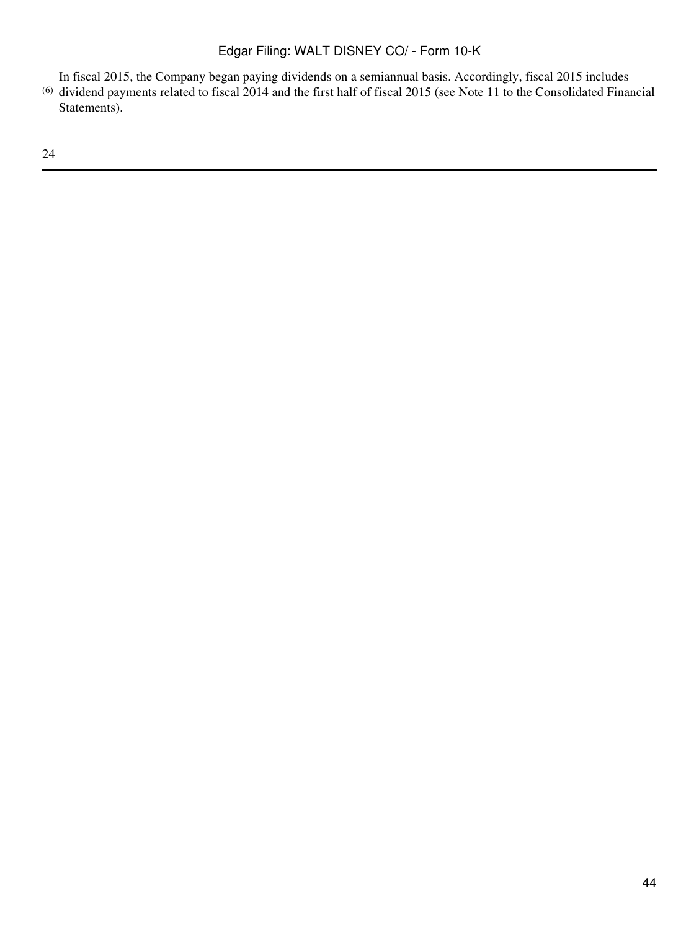In fiscal 2015, the Company began paying dividends on a semiannual basis. Accordingly, fiscal 2015 includes

(6) dividend payments related to fiscal 2014 and the first half of fiscal 2015 (see Note 11 to the Consolidated Financial Statements).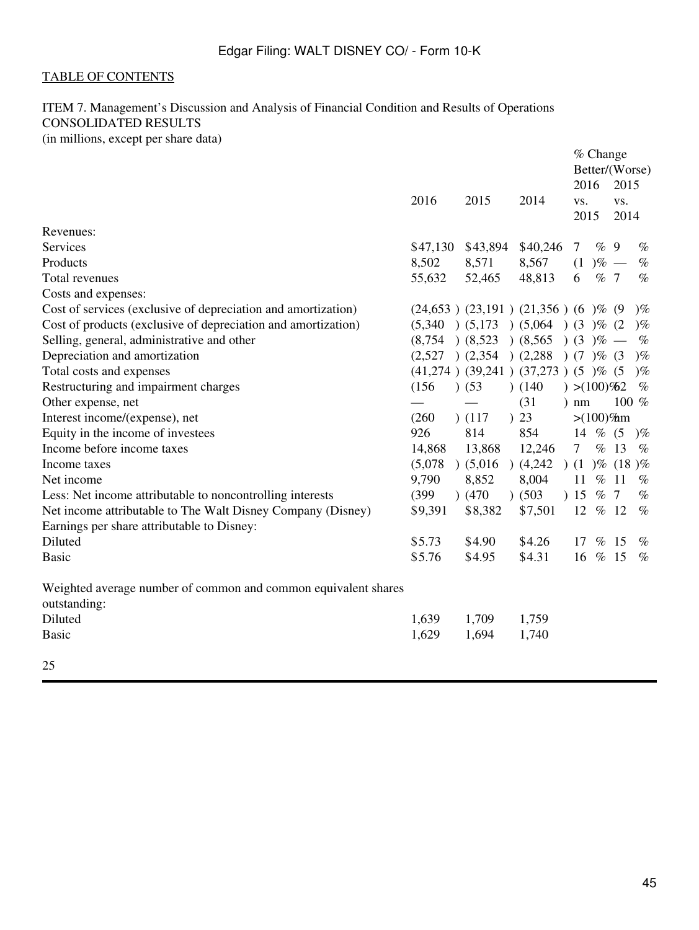# ITEM 7. Management's Discussion and Analysis of Financial Condition and Results of Operations CONSOLIDATED RESULTS (in millions, except per share data)

|                                                                                |                     |        |          |                                                | 2016   | % Change         | Better/(Worse)<br>2015 |                             |
|--------------------------------------------------------------------------------|---------------------|--------|----------|------------------------------------------------|--------|------------------|------------------------|-----------------------------|
|                                                                                | 2016                |        | 2015     | 2014                                           |        | VS.              |                        |                             |
| Revenues:                                                                      |                     |        |          |                                                | 2015   |                  | 2014                   |                             |
| Services                                                                       | \$47,130            |        | \$43,894 | \$40,246                                       | 7      | %9               |                        | $\%$                        |
| Products                                                                       | 8,502               |        | 8,571    | 8,567                                          |        | $(1) \%$ —       |                        | $\%$                        |
| Total revenues                                                                 | 55,632              |        | 52,465   | 48,813                                         | 6      | %7               |                        | $\%$                        |
| Costs and expenses:                                                            |                     |        |          |                                                |        |                  |                        |                             |
| Cost of services (exclusive of depreciation and amortization)                  |                     |        |          | $(24,653)$ $(23,191)$ $(21,356)$ $(6)$ % $(9)$ |        |                  |                        | $\mathcal{O}_{\mathcal{O}}$ |
| Cost of products (exclusive of depreciation and amortization)                  | (5,340)             |        | (5,173)  | (5,064)                                        |        | $(3)$ $\%$ $(2)$ |                        | $)\%$                       |
| Selling, general, administrative and other                                     | (8,754)             |        | (8,523)  | (8,565)                                        |        | $(3) \%$ —       |                        | $\%$                        |
| Depreciation and amortization                                                  | $(2,527)$ $(2,354)$ |        |          | (2,288)                                        |        | $(7)$ $\%$ $(3)$ |                        | $)\%$                       |
| Total costs and expenses                                                       |                     |        |          | $(41,274)$ $(39,241)$ $(37,273)$ $(5)$ % $(5)$ |        |                  |                        | $)\%$                       |
| Restructuring and impairment charges                                           | (156)               | ) (53) |          | (140)                                          |        | $) > (100)\%2$   |                        | $\%$                        |
| Other expense, net                                                             |                     |        |          | (31)                                           | ) $nm$ |                  | 100 %                  |                             |
| Interest income/(expense), net                                                 | (260)               |        | (117)    | )23                                            |        |                  | $>(100)$ %m            |                             |
| Equity in the income of investees                                              | 926                 |        | 814      | 854                                            |        | 14 $%$ (5)       |                        | $\mathcal{O}_{\infty}$      |
| Income before income taxes                                                     | 14,868              |        | 13,868   | 12,246                                         | $\tau$ |                  | % 13                   | $\%$                        |
| Income taxes                                                                   | (5,078)             |        | (5,016)  | (4,242)                                        |        |                  | $(1)$ $\%$ $(18)$ $\%$ |                             |
| Net income                                                                     | 9,790               |        | 8,852    | 8,004                                          | 11     | % 11             |                        | $\%$                        |
| Less: Net income attributable to noncontrolling interests                      | (399)               |        | (470)    | (503)                                          | 15     | %7               |                        | $\%$                        |
| Net income attributable to The Walt Disney Company (Disney)                    | \$9,391             |        | \$8,382  | \$7,501                                        |        | 12 % 12          |                        | $\%$                        |
| Earnings per share attributable to Disney:                                     |                     |        |          |                                                |        |                  |                        |                             |
| Diluted                                                                        | \$5.73              |        | \$4.90   | \$4.26                                         | 17     | % 15             |                        | $\%$                        |
| <b>Basic</b>                                                                   | \$5.76              |        | \$4.95   | \$4.31                                         |        | 16 % 15          |                        | $\%$                        |
| Weighted average number of common and common equivalent shares<br>outstanding: |                     |        |          |                                                |        |                  |                        |                             |
| Diluted                                                                        | 1,639               |        | 1,709    | 1,759                                          |        |                  |                        |                             |
| <b>Basic</b>                                                                   | 1,629               |        | 1,694    | 1,740                                          |        |                  |                        |                             |
| 25                                                                             |                     |        |          |                                                |        |                  |                        |                             |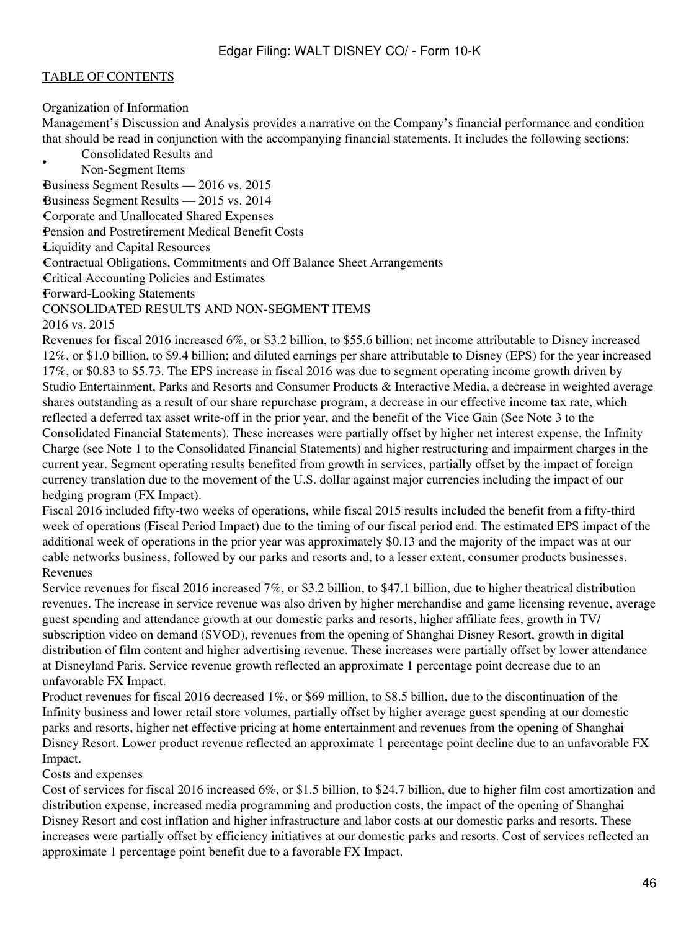#### Organization of Information

Management's Discussion and Analysis provides a narrative on the Company's financial performance and condition that should be read in conjunction with the accompanying financial statements. It includes the following sections:

• Consolidated Results and Non-Segment Items •Business Segment Results — 2016 vs. 2015 •Business Segment Results — 2015 vs. 2014 •Corporate and Unallocated Shared Expenses •Pension and Postretirement Medical Benefit Costs •Liquidity and Capital Resources •Contractual Obligations, Commitments and Off Balance Sheet Arrangements •Critical Accounting Policies and Estimates •Forward-Looking Statements CONSOLIDATED RESULTS AND NON-SEGMENT ITEMS 2016 vs. 2015

Revenues for fiscal 2016 increased 6%, or \$3.2 billion, to \$55.6 billion; net income attributable to Disney increased 12%, or \$1.0 billion, to \$9.4 billion; and diluted earnings per share attributable to Disney (EPS) for the year increased 17%, or \$0.83 to \$5.73. The EPS increase in fiscal 2016 was due to segment operating income growth driven by Studio Entertainment, Parks and Resorts and Consumer Products & Interactive Media, a decrease in weighted average shares outstanding as a result of our share repurchase program, a decrease in our effective income tax rate, which reflected a deferred tax asset write-off in the prior year, and the benefit of the Vice Gain (See Note 3 to the Consolidated Financial Statements). These increases were partially offset by higher net interest expense, the Infinity Charge (see Note 1 to the Consolidated Financial Statements) and higher restructuring and impairment charges in the current year. Segment operating results benefited from growth in services, partially offset by the impact of foreign currency translation due to the movement of the U.S. dollar against major currencies including the impact of our hedging program (FX Impact).

Fiscal 2016 included fifty-two weeks of operations, while fiscal 2015 results included the benefit from a fifty-third week of operations (Fiscal Period Impact) due to the timing of our fiscal period end. The estimated EPS impact of the additional week of operations in the prior year was approximately \$0.13 and the majority of the impact was at our cable networks business, followed by our parks and resorts and, to a lesser extent, consumer products businesses. Revenues

Service revenues for fiscal 2016 increased 7%, or \$3.2 billion, to \$47.1 billion, due to higher theatrical distribution revenues. The increase in service revenue was also driven by higher merchandise and game licensing revenue, average guest spending and attendance growth at our domestic parks and resorts, higher affiliate fees, growth in TV/ subscription video on demand (SVOD), revenues from the opening of Shanghai Disney Resort, growth in digital distribution of film content and higher advertising revenue. These increases were partially offset by lower attendance at Disneyland Paris. Service revenue growth reflected an approximate 1 percentage point decrease due to an unfavorable FX Impact.

Product revenues for fiscal 2016 decreased 1%, or \$69 million, to \$8.5 billion, due to the discontinuation of the Infinity business and lower retail store volumes, partially offset by higher average guest spending at our domestic parks and resorts, higher net effective pricing at home entertainment and revenues from the opening of Shanghai Disney Resort. Lower product revenue reflected an approximate 1 percentage point decline due to an unfavorable FX Impact.

#### Costs and expenses

Cost of services for fiscal 2016 increased 6%, or \$1.5 billion, to \$24.7 billion, due to higher film cost amortization and distribution expense, increased media programming and production costs, the impact of the opening of Shanghai Disney Resort and cost inflation and higher infrastructure and labor costs at our domestic parks and resorts. These increases were partially offset by efficiency initiatives at our domestic parks and resorts. Cost of services reflected an approximate 1 percentage point benefit due to a favorable FX Impact.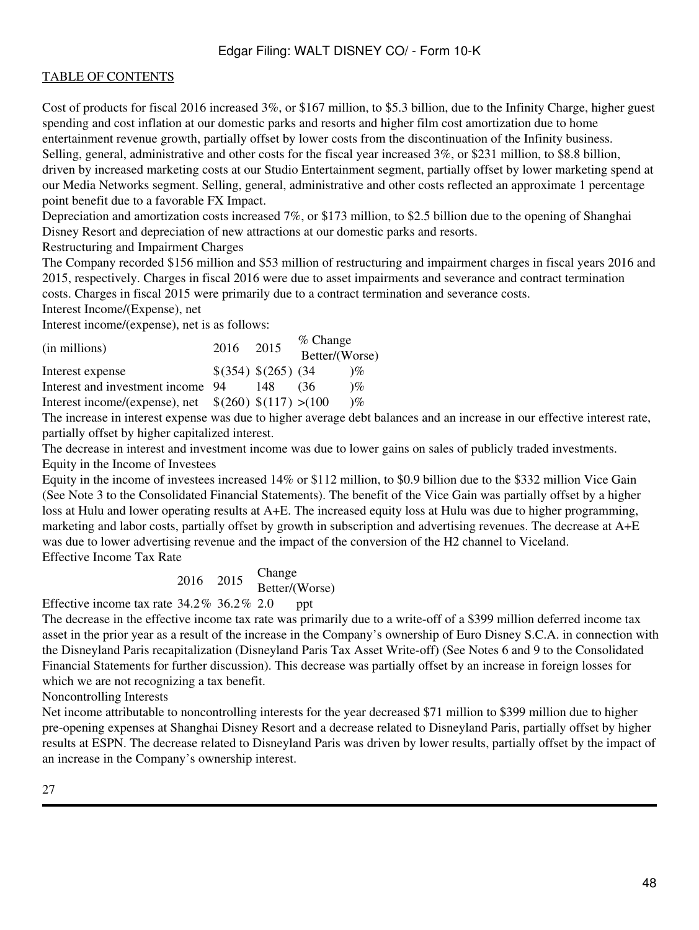# Edgar Filing: WALT DISNEY CO/ - Form 10-K

## [TABLE OF CONTENTS](#page-2-0)

Cost of products for fiscal 2016 increased 3%, or \$167 million, to \$5.3 billion, due to the Infinity Charge, higher guest spending and cost inflation at our domestic parks and resorts and higher film cost amortization due to home entertainment revenue growth, partially offset by lower costs from the discontinuation of the Infinity business. Selling, general, administrative and other costs for the fiscal year increased 3%, or \$231 million, to \$8.8 billion, driven by increased marketing costs at our Studio Entertainment segment, partially offset by lower marketing spend at our Media Networks segment. Selling, general, administrative and other costs reflected an approximate 1 percentage point benefit due to a favorable FX Impact.

Depreciation and amortization costs increased 7%, or \$173 million, to \$2.5 billion due to the opening of Shanghai Disney Resort and depreciation of new attractions at our domestic parks and resorts.

Restructuring and Impairment Charges

The Company recorded \$156 million and \$53 million of restructuring and impairment charges in fiscal years 2016 and 2015, respectively. Charges in fiscal 2016 were due to asset impairments and severance and contract termination costs. Charges in fiscal 2015 were primarily due to a contract termination and severance costs.

# Interest Income/(Expense), net

Interest income/(expense), net is as follows:

| (in millions)                     | 2016                  | 2015 | $%$ Change     |       |  |  |  |
|-----------------------------------|-----------------------|------|----------------|-------|--|--|--|
|                                   |                       |      | Better/(Worse) |       |  |  |  |
| Interest expense                  | \$(354) \$(265) (34)  |      |                | $\%$  |  |  |  |
| Interest and investment income 94 |                       | 148. | (36)           | $)\%$ |  |  |  |
| Interest income/(expense), net    | \$(260) \$(117)>(100) |      |                | $\%$  |  |  |  |

The increase in interest expense was due to higher average debt balances and an increase in our effective interest rate, partially offset by higher capitalized interest.

The decrease in interest and investment income was due to lower gains on sales of publicly traded investments. Equity in the Income of Investees

Equity in the income of investees increased 14% or \$112 million, to \$0.9 billion due to the \$332 million Vice Gain (See Note 3 to the Consolidated Financial Statements). The benefit of the Vice Gain was partially offset by a higher loss at Hulu and lower operating results at A+E. The increased equity loss at Hulu was due to higher programming, marketing and labor costs, partially offset by growth in subscription and advertising revenues. The decrease at A+E was due to lower advertising revenue and the impact of the conversion of the H2 channel to Viceland. Effective Income Tax Rate

> <sup>2016</sup> <sup>2015</sup> Change Better/(Worse)

Effective income tax rate  $34.2\%$  36.2% 2.0 ppt

The decrease in the effective income tax rate was primarily due to a write-off of a \$399 million deferred income tax asset in the prior year as a result of the increase in the Company's ownership of Euro Disney S.C.A. in connection with the Disneyland Paris recapitalization (Disneyland Paris Tax Asset Write-off) (See Notes 6 and 9 to the Consolidated Financial Statements for further discussion). This decrease was partially offset by an increase in foreign losses for which we are not recognizing a tax benefit.

Noncontrolling Interests

Net income attributable to noncontrolling interests for the year decreased \$71 million to \$399 million due to higher pre-opening expenses at Shanghai Disney Resort and a decrease related to Disneyland Paris, partially offset by higher results at ESPN. The decrease related to Disneyland Paris was driven by lower results, partially offset by the impact of an increase in the Company's ownership interest.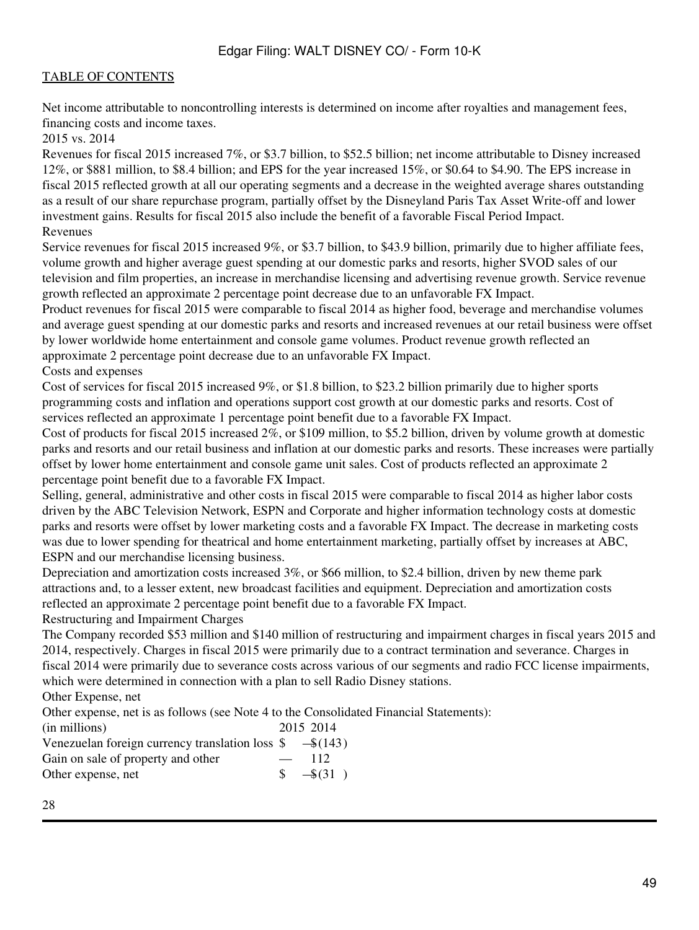Net income attributable to noncontrolling interests is determined on income after royalties and management fees, financing costs and income taxes.

2015 vs. 2014

Revenues for fiscal 2015 increased 7%, or \$3.7 billion, to \$52.5 billion; net income attributable to Disney increased 12%, or \$881 million, to \$8.4 billion; and EPS for the year increased 15%, or \$0.64 to \$4.90. The EPS increase in fiscal 2015 reflected growth at all our operating segments and a decrease in the weighted average shares outstanding as a result of our share repurchase program, partially offset by the Disneyland Paris Tax Asset Write-off and lower investment gains. Results for fiscal 2015 also include the benefit of a favorable Fiscal Period Impact. Revenues

Service revenues for fiscal 2015 increased 9%, or \$3.7 billion, to \$43.9 billion, primarily due to higher affiliate fees, volume growth and higher average guest spending at our domestic parks and resorts, higher SVOD sales of our television and film properties, an increase in merchandise licensing and advertising revenue growth. Service revenue growth reflected an approximate 2 percentage point decrease due to an unfavorable FX Impact.

Product revenues for fiscal 2015 were comparable to fiscal 2014 as higher food, beverage and merchandise volumes and average guest spending at our domestic parks and resorts and increased revenues at our retail business were offset by lower worldwide home entertainment and console game volumes. Product revenue growth reflected an approximate 2 percentage point decrease due to an unfavorable FX Impact. Costs and expenses

Cost of services for fiscal 2015 increased 9%, or \$1.8 billion, to \$23.2 billion primarily due to higher sports programming costs and inflation and operations support cost growth at our domestic parks and resorts. Cost of services reflected an approximate 1 percentage point benefit due to a favorable FX Impact.

Cost of products for fiscal 2015 increased 2%, or \$109 million, to \$5.2 billion, driven by volume growth at domestic parks and resorts and our retail business and inflation at our domestic parks and resorts. These increases were partially offset by lower home entertainment and console game unit sales. Cost of products reflected an approximate 2 percentage point benefit due to a favorable FX Impact.

Selling, general, administrative and other costs in fiscal 2015 were comparable to fiscal 2014 as higher labor costs driven by the ABC Television Network, ESPN and Corporate and higher information technology costs at domestic parks and resorts were offset by lower marketing costs and a favorable FX Impact. The decrease in marketing costs was due to lower spending for theatrical and home entertainment marketing, partially offset by increases at ABC, ESPN and our merchandise licensing business.

Depreciation and amortization costs increased 3%, or \$66 million, to \$2.4 billion, driven by new theme park attractions and, to a lesser extent, new broadcast facilities and equipment. Depreciation and amortization costs reflected an approximate 2 percentage point benefit due to a favorable FX Impact.

# Restructuring and Impairment Charges

The Company recorded \$53 million and \$140 million of restructuring and impairment charges in fiscal years 2015 and 2014, respectively. Charges in fiscal 2015 were primarily due to a contract termination and severance. Charges in fiscal 2014 were primarily due to severance costs across various of our segments and radio FCC license impairments, which were determined in connection with a plan to sell Radio Disney stations.

Other Expense, net

Other expense, net is as follows (see Note 4 to the Consolidated Financial Statements):

| (in millions)                                                                  | 2015 2014              |
|--------------------------------------------------------------------------------|------------------------|
| Venezuelan foreign currency translation loss $\sin \theta = \frac{1}{3}$ (143) |                        |
| Gain on sale of property and other                                             | 112                    |
| Other expense, net                                                             | $\$\frac{\$}{\$}$ (31) |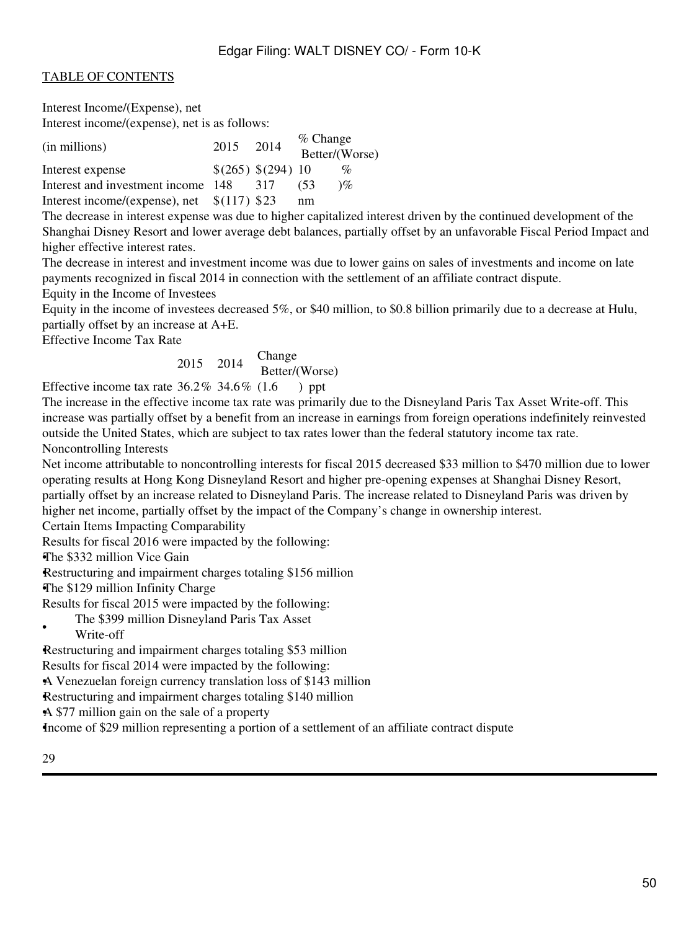Interest Income/(Expense), net

Interest income/(expense), net is as follows:

| (in millions)                                | 2015 | 2014               | $%$ Change | Better/(Worse)  |
|----------------------------------------------|------|--------------------|------------|-----------------|
| Interest expense                             |      | \$(265) \$(294) 10 |            | $\mathcal{O}_0$ |
| Interest and investment income 148           |      | 317                | (53)       | $\%$            |
| Interest income/(expense), net $$(117)$ \$23 |      |                    | nm         |                 |
|                                              |      |                    |            |                 |

The decrease in interest expense was due to higher capitalized interest driven by the continued development of the Shanghai Disney Resort and lower average debt balances, partially offset by an unfavorable Fiscal Period Impact and higher effective interest rates.

The decrease in interest and investment income was due to lower gains on sales of investments and income on late payments recognized in fiscal 2014 in connection with the settlement of an affiliate contract dispute.

Equity in the Income of Investees

Equity in the income of investees decreased 5%, or \$40 million, to \$0.8 billion primarily due to a decrease at Hulu, partially offset by an increase at A+E.

Effective Income Tax Rate

<sup>2015</sup> <sup>2014</sup> Change Better/(Worse)

Effective income tax rate  $36.2\%$  34.6\% (1.6) ppt

The increase in the effective income tax rate was primarily due to the Disneyland Paris Tax Asset Write-off. This increase was partially offset by a benefit from an increase in earnings from foreign operations indefinitely reinvested outside the United States, which are subject to tax rates lower than the federal statutory income tax rate. Noncontrolling Interests

Net income attributable to noncontrolling interests for fiscal 2015 decreased \$33 million to \$470 million due to lower operating results at Hong Kong Disneyland Resort and higher pre-opening expenses at Shanghai Disney Resort, partially offset by an increase related to Disneyland Paris. The increase related to Disneyland Paris was driven by higher net income, partially offset by the impact of the Company's change in ownership interest.

Certain Items Impacting Comparability

Results for fiscal 2016 were impacted by the following:

•The \$332 million Vice Gain

Restructuring and impairment charges totaling \$156 million

•The \$129 million Infinity Charge

Results for fiscal 2015 were impacted by the following:

The \$399 million Disneyland Paris Tax Asset

• Write-off

Restructuring and impairment charges totaling \$53 million

Results for fiscal 2014 were impacted by the following:

•A Venezuelan foreign currency translation loss of \$143 million

Restructuring and impairment charges totaling \$140 million

•A \$77 million gain on the sale of a property

•Income of \$29 million representing a portion of a settlement of an affiliate contract dispute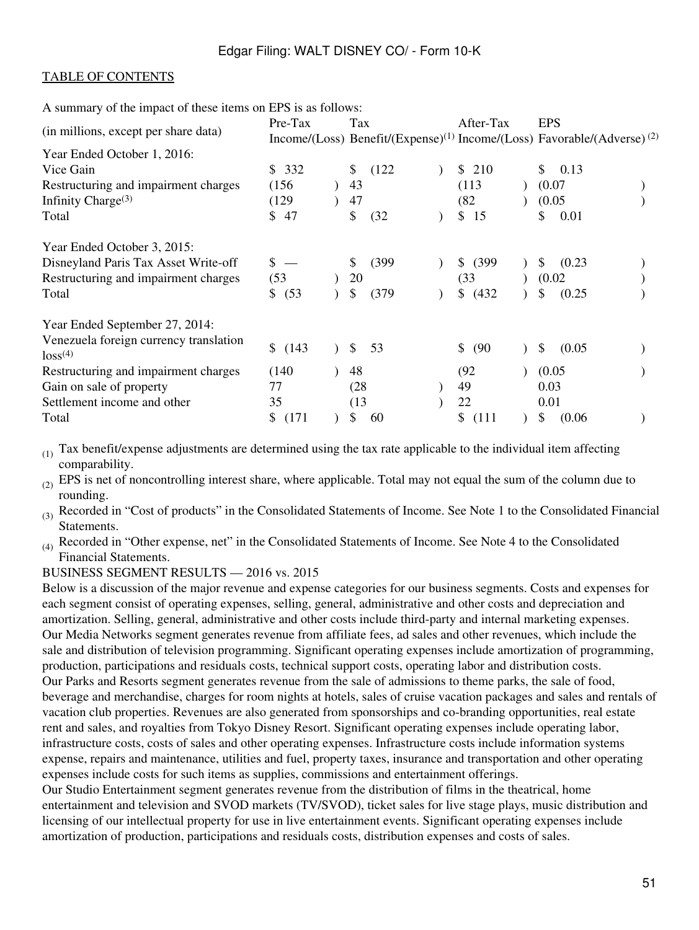A summary of the impact of these items on EPS is as follows:

| Pre-Tax                                                                  | Tax         | After-Tax             | <b>EPS</b>                                                                                      |  |  |  |
|--------------------------------------------------------------------------|-------------|-----------------------|-------------------------------------------------------------------------------------------------|--|--|--|
| (in millions, except per share data)                                     |             |                       | Income/(Loss) Benefit/(Expense) <sup>(1)</sup> Income/(Loss) Favorable/(Adverse) <sup>(2)</sup> |  |  |  |
| Year Ended October 1, 2016:                                              |             |                       |                                                                                                 |  |  |  |
| \$332<br>Vice Gain                                                       | \$<br>(122) | 210<br>S.             | 0.13<br>\$                                                                                      |  |  |  |
| Restructuring and impairment charges<br>(156)                            | 43          | (113)                 | (0.07)                                                                                          |  |  |  |
| Infinity Charge <sup>(3)</sup><br>(129)                                  | 47          | (82)                  | (0.05)                                                                                          |  |  |  |
| \$47<br>Total                                                            | \$<br>(32)  | \$15                  | 0.01<br>\$                                                                                      |  |  |  |
| Year Ended October 3, 2015:                                              |             |                       |                                                                                                 |  |  |  |
| Disneyland Paris Tax Asset Write-off                                     | (399)<br>\$ | \$ (399)              | \$<br>(0.23)                                                                                    |  |  |  |
| (53)<br>Restructuring and impairment charges                             | 20          | (33)                  | (0.02)                                                                                          |  |  |  |
| \$<br>(53)<br>Total                                                      | \$<br>(379) | $\mathbb{S}$<br>(432) | \$<br>(0.25)                                                                                    |  |  |  |
| Year Ended September 27, 2014:                                           |             |                       |                                                                                                 |  |  |  |
| Venezuela foreign currency translation<br>\$(143)<br>loss <sup>(4)</sup> | \$<br>53    | $\mathbb{S}$<br>(90)  | \$<br>(0.05)                                                                                    |  |  |  |
| (140)<br>Restructuring and impairment charges                            | 48          | (92)                  | (0.05)                                                                                          |  |  |  |
| 77<br>Gain on sale of property                                           | (28)        | 49                    | 0.03                                                                                            |  |  |  |
| 35<br>Settlement income and other                                        | (13)        | 22                    | 0.01                                                                                            |  |  |  |
| \$<br>(171)<br>Total                                                     | \$<br>60    | \$<br>(111)           | $\mathbb{S}$<br>(0.06)                                                                          |  |  |  |

 $(1)$  Tax benefit/expense adjustments are determined using the tax rate applicable to the individual item affecting comparability.

 $(2)$  EPS is net of noncontrolling interest share, where applicable. Total may not equal the sum of the column due to rounding.

 $(3)$  Recorded in "Cost of products" in the Consolidated Statements of Income. See Note 1 to the Consolidated Financial Statements.

(4) Recorded in "Other expense, net" in the Consolidated Statements of Income. See Note 4 to the Consolidated Financial Statements.

BUSINESS SEGMENT RESULTS — 2016 vs. 2015

Below is a discussion of the major revenue and expense categories for our business segments. Costs and expenses for each segment consist of operating expenses, selling, general, administrative and other costs and depreciation and amortization. Selling, general, administrative and other costs include third-party and internal marketing expenses. Our Media Networks segment generates revenue from affiliate fees, ad sales and other revenues, which include the sale and distribution of television programming. Significant operating expenses include amortization of programming, production, participations and residuals costs, technical support costs, operating labor and distribution costs. Our Parks and Resorts segment generates revenue from the sale of admissions to theme parks, the sale of food, beverage and merchandise, charges for room nights at hotels, sales of cruise vacation packages and sales and rentals of vacation club properties. Revenues are also generated from sponsorships and co-branding opportunities, real estate rent and sales, and royalties from Tokyo Disney Resort. Significant operating expenses include operating labor, infrastructure costs, costs of sales and other operating expenses. Infrastructure costs include information systems expense, repairs and maintenance, utilities and fuel, property taxes, insurance and transportation and other operating expenses include costs for such items as supplies, commissions and entertainment offerings.

Our Studio Entertainment segment generates revenue from the distribution of films in the theatrical, home entertainment and television and SVOD markets (TV/SVOD), ticket sales for live stage plays, music distribution and licensing of our intellectual property for use in live entertainment events. Significant operating expenses include amortization of production, participations and residuals costs, distribution expenses and costs of sales.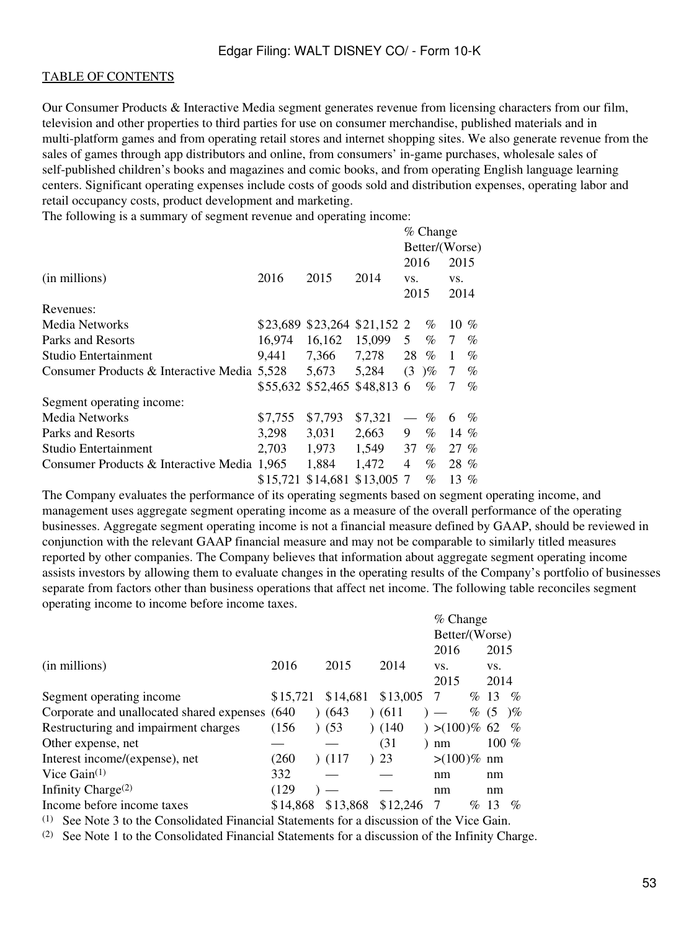Our Consumer Products & Interactive Media segment generates revenue from licensing characters from our film, television and other properties to third parties for use on consumer merchandise, published materials and in multi-platform games and from operating retail stores and internet shopping sites. We also generate revenue from the sales of games through app distributors and online, from consumers' in-game purchases, wholesale sales of self-published children's books and magazines and comic books, and from operating English language learning centers. Significant operating expenses include costs of goods sold and distribution expenses, operating labor and retail occupancy costs, product development and marketing.

The following is a summary of segment revenue and operating income:

|                                             |          |                              | $%$ Change          |      |                |            |      |  |  |
|---------------------------------------------|----------|------------------------------|---------------------|------|----------------|------------|------|--|--|
|                                             |          |                              |                     |      | Better/(Worse) |            |      |  |  |
|                                             |          |                              |                     | 2016 |                | 2015       |      |  |  |
| (in millions)                               | 2016     | 2015                         | 2014                | VS.  |                | VS.        |      |  |  |
|                                             |          |                              |                     | 2015 |                | 2014       |      |  |  |
| Revenues:                                   |          |                              |                     |      |                |            |      |  |  |
| Media Networks                              | \$23,689 |                              | \$23,264 \$21,152 2 |      | $\%$           | $10 \ \%$  |      |  |  |
| Parks and Resorts                           | 16,974   | 16,162                       | 15,099              | 5    | $\%$           | 7          | $\%$ |  |  |
| Studio Entertainment                        | 9,441    | 7,366                        | 7.278               | 28   | $\%$           | 1          | $\%$ |  |  |
| Consumer Products & Interactive Media 5,528 |          | 5,673                        | 5,284               | (3)  | $\%$           | 7          | $\%$ |  |  |
|                                             |          | \$55,632 \$52,465 \$48,813 6 |                     |      | $\%$           | 7          | $\%$ |  |  |
| Segment operating income:                   |          |                              |                     |      |                |            |      |  |  |
| Media Networks                              | \$7,755  | \$7,793                      | \$7,321             |      | $\%$           | 6          | $\%$ |  |  |
| Parks and Resorts                           | 3,298    | 3,031                        | 2,663               | 9    | $\%$           | 14 $%$     |      |  |  |
| Studio Entertainment                        | 2,703    | 1,973                        | 1,549               | 37   | $\%$           | $27 \, \%$ |      |  |  |
| Consumer Products & Interactive Media 1,965 |          | 1,884                        | 1,472               | 4    | $\%$           | 28 %       |      |  |  |
|                                             | \$15.721 | \$14,681                     | $$13,005$ 7         |      | $\%$           | 13 %       |      |  |  |

The Company evaluates the performance of its operating segments based on segment operating income, and management uses aggregate segment operating income as a measure of the overall performance of the operating businesses. Aggregate segment operating income is not a financial measure defined by GAAP, should be reviewed in conjunction with the relevant GAAP financial measure and may not be comparable to similarly titled measures reported by other companies. The Company believes that information about aggregate segment operating income assists investors by allowing them to evaluate changes in the operating results of the Company's portfolio of businesses separate from factors other than business operations that affect net income. The following table reconciles segment operating income to income before income taxes.

|                                                 |  |      |                         |                                       | $%$ Change  |      |              |     |                                                                                                       |
|-------------------------------------------------|--|------|-------------------------|---------------------------------------|-------------|------|--------------|-----|-------------------------------------------------------------------------------------------------------|
|                                                 |  |      |                         |                                       |             |      |              |     |                                                                                                       |
|                                                 |  |      |                         |                                       |             | 2016 |              |     |                                                                                                       |
| 2016                                            |  | 2015 |                         | 2014                                  |             | VS.  |              | VS. |                                                                                                       |
|                                                 |  |      |                         |                                       |             | 2015 |              |     |                                                                                                       |
| \$15.721                                        |  |      |                         | \$13,005                              |             |      |              |     | $\%$                                                                                                  |
| Corporate and unallocated shared expenses (640) |  |      | $\lambda$               | (611)                                 |             |      |              |     | $\gamma$ %                                                                                            |
| (156)                                           |  |      |                         |                                       |             |      |              |     | $\%$                                                                                                  |
|                                                 |  |      |                         | (31)                                  |             |      |              |     |                                                                                                       |
| (260                                            |  |      |                         |                                       |             |      |              |     |                                                                                                       |
| 332                                             |  |      |                         |                                       |             | nm   |              | nm  |                                                                                                       |
| (129)                                           |  |      |                         |                                       |             | nm   |              | nm  |                                                                                                       |
| \$14,868                                        |  |      |                         | \$12,246                              |             | 7    | $\%$         |     | $\%$                                                                                                  |
|                                                 |  |      | (643)<br>(53)<br>) (117 | \$14,681<br>$\mathcal{L}$<br>\$13,868 | (140)<br>23 |      | -7<br>$)$ nm |     | Better/(Worse)<br>2015<br>2014<br>%13<br>$\%$ (5)<br>$(100)\%$ 62<br>$100\%$<br>$> (100)\%$ nm<br>-13 |

(1) See Note 3 to the Consolidated Financial Statements for a discussion of the Vice Gain.

(2) See Note 1 to the Consolidated Financial Statements for a discussion of the Infinity Charge.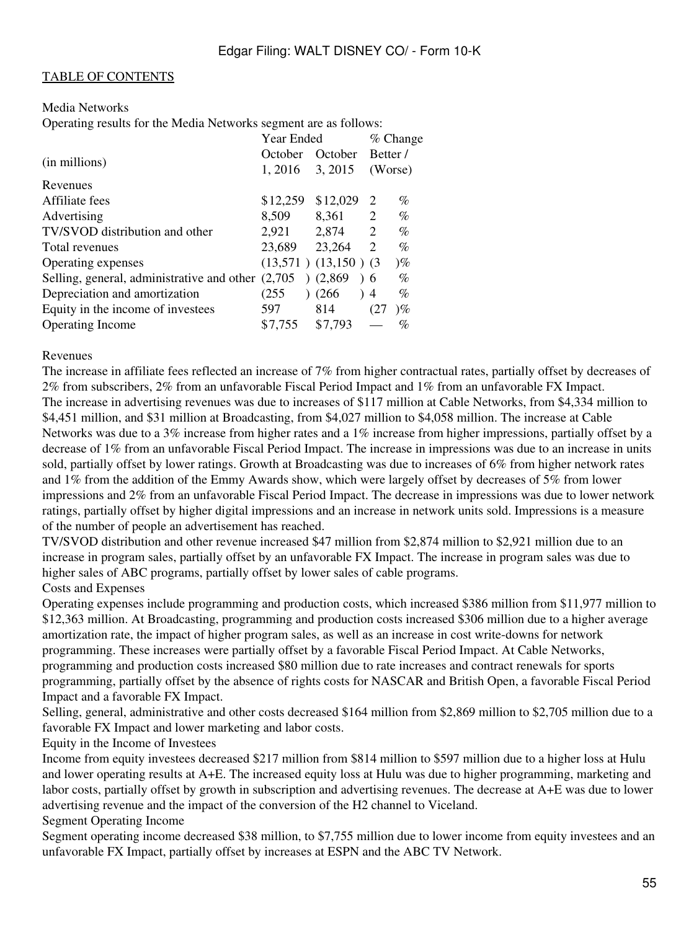#### Media Networks

Operating results for the Media Networks segment are as follows:

|                                                    | $%$ Change |                                                                      |  |
|----------------------------------------------------|------------|----------------------------------------------------------------------|--|
| October                                            | October    | Better /                                                             |  |
|                                                    | 3, 2015    | (Worse)                                                              |  |
|                                                    |            |                                                                      |  |
| \$12,259                                           | \$12,029   | %<br>2                                                               |  |
| 8,509                                              | 8,361      | 2<br>$\%$                                                            |  |
| 2,921                                              | 2,874      | 2<br>$\%$                                                            |  |
| 23,689                                             | 23,264     | $\%$<br>2                                                            |  |
|                                                    |            | $\mathcal{C}_{0}$                                                    |  |
| Selling, general, administrative and other (2,705) |            | $\%$<br>6 <sup>o</sup>                                               |  |
| (255)                                              | (266)      | %<br>$+4$                                                            |  |
| 597                                                | 814        | $\partial\%$<br>(27)                                                 |  |
| \$7,755                                            | \$7,793    | $\%$                                                                 |  |
|                                                    |            | Year Ended<br>1, 2016<br>$(13,571)$ $(13,150)$ $(3)$<br>(2,869)<br>℩ |  |

#### Revenues

The increase in affiliate fees reflected an increase of 7% from higher contractual rates, partially offset by decreases of 2% from subscribers, 2% from an unfavorable Fiscal Period Impact and 1% from an unfavorable FX Impact. The increase in advertising revenues was due to increases of \$117 million at Cable Networks, from \$4,334 million to \$4,451 million, and \$31 million at Broadcasting, from \$4,027 million to \$4,058 million. The increase at Cable Networks was due to a 3% increase from higher rates and a 1% increase from higher impressions, partially offset by a decrease of 1% from an unfavorable Fiscal Period Impact. The increase in impressions was due to an increase in units sold, partially offset by lower ratings. Growth at Broadcasting was due to increases of 6% from higher network rates and 1% from the addition of the Emmy Awards show, which were largely offset by decreases of 5% from lower impressions and 2% from an unfavorable Fiscal Period Impact. The decrease in impressions was due to lower network ratings, partially offset by higher digital impressions and an increase in network units sold. Impressions is a measure of the number of people an advertisement has reached.

TV/SVOD distribution and other revenue increased \$47 million from \$2,874 million to \$2,921 million due to an increase in program sales, partially offset by an unfavorable FX Impact. The increase in program sales was due to higher sales of ABC programs, partially offset by lower sales of cable programs. Costs and Expenses

Operating expenses include programming and production costs, which increased \$386 million from \$11,977 million to \$12,363 million. At Broadcasting, programming and production costs increased \$306 million due to a higher average amortization rate, the impact of higher program sales, as well as an increase in cost write-downs for network programming. These increases were partially offset by a favorable Fiscal Period Impact. At Cable Networks, programming and production costs increased \$80 million due to rate increases and contract renewals for sports programming, partially offset by the absence of rights costs for NASCAR and British Open, a favorable Fiscal Period Impact and a favorable FX Impact.

Selling, general, administrative and other costs decreased \$164 million from \$2,869 million to \$2,705 million due to a favorable FX Impact and lower marketing and labor costs.

Equity in the Income of Investees

Income from equity investees decreased \$217 million from \$814 million to \$597 million due to a higher loss at Hulu and lower operating results at A+E. The increased equity loss at Hulu was due to higher programming, marketing and labor costs, partially offset by growth in subscription and advertising revenues. The decrease at A+E was due to lower advertising revenue and the impact of the conversion of the H2 channel to Viceland.

Segment Operating Income

Segment operating income decreased \$38 million, to \$7,755 million due to lower income from equity investees and an unfavorable FX Impact, partially offset by increases at ESPN and the ABC TV Network.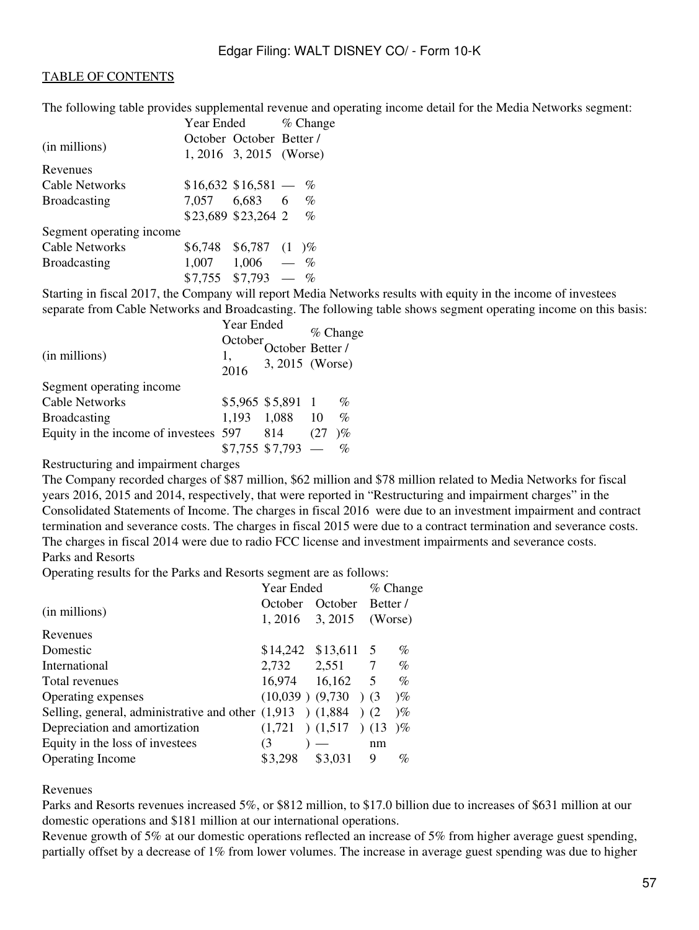The following table provides supplemental revenue and operating income detail for the Media Networks segment:

| Year Ended       | % Change                                                                                                                                  |
|------------------|-------------------------------------------------------------------------------------------------------------------------------------------|
|                  |                                                                                                                                           |
|                  |                                                                                                                                           |
|                  |                                                                                                                                           |
|                  |                                                                                                                                           |
|                  | $\%$                                                                                                                                      |
|                  | $\%$                                                                                                                                      |
|                  |                                                                                                                                           |
| $$6,787$ $(1)$ % |                                                                                                                                           |
| $1,006 - \%$     |                                                                                                                                           |
| $$7,793 - %$     |                                                                                                                                           |
|                  | October October Better/<br>1, 2016 3, 2015 (Worse)<br>$$16,632$ \$16,581 - \%<br>7,057 6,683 6<br>\$23,689 \$23,264 2<br>1,007<br>\$7,755 |

Starting in fiscal 2017, the Company will report Media Networks results with equity in the income of investees separate from Cable Networks and Broadcasting. The following table shows segment operating income on this basis:

|                                       | <b>Year Ended</b> | % Change                 |                 |      |  |
|---------------------------------------|-------------------|--------------------------|-----------------|------|--|
| (in millions)                         | 1,<br>2016        | October October Better / | 3, 2015 (Worse) |      |  |
| Segment operating income              |                   |                          |                 |      |  |
| <b>Cable Networks</b>                 |                   | \$5,965 \$5,891 1        |                 | $\%$ |  |
| <b>Broadcasting</b>                   | 1,193 1,088       |                          | 10              | $\%$ |  |
| Equity in the income of investees 597 |                   | 814                      |                 | $\%$ |  |
|                                       |                   | $$7,755$ \$7,793 -       |                 |      |  |

Restructuring and impairment charges

The Company recorded charges of \$87 million, \$62 million and \$78 million related to Media Networks for fiscal years 2016, 2015 and 2014, respectively, that were reported in "Restructuring and impairment charges" in the Consolidated Statements of Income. The charges in fiscal 2016 were due to an investment impairment and contract termination and severance costs. The charges in fiscal 2015 were due to a contract termination and severance costs. The charges in fiscal 2014 were due to radio FCC license and investment impairments and severance costs. Parks and Resorts

Operating results for the Parks and Resorts segment are as follows:

|                                                                      | Year Ended      | % Change                   |                        |
|----------------------------------------------------------------------|-----------------|----------------------------|------------------------|
|                                                                      | October         | October                    | Better /               |
| (in millions)                                                        | 1, 2016 3, 2015 |                            | (Worse)                |
| Revenues                                                             |                 |                            |                        |
| Domestic                                                             |                 | $$14,242$ $$13,611$ 5      | %                      |
| International                                                        |                 | 2,732 2,551 7              | $\%$                   |
| Total revenues                                                       |                 | 16,974 16,162 5            | $\%$                   |
| Operating expenses                                                   |                 | $(10,039)$ $(9,730)$ $(3)$ | $\mathcal{C}_{\infty}$ |
| Selling, general, administrative and other $(1,913)$ $(1,884)$ $(2)$ |                 |                            | $\%$                   |
| Depreciation and amortization                                        | (1.721)         | ) $(1,517)$ $(13)$ %       |                        |
| Equity in the loss of investees                                      | (3)             |                            | nm                     |
| Operating Income                                                     | \$3,298         | \$3,031                    | 9<br>%                 |

#### Revenues

Parks and Resorts revenues increased 5%, or \$812 million, to \$17.0 billion due to increases of \$631 million at our domestic operations and \$181 million at our international operations.

Revenue growth of 5% at our domestic operations reflected an increase of 5% from higher average guest spending, partially offset by a decrease of 1% from lower volumes. The increase in average guest spending was due to higher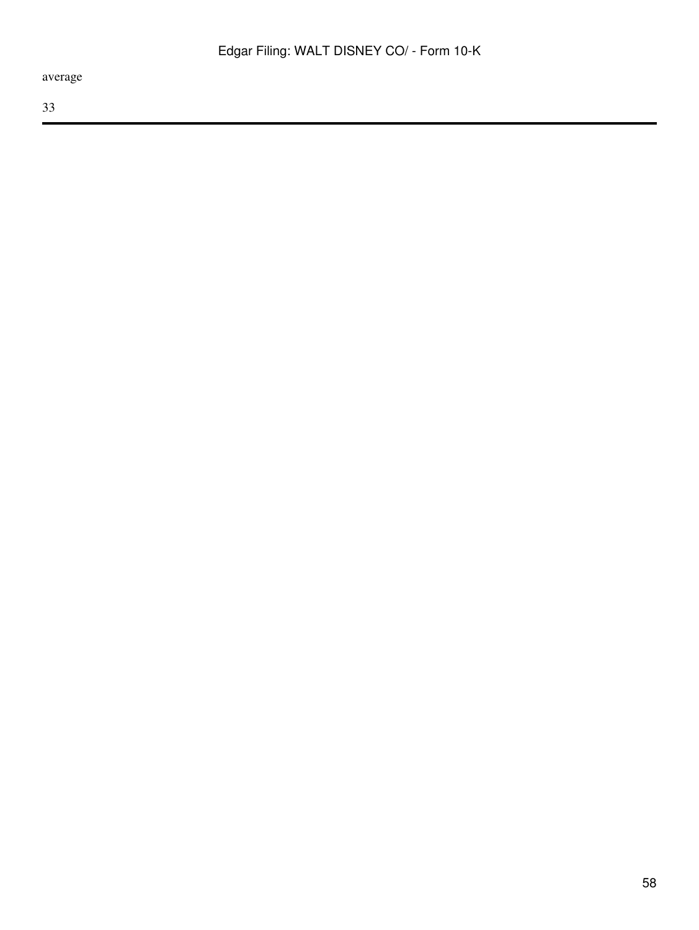average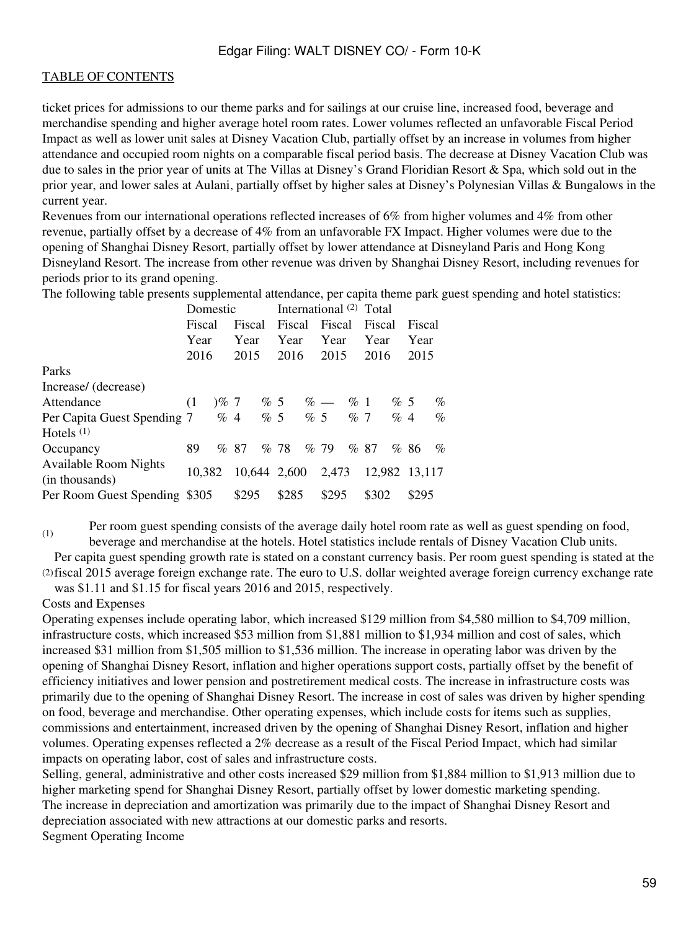ticket prices for admissions to our theme parks and for sailings at our cruise line, increased food, beverage and merchandise spending and higher average hotel room rates. Lower volumes reflected an unfavorable Fiscal Period Impact as well as lower unit sales at Disney Vacation Club, partially offset by an increase in volumes from higher attendance and occupied room nights on a comparable fiscal period basis. The decrease at Disney Vacation Club was due to sales in the prior year of units at The Villas at Disney's Grand Floridian Resort & Spa, which sold out in the prior year, and lower sales at Aulani, partially offset by higher sales at Disney's Polynesian Villas & Bungalows in the current year.

Revenues from our international operations reflected increases of 6% from higher volumes and 4% from other revenue, partially offset by a decrease of 4% from an unfavorable FX Impact. Higher volumes were due to the opening of Shanghai Disney Resort, partially offset by lower attendance at Disneyland Paris and Hong Kong Disneyland Resort. The increase from other revenue was driven by Shanghai Disney Resort, including revenues for periods prior to its grand opening.

The following table presents supplemental attendance, per capita theme park guest spending and hotel statistics:

|                                                | Domestic |        |        | International $(2)$ Total |                                        |     |        |        |        |        |               |      |
|------------------------------------------------|----------|--------|--------|---------------------------|----------------------------------------|-----|--------|--------|--------|--------|---------------|------|
|                                                | Fiscal   |        | Fiscal |                           | Fiscal                                 |     | Fiscal |        | Fiscal |        | Fiscal        |      |
|                                                | Year     |        | Year   |                           | Year                                   |     | Year   |        | Year   |        | Year          |      |
|                                                | 2016     |        | 2015   |                           | 2016                                   |     | 2015   |        | 2016   |        | 2015          |      |
| Parks                                          |          |        |        |                           |                                        |     |        |        |        |        |               |      |
| Increase/ (decrease)                           |          |        |        |                           |                                        |     |        |        |        |        |               |      |
| Attendance                                     | (1)      | $)\%7$ |        |                           | $\% 5 \quad \% \rightarrow \ ^\circ 1$ |     |        |        |        | % 5    |               | $\%$ |
| Per Capita Guest Spending 7                    |          | $\%$ 4 |        | % 5                       |                                        | % 5 |        | $\%$ 7 |        | $\%$ 4 |               | $\%$ |
| Hotels $(1)$                                   |          |        |        |                           |                                        |     |        |        |        |        |               |      |
| Occupancy                                      | 89       |        | % 87   |                           | %78                                    |     | %79    |        | % 87   |        | %86           | $\%$ |
| <b>Available Room Nights</b><br>(in thousands) | 10.382   |        |        |                           | 10,644 2,600 2,473                     |     |        |        |        |        | 12,982 13,117 |      |
| Per Room Guest Spending \$305                  |          |        | \$295  |                           | \$285                                  |     | \$295  |        | \$302  |        | \$295         |      |

(1) Per room guest spending consists of the average daily hotel room rate as well as guest spending on food, beverage and merchandise at the hotels. Hotel statistics include rentals of Disney Vacation Club units.

(2) fiscal 2015 average foreign exchange rate. The euro to U.S. dollar weighted average foreign currency exchange rate Per capita guest spending growth rate is stated on a constant currency basis. Per room guest spending is stated at the

was \$1.11 and \$1.15 for fiscal years 2016 and 2015, respectively.

## Costs and Expenses

Operating expenses include operating labor, which increased \$129 million from \$4,580 million to \$4,709 million, infrastructure costs, which increased \$53 million from \$1,881 million to \$1,934 million and cost of sales, which increased \$31 million from \$1,505 million to \$1,536 million. The increase in operating labor was driven by the opening of Shanghai Disney Resort, inflation and higher operations support costs, partially offset by the benefit of efficiency initiatives and lower pension and postretirement medical costs. The increase in infrastructure costs was primarily due to the opening of Shanghai Disney Resort. The increase in cost of sales was driven by higher spending on food, beverage and merchandise. Other operating expenses, which include costs for items such as supplies, commissions and entertainment, increased driven by the opening of Shanghai Disney Resort, inflation and higher volumes. Operating expenses reflected a 2% decrease as a result of the Fiscal Period Impact, which had similar impacts on operating labor, cost of sales and infrastructure costs.

Selling, general, administrative and other costs increased \$29 million from \$1,884 million to \$1,913 million due to higher marketing spend for Shanghai Disney Resort, partially offset by lower domestic marketing spending. The increase in depreciation and amortization was primarily due to the impact of Shanghai Disney Resort and depreciation associated with new attractions at our domestic parks and resorts. Segment Operating Income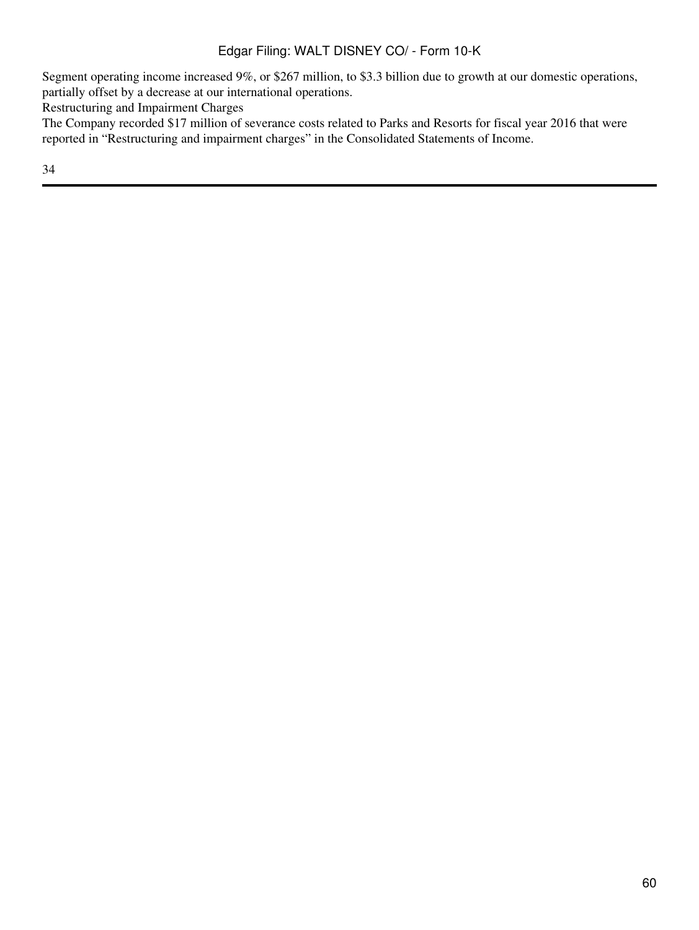# Edgar Filing: WALT DISNEY CO/ - Form 10-K

Segment operating income increased 9%, or \$267 million, to \$3.3 billion due to growth at our domestic operations, partially offset by a decrease at our international operations.

Restructuring and Impairment Charges

The Company recorded \$17 million of severance costs related to Parks and Resorts for fiscal year 2016 that were reported in "Restructuring and impairment charges" in the Consolidated Statements of Income.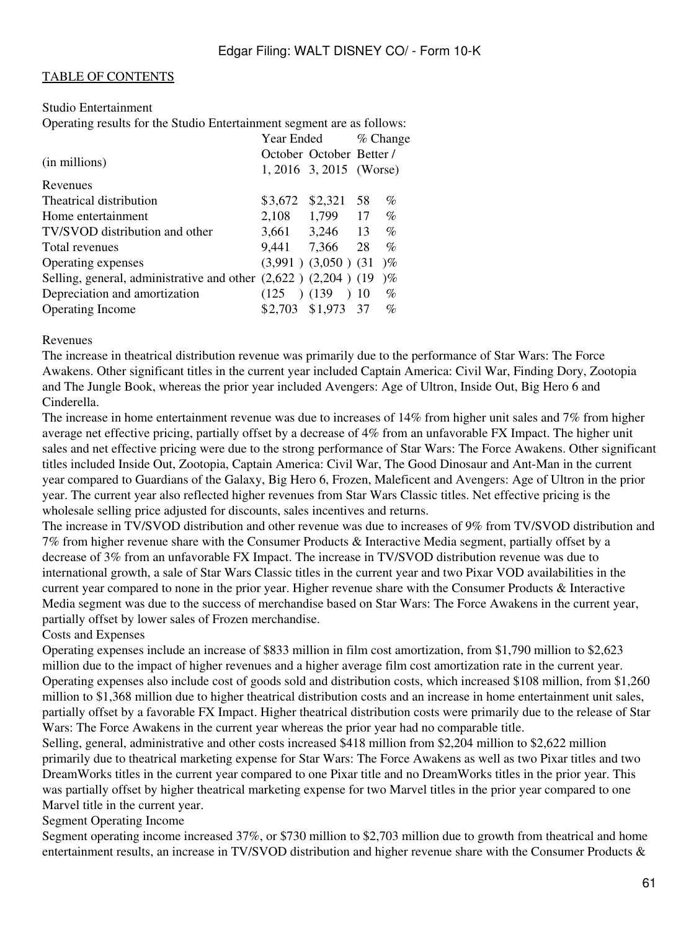#### Studio Entertainment

Operating results for the Studio Entertainment segment are as follows:

|         | $\%$ Change |                     |                                                                                                                                                                                                                                      |
|---------|-------------|---------------------|--------------------------------------------------------------------------------------------------------------------------------------------------------------------------------------------------------------------------------------|
|         |             |                     |                                                                                                                                                                                                                                      |
|         |             |                     |                                                                                                                                                                                                                                      |
|         |             |                     |                                                                                                                                                                                                                                      |
| \$3,672 | \$2,321     | 58                  | $\%$                                                                                                                                                                                                                                 |
| 2,108   |             |                     | $\%$                                                                                                                                                                                                                                 |
|         |             |                     | $\%$                                                                                                                                                                                                                                 |
| 9,441   | 7,366       | 28                  | $\%$                                                                                                                                                                                                                                 |
|         |             |                     | $\gamma$ %                                                                                                                                                                                                                           |
|         |             |                     | $\mathcal{O}_0$                                                                                                                                                                                                                      |
| (125)   |             |                     | %                                                                                                                                                                                                                                    |
|         |             |                     | $\%$                                                                                                                                                                                                                                 |
|         |             | Year Ended<br>(139) | October October Better/<br>1, 2016 3, 2015 (Worse)<br>1,799 17<br>3,661 3,246 13<br>$(3,991)$ $(3,050)$ $(31)$<br>Selling, general, administrative and other $(2,622)$ $(2,204)$ $(19)$<br>10<br>$\rightarrow$<br>\$2,703 \$1,973 37 |

#### Revenues

The increase in theatrical distribution revenue was primarily due to the performance of Star Wars: The Force Awakens. Other significant titles in the current year included Captain America: Civil War, Finding Dory, Zootopia and The Jungle Book, whereas the prior year included Avengers: Age of Ultron, Inside Out, Big Hero 6 and Cinderella.

The increase in home entertainment revenue was due to increases of 14% from higher unit sales and 7% from higher average net effective pricing, partially offset by a decrease of 4% from an unfavorable FX Impact. The higher unit sales and net effective pricing were due to the strong performance of Star Wars: The Force Awakens. Other significant titles included Inside Out, Zootopia, Captain America: Civil War, The Good Dinosaur and Ant-Man in the current year compared to Guardians of the Galaxy, Big Hero 6, Frozen, Maleficent and Avengers: Age of Ultron in the prior year. The current year also reflected higher revenues from Star Wars Classic titles. Net effective pricing is the wholesale selling price adjusted for discounts, sales incentives and returns.

The increase in TV/SVOD distribution and other revenue was due to increases of 9% from TV/SVOD distribution and 7% from higher revenue share with the Consumer Products & Interactive Media segment, partially offset by a decrease of 3% from an unfavorable FX Impact. The increase in TV/SVOD distribution revenue was due to international growth, a sale of Star Wars Classic titles in the current year and two Pixar VOD availabilities in the current year compared to none in the prior year. Higher revenue share with the Consumer Products & Interactive Media segment was due to the success of merchandise based on Star Wars: The Force Awakens in the current year, partially offset by lower sales of Frozen merchandise.

#### Costs and Expenses

Operating expenses include an increase of \$833 million in film cost amortization, from \$1,790 million to \$2,623 million due to the impact of higher revenues and a higher average film cost amortization rate in the current year. Operating expenses also include cost of goods sold and distribution costs, which increased \$108 million, from \$1,260 million to \$1,368 million due to higher theatrical distribution costs and an increase in home entertainment unit sales, partially offset by a favorable FX Impact. Higher theatrical distribution costs were primarily due to the release of Star Wars: The Force Awakens in the current year whereas the prior year had no comparable title.

Selling, general, administrative and other costs increased \$418 million from \$2,204 million to \$2,622 million primarily due to theatrical marketing expense for Star Wars: The Force Awakens as well as two Pixar titles and two DreamWorks titles in the current year compared to one Pixar title and no DreamWorks titles in the prior year. This was partially offset by higher theatrical marketing expense for two Marvel titles in the prior year compared to one Marvel title in the current year.

## Segment Operating Income

Segment operating income increased 37%, or \$730 million to \$2,703 million due to growth from theatrical and home entertainment results, an increase in TV/SVOD distribution and higher revenue share with the Consumer Products &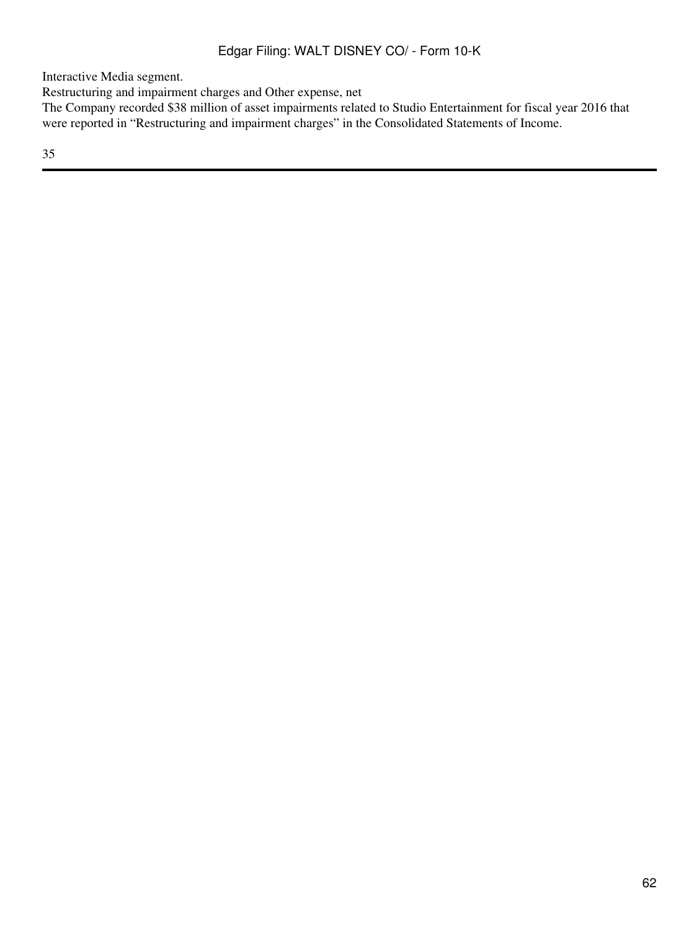# Edgar Filing: WALT DISNEY CO/ - Form 10-K

Interactive Media segment.

Restructuring and impairment charges and Other expense, net

The Company recorded \$38 million of asset impairments related to Studio Entertainment for fiscal year 2016 that were reported in "Restructuring and impairment charges" in the Consolidated Statements of Income.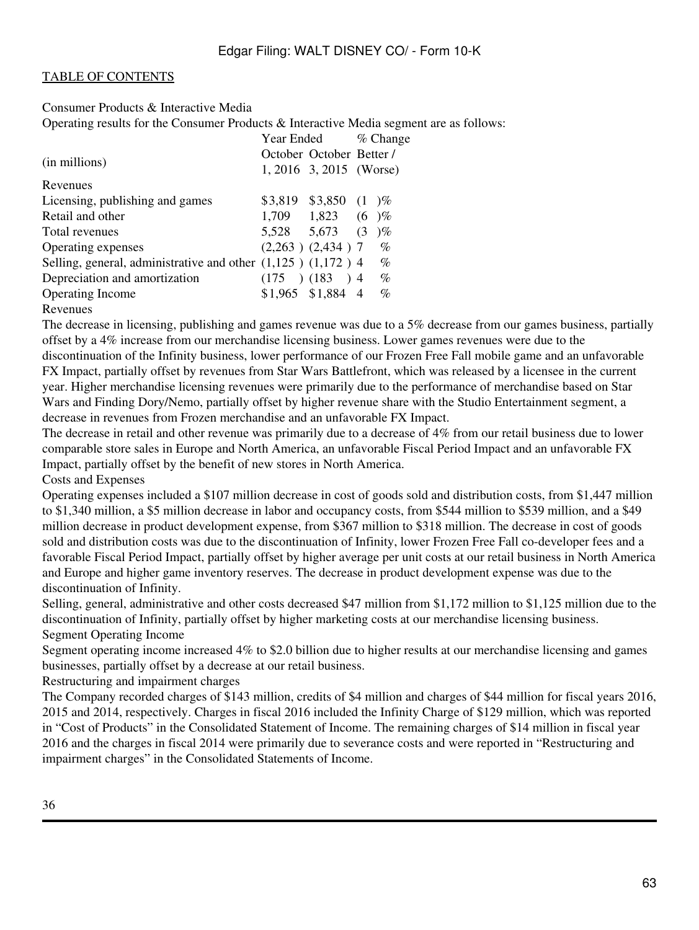#### Consumer Products & Interactive Media

Operating results for the Consumer Products & Interactive Media segment are as follows:

|                                                                  | Year Ended | $%$ Change              |     |      |
|------------------------------------------------------------------|------------|-------------------------|-----|------|
|                                                                  |            | October October Better/ |     |      |
| (in millions)                                                    |            | 1, 2016 3, 2015 (Worse) |     |      |
| Revenues                                                         |            |                         |     |      |
| Licensing, publishing and games                                  | \$3,819    | $$3,850$ $(1)$ %        |     |      |
| Retail and other                                                 |            | $1,709$ $1,823$ $(6)$ % |     |      |
| Total revenues                                                   |            | 5,528 5,673             | (3) | $\%$ |
| Operating expenses                                               |            | $(2,263)$ $(2,434)$ 7   |     | $\%$ |
| Selling, general, administrative and other $(1,125)$ $(1,172)$ 4 |            |                         |     | $\%$ |
| Depreciation and amortization                                    |            | $(175)$ $(183)$ $4$     |     | $\%$ |
| <b>Operating Income</b>                                          |            | $$1,965$ $$1,884$ 4     |     | $\%$ |
|                                                                  |            |                         |     |      |

Revenues

The decrease in licensing, publishing and games revenue was due to a 5% decrease from our games business, partially offset by a 4% increase from our merchandise licensing business. Lower games revenues were due to the discontinuation of the Infinity business, lower performance of our Frozen Free Fall mobile game and an unfavorable FX Impact, partially offset by revenues from Star Wars Battlefront, which was released by a licensee in the current year. Higher merchandise licensing revenues were primarily due to the performance of merchandise based on Star Wars and Finding Dory/Nemo, partially offset by higher revenue share with the Studio Entertainment segment, a decrease in revenues from Frozen merchandise and an unfavorable FX Impact.

The decrease in retail and other revenue was primarily due to a decrease of 4% from our retail business due to lower comparable store sales in Europe and North America, an unfavorable Fiscal Period Impact and an unfavorable FX Impact, partially offset by the benefit of new stores in North America.

# Costs and Expenses

Operating expenses included a \$107 million decrease in cost of goods sold and distribution costs, from \$1,447 million to \$1,340 million, a \$5 million decrease in labor and occupancy costs, from \$544 million to \$539 million, and a \$49 million decrease in product development expense, from \$367 million to \$318 million. The decrease in cost of goods sold and distribution costs was due to the discontinuation of Infinity, lower Frozen Free Fall co-developer fees and a favorable Fiscal Period Impact, partially offset by higher average per unit costs at our retail business in North America and Europe and higher game inventory reserves. The decrease in product development expense was due to the discontinuation of Infinity.

Selling, general, administrative and other costs decreased \$47 million from \$1,172 million to \$1,125 million due to the discontinuation of Infinity, partially offset by higher marketing costs at our merchandise licensing business. Segment Operating Income

Segment operating income increased 4% to \$2.0 billion due to higher results at our merchandise licensing and games businesses, partially offset by a decrease at our retail business.

Restructuring and impairment charges

The Company recorded charges of \$143 million, credits of \$4 million and charges of \$44 million for fiscal years 2016, 2015 and 2014, respectively. Charges in fiscal 2016 included the Infinity Charge of \$129 million, which was reported in "Cost of Products" in the Consolidated Statement of Income. The remaining charges of \$14 million in fiscal year 2016 and the charges in fiscal 2014 were primarily due to severance costs and were reported in "Restructuring and impairment charges" in the Consolidated Statements of Income.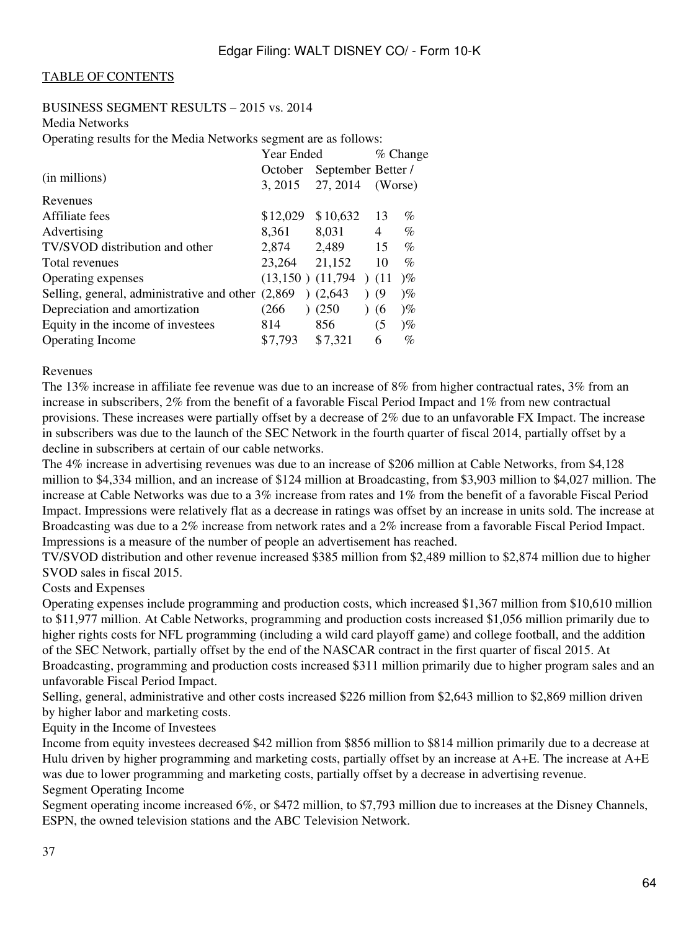# BUSINESS SEGMENT RESULTS – 2015 vs. 2014

Media Networks

Operating results for the Media Networks segment are as follows:

|                                                    | Year Ended            | $%$ Change         |          |                             |
|----------------------------------------------------|-----------------------|--------------------|----------|-----------------------------|
|                                                    | October               | September Better / |          |                             |
| (in millions)                                      | 3, 2015               | 27, 2014 (Worse)   |          |                             |
| Revenues                                           |                       |                    |          |                             |
| Affiliate fees                                     | \$12,029              | \$10,632           | 13       | $\%$                        |
| Advertising                                        | 8,361                 | 8,031              | 4        | $\%$                        |
| TV/SVOD distribution and other                     | 2,874                 | 2,489              | 15       | $\%$                        |
| Total revenues                                     | 23,264                | 21,152             | 10       | $\%$                        |
| Operating expenses                                 | $(13,150)$ $(11,794)$ |                    | ) $(11)$ | $\partial\%$                |
| Selling, general, administrative and other (2,869) |                       | (2,643)            | (9)      | $\mathcal{O}_{\mathcal{O}}$ |
| Depreciation and amortization                      | (266)                 | (250)              | (6)      | $)\%$                       |
| Equity in the income of investees                  | 814                   | 856                | (5)      | $\mathcal{O}_{\mathcal{O}}$ |
| <b>Operating Income</b>                            | $$7,793$ $$7,321$     |                    | 6        | $\%$                        |

#### Revenues

The 13% increase in affiliate fee revenue was due to an increase of 8% from higher contractual rates, 3% from an increase in subscribers, 2% from the benefit of a favorable Fiscal Period Impact and 1% from new contractual provisions. These increases were partially offset by a decrease of 2% due to an unfavorable FX Impact. The increase in subscribers was due to the launch of the SEC Network in the fourth quarter of fiscal 2014, partially offset by a decline in subscribers at certain of our cable networks.

The 4% increase in advertising revenues was due to an increase of \$206 million at Cable Networks, from \$4,128 million to \$4,334 million, and an increase of \$124 million at Broadcasting, from \$3,903 million to \$4,027 million. The increase at Cable Networks was due to a 3% increase from rates and 1% from the benefit of a favorable Fiscal Period Impact. Impressions were relatively flat as a decrease in ratings was offset by an increase in units sold. The increase at Broadcasting was due to a 2% increase from network rates and a 2% increase from a favorable Fiscal Period Impact. Impressions is a measure of the number of people an advertisement has reached.

TV/SVOD distribution and other revenue increased \$385 million from \$2,489 million to \$2,874 million due to higher SVOD sales in fiscal 2015.

## Costs and Expenses

Operating expenses include programming and production costs, which increased \$1,367 million from \$10,610 million to \$11,977 million. At Cable Networks, programming and production costs increased \$1,056 million primarily due to higher rights costs for NFL programming (including a wild card playoff game) and college football, and the addition of the SEC Network, partially offset by the end of the NASCAR contract in the first quarter of fiscal 2015. At Broadcasting, programming and production costs increased \$311 million primarily due to higher program sales and an unfavorable Fiscal Period Impact.

Selling, general, administrative and other costs increased \$226 million from \$2,643 million to \$2,869 million driven by higher labor and marketing costs.

Equity in the Income of Investees

Income from equity investees decreased \$42 million from \$856 million to \$814 million primarily due to a decrease at Hulu driven by higher programming and marketing costs, partially offset by an increase at  $A+E$ . The increase at  $A+E$ was due to lower programming and marketing costs, partially offset by a decrease in advertising revenue. Segment Operating Income

Segment operating income increased 6%, or \$472 million, to \$7,793 million due to increases at the Disney Channels, ESPN, the owned television stations and the ABC Television Network.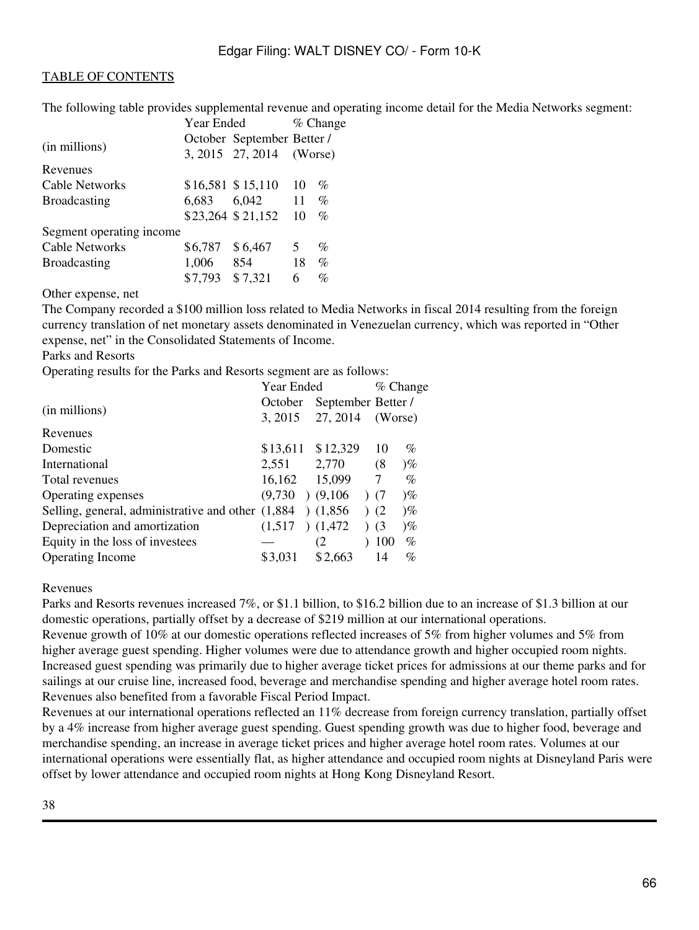The following table provides supplemental revenue and operating income detail for the Media Networks segment:

|                          | Year Ended | $\%$ Change                |         |      |  |
|--------------------------|------------|----------------------------|---------|------|--|
| (in millions)            |            | October September Better / |         |      |  |
|                          |            | 3, 2015 27, 2014           | (Worse) |      |  |
| Revenues                 |            |                            |         |      |  |
| Cable Networks           |            | \$16,581 \$15,110          | 10      | $\%$ |  |
| <b>Broadcasting</b>      | 6,683      | 6,042                      | 11      | $\%$ |  |
|                          |            | \$23,264 \$21,152          | 10      | $\%$ |  |
| Segment operating income |            |                            |         |      |  |
| Cable Networks           | \$6,787    | \$6,467                    | 5       | $\%$ |  |
| <b>Broadcasting</b>      | 1,006      | 854                        | 18      | $\%$ |  |
|                          | \$7,793    | \$7,321                    | 6       | $\%$ |  |
|                          |            |                            |         |      |  |

Other expense, net

The Company recorded a \$100 million loss related to Media Networks in fiscal 2014 resulting from the foreign currency translation of net monetary assets denominated in Venezuelan currency, which was reported in "Other expense, net" in the Consolidated Statements of Income.

Parks and Resorts

Operating results for the Parks and Resorts segment are as follows:

|                                                              | Year Ended          | $%$ Change         |                                          |  |
|--------------------------------------------------------------|---------------------|--------------------|------------------------------------------|--|
|                                                              | October             | September Better / |                                          |  |
| (in millions)                                                | 3, 2015             | 27, 2014           | (Worse)                                  |  |
| Revenues                                                     |                     |                    |                                          |  |
| Domestic                                                     | $$13,611$ $$12,329$ |                    | 10<br>%                                  |  |
| International                                                | 2,551               | 2,770              | (8)<br>$\mathcal{C}_{\infty}$            |  |
| Total revenues                                               | 16,162              | 15,099             | 7<br>$\%$                                |  |
| Operating expenses                                           | (9.730)             | (9,106)            | $\mathcal{O}_{\mathcal{O}}$<br>(7)       |  |
| Selling, general, administrative and other $(1,884)$ (1,856) |                     |                    | $\mathcal{O}_0$<br>(2)                   |  |
| Depreciation and amortization                                | (1,517)             | (1,472)            | $\mathcal{C}_{\infty}$<br>$\binom{3}{3}$ |  |
| Equity in the loss of investees                              |                     | (2)                | %<br>100                                 |  |
| <b>Operating Income</b>                                      | \$3,031             | \$2,663            | %<br>14                                  |  |

#### Revenues

Parks and Resorts revenues increased 7%, or \$1.1 billion, to \$16.2 billion due to an increase of \$1.3 billion at our domestic operations, partially offset by a decrease of \$219 million at our international operations.

Revenue growth of 10% at our domestic operations reflected increases of 5% from higher volumes and 5% from higher average guest spending. Higher volumes were due to attendance growth and higher occupied room nights. Increased guest spending was primarily due to higher average ticket prices for admissions at our theme parks and for sailings at our cruise line, increased food, beverage and merchandise spending and higher average hotel room rates. Revenues also benefited from a favorable Fiscal Period Impact.

Revenues at our international operations reflected an 11% decrease from foreign currency translation, partially offset by a 4% increase from higher average guest spending. Guest spending growth was due to higher food, beverage and merchandise spending, an increase in average ticket prices and higher average hotel room rates. Volumes at our international operations were essentially flat, as higher attendance and occupied room nights at Disneyland Paris were offset by lower attendance and occupied room nights at Hong Kong Disneyland Resort.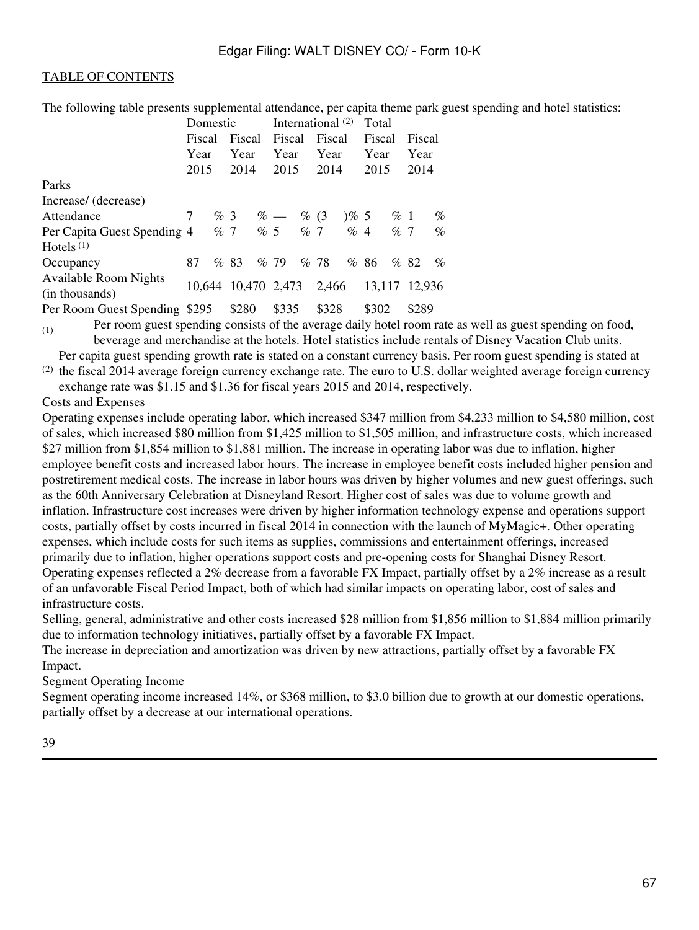The following table presents supplemental attendance, per capita theme park guest spending and hotel statistics:

|                                                | Domestic     |    |              | International $(2)$ |                                          |      |                           | Total  |        |        |               |      |
|------------------------------------------------|--------------|----|--------------|---------------------|------------------------------------------|------|---------------------------|--------|--------|--------|---------------|------|
|                                                | Fiscal       |    | Fiscal       |                     | Fiscal                                   |      | Fiscal                    |        | Fiscal |        | Fiscal        |      |
|                                                | Year<br>Year |    | Year<br>Year |                     |                                          | Year |                           | Year   |        |        |               |      |
|                                                | 2015         |    | 2014         |                     | 2015                                     |      | 2014                      |        | 2015   |        | 2014          |      |
| Parks                                          |              |    |              |                     |                                          |      |                           |        |        |        |               |      |
| Increase/ (decrease)                           |              |    |              |                     |                                          |      |                           |        |        |        |               |      |
| Attendance                                     | 7            |    |              |                     | $\% 3 \quad \% \rightarrow \quad \% (3)$ |      |                           | $)\%5$ |        | $\%$ 1 |               | $\%$ |
| Per Capita Guest Spending 4                    |              | %7 |              |                     | % 5                                      | %7   |                           | $\%$ 4 |        | %7     |               | $\%$ |
| Hotels $(1)$                                   |              |    |              |                     |                                          |      |                           |        |        |        |               |      |
| Occupancy                                      | 87           |    | %83          |                     | %79                                      |      | %78                       |        | %86    |        | % 82          | $\%$ |
| <b>Available Room Nights</b><br>(in thousands) |              |    |              |                     |                                          |      | 10,644 10,470 2,473 2,466 |        |        |        | 13,117 12,936 |      |
| Per Room Guest Spending \$295                  |              |    | \$280        |                     | \$335                                    |      | \$328                     |        | \$302  |        | \$289         |      |

(1) Per room guest spending consists of the average daily hotel room rate as well as guest spending on food, beverage and merchandise at the hotels. Hotel statistics include rentals of Disney Vacation Club units.

 $^{(2)}$  the fiscal 2014 average foreign currency exchange rate. The euro to U.S. dollar weighted average foreign currency Per capita guest spending growth rate is stated on a constant currency basis. Per room guest spending is stated at

exchange rate was \$1.15 and \$1.36 for fiscal years 2015 and 2014, respectively.

# Costs and Expenses

Operating expenses include operating labor, which increased \$347 million from \$4,233 million to \$4,580 million, cost of sales, which increased \$80 million from \$1,425 million to \$1,505 million, and infrastructure costs, which increased \$27 million from \$1,854 million to \$1,881 million. The increase in operating labor was due to inflation, higher employee benefit costs and increased labor hours. The increase in employee benefit costs included higher pension and postretirement medical costs. The increase in labor hours was driven by higher volumes and new guest offerings, such as the 60th Anniversary Celebration at Disneyland Resort. Higher cost of sales was due to volume growth and inflation. Infrastructure cost increases were driven by higher information technology expense and operations support costs, partially offset by costs incurred in fiscal 2014 in connection with the launch of MyMagic+. Other operating expenses, which include costs for such items as supplies, commissions and entertainment offerings, increased primarily due to inflation, higher operations support costs and pre-opening costs for Shanghai Disney Resort. Operating expenses reflected a 2% decrease from a favorable FX Impact, partially offset by a 2% increase as a result of an unfavorable Fiscal Period Impact, both of which had similar impacts on operating labor, cost of sales and infrastructure costs.

Selling, general, administrative and other costs increased \$28 million from \$1,856 million to \$1,884 million primarily due to information technology initiatives, partially offset by a favorable FX Impact.

The increase in depreciation and amortization was driven by new attractions, partially offset by a favorable FX Impact.

Segment Operating Income

Segment operating income increased 14%, or \$368 million, to \$3.0 billion due to growth at our domestic operations, partially offset by a decrease at our international operations.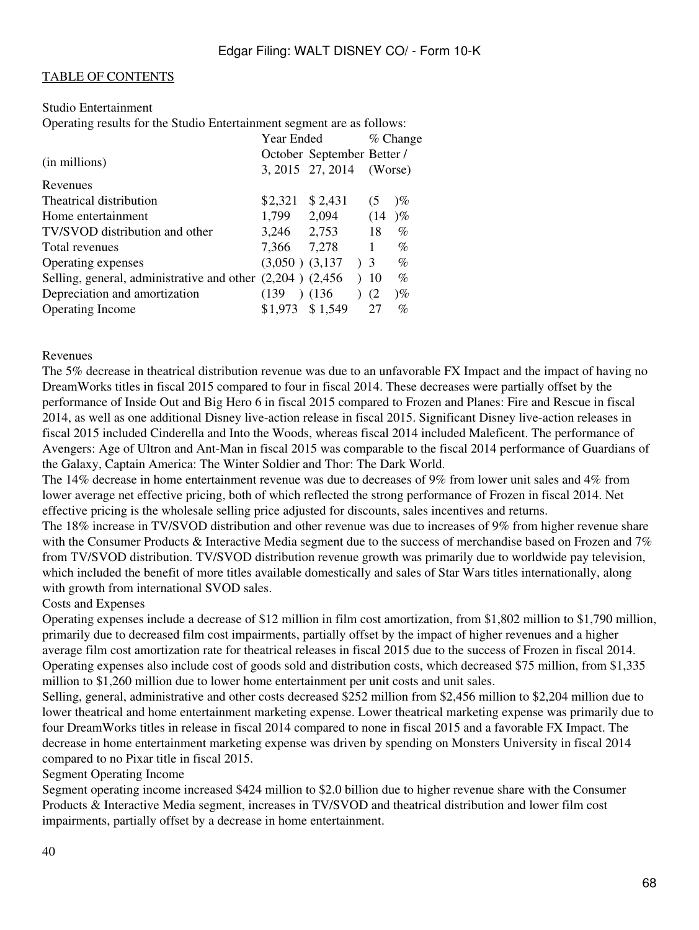#### Studio Entertainment

Operating results for the Studio Entertainment segment are as follows:

|         | % Change  |                                                                                                              |                                                             |
|---------|-----------|--------------------------------------------------------------------------------------------------------------|-------------------------------------------------------------|
|         |           |                                                                                                              |                                                             |
|         |           | (Worse)                                                                                                      |                                                             |
|         |           |                                                                                                              |                                                             |
| \$2,321 | \$2,431   | (5)                                                                                                          | $\frac{1}{2}$                                               |
| 1,799   | 2,094     | (14)                                                                                                         | $\mathcal{O}_{\mathcal{O}}$                                 |
| 3,246   | 2,753     | 18                                                                                                           | $\%$                                                        |
| 7,366   | 7,278     | 1                                                                                                            | %                                                           |
|         | $\lambda$ |                                                                                                              | $\%$                                                        |
|         |           |                                                                                                              | $\%$                                                        |
| (139)   |           | (2)                                                                                                          | $\%$                                                        |
| \$1.973 | \$1,549   | 27                                                                                                           | %                                                           |
|         |           | Year Ended<br>$(3,050)$ $(3,137)$<br>Selling, general, administrative and other $(2,204)$ $(2,456)$<br>(136) | October September Better /<br>3, 2015 27, 2014<br>-3<br>-10 |

#### Revenues

The 5% decrease in theatrical distribution revenue was due to an unfavorable FX Impact and the impact of having no DreamWorks titles in fiscal 2015 compared to four in fiscal 2014. These decreases were partially offset by the performance of Inside Out and Big Hero 6 in fiscal 2015 compared to Frozen and Planes: Fire and Rescue in fiscal 2014, as well as one additional Disney live-action release in fiscal 2015. Significant Disney live-action releases in fiscal 2015 included Cinderella and Into the Woods, whereas fiscal 2014 included Maleficent. The performance of Avengers: Age of Ultron and Ant-Man in fiscal 2015 was comparable to the fiscal 2014 performance of Guardians of the Galaxy, Captain America: The Winter Soldier and Thor: The Dark World.

The 14% decrease in home entertainment revenue was due to decreases of 9% from lower unit sales and 4% from lower average net effective pricing, both of which reflected the strong performance of Frozen in fiscal 2014. Net effective pricing is the wholesale selling price adjusted for discounts, sales incentives and returns.

The 18% increase in TV/SVOD distribution and other revenue was due to increases of 9% from higher revenue share with the Consumer Products & Interactive Media segment due to the success of merchandise based on Frozen and 7% from TV/SVOD distribution. TV/SVOD distribution revenue growth was primarily due to worldwide pay television, which included the benefit of more titles available domestically and sales of Star Wars titles internationally, along with growth from international SVOD sales.

## Costs and Expenses

Operating expenses include a decrease of \$12 million in film cost amortization, from \$1,802 million to \$1,790 million, primarily due to decreased film cost impairments, partially offset by the impact of higher revenues and a higher average film cost amortization rate for theatrical releases in fiscal 2015 due to the success of Frozen in fiscal 2014. Operating expenses also include cost of goods sold and distribution costs, which decreased \$75 million, from \$1,335 million to \$1,260 million due to lower home entertainment per unit costs and unit sales.

Selling, general, administrative and other costs decreased \$252 million from \$2,456 million to \$2,204 million due to lower theatrical and home entertainment marketing expense. Lower theatrical marketing expense was primarily due to four DreamWorks titles in release in fiscal 2014 compared to none in fiscal 2015 and a favorable FX Impact. The decrease in home entertainment marketing expense was driven by spending on Monsters University in fiscal 2014 compared to no Pixar title in fiscal 2015.

# Segment Operating Income

Segment operating income increased \$424 million to \$2.0 billion due to higher revenue share with the Consumer Products & Interactive Media segment, increases in TV/SVOD and theatrical distribution and lower film cost impairments, partially offset by a decrease in home entertainment.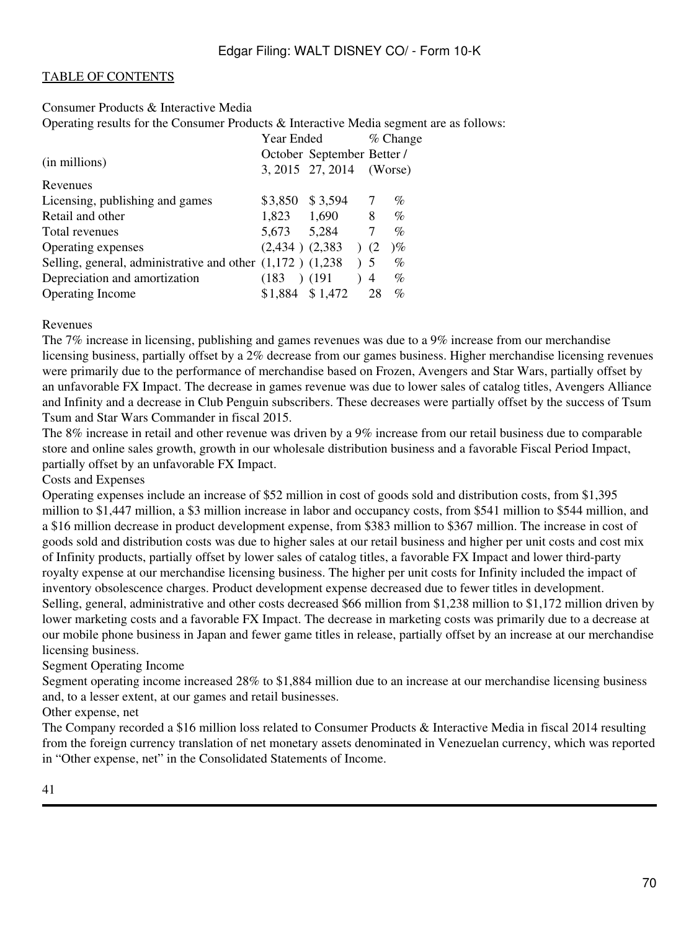#### Consumer Products & Interactive Media

Operating results for the Consumer Products & Interactive Media segment are as follows:

|         | % Change |                                                                                                                                   |                                                                         |
|---------|----------|-----------------------------------------------------------------------------------------------------------------------------------|-------------------------------------------------------------------------|
|         |          |                                                                                                                                   |                                                                         |
|         |          | (Worse)                                                                                                                           |                                                                         |
|         |          |                                                                                                                                   |                                                                         |
| \$3,850 | \$3,594  |                                                                                                                                   | $\%$                                                                    |
| 1,823   | 1,690    | 8                                                                                                                                 | $\%$                                                                    |
| 5,673   | 5,284    | 7                                                                                                                                 | $\%$                                                                    |
|         |          |                                                                                                                                   | $\mathcal{C}_{0}$                                                       |
|         |          |                                                                                                                                   | $\%$                                                                    |
| (183)   |          | $\overline{4}$                                                                                                                    | $\%$                                                                    |
|         |          | 28                                                                                                                                | $\%$                                                                    |
|         |          | Year Ended<br>$(2,434)$ $(2,383)$<br>Selling, general, administrative and other $(1,172)$ $(1,238)$<br>(191)<br>$$1,884$ $$1,472$ | October September Better /<br>3, 2015 27, 2014<br>(2)<br>5 <sup>5</sup> |

#### Revenues

The 7% increase in licensing, publishing and games revenues was due to a 9% increase from our merchandise licensing business, partially offset by a 2% decrease from our games business. Higher merchandise licensing revenues were primarily due to the performance of merchandise based on Frozen, Avengers and Star Wars, partially offset by an unfavorable FX Impact. The decrease in games revenue was due to lower sales of catalog titles, Avengers Alliance and Infinity and a decrease in Club Penguin subscribers. These decreases were partially offset by the success of Tsum Tsum and Star Wars Commander in fiscal 2015.

The 8% increase in retail and other revenue was driven by a 9% increase from our retail business due to comparable store and online sales growth, growth in our wholesale distribution business and a favorable Fiscal Period Impact, partially offset by an unfavorable FX Impact.

# Costs and Expenses

Operating expenses include an increase of \$52 million in cost of goods sold and distribution costs, from \$1,395 million to \$1,447 million, a \$3 million increase in labor and occupancy costs, from \$541 million to \$544 million, and a \$16 million decrease in product development expense, from \$383 million to \$367 million. The increase in cost of goods sold and distribution costs was due to higher sales at our retail business and higher per unit costs and cost mix of Infinity products, partially offset by lower sales of catalog titles, a favorable FX Impact and lower third-party royalty expense at our merchandise licensing business. The higher per unit costs for Infinity included the impact of inventory obsolescence charges. Product development expense decreased due to fewer titles in development. Selling, general, administrative and other costs decreased \$66 million from \$1,238 million to \$1,172 million driven by lower marketing costs and a favorable FX Impact. The decrease in marketing costs was primarily due to a decrease at our mobile phone business in Japan and fewer game titles in release, partially offset by an increase at our merchandise licensing business.

## Segment Operating Income

Segment operating income increased 28% to \$1,884 million due to an increase at our merchandise licensing business and, to a lesser extent, at our games and retail businesses.

## Other expense, net

The Company recorded a \$16 million loss related to Consumer Products & Interactive Media in fiscal 2014 resulting from the foreign currency translation of net monetary assets denominated in Venezuelan currency, which was reported in "Other expense, net" in the Consolidated Statements of Income.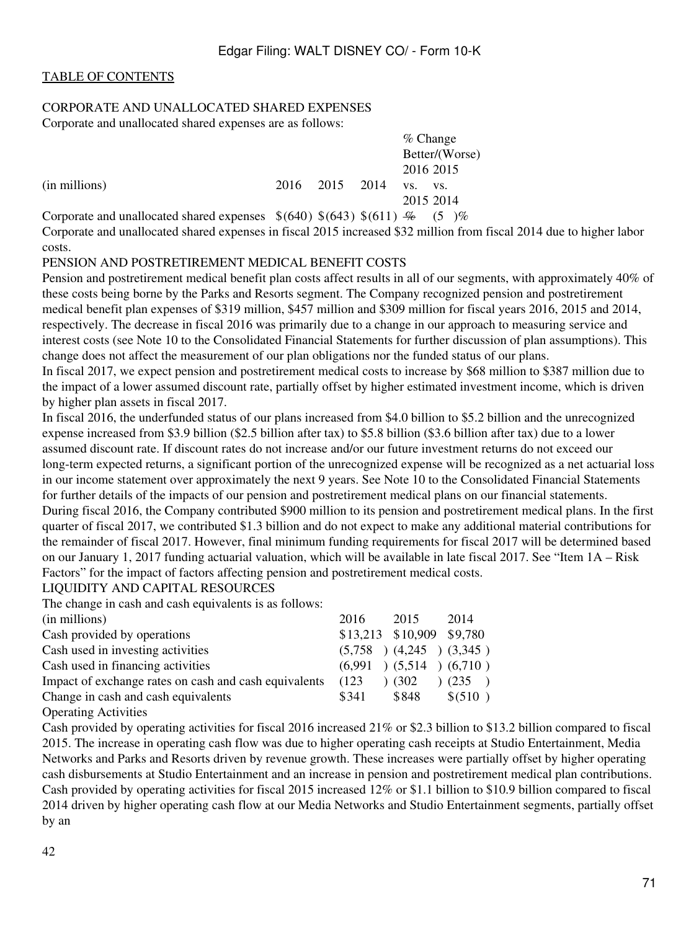#### CORPORATE AND UNALLOCATED SHARED EXPENSES

Corporate and unallocated shared expenses are as follows:

(in millions) 2016 2015 2014

% Change Better/(Worse) 2016 2015 vs. vs.

2015 2014

Corporate and unallocated shared expenses  $\frac{1640}{1666}$  \times 6(640) \$(643) \$(611)  $\frac{96}{666}$  (5)%

Corporate and unallocated shared expenses in fiscal 2015 increased \$32 million from fiscal 2014 due to higher labor costs.

## PENSION AND POSTRETIREMENT MEDICAL BENEFIT COSTS

Pension and postretirement medical benefit plan costs affect results in all of our segments, with approximately 40% of these costs being borne by the Parks and Resorts segment. The Company recognized pension and postretirement medical benefit plan expenses of \$319 million, \$457 million and \$309 million for fiscal years 2016, 2015 and 2014, respectively. The decrease in fiscal 2016 was primarily due to a change in our approach to measuring service and interest costs (see Note 10 to the Consolidated Financial Statements for further discussion of plan assumptions). This change does not affect the measurement of our plan obligations nor the funded status of our plans.

In fiscal 2017, we expect pension and postretirement medical costs to increase by \$68 million to \$387 million due to the impact of a lower assumed discount rate, partially offset by higher estimated investment income, which is driven by higher plan assets in fiscal 2017.

In fiscal 2016, the underfunded status of our plans increased from \$4.0 billion to \$5.2 billion and the unrecognized expense increased from \$3.9 billion (\$2.5 billion after tax) to \$5.8 billion (\$3.6 billion after tax) due to a lower assumed discount rate. If discount rates do not increase and/or our future investment returns do not exceed our long-term expected returns, a significant portion of the unrecognized expense will be recognized as a net actuarial loss in our income statement over approximately the next 9 years. See Note 10 to the Consolidated Financial Statements for further details of the impacts of our pension and postretirement medical plans on our financial statements. During fiscal 2016, the Company contributed \$900 million to its pension and postretirement medical plans. In the first quarter of fiscal 2017, we contributed \$1.3 billion and do not expect to make any additional material contributions for the remainder of fiscal 2017. However, final minimum funding requirements for fiscal 2017 will be determined based on our January 1, 2017 funding actuarial valuation, which will be available in late fiscal 2017. See "Item 1A – Risk Factors" for the impact of factors affecting pension and postretirement medical costs.

# LIQUIDITY AND CAPITAL RESOURCES

The change in cash and cash equivalents is as follows:

| (in millions)                                         | 2016  | 2015                      | 2014                          |
|-------------------------------------------------------|-------|---------------------------|-------------------------------|
| Cash provided by operations                           |       | \$13,213 \$10,909 \$9,780 |                               |
| Cash used in investing activities                     |       |                           | $(5,758)$ $(4,245)$ $(3,345)$ |
| Cash used in financing activities                     |       |                           | $(6,991)$ $(5,514)$ $(6,710)$ |
| Impact of exchange rates on cash and cash equivalents | (123) | (302)                     | (235)                         |
| Change in cash and cash equivalents                   | \$341 | \$848                     | \$(510)                       |

Operating Activities

Cash provided by operating activities for fiscal 2016 increased 21% or \$2.3 billion to \$13.2 billion compared to fiscal 2015. The increase in operating cash flow was due to higher operating cash receipts at Studio Entertainment, Media Networks and Parks and Resorts driven by revenue growth. These increases were partially offset by higher operating cash disbursements at Studio Entertainment and an increase in pension and postretirement medical plan contributions. Cash provided by operating activities for fiscal 2015 increased 12% or \$1.1 billion to \$10.9 billion compared to fiscal 2014 driven by higher operating cash flow at our Media Networks and Studio Entertainment segments, partially offset by an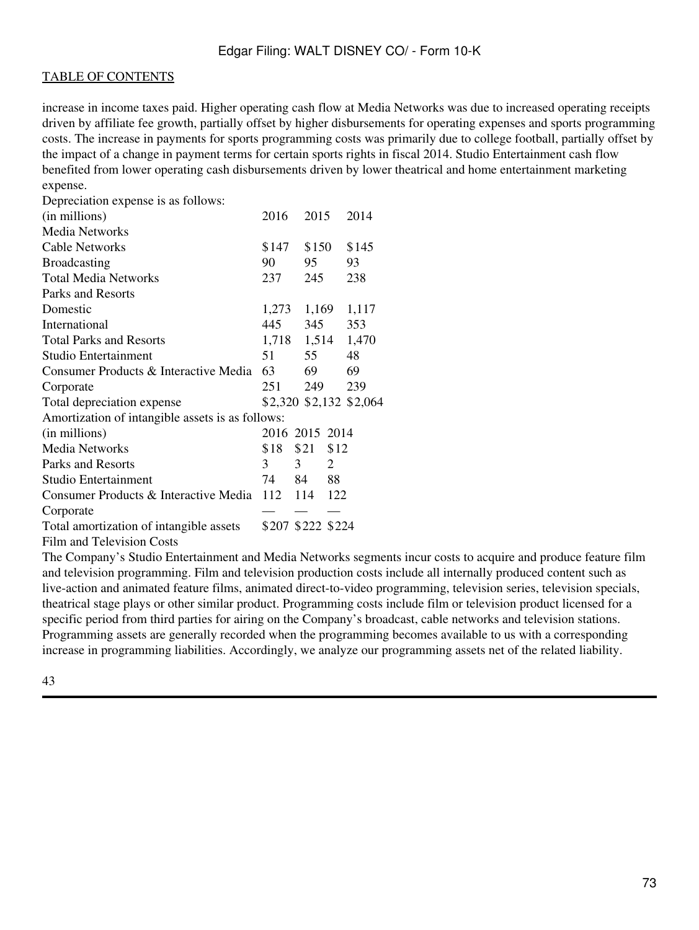increase in income taxes paid. Higher operating cash flow at Media Networks was due to increased operating receipts driven by affiliate fee growth, partially offset by higher disbursements for operating expenses and sports programming costs. The increase in payments for sports programming costs was primarily due to college football, partially offset by the impact of a change in payment terms for certain sports rights in fiscal 2014. Studio Entertainment cash flow benefited from lower operating cash disbursements driven by lower theatrical and home entertainment marketing

| expense.                                         |                   |                |     |                         |
|--------------------------------------------------|-------------------|----------------|-----|-------------------------|
| Depreciation expense is as follows:              |                   |                |     |                         |
| (in millions)                                    | 2016              | 2015           |     | 2014                    |
| Media Networks                                   |                   |                |     |                         |
| Cable Networks                                   | \$147             | \$150          |     | \$145                   |
| Broadcasting                                     | 90                | 95             |     | 93                      |
| <b>Total Media Networks</b>                      | 237               | 245            |     | 238                     |
| Parks and Resorts                                |                   |                |     |                         |
| Domestic                                         |                   | 1,273 1,169    |     | 1,117                   |
| International                                    | 445 345 353       |                |     |                         |
| <b>Total Parks and Resorts</b>                   |                   |                |     | 1,718 1,514 1,470       |
| Studio Entertainment                             | 51                | 55             |     | 48                      |
| Consumer Products & Interactive Media            | 63                | 69             |     | 69                      |
| Corporate                                        | 251 249           |                |     | 239                     |
| Total depreciation expense                       |                   |                |     | \$2,320 \$2,132 \$2,064 |
| Amortization of intangible assets is as follows: |                   |                |     |                         |
| (in millions)                                    | 2016 2015 2014    |                |     |                         |
| Media Networks                                   |                   | \$18 \$21 \$12 |     |                         |
| Parks and Resorts                                | 3                 | $3^{\circ}$    | 2   |                         |
| Studio Entertainment                             | 74 84 88          |                |     |                         |
| Consumer Products & Interactive Media            | 112 114           |                | 122 |                         |
| Corporate                                        |                   |                |     |                         |
| Total amortization of intangible assets          | \$207 \$222 \$224 |                |     |                         |
| <b>Film and Television Costs</b>                 |                   |                |     |                         |

The Company's Studio Entertainment and Media Networks segments incur costs to acquire and produce feature film and television programming. Film and television production costs include all internally produced content such as live-action and animated feature films, animated direct-to-video programming, television series, television specials, theatrical stage plays or other similar product. Programming costs include film or television product licensed for a specific period from third parties for airing on the Company's broadcast, cable networks and television stations. Programming assets are generally recorded when the programming becomes available to us with a corresponding increase in programming liabilities. Accordingly, we analyze our programming assets net of the related liability.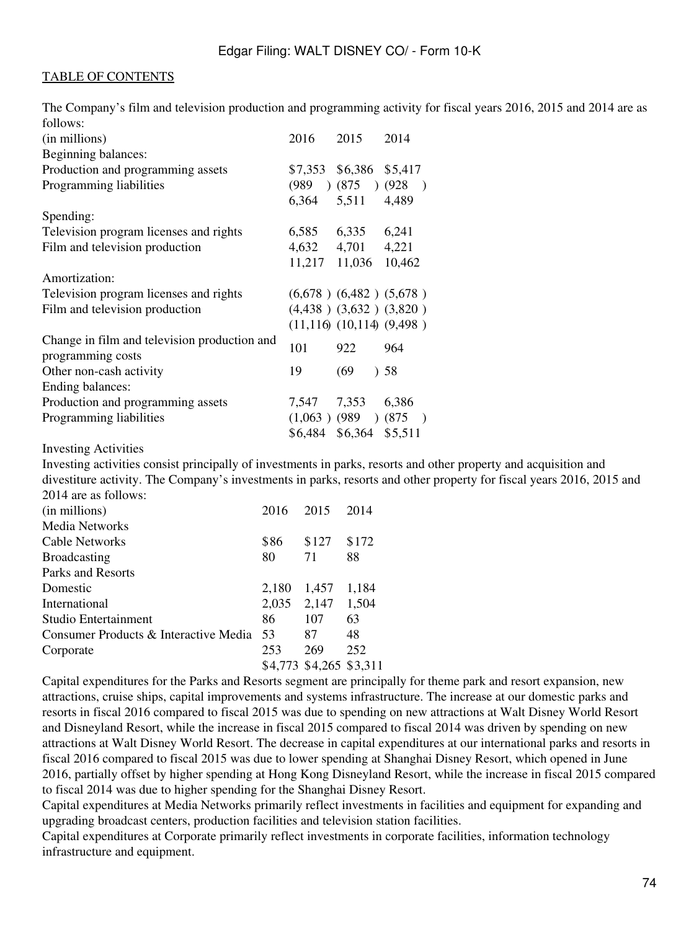The Company's film and television production and programming activity for fiscal years 2016, 2015 and 2014 are as follows:

| (in millions)                                | 2016 | 2015                               | 2014 |
|----------------------------------------------|------|------------------------------------|------|
| Beginning balances:                          |      |                                    |      |
| Production and programming assets            |      | \$7,353 \$6,386 \$5,417            |      |
| Programming liabilities                      |      | (989) (875) (928)                  |      |
|                                              |      | 6,364 5,511 4,489                  |      |
| Spending:                                    |      |                                    |      |
| Television program licenses and rights       |      | 6,585 6,335 6,241                  |      |
| Film and television production               |      | 4,632 4,701 4,221                  |      |
|                                              |      | 11,217 11,036 10,462               |      |
| Amortization:                                |      |                                    |      |
| Television program licenses and rights       |      | $(6,678)$ $(6,482)$ $(5,678)$      |      |
| Film and television production               |      | $(4,438)$ $(3,632)$ $(3,820)$      |      |
|                                              |      | $(11, 116)$ $(10, 114)$ $(9, 498)$ |      |
| Change in film and television production and | 101  | 922                                | 964  |
| programming costs                            |      |                                    |      |
| Other non-cash activity                      | 19   | (69)                               | 58   |
| Ending balances:                             |      |                                    |      |
| Production and programming assets            |      | 7,547 7,353 6,386                  |      |
| Programming liabilities                      |      | $(1,063)$ (989 ) (875 )            |      |
|                                              |      | \$6,484 \$6,364 \$5,511            |      |

Investing Activities

Investing activities consist principally of investments in parks, resorts and other property and acquisition and divestiture activity. The Company's investments in parks, resorts and other property for fiscal years 2016, 2015 and 2014 are as follows:

| 2011 are as roughy                    |       |                         |       |
|---------------------------------------|-------|-------------------------|-------|
| (in millions)                         | 2016  | 2015                    | 2014  |
| Media Networks                        |       |                         |       |
| Cable Networks                        | \$86  | \$127                   | \$172 |
| <b>Broadcasting</b>                   | 80    | 71                      | 88    |
| Parks and Resorts                     |       |                         |       |
| Domestic                              | 2,180 | 1,457                   | 1,184 |
| International                         | 2,035 | 2,147                   | 1,504 |
| Studio Entertainment                  | 86    | 107                     | 63    |
| Consumer Products & Interactive Media | 53    | 87                      | 48    |
| Corporate                             | 253   | 269                     | 252   |
|                                       |       | \$4,773 \$4,265 \$3,311 |       |

Capital expenditures for the Parks and Resorts segment are principally for theme park and resort expansion, new attractions, cruise ships, capital improvements and systems infrastructure. The increase at our domestic parks and resorts in fiscal 2016 compared to fiscal 2015 was due to spending on new attractions at Walt Disney World Resort and Disneyland Resort, while the increase in fiscal 2015 compared to fiscal 2014 was driven by spending on new attractions at Walt Disney World Resort. The decrease in capital expenditures at our international parks and resorts in fiscal 2016 compared to fiscal 2015 was due to lower spending at Shanghai Disney Resort, which opened in June 2016, partially offset by higher spending at Hong Kong Disneyland Resort, while the increase in fiscal 2015 compared to fiscal 2014 was due to higher spending for the Shanghai Disney Resort.

Capital expenditures at Media Networks primarily reflect investments in facilities and equipment for expanding and upgrading broadcast centers, production facilities and television station facilities.

Capital expenditures at Corporate primarily reflect investments in corporate facilities, information technology infrastructure and equipment.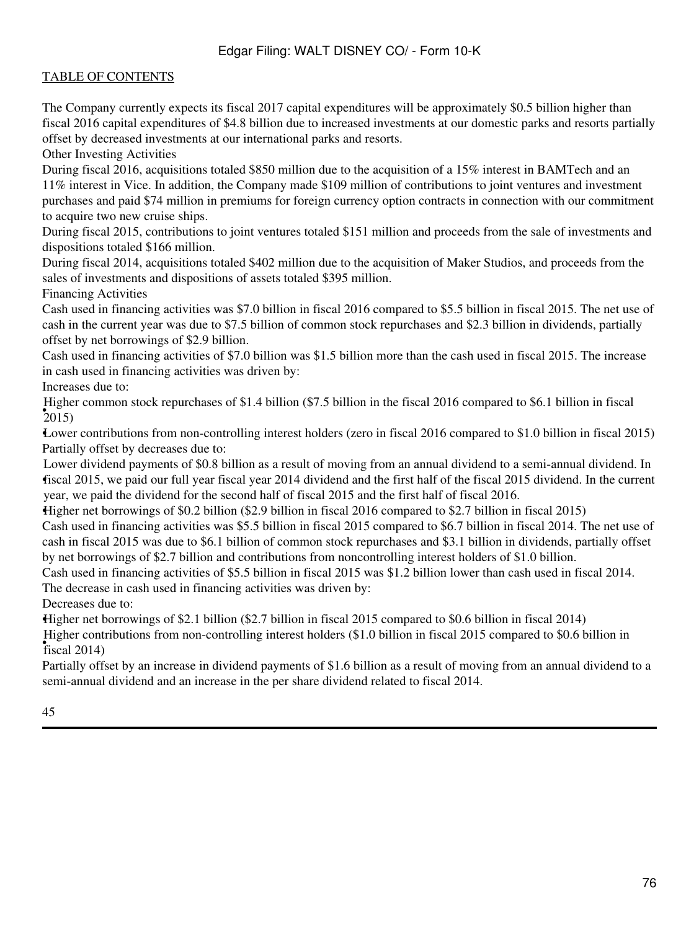#### [TABLE OF CONTENTS](#page-2-0)

The Company currently expects its fiscal 2017 capital expenditures will be approximately \$0.5 billion higher than fiscal 2016 capital expenditures of \$4.8 billion due to increased investments at our domestic parks and resorts partially offset by decreased investments at our international parks and resorts.

Other Investing Activities

During fiscal 2016, acquisitions totaled \$850 million due to the acquisition of a 15% interest in BAMTech and an 11% interest in Vice. In addition, the Company made \$109 million of contributions to joint ventures and investment purchases and paid \$74 million in premiums for foreign currency option contracts in connection with our commitment to acquire two new cruise ships.

During fiscal 2015, contributions to joint ventures totaled \$151 million and proceeds from the sale of investments and dispositions totaled \$166 million.

During fiscal 2014, acquisitions totaled \$402 million due to the acquisition of Maker Studios, and proceeds from the sales of investments and dispositions of assets totaled \$395 million.

Financing Activities

Cash used in financing activities was \$7.0 billion in fiscal 2016 compared to \$5.5 billion in fiscal 2015. The net use of cash in the current year was due to \$7.5 billion of common stock repurchases and \$2.3 billion in dividends, partially offset by net borrowings of \$2.9 billion.

Cash used in financing activities of \$7.0 billion was \$1.5 billion more than the cash used in fiscal 2015. The increase in cash used in financing activities was driven by:

Increases due to:

 $2015$ Higher common stock repurchases of \$1.4 billion (\$7.5 billion in the fiscal 2016 compared to \$6.1 billion in fiscal

•Lower contributions from non-controlling interest holders (zero in fiscal 2016 compared to \$1.0 billion in fiscal 2015) Partially offset by decreases due to:

fiscal 2015, we paid our full year fiscal year 2014 dividend and the first half of the fiscal 2015 dividend. In the current Lower dividend payments of \$0.8 billion as a result of moving from an annual dividend to a semi-annual dividend. In year, we paid the dividend for the second half of fiscal 2015 and the first half of fiscal 2016.

•Higher net borrowings of \$0.2 billion (\$2.9 billion in fiscal 2016 compared to \$2.7 billion in fiscal 2015) Cash used in financing activities was \$5.5 billion in fiscal 2015 compared to \$6.7 billion in fiscal 2014. The net use of

cash in fiscal 2015 was due to \$6.1 billion of common stock repurchases and \$3.1 billion in dividends, partially offset by net borrowings of \$2.7 billion and contributions from noncontrolling interest holders of \$1.0 billion.

Cash used in financing activities of \$5.5 billion in fiscal 2015 was \$1.2 billion lower than cash used in fiscal 2014. The decrease in cash used in financing activities was driven by:

Decreases due to:

•Higher net borrowings of \$2.1 billion (\$2.7 billion in fiscal 2015 compared to \$0.6 billion in fiscal 2014) fiscal 2014) Higher contributions from non-controlling interest holders (\$1.0 billion in fiscal 2015 compared to \$0.6 billion in

Partially offset by an increase in dividend payments of \$1.6 billion as a result of moving from an annual dividend to a semi-annual dividend and an increase in the per share dividend related to fiscal 2014.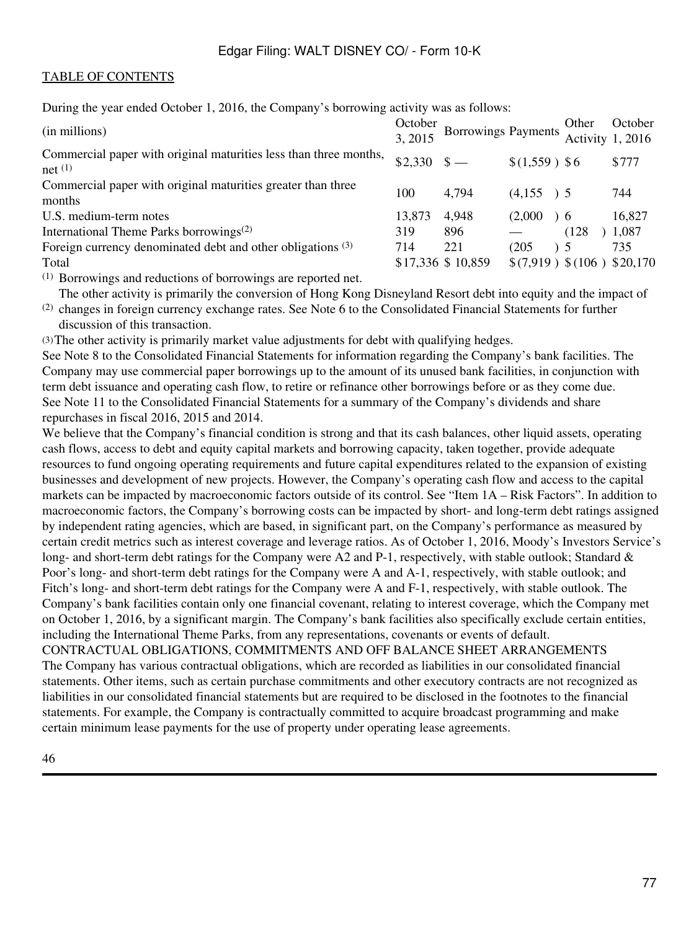During the year ended October 1, 2016, the Company's borrowing activity was as follows:

| (in millions)                                                               |               | October<br>3, 2015 Borrowings Payments |                            | Other<br><b>Activity 1, 2016</b> | October |
|-----------------------------------------------------------------------------|---------------|----------------------------------------|----------------------------|----------------------------------|---------|
| Commercial paper with original maturities less than three months,<br>net(1) | $$2,330$ \$ - |                                        | $$(1,559)$ \$6             |                                  | \$777   |
| Commercial paper with original maturities greater than three<br>months      | 100           | 4,794                                  | $(4,155)$ ) 5              |                                  | 744     |
| U.S. medium-term notes                                                      | 13,873        | 4,948                                  | (2.000)<br>$\rightarrow$ 6 |                                  | 16,827  |
| International Theme Parks borrowings <sup>(2)</sup>                         | 319           | 896                                    |                            | (128)                            | 1,087   |
| Foreign currency denominated debt and other obligations (3)                 | 714           | 221                                    | (205)                      | 5 <sub>5</sub>                   | 735     |
| Total                                                                       |               | \$17,336 \$10,859                      | \$(7,919) \$(106) \$20,170 |                                  |         |

(1) Borrowings and reductions of borrowings are reported net.

<sup>(2)</sup> changes in foreign currency exchange rates. See Note 6 to the Consolidated Financial Statements for further The other activity is primarily the conversion of Hong Kong Disneyland Resort debt into equity and the impact of discussion of this transaction.

(3)The other activity is primarily market value adjustments for debt with qualifying hedges.

See Note 8 to the Consolidated Financial Statements for information regarding the Company's bank facilities. The Company may use commercial paper borrowings up to the amount of its unused bank facilities, in conjunction with term debt issuance and operating cash flow, to retire or refinance other borrowings before or as they come due. See Note 11 to the Consolidated Financial Statements for a summary of the Company's dividends and share repurchases in fiscal 2016, 2015 and 2014.

We believe that the Company's financial condition is strong and that its cash balances, other liquid assets, operating cash flows, access to debt and equity capital markets and borrowing capacity, taken together, provide adequate resources to fund ongoing operating requirements and future capital expenditures related to the expansion of existing businesses and development of new projects. However, the Company's operating cash flow and access to the capital markets can be impacted by macroeconomic factors outside of its control. See "Item 1A – Risk Factors". In addition to macroeconomic factors, the Company's borrowing costs can be impacted by short- and long-term debt ratings assigned by independent rating agencies, which are based, in significant part, on the Company's performance as measured by certain credit metrics such as interest coverage and leverage ratios. As of October 1, 2016, Moody's Investors Service's long- and short-term debt ratings for the Company were A2 and P-1, respectively, with stable outlook; Standard & Poor's long- and short-term debt ratings for the Company were A and A-1, respectively, with stable outlook; and Fitch's long- and short-term debt ratings for the Company were A and F-1, respectively, with stable outlook. The Company's bank facilities contain only one financial covenant, relating to interest coverage, which the Company met on October 1, 2016, by a significant margin. The Company's bank facilities also specifically exclude certain entities, including the International Theme Parks, from any representations, covenants or events of default. CONTRACTUAL OBLIGATIONS, COMMITMENTS AND OFF BALANCE SHEET ARRANGEMENTS

The Company has various contractual obligations, which are recorded as liabilities in our consolidated financial statements. Other items, such as certain purchase commitments and other executory contracts are not recognized as liabilities in our consolidated financial statements but are required to be disclosed in the footnotes to the financial statements. For example, the Company is contractually committed to acquire broadcast programming and make certain minimum lease payments for the use of property under operating lease agreements.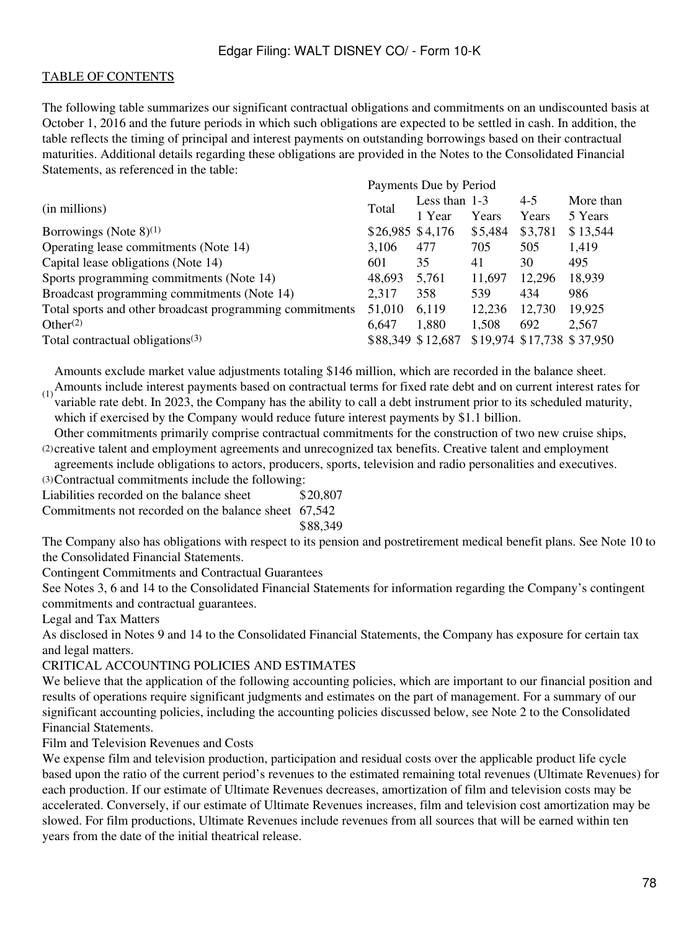The following table summarizes our significant contractual obligations and commitments on an undiscounted basis at October 1, 2016 and the future periods in which such obligations are expected to be settled in cash. In addition, the table reflects the timing of principal and interest payments on outstanding borrowings based on their contractual maturities. Additional details regarding these obligations are provided in the Notes to the Consolidated Financial Statements, as referenced in the table: Payments Due by Period

|                                                          |                   | Payments Due by Period |         |         |                            |
|----------------------------------------------------------|-------------------|------------------------|---------|---------|----------------------------|
| (in millions)                                            | Total             | Less than 1-3          |         | $4 - 5$ | More than                  |
|                                                          |                   | 1 Year                 | Years   | Years   | 5 Years                    |
| Borrowings (Note $8^{(1)}$ )                             | $$26,985$ \$4,176 |                        | \$5,484 | \$3,781 | \$13,544                   |
| Operating lease commitments (Note 14)                    | 3,106             | 477                    | 705     | 505     | 1,419                      |
| Capital lease obligations (Note 14)                      | 601               | 35                     | 41      | 30      | 495                        |
| Sports programming commitments (Note 14)                 | 48,693            | 5,761                  | 11,697  | 12,296  | 18,939                     |
| Broadcast programming commitments (Note 14)              | 2,317             | 358                    | 539     | 434     | 986                        |
| Total sports and other broadcast programming commitments | 51,010            | 6,119                  | 12,236  | 12,730  | 19,925                     |
| Other $(2)$                                              | 6,647             | 1,880                  | 1,508   | 692     | 2,567                      |
| Total contractual obligations <sup>(3)</sup>             |                   | \$88,349 \$12,687      |         |         | \$19,974 \$17,738 \$37,950 |
|                                                          |                   |                        |         |         |                            |

 $(1)$  Amounts include interest payments based on contractual terms for fixed rate debt and on current interest rates for Amounts exclude market value adjustments totaling \$146 million, which are recorded in the balance sheet.

variable rate debt. In 2023, the Company has the ability to call a debt instrument prior to its scheduled maturity, which if exercised by the Company would reduce future interest payments by \$1.1 billion.

(2) creative talent and employment agreements and unrecognized tax benefits. Creative talent and employment Other commitments primarily comprise contractual commitments for the construction of two new cruise ships,

agreements include obligations to actors, producers, sports, television and radio personalities and executives.

(3)Contractual commitments include the following:

Liabilities recorded on the balance sheet \$20,807

Commitments not recorded on the balance sheet 67,542

\$88,349

The Company also has obligations with respect to its pension and postretirement medical benefit plans. See Note 10 to the Consolidated Financial Statements.

Contingent Commitments and Contractual Guarantees

See Notes 3, 6 and 14 to the Consolidated Financial Statements for information regarding the Company's contingent commitments and contractual guarantees.

Legal and Tax Matters

As disclosed in Notes 9 and 14 to the Consolidated Financial Statements, the Company has exposure for certain tax and legal matters.

CRITICAL ACCOUNTING POLICIES AND ESTIMATES

We believe that the application of the following accounting policies, which are important to our financial position and results of operations require significant judgments and estimates on the part of management. For a summary of our significant accounting policies, including the accounting policies discussed below, see Note 2 to the Consolidated Financial Statements.

Film and Television Revenues and Costs

We expense film and television production, participation and residual costs over the applicable product life cycle based upon the ratio of the current period's revenues to the estimated remaining total revenues (Ultimate Revenues) for each production. If our estimate of Ultimate Revenues decreases, amortization of film and television costs may be accelerated. Conversely, if our estimate of Ultimate Revenues increases, film and television cost amortization may be slowed. For film productions, Ultimate Revenues include revenues from all sources that will be earned within ten years from the date of the initial theatrical release.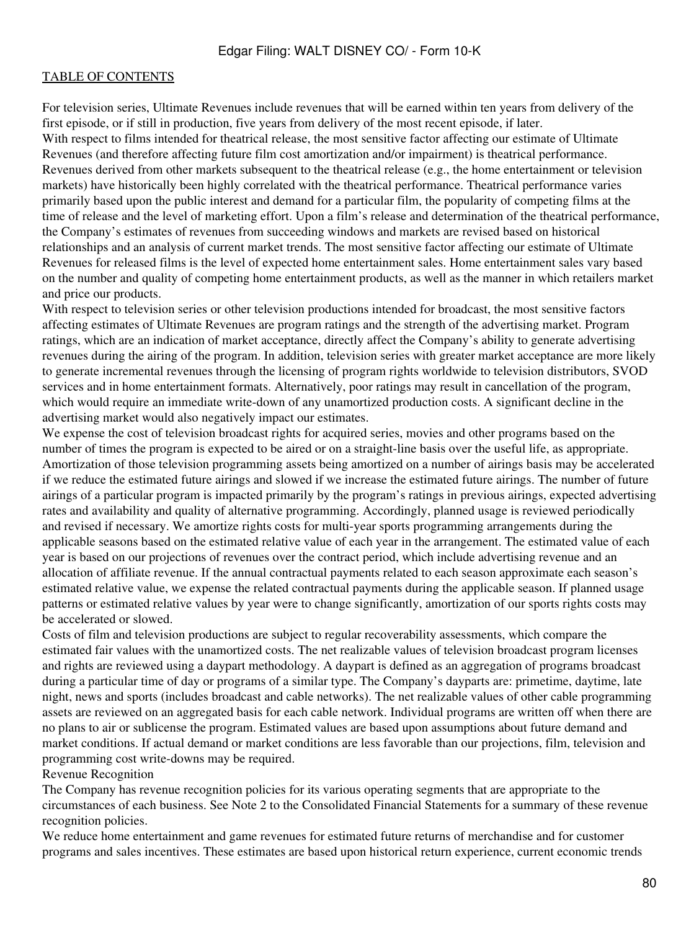For television series, Ultimate Revenues include revenues that will be earned within ten years from delivery of the first episode, or if still in production, five years from delivery of the most recent episode, if later. With respect to films intended for theatrical release, the most sensitive factor affecting our estimate of Ultimate Revenues (and therefore affecting future film cost amortization and/or impairment) is theatrical performance. Revenues derived from other markets subsequent to the theatrical release (e.g., the home entertainment or television markets) have historically been highly correlated with the theatrical performance. Theatrical performance varies primarily based upon the public interest and demand for a particular film, the popularity of competing films at the time of release and the level of marketing effort. Upon a film's release and determination of the theatrical performance, the Company's estimates of revenues from succeeding windows and markets are revised based on historical relationships and an analysis of current market trends. The most sensitive factor affecting our estimate of Ultimate Revenues for released films is the level of expected home entertainment sales. Home entertainment sales vary based on the number and quality of competing home entertainment products, as well as the manner in which retailers market and price our products.

With respect to television series or other television productions intended for broadcast, the most sensitive factors affecting estimates of Ultimate Revenues are program ratings and the strength of the advertising market. Program ratings, which are an indication of market acceptance, directly affect the Company's ability to generate advertising revenues during the airing of the program. In addition, television series with greater market acceptance are more likely to generate incremental revenues through the licensing of program rights worldwide to television distributors, SVOD services and in home entertainment formats. Alternatively, poor ratings may result in cancellation of the program, which would require an immediate write-down of any unamortized production costs. A significant decline in the advertising market would also negatively impact our estimates.

We expense the cost of television broadcast rights for acquired series, movies and other programs based on the number of times the program is expected to be aired or on a straight-line basis over the useful life, as appropriate. Amortization of those television programming assets being amortized on a number of airings basis may be accelerated if we reduce the estimated future airings and slowed if we increase the estimated future airings. The number of future airings of a particular program is impacted primarily by the program's ratings in previous airings, expected advertising rates and availability and quality of alternative programming. Accordingly, planned usage is reviewed periodically and revised if necessary. We amortize rights costs for multi-year sports programming arrangements during the applicable seasons based on the estimated relative value of each year in the arrangement. The estimated value of each year is based on our projections of revenues over the contract period, which include advertising revenue and an allocation of affiliate revenue. If the annual contractual payments related to each season approximate each season's estimated relative value, we expense the related contractual payments during the applicable season. If planned usage patterns or estimated relative values by year were to change significantly, amortization of our sports rights costs may be accelerated or slowed.

Costs of film and television productions are subject to regular recoverability assessments, which compare the estimated fair values with the unamortized costs. The net realizable values of television broadcast program licenses and rights are reviewed using a daypart methodology. A daypart is defined as an aggregation of programs broadcast during a particular time of day or programs of a similar type. The Company's dayparts are: primetime, daytime, late night, news and sports (includes broadcast and cable networks). The net realizable values of other cable programming assets are reviewed on an aggregated basis for each cable network. Individual programs are written off when there are no plans to air or sublicense the program. Estimated values are based upon assumptions about future demand and market conditions. If actual demand or market conditions are less favorable than our projections, film, television and programming cost write-downs may be required.

Revenue Recognition

The Company has revenue recognition policies for its various operating segments that are appropriate to the circumstances of each business. See Note 2 to the Consolidated Financial Statements for a summary of these revenue recognition policies.

We reduce home entertainment and game revenues for estimated future returns of merchandise and for customer programs and sales incentives. These estimates are based upon historical return experience, current economic trends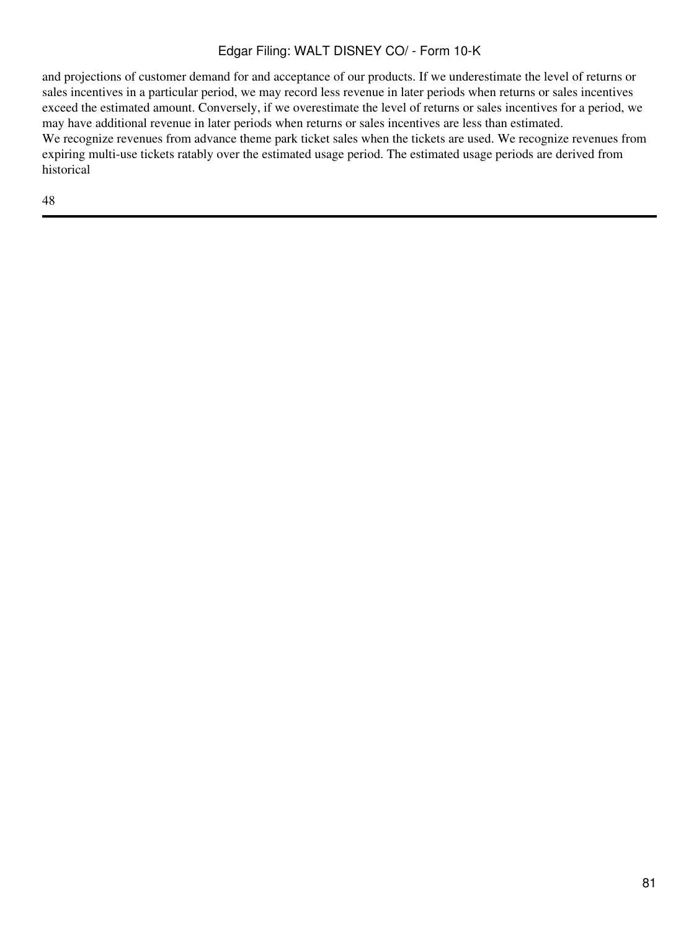and projections of customer demand for and acceptance of our products. If we underestimate the level of returns or sales incentives in a particular period, we may record less revenue in later periods when returns or sales incentives exceed the estimated amount. Conversely, if we overestimate the level of returns or sales incentives for a period, we may have additional revenue in later periods when returns or sales incentives are less than estimated. We recognize revenues from advance theme park ticket sales when the tickets are used. We recognize revenues from expiring multi-use tickets ratably over the estimated usage period. The estimated usage periods are derived from historical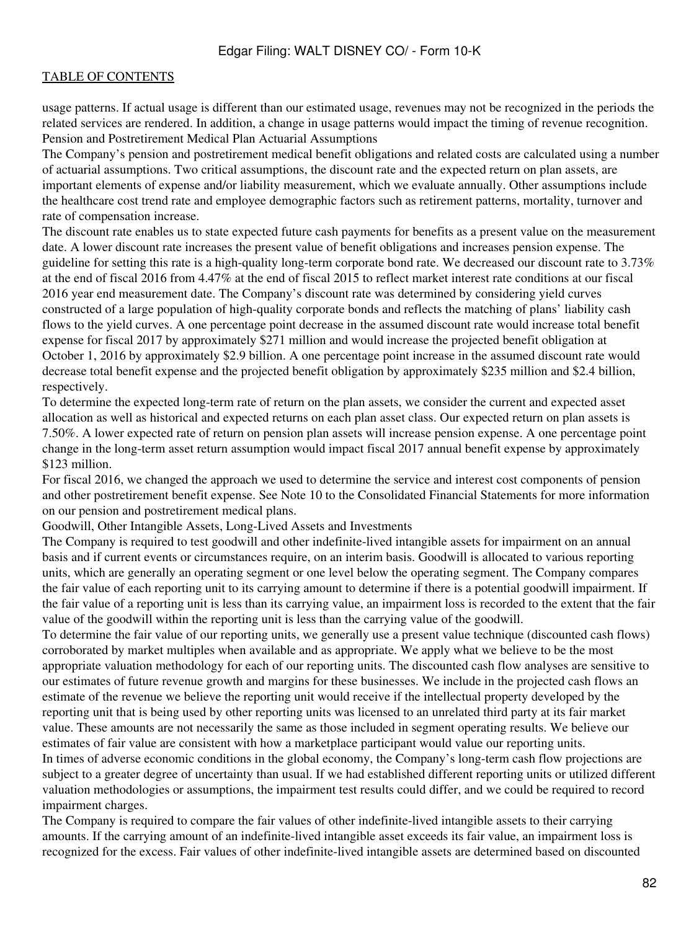usage patterns. If actual usage is different than our estimated usage, revenues may not be recognized in the periods the related services are rendered. In addition, a change in usage patterns would impact the timing of revenue recognition. Pension and Postretirement Medical Plan Actuarial Assumptions

The Company's pension and postretirement medical benefit obligations and related costs are calculated using a number of actuarial assumptions. Two critical assumptions, the discount rate and the expected return on plan assets, are important elements of expense and/or liability measurement, which we evaluate annually. Other assumptions include the healthcare cost trend rate and employee demographic factors such as retirement patterns, mortality, turnover and rate of compensation increase.

The discount rate enables us to state expected future cash payments for benefits as a present value on the measurement date. A lower discount rate increases the present value of benefit obligations and increases pension expense. The guideline for setting this rate is a high-quality long-term corporate bond rate. We decreased our discount rate to 3.73% at the end of fiscal 2016 from 4.47% at the end of fiscal 2015 to reflect market interest rate conditions at our fiscal 2016 year end measurement date. The Company's discount rate was determined by considering yield curves constructed of a large population of high-quality corporate bonds and reflects the matching of plans' liability cash flows to the yield curves. A one percentage point decrease in the assumed discount rate would increase total benefit expense for fiscal 2017 by approximately \$271 million and would increase the projected benefit obligation at October 1, 2016 by approximately \$2.9 billion. A one percentage point increase in the assumed discount rate would decrease total benefit expense and the projected benefit obligation by approximately \$235 million and \$2.4 billion, respectively.

To determine the expected long-term rate of return on the plan assets, we consider the current and expected asset allocation as well as historical and expected returns on each plan asset class. Our expected return on plan assets is 7.50%. A lower expected rate of return on pension plan assets will increase pension expense. A one percentage point change in the long-term asset return assumption would impact fiscal 2017 annual benefit expense by approximately \$123 million.

For fiscal 2016, we changed the approach we used to determine the service and interest cost components of pension and other postretirement benefit expense. See Note 10 to the Consolidated Financial Statements for more information on our pension and postretirement medical plans.

Goodwill, Other Intangible Assets, Long-Lived Assets and Investments

The Company is required to test goodwill and other indefinite-lived intangible assets for impairment on an annual basis and if current events or circumstances require, on an interim basis. Goodwill is allocated to various reporting units, which are generally an operating segment or one level below the operating segment. The Company compares the fair value of each reporting unit to its carrying amount to determine if there is a potential goodwill impairment. If the fair value of a reporting unit is less than its carrying value, an impairment loss is recorded to the extent that the fair value of the goodwill within the reporting unit is less than the carrying value of the goodwill.

To determine the fair value of our reporting units, we generally use a present value technique (discounted cash flows) corroborated by market multiples when available and as appropriate. We apply what we believe to be the most appropriate valuation methodology for each of our reporting units. The discounted cash flow analyses are sensitive to our estimates of future revenue growth and margins for these businesses. We include in the projected cash flows an estimate of the revenue we believe the reporting unit would receive if the intellectual property developed by the reporting unit that is being used by other reporting units was licensed to an unrelated third party at its fair market value. These amounts are not necessarily the same as those included in segment operating results. We believe our estimates of fair value are consistent with how a marketplace participant would value our reporting units. In times of adverse economic conditions in the global economy, the Company's long-term cash flow projections are subject to a greater degree of uncertainty than usual. If we had established different reporting units or utilized different valuation methodologies or assumptions, the impairment test results could differ, and we could be required to record

impairment charges.

The Company is required to compare the fair values of other indefinite-lived intangible assets to their carrying amounts. If the carrying amount of an indefinite-lived intangible asset exceeds its fair value, an impairment loss is recognized for the excess. Fair values of other indefinite-lived intangible assets are determined based on discounted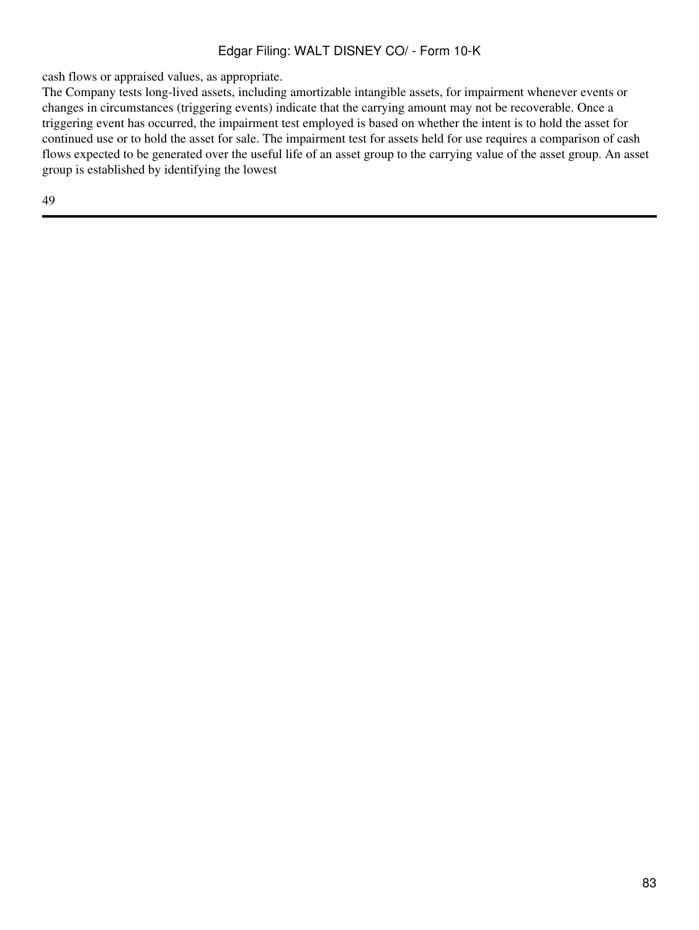cash flows or appraised values, as appropriate.

The Company tests long-lived assets, including amortizable intangible assets, for impairment whenever events or changes in circumstances (triggering events) indicate that the carrying amount may not be recoverable. Once a triggering event has occurred, the impairment test employed is based on whether the intent is to hold the asset for continued use or to hold the asset for sale. The impairment test for assets held for use requires a comparison of cash flows expected to be generated over the useful life of an asset group to the carrying value of the asset group. An asset group is established by identifying the lowest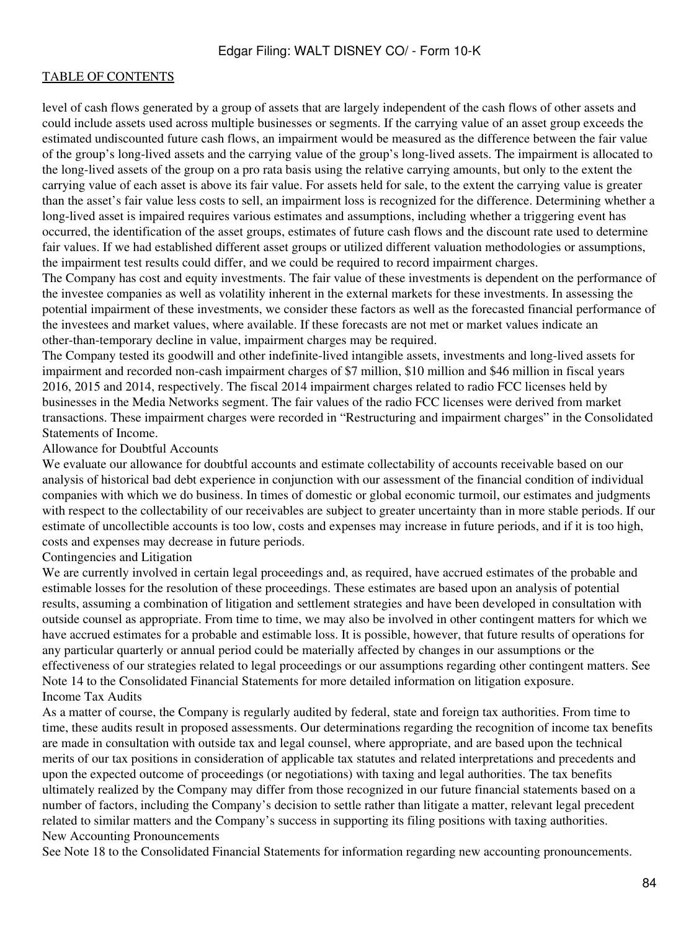level of cash flows generated by a group of assets that are largely independent of the cash flows of other assets and could include assets used across multiple businesses or segments. If the carrying value of an asset group exceeds the estimated undiscounted future cash flows, an impairment would be measured as the difference between the fair value of the group's long-lived assets and the carrying value of the group's long-lived assets. The impairment is allocated to the long-lived assets of the group on a pro rata basis using the relative carrying amounts, but only to the extent the carrying value of each asset is above its fair value. For assets held for sale, to the extent the carrying value is greater than the asset's fair value less costs to sell, an impairment loss is recognized for the difference. Determining whether a long-lived asset is impaired requires various estimates and assumptions, including whether a triggering event has occurred, the identification of the asset groups, estimates of future cash flows and the discount rate used to determine fair values. If we had established different asset groups or utilized different valuation methodologies or assumptions, the impairment test results could differ, and we could be required to record impairment charges.

The Company has cost and equity investments. The fair value of these investments is dependent on the performance of the investee companies as well as volatility inherent in the external markets for these investments. In assessing the potential impairment of these investments, we consider these factors as well as the forecasted financial performance of the investees and market values, where available. If these forecasts are not met or market values indicate an other-than-temporary decline in value, impairment charges may be required.

The Company tested its goodwill and other indefinite-lived intangible assets, investments and long-lived assets for impairment and recorded non-cash impairment charges of \$7 million, \$10 million and \$46 million in fiscal years 2016, 2015 and 2014, respectively. The fiscal 2014 impairment charges related to radio FCC licenses held by businesses in the Media Networks segment. The fair values of the radio FCC licenses were derived from market transactions. These impairment charges were recorded in "Restructuring and impairment charges" in the Consolidated Statements of Income.

Allowance for Doubtful Accounts

We evaluate our allowance for doubtful accounts and estimate collectability of accounts receivable based on our analysis of historical bad debt experience in conjunction with our assessment of the financial condition of individual companies with which we do business. In times of domestic or global economic turmoil, our estimates and judgments with respect to the collectability of our receivables are subject to greater uncertainty than in more stable periods. If our estimate of uncollectible accounts is too low, costs and expenses may increase in future periods, and if it is too high, costs and expenses may decrease in future periods.

Contingencies and Litigation

We are currently involved in certain legal proceedings and, as required, have accrued estimates of the probable and estimable losses for the resolution of these proceedings. These estimates are based upon an analysis of potential results, assuming a combination of litigation and settlement strategies and have been developed in consultation with outside counsel as appropriate. From time to time, we may also be involved in other contingent matters for which we have accrued estimates for a probable and estimable loss. It is possible, however, that future results of operations for any particular quarterly or annual period could be materially affected by changes in our assumptions or the effectiveness of our strategies related to legal proceedings or our assumptions regarding other contingent matters. See Note 14 to the Consolidated Financial Statements for more detailed information on litigation exposure. Income Tax Audits

As a matter of course, the Company is regularly audited by federal, state and foreign tax authorities. From time to time, these audits result in proposed assessments. Our determinations regarding the recognition of income tax benefits are made in consultation with outside tax and legal counsel, where appropriate, and are based upon the technical merits of our tax positions in consideration of applicable tax statutes and related interpretations and precedents and upon the expected outcome of proceedings (or negotiations) with taxing and legal authorities. The tax benefits ultimately realized by the Company may differ from those recognized in our future financial statements based on a number of factors, including the Company's decision to settle rather than litigate a matter, relevant legal precedent related to similar matters and the Company's success in supporting its filing positions with taxing authorities. New Accounting Pronouncements

See Note 18 to the Consolidated Financial Statements for information regarding new accounting pronouncements.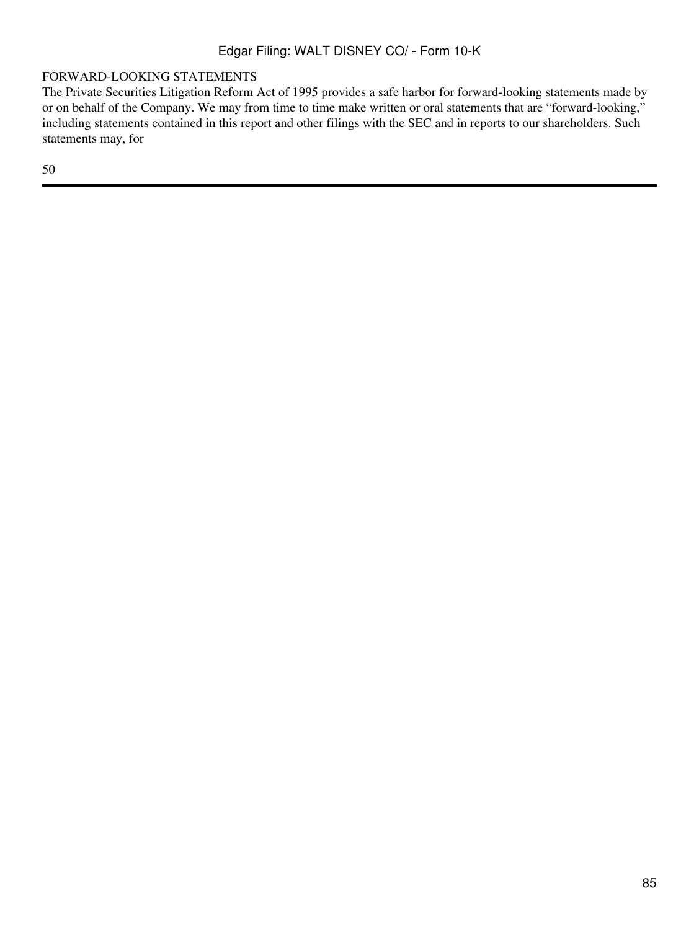### FORWARD-LOOKING STATEMENTS

The Private Securities Litigation Reform Act of 1995 provides a safe harbor for forward-looking statements made by or on behalf of the Company. We may from time to time make written or oral statements that are "forward-looking," including statements contained in this report and other filings with the SEC and in reports to our shareholders. Such statements may, for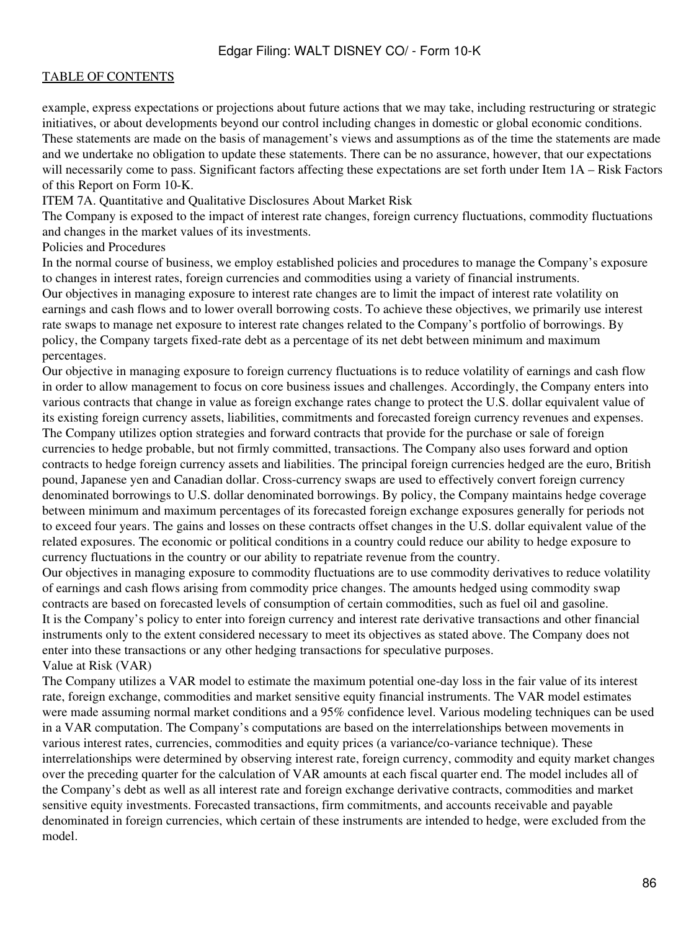example, express expectations or projections about future actions that we may take, including restructuring or strategic initiatives, or about developments beyond our control including changes in domestic or global economic conditions. These statements are made on the basis of management's views and assumptions as of the time the statements are made and we undertake no obligation to update these statements. There can be no assurance, however, that our expectations will necessarily come to pass. Significant factors affecting these expectations are set forth under Item  $1A - Risk$  Factors of this Report on Form 10-K.

ITEM 7A. Quantitative and Qualitative Disclosures About Market Risk

The Company is exposed to the impact of interest rate changes, foreign currency fluctuations, commodity fluctuations and changes in the market values of its investments.

#### Policies and Procedures

In the normal course of business, we employ established policies and procedures to manage the Company's exposure to changes in interest rates, foreign currencies and commodities using a variety of financial instruments. Our objectives in managing exposure to interest rate changes are to limit the impact of interest rate volatility on earnings and cash flows and to lower overall borrowing costs. To achieve these objectives, we primarily use interest rate swaps to manage net exposure to interest rate changes related to the Company's portfolio of borrowings. By policy, the Company targets fixed-rate debt as a percentage of its net debt between minimum and maximum percentages.

Our objective in managing exposure to foreign currency fluctuations is to reduce volatility of earnings and cash flow in order to allow management to focus on core business issues and challenges. Accordingly, the Company enters into various contracts that change in value as foreign exchange rates change to protect the U.S. dollar equivalent value of its existing foreign currency assets, liabilities, commitments and forecasted foreign currency revenues and expenses. The Company utilizes option strategies and forward contracts that provide for the purchase or sale of foreign currencies to hedge probable, but not firmly committed, transactions. The Company also uses forward and option contracts to hedge foreign currency assets and liabilities. The principal foreign currencies hedged are the euro, British pound, Japanese yen and Canadian dollar. Cross-currency swaps are used to effectively convert foreign currency denominated borrowings to U.S. dollar denominated borrowings. By policy, the Company maintains hedge coverage between minimum and maximum percentages of its forecasted foreign exchange exposures generally for periods not to exceed four years. The gains and losses on these contracts offset changes in the U.S. dollar equivalent value of the related exposures. The economic or political conditions in a country could reduce our ability to hedge exposure to currency fluctuations in the country or our ability to repatriate revenue from the country.

Our objectives in managing exposure to commodity fluctuations are to use commodity derivatives to reduce volatility of earnings and cash flows arising from commodity price changes. The amounts hedged using commodity swap contracts are based on forecasted levels of consumption of certain commodities, such as fuel oil and gasoline. It is the Company's policy to enter into foreign currency and interest rate derivative transactions and other financial instruments only to the extent considered necessary to meet its objectives as stated above. The Company does not enter into these transactions or any other hedging transactions for speculative purposes. Value at Risk (VAR)

The Company utilizes a VAR model to estimate the maximum potential one-day loss in the fair value of its interest rate, foreign exchange, commodities and market sensitive equity financial instruments. The VAR model estimates were made assuming normal market conditions and a 95% confidence level. Various modeling techniques can be used in a VAR computation. The Company's computations are based on the interrelationships between movements in various interest rates, currencies, commodities and equity prices (a variance/co-variance technique). These interrelationships were determined by observing interest rate, foreign currency, commodity and equity market changes over the preceding quarter for the calculation of VAR amounts at each fiscal quarter end. The model includes all of the Company's debt as well as all interest rate and foreign exchange derivative contracts, commodities and market sensitive equity investments. Forecasted transactions, firm commitments, and accounts receivable and payable denominated in foreign currencies, which certain of these instruments are intended to hedge, were excluded from the model.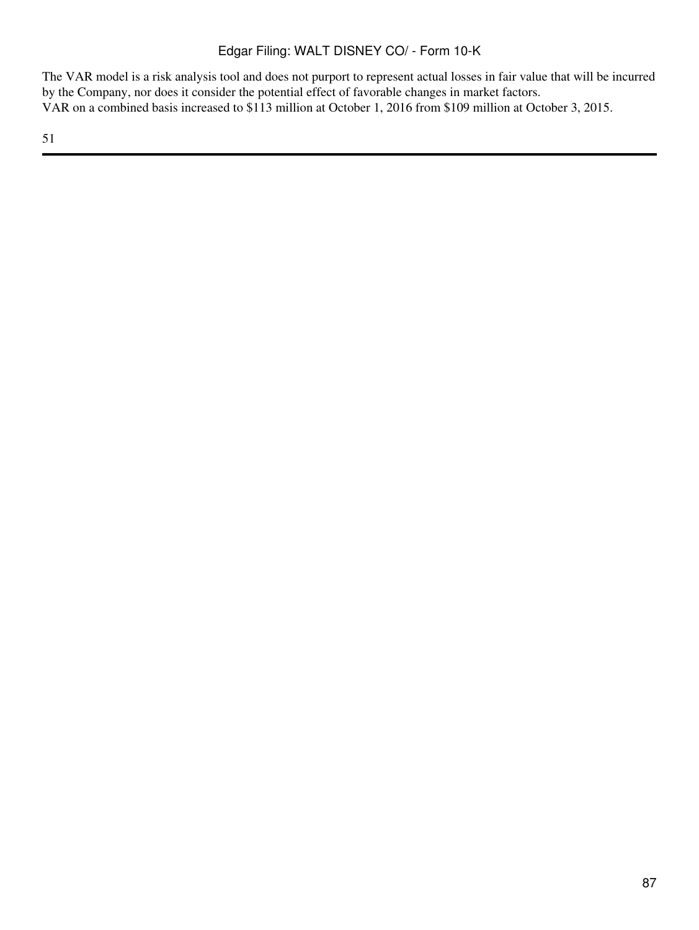The VAR model is a risk analysis tool and does not purport to represent actual losses in fair value that will be incurred by the Company, nor does it consider the potential effect of favorable changes in market factors. VAR on a combined basis increased to \$113 million at October 1, 2016 from \$109 million at October 3, 2015.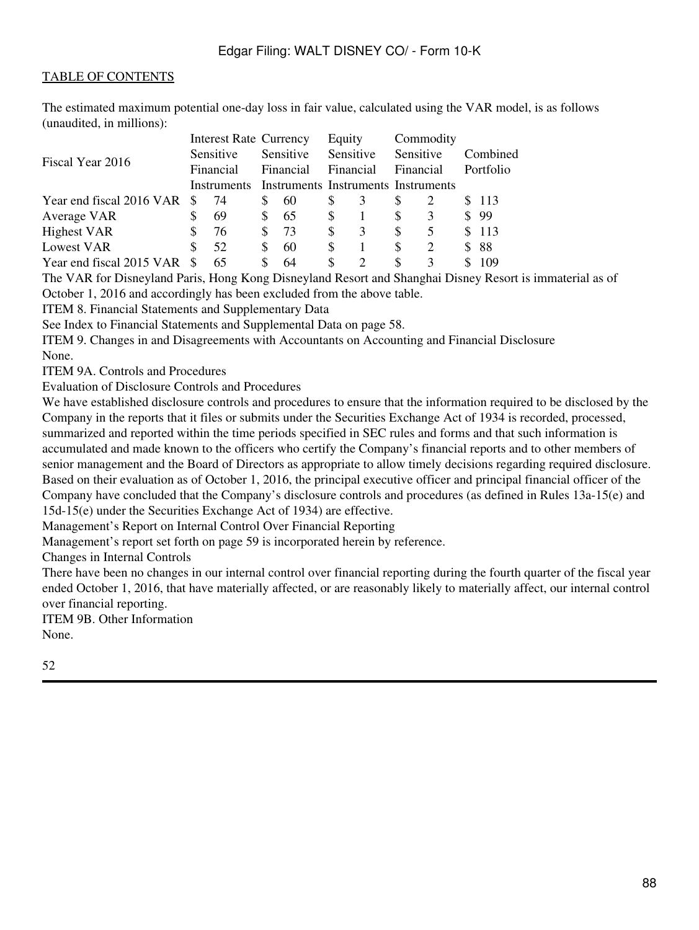The estimated maximum potential one-day loss in fair value, calculated using the VAR model, is as follows (unaudited, in millions):

|                          |           | <b>Interest Rate Currency</b> |              |                                     | Equity        |                             |           | Commodity |    |           |
|--------------------------|-----------|-------------------------------|--------------|-------------------------------------|---------------|-----------------------------|-----------|-----------|----|-----------|
|                          |           | Sensitive                     |              | Sensitive                           |               | Sensitive                   | Sensitive |           |    | Combined  |
| Fiscal Year 2016         | Financial |                               | Financial    |                                     | Financial     |                             | Financial |           |    | Portfolio |
|                          |           | Instruments                   |              | Instruments Instruments Instruments |               |                             |           |           |    |           |
| Year end fiscal 2016 VAR | -S        | 74                            | <sup>S</sup> | 60                                  | \$.           | 3                           | \$.       |           |    | \$113     |
| Average VAR              | S         | 69                            | S.           | 65                                  | <sup>\$</sup> |                             | S         | 3         | S. | -99       |
| <b>Highest VAR</b>       | S         | 76                            |              | 73                                  | S             | 3                           | S         | 5         |    | \$113     |
| <b>Lowest VAR</b>        | S         | 52                            |              | 60                                  | S             |                             | S         | 2         | S. | 88        |
| Year end fiscal 2015 VAR |           | 65                            |              | 64                                  | S             | $\mathcal{D}_{\mathcal{A}}$ | S         |           |    | 109       |

The VAR for Disneyland Paris, Hong Kong Disneyland Resort and Shanghai Disney Resort is immaterial as of October 1, 2016 and accordingly has been excluded from the above table.

ITEM 8. Financial Statements and Supplementary Data

See Index to Financial Statements and Supplemental Data on page 58.

ITEM 9. Changes in and Disagreements with Accountants on Accounting and Financial Disclosure None.

ITEM 9A. Controls and Procedures

Evaluation of Disclosure Controls and Procedures

We have established disclosure controls and procedures to ensure that the information required to be disclosed by the Company in the reports that it files or submits under the Securities Exchange Act of 1934 is recorded, processed, summarized and reported within the time periods specified in SEC rules and forms and that such information is accumulated and made known to the officers who certify the Company's financial reports and to other members of senior management and the Board of Directors as appropriate to allow timely decisions regarding required disclosure. Based on their evaluation as of October 1, 2016, the principal executive officer and principal financial officer of the Company have concluded that the Company's disclosure controls and procedures (as defined in Rules 13a-15(e) and 15d-15(e) under the Securities Exchange Act of 1934) are effective.

Management's Report on Internal Control Over Financial Reporting

Management's report set forth on page 59 is incorporated herein by reference.

Changes in Internal Controls

There have been no changes in our internal control over financial reporting during the fourth quarter of the fiscal year ended October 1, 2016, that have materially affected, or are reasonably likely to materially affect, our internal control over financial reporting.

ITEM 9B. Other Information None.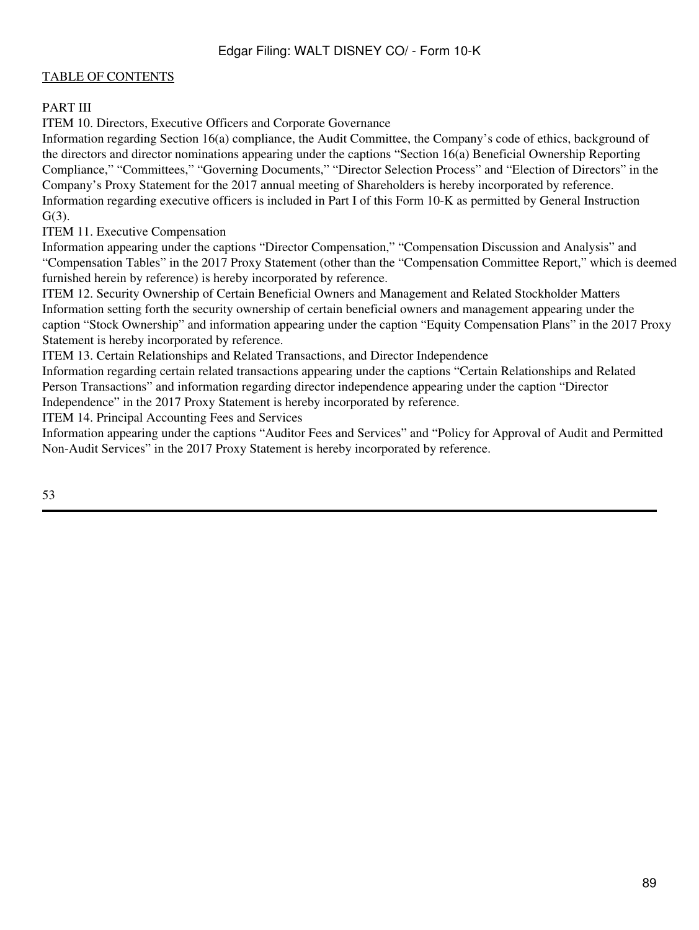### PART III

ITEM 10. Directors, Executive Officers and Corporate Governance

Information regarding Section 16(a) compliance, the Audit Committee, the Company's code of ethics, background of the directors and director nominations appearing under the captions "Section 16(a) Beneficial Ownership Reporting Compliance," "Committees," "Governing Documents," "Director Selection Process" and "Election of Directors" in the Company's Proxy Statement for the 2017 annual meeting of Shareholders is hereby incorporated by reference. Information regarding executive officers is included in Part I of this Form 10-K as permitted by General Instruction  $G(3)$ .

ITEM 11. Executive Compensation

Information appearing under the captions "Director Compensation," "Compensation Discussion and Analysis" and "Compensation Tables" in the 2017 Proxy Statement (other than the "Compensation Committee Report," which is deemed furnished herein by reference) is hereby incorporated by reference.

ITEM 12. Security Ownership of Certain Beneficial Owners and Management and Related Stockholder Matters Information setting forth the security ownership of certain beneficial owners and management appearing under the caption "Stock Ownership" and information appearing under the caption "Equity Compensation Plans" in the 2017 Proxy Statement is hereby incorporated by reference.

ITEM 13. Certain Relationships and Related Transactions, and Director Independence

Information regarding certain related transactions appearing under the captions "Certain Relationships and Related Person Transactions" and information regarding director independence appearing under the caption "Director Independence" in the 2017 Proxy Statement is hereby incorporated by reference.

ITEM 14. Principal Accounting Fees and Services

Information appearing under the captions "Auditor Fees and Services" and "Policy for Approval of Audit and Permitted Non-Audit Services" in the 2017 Proxy Statement is hereby incorporated by reference.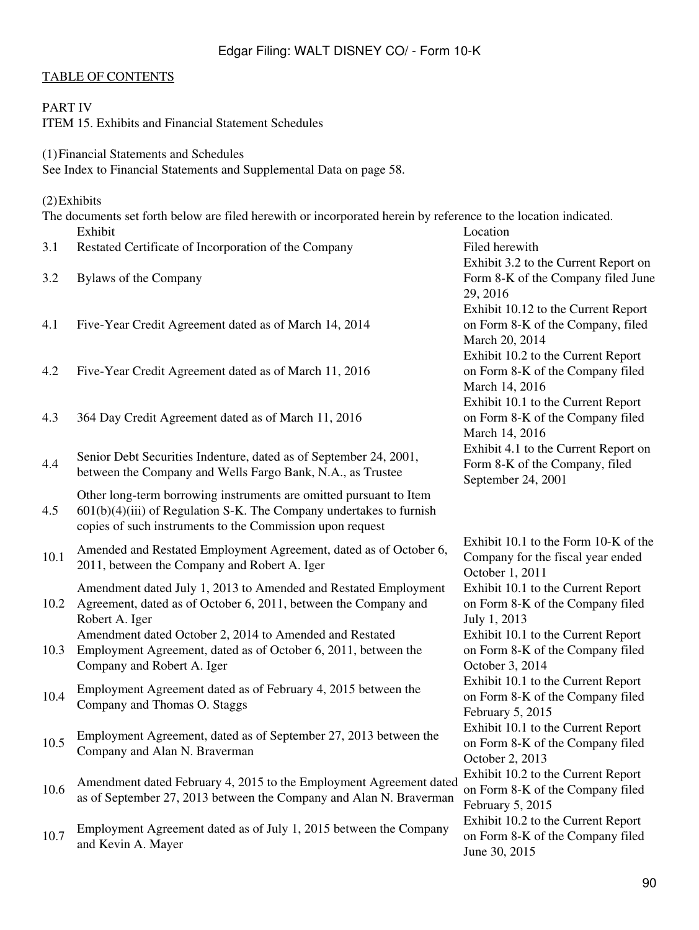#### PART IV

ITEM 15. Exhibits and Financial Statement Schedules

(1)Financial Statements and Schedules See Index to Financial Statements and Supplemental Data on page 58.

#### (2)Exhibits

The documents set forth below are filed herewith or incorporated herein by reference to the location indicated.

- Exhibit Location 3.1 Restated Certificate of Incorporation of the Company Filed herewith 3.2 Bylaws of the Company 29, 2016 4.1 Five-Year Credit Agreement dated as of March 14, 2014
- 4.2 Five-Year Credit Agreement dated as of March 11, 2016
- 4.3 364 Day Credit Agreement dated as of March 11, 2016
- 4.4 Senior Debt Securities Indenture, dated as of September 24, 2001, between the Company and Wells Fargo Bank, N.A., as Trustee

Other long-term borrowing instruments are omitted pursuant to Item

- 4.5  $601(b)(4)(iii)$  of Regulation S-K. The Company undertakes to furnish copies of such instruments to the Commission upon request
- 10.1 Amended and Restated Employment Agreement, dated as of October 6, 2011, between the Company and Robert A. Iger

Amendment dated July 1, 2013 to Amended and Restated Employment

- 10.2 Agreement, dated as of October 6, 2011, between the Company and Robert A. Iger Amendment dated October 2, 2014 to Amended and Restated
- 10.3 Employment Agreement, dated as of October 6, 2011, between the Company and Robert A. Iger
- 10.4 Employment Agreement dated as of February 4, 2015 between the Company and Thomas O. Staggs
- 10.5 Employment Agreement, dated as of September 27, 2013 between the Company and Alan N. Braverman
- 10.6 Amendment dated February 4, 2015 to the Employment Agreement dated as of September 27, 2013 between the Company and Alan N. Braverman
- 10.7 Employment Agreement dated as of July 1, 2015 between the Company and Kevin A. Mayer

Exhibit 3.2 to the Current Report on Form 8-K of the Company filed June Exhibit 10.12 to the Current Report on Form 8-K of the Company, filed March 20, 2014 Exhibit 10.2 to the Current Report on Form 8-K of the Company filed March 14, 2016 Exhibit 10.1 to the Current Report on Form 8-K of the Company filed March 14, 2016 Exhibit 4.1 to the Current Report on Form 8-K of the Company, filed September 24, 2001

Exhibit 10.1 to the Form 10-K of the Company for the fiscal year ended October 1, 2011 Exhibit 10.1 to the Current Report on Form 8-K of the Company filed July 1, 2013 Exhibit 10.1 to the Current Report on Form 8-K of the Company filed October 3, 2014 Exhibit 10.1 to the Current Report on Form 8-K of the Company filed February 5, 2015 Exhibit 10.1 to the Current Report on Form 8-K of the Company filed October 2, 2013 Exhibit 10.2 to the Current Report on Form 8-K of the Company filed February 5, 2015 Exhibit 10.2 to the Current Report on Form 8-K of the Company filed June 30, 2015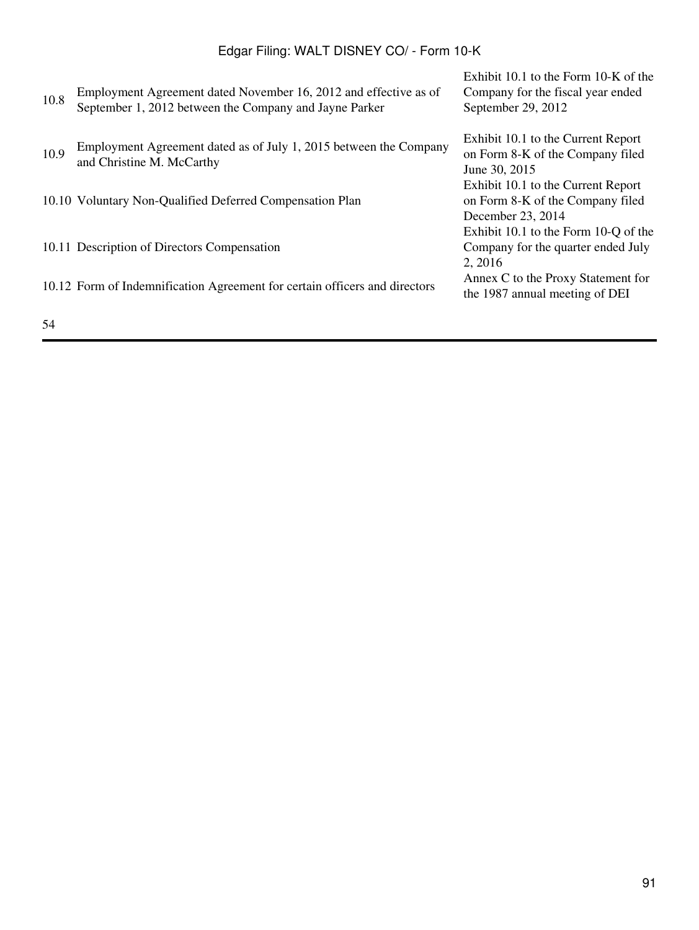| 10.8 | Employment Agreement dated November 16, 2012 and effective as of<br>September 1, 2012 between the Company and Jayne Parker | Exhibit 10.1 to the Form 10-K of the<br>Company for the fiscal year ended<br>September 29, 2012 |
|------|----------------------------------------------------------------------------------------------------------------------------|-------------------------------------------------------------------------------------------------|
| 10.9 | Employment Agreement dated as of July 1, 2015 between the Company<br>and Christine M. McCarthy                             | Exhibit 10.1 to the Current Report<br>on Form 8-K of the Company filed<br>June 30, 2015         |
|      | 10.10 Voluntary Non-Qualified Deferred Compensation Plan                                                                   | Exhibit 10.1 to the Current Report<br>on Form 8-K of the Company filed<br>December 23, 2014     |
|      | 10.11 Description of Directors Compensation                                                                                | Exhibit 10.1 to the Form 10-Q of the<br>Company for the quarter ended July<br>2, 2016           |
|      | 10.12 Form of Indemnification Agreement for certain officers and directors                                                 | Annex C to the Proxy Statement for<br>the 1987 annual meeting of DEI                            |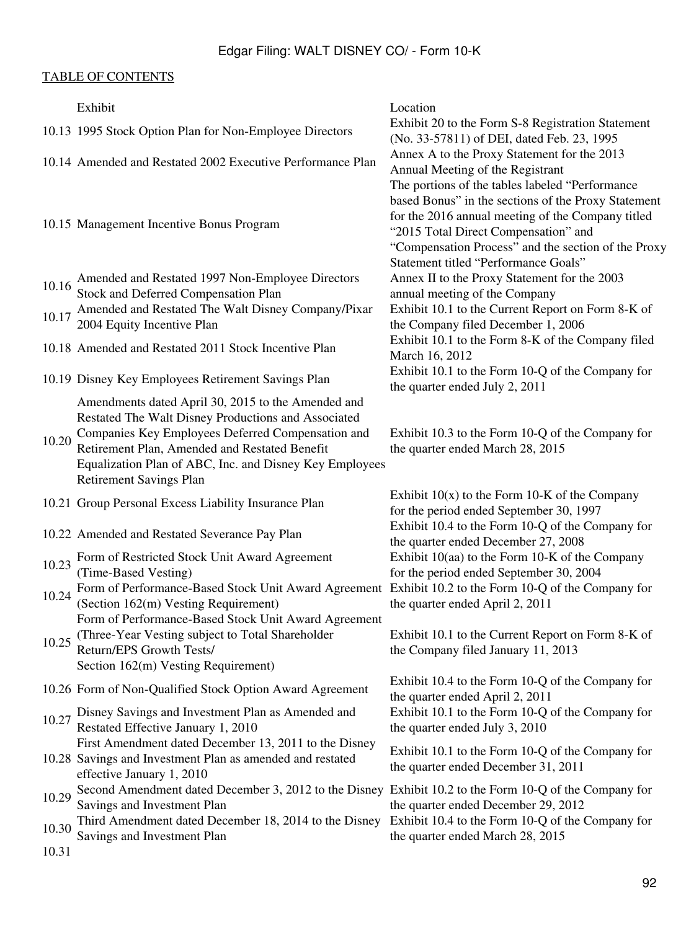|           | Exhibit                                                                                                                                                                                                                                                                                                      | Location                                                                                                                                                                                                                                                                                           |
|-----------|--------------------------------------------------------------------------------------------------------------------------------------------------------------------------------------------------------------------------------------------------------------------------------------------------------------|----------------------------------------------------------------------------------------------------------------------------------------------------------------------------------------------------------------------------------------------------------------------------------------------------|
|           | 10.13 1995 Stock Option Plan for Non-Employee Directors                                                                                                                                                                                                                                                      | Exhibit 20 to the Form S-8 Registration Statement<br>(No. 33-57811) of DEI, dated Feb. 23, 1995                                                                                                                                                                                                    |
|           | 10.14 Amended and Restated 2002 Executive Performance Plan                                                                                                                                                                                                                                                   | Annex A to the Proxy Statement for the 2013<br>Annual Meeting of the Registrant                                                                                                                                                                                                                    |
|           | 10.15 Management Incentive Bonus Program                                                                                                                                                                                                                                                                     | The portions of the tables labeled "Performance<br>based Bonus" in the sections of the Proxy Statement<br>for the 2016 annual meeting of the Company titled<br>"2015 Total Direct Compensation" and<br>"Compensation Process" and the section of the Proxy<br>Statement titled "Performance Goals" |
| $10.16\,$ | Amended and Restated 1997 Non-Employee Directors<br>Stock and Deferred Compensation Plan                                                                                                                                                                                                                     | Annex II to the Proxy Statement for the 2003<br>annual meeting of the Company                                                                                                                                                                                                                      |
| 10.17     | Amended and Restated The Walt Disney Company/Pixar<br>2004 Equity Incentive Plan                                                                                                                                                                                                                             | Exhibit 10.1 to the Current Report on Form 8-K of<br>the Company filed December 1, 2006                                                                                                                                                                                                            |
|           | 10.18 Amended and Restated 2011 Stock Incentive Plan                                                                                                                                                                                                                                                         | Exhibit 10.1 to the Form 8-K of the Company filed<br>March 16, 2012                                                                                                                                                                                                                                |
|           | 10.19 Disney Key Employees Retirement Savings Plan                                                                                                                                                                                                                                                           | Exhibit 10.1 to the Form 10-Q of the Company for<br>the quarter ended July 2, 2011                                                                                                                                                                                                                 |
| 10.20     | Amendments dated April 30, 2015 to the Amended and<br>Restated The Walt Disney Productions and Associated<br>Companies Key Employees Deferred Compensation and<br>Retirement Plan, Amended and Restated Benefit<br>Equalization Plan of ABC, Inc. and Disney Key Employees<br><b>Retirement Savings Plan</b> | Exhibit 10.3 to the Form 10-Q of the Company for<br>the quarter ended March 28, 2015                                                                                                                                                                                                               |
|           | 10.21 Group Personal Excess Liability Insurance Plan                                                                                                                                                                                                                                                         | Exhibit $10(x)$ to the Form 10-K of the Company<br>for the period ended September 30, 1997                                                                                                                                                                                                         |
|           | 10.22 Amended and Restated Severance Pay Plan                                                                                                                                                                                                                                                                | Exhibit 10.4 to the Form 10-Q of the Company for<br>the quarter ended December 27, 2008                                                                                                                                                                                                            |
| 10.23     | Form of Restricted Stock Unit Award Agreement<br>(Time-Based Vesting)                                                                                                                                                                                                                                        | Exhibit $10(aa)$ to the Form $10-K$ of the Company<br>for the period ended September 30, 2004                                                                                                                                                                                                      |
| 10.24     | Form of Performance-Based Stock Unit Award Agreement Exhibit 10.2 to the Form 10-Q of the Company for<br>(Section 162(m) Vesting Requirement)                                                                                                                                                                | the quarter ended April 2, 2011                                                                                                                                                                                                                                                                    |
| 10.25     | Form of Performance-Based Stock Unit Award Agreement<br>(Three-Year Vesting subject to Total Shareholder<br>Return/EPS Growth Tests/<br>Section 162(m) Vesting Requirement)                                                                                                                                  | Exhibit 10.1 to the Current Report on Form 8-K of<br>the Company filed January 11, 2013                                                                                                                                                                                                            |
|           | 10.26 Form of Non-Qualified Stock Option Award Agreement                                                                                                                                                                                                                                                     | Exhibit 10.4 to the Form 10-Q of the Company for<br>the quarter ended April 2, 2011                                                                                                                                                                                                                |
| 10.27     | Disney Savings and Investment Plan as Amended and<br>Restated Effective January 1, 2010                                                                                                                                                                                                                      | Exhibit 10.1 to the Form 10-Q of the Company for<br>the quarter ended July 3, 2010                                                                                                                                                                                                                 |
|           | First Amendment dated December 13, 2011 to the Disney<br>10.28 Savings and Investment Plan as amended and restated<br>effective January 1, 2010                                                                                                                                                              | Exhibit 10.1 to the Form 10-Q of the Company for<br>the quarter ended December 31, 2011                                                                                                                                                                                                            |
| 10.29     | Second Amendment dated December 3, 2012 to the Disney Exhibit 10.2 to the Form 10-Q of the Company for<br>Savings and Investment Plan                                                                                                                                                                        | the quarter ended December 29, 2012                                                                                                                                                                                                                                                                |
| 10.30     | Third Amendment dated December 18, 2014 to the Disney<br>Savings and Investment Plan                                                                                                                                                                                                                         | Exhibit 10.4 to the Form 10-Q of the Company for<br>the quarter ended March 28, 2015                                                                                                                                                                                                               |
| 10.31     |                                                                                                                                                                                                                                                                                                              |                                                                                                                                                                                                                                                                                                    |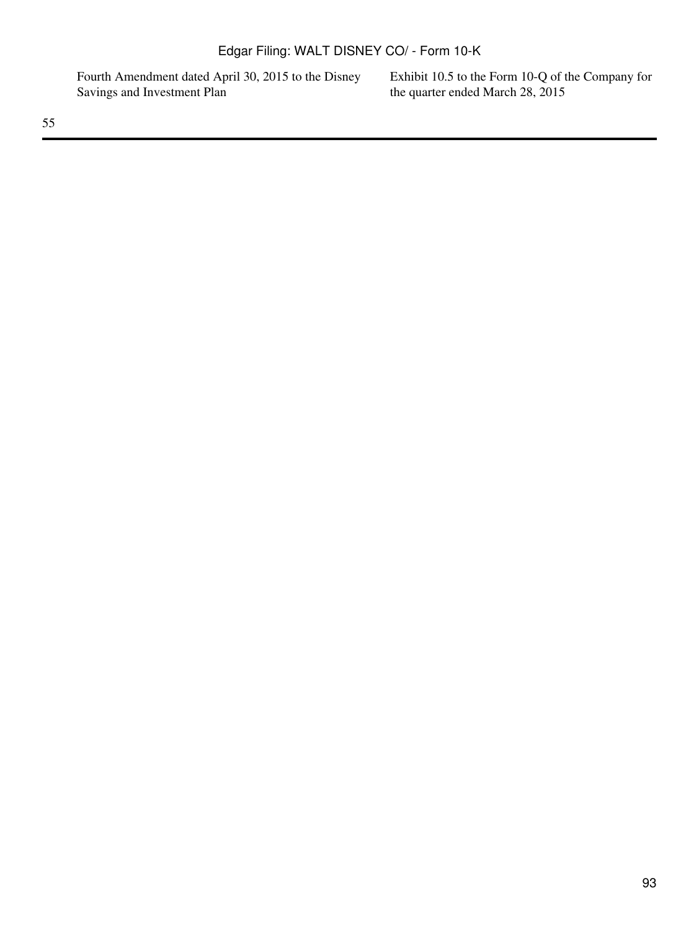Fourth Amendment dated April 30, 2015 to the Disney Savings and Investment Plan

Exhibit 10.5 to the Form 10-Q of the Company for the quarter ended March 28, 2015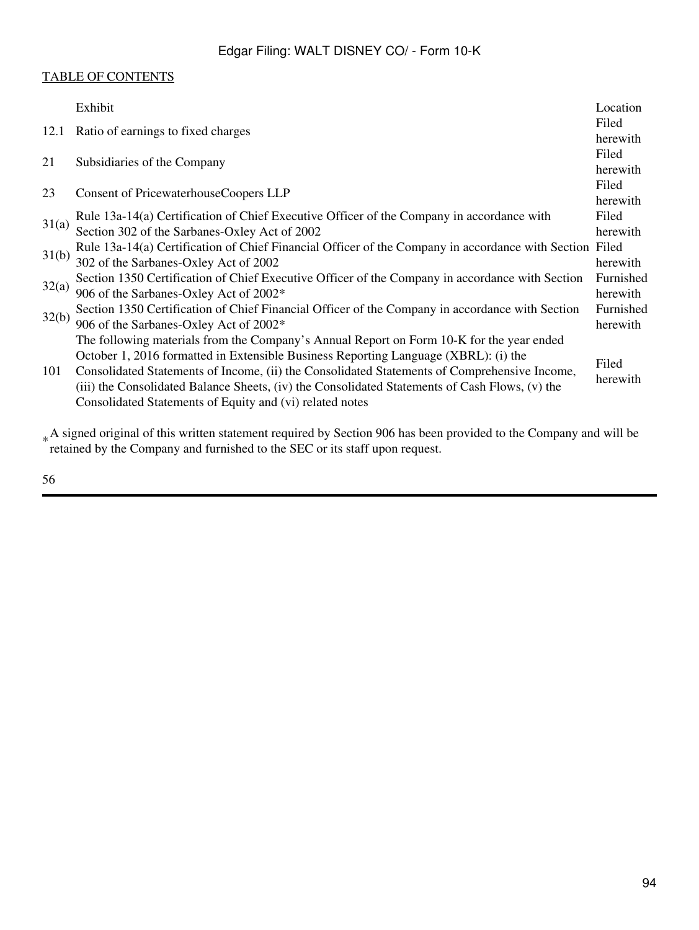|       | Exhibit                                                                                                                                    | Location          |
|-------|--------------------------------------------------------------------------------------------------------------------------------------------|-------------------|
| 12.1  | Ratio of earnings to fixed charges                                                                                                         | Filed             |
|       |                                                                                                                                            | herewith          |
| 21    | Subsidiaries of the Company                                                                                                                | Filed             |
|       |                                                                                                                                            | herewith          |
| 23    | <b>Consent of PricewaterhouseCoopers LLP</b>                                                                                               | Filed             |
|       |                                                                                                                                            | herewith          |
| 31(a) | Rule 13a-14(a) Certification of Chief Executive Officer of the Company in accordance with<br>Section 302 of the Sarbanes-Oxley Act of 2002 | Filed<br>herewith |
|       | Rule 13a-14(a) Certification of Chief Financial Officer of the Company in accordance with Section Filed                                    |                   |
| 31(b) | 302 of the Sarbanes-Oxley Act of 2002                                                                                                      | herewith          |
|       | Section 1350 Certification of Chief Executive Officer of the Company in accordance with Section                                            | Furnished         |
| 32(a) | 906 of the Sarbanes-Oxley Act of 2002*                                                                                                     | herewith          |
|       | Section 1350 Certification of Chief Financial Officer of the Company in accordance with Section                                            | Furnished         |
| 32(b) | 906 of the Sarbanes-Oxley Act of 2002*                                                                                                     | herewith          |
|       | The following materials from the Company's Annual Report on Form 10-K for the year ended                                                   |                   |
|       | October 1, 2016 formatted in Extensible Business Reporting Language (XBRL): (i) the                                                        | Filed             |
| 101   | Consolidated Statements of Income, (ii) the Consolidated Statements of Comprehensive Income,                                               | herewith          |
|       | (iii) the Consolidated Balance Sheets, (iv) the Consolidated Statements of Cash Flows, (v) the                                             |                   |
|       | Consolidated Statements of Equity and (vi) related notes                                                                                   |                   |

\*A signed original of this written statement required by Section 906 has been provided to the Company and will be retained by the Company and furnished to the SEC or its staff upon request.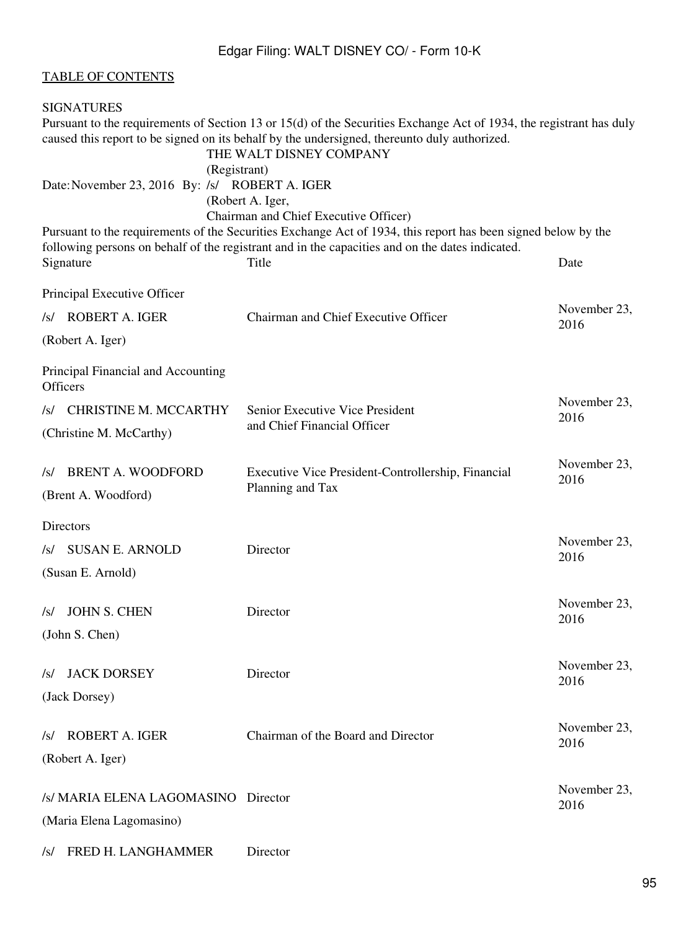| <b>SIGNATURES</b>                              |                                                                                                                         |                      |
|------------------------------------------------|-------------------------------------------------------------------------------------------------------------------------|----------------------|
|                                                | Pursuant to the requirements of Section 13 or 15(d) of the Securities Exchange Act of 1934, the registrant has duly     |                      |
|                                                | caused this report to be signed on its behalf by the undersigned, thereunto duly authorized.<br>THE WALT DISNEY COMPANY |                      |
| (Registrant)                                   |                                                                                                                         |                      |
| Date: November 23, 2016 By: /s/ ROBERT A. IGER |                                                                                                                         |                      |
|                                                | (Robert A. Iger,<br>Chairman and Chief Executive Officer)                                                               |                      |
|                                                | Pursuant to the requirements of the Securities Exchange Act of 1934, this report has been signed below by the           |                      |
|                                                | following persons on behalf of the registrant and in the capacities and on the dates indicated.                         |                      |
| Signature                                      | Title                                                                                                                   | Date                 |
| Principal Executive Officer                    |                                                                                                                         |                      |
| /s/ ROBERT A. IGER                             | Chairman and Chief Executive Officer                                                                                    | November 23,<br>2016 |
| (Robert A. Iger)                               |                                                                                                                         |                      |
|                                                |                                                                                                                         |                      |
| Principal Financial and Accounting<br>Officers |                                                                                                                         |                      |
| CHRISTINE M. MCCARTHY<br>$\sqrt{s}$            | Senior Executive Vice President                                                                                         | November 23,         |
| (Christine M. McCarthy)                        | and Chief Financial Officer                                                                                             | 2016                 |
|                                                |                                                                                                                         |                      |
| <b>BRENT A. WOODFORD</b><br>/s/                | Executive Vice President-Controllership, Financial                                                                      | November 23,         |
| (Brent A. Woodford)                            | Planning and Tax                                                                                                        | 2016                 |
|                                                |                                                                                                                         |                      |
| Directors                                      |                                                                                                                         |                      |
| <b>SUSAN E. ARNOLD</b><br>$\sqrt{s}$           | Director                                                                                                                | November 23,<br>2016 |
| (Susan E. Arnold)                              |                                                                                                                         |                      |
|                                                |                                                                                                                         |                      |
| /s/ JOHN S. CHEN                               | Director                                                                                                                | November 23,<br>2016 |
| (John S. Chen)                                 |                                                                                                                         |                      |
|                                                |                                                                                                                         | November 23,         |
| <b>JACK DORSEY</b><br>$\sqrt{s}$               | Director                                                                                                                | 2016                 |
| (Jack Dorsey)                                  |                                                                                                                         |                      |
|                                                |                                                                                                                         | November 23,         |
| <b>ROBERT A. IGER</b><br>/s/                   | Chairman of the Board and Director                                                                                      | 2016                 |
| (Robert A. Iger)                               |                                                                                                                         |                      |
| /s/ MARIA ELENA LAGOMASINO Director            |                                                                                                                         | November 23,         |
|                                                |                                                                                                                         | 2016                 |
| (Maria Elena Lagomasino)                       |                                                                                                                         |                      |
| FRED H. LANGHAMMER<br>$\sqrt{s}$               | Director                                                                                                                |                      |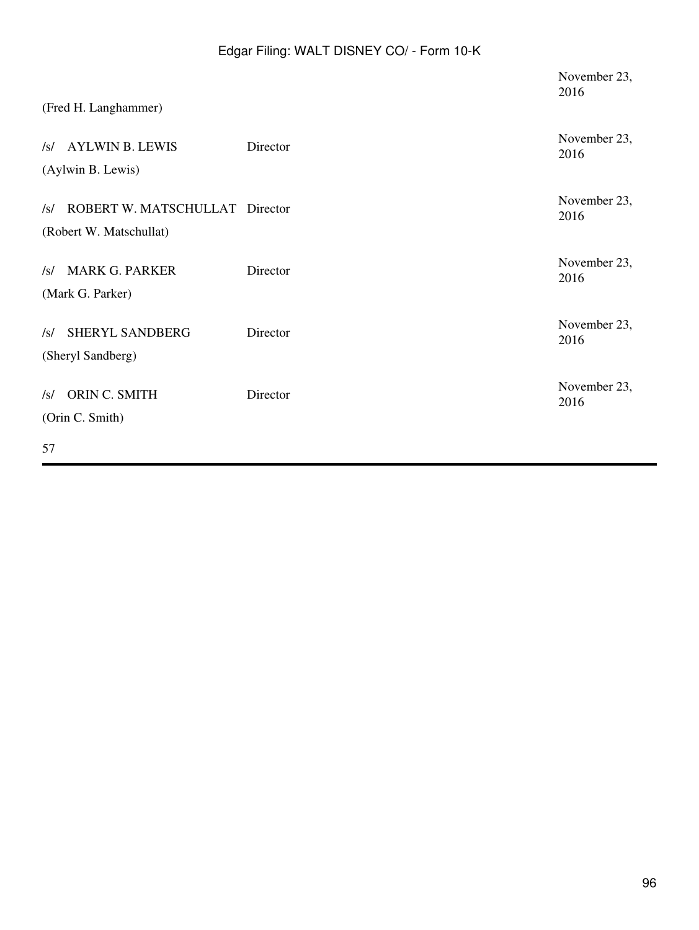|            | (Fred H. Langhammer)                                      |          | November 23,<br>2016 |
|------------|-----------------------------------------------------------|----------|----------------------|
| /s/        | <b>AYLWIN B. LEWIS</b><br>(Aylwin B. Lewis)               | Director | November 23,<br>2016 |
| $\sqrt{s}$ | ROBERT W. MATSCHULLAT Director<br>(Robert W. Matschullat) |          | November 23,<br>2016 |
| $\sqrt{s}$ | <b>MARK G. PARKER</b><br>(Mark G. Parker)                 | Director | November 23,<br>2016 |
| /s/        | <b>SHERYL SANDBERG</b><br>(Sheryl Sandberg)               | Director | November 23,<br>2016 |
| $\sqrt{s}$ | ORIN C. SMITH<br>(Orin C. Smith)                          | Director | November 23,<br>2016 |
| 57         |                                                           |          |                      |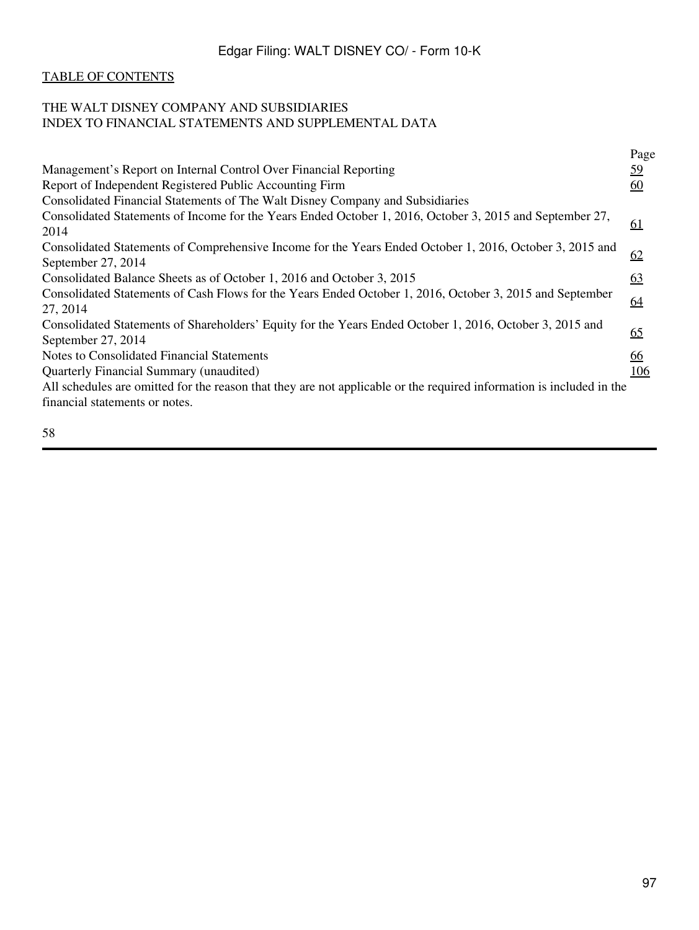# THE WALT DISNEY COMPANY AND SUBSIDIARIES INDEX TO FINANCIAL STATEMENTS AND SUPPLEMENTAL DATA

|                                                                                                                                                        | Page      |
|--------------------------------------------------------------------------------------------------------------------------------------------------------|-----------|
| Management's Report on Internal Control Over Financial Reporting                                                                                       | <u>59</u> |
| Report of Independent Registered Public Accounting Firm                                                                                                | 60        |
| Consolidated Financial Statements of The Walt Disney Company and Subsidiaries                                                                          |           |
| Consolidated Statements of Income for the Years Ended October 1, 2016, October 3, 2015 and September 27,<br>2014                                       | <u>61</u> |
| Consolidated Statements of Comprehensive Income for the Years Ended October 1, 2016, October 3, 2015 and<br>September 27, 2014                         | 62        |
| Consolidated Balance Sheets as of October 1, 2016 and October 3, 2015                                                                                  | 63        |
| Consolidated Statements of Cash Flows for the Years Ended October 1, 2016, October 3, 2015 and September<br>27, 2014                                   | <u>64</u> |
| Consolidated Statements of Shareholders' Equity for the Years Ended October 1, 2016, October 3, 2015 and<br>September 27, 2014                         | <u>65</u> |
| Notes to Consolidated Financial Statements                                                                                                             | <u>66</u> |
| <b>Quarterly Financial Summary (unaudited)</b>                                                                                                         | 106       |
| All schedules are omitted for the reason that they are not applicable or the required information is included in the<br>financial statements or notes. |           |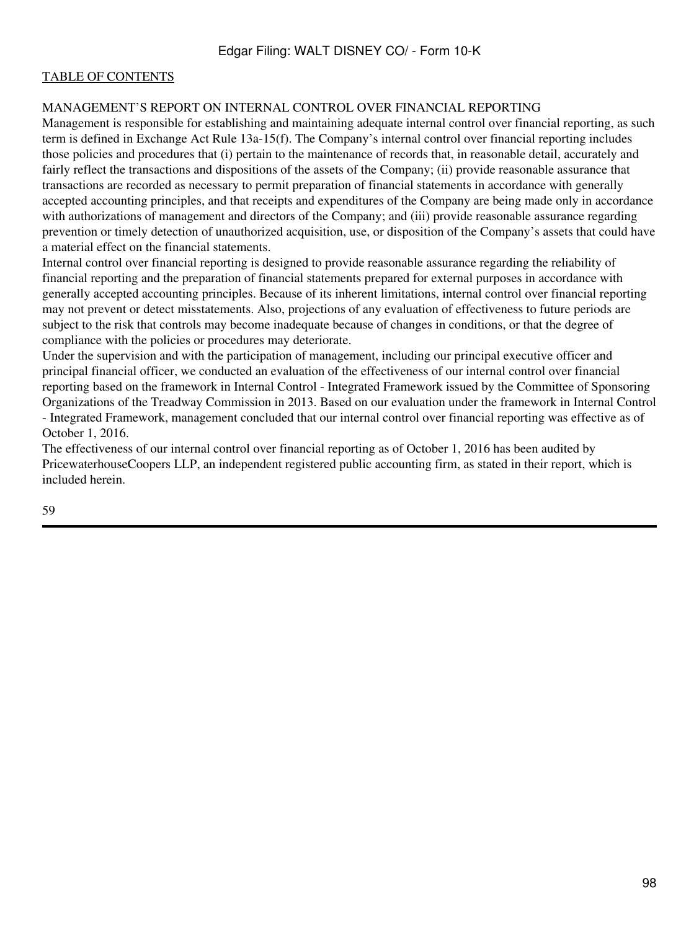### <span id="page-97-0"></span>MANAGEMENT'S REPORT ON INTERNAL CONTROL OVER FINANCIAL REPORTING

Management is responsible for establishing and maintaining adequate internal control over financial reporting, as such term is defined in Exchange Act Rule 13a-15(f). The Company's internal control over financial reporting includes those policies and procedures that (i) pertain to the maintenance of records that, in reasonable detail, accurately and fairly reflect the transactions and dispositions of the assets of the Company; (ii) provide reasonable assurance that transactions are recorded as necessary to permit preparation of financial statements in accordance with generally accepted accounting principles, and that receipts and expenditures of the Company are being made only in accordance with authorizations of management and directors of the Company; and (iii) provide reasonable assurance regarding prevention or timely detection of unauthorized acquisition, use, or disposition of the Company's assets that could have a material effect on the financial statements.

Internal control over financial reporting is designed to provide reasonable assurance regarding the reliability of financial reporting and the preparation of financial statements prepared for external purposes in accordance with generally accepted accounting principles. Because of its inherent limitations, internal control over financial reporting may not prevent or detect misstatements. Also, projections of any evaluation of effectiveness to future periods are subject to the risk that controls may become inadequate because of changes in conditions, or that the degree of compliance with the policies or procedures may deteriorate.

Under the supervision and with the participation of management, including our principal executive officer and principal financial officer, we conducted an evaluation of the effectiveness of our internal control over financial reporting based on the framework in Internal Control - Integrated Framework issued by the Committee of Sponsoring Organizations of the Treadway Commission in 2013. Based on our evaluation under the framework in Internal Control - Integrated Framework, management concluded that our internal control over financial reporting was effective as of October 1, 2016.

The effectiveness of our internal control over financial reporting as of October 1, 2016 has been audited by PricewaterhouseCoopers LLP, an independent registered public accounting firm, as stated in their report, which is included herein.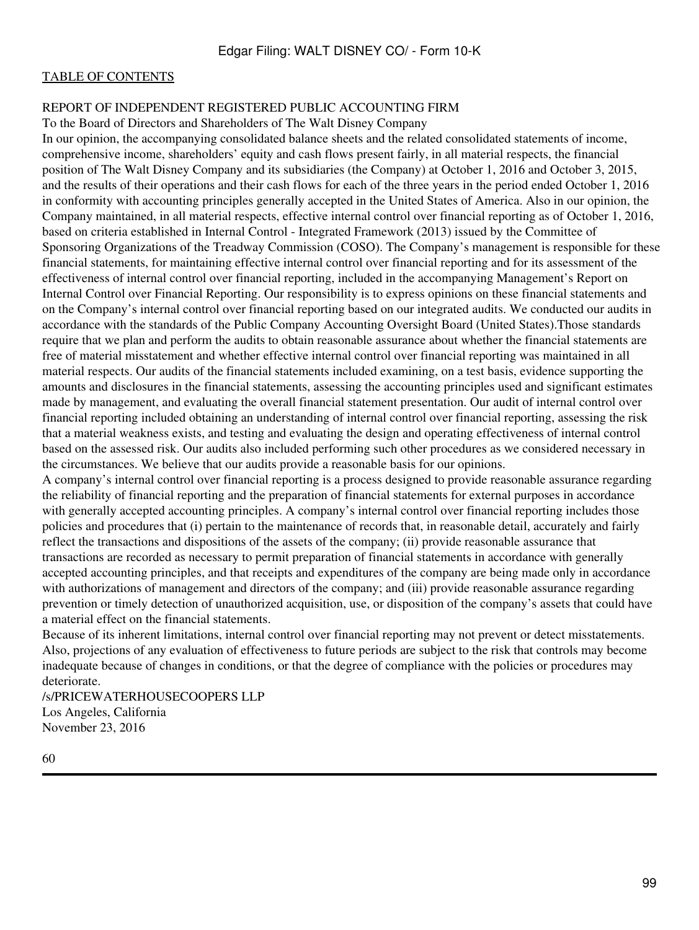### <span id="page-98-0"></span>REPORT OF INDEPENDENT REGISTERED PUBLIC ACCOUNTING FIRM

To the Board of Directors and Shareholders of The Walt Disney Company

In our opinion, the accompanying consolidated balance sheets and the related consolidated statements of income, comprehensive income, shareholders' equity and cash flows present fairly, in all material respects, the financial position of The Walt Disney Company and its subsidiaries (the Company) at October 1, 2016 and October 3, 2015, and the results of their operations and their cash flows for each of the three years in the period ended October 1, 2016 in conformity with accounting principles generally accepted in the United States of America. Also in our opinion, the Company maintained, in all material respects, effective internal control over financial reporting as of October 1, 2016, based on criteria established in Internal Control - Integrated Framework (2013) issued by the Committee of Sponsoring Organizations of the Treadway Commission (COSO). The Company's management is responsible for these financial statements, for maintaining effective internal control over financial reporting and for its assessment of the effectiveness of internal control over financial reporting, included in the accompanying Management's Report on Internal Control over Financial Reporting. Our responsibility is to express opinions on these financial statements and on the Company's internal control over financial reporting based on our integrated audits. We conducted our audits in accordance with the standards of the Public Company Accounting Oversight Board (United States).Those standards require that we plan and perform the audits to obtain reasonable assurance about whether the financial statements are free of material misstatement and whether effective internal control over financial reporting was maintained in all material respects. Our audits of the financial statements included examining, on a test basis, evidence supporting the amounts and disclosures in the financial statements, assessing the accounting principles used and significant estimates made by management, and evaluating the overall financial statement presentation. Our audit of internal control over financial reporting included obtaining an understanding of internal control over financial reporting, assessing the risk that a material weakness exists, and testing and evaluating the design and operating effectiveness of internal control based on the assessed risk. Our audits also included performing such other procedures as we considered necessary in the circumstances. We believe that our audits provide a reasonable basis for our opinions.

A company's internal control over financial reporting is a process designed to provide reasonable assurance regarding the reliability of financial reporting and the preparation of financial statements for external purposes in accordance with generally accepted accounting principles. A company's internal control over financial reporting includes those policies and procedures that (i) pertain to the maintenance of records that, in reasonable detail, accurately and fairly reflect the transactions and dispositions of the assets of the company; (ii) provide reasonable assurance that transactions are recorded as necessary to permit preparation of financial statements in accordance with generally accepted accounting principles, and that receipts and expenditures of the company are being made only in accordance with authorizations of management and directors of the company; and (iii) provide reasonable assurance regarding prevention or timely detection of unauthorized acquisition, use, or disposition of the company's assets that could have a material effect on the financial statements.

Because of its inherent limitations, internal control over financial reporting may not prevent or detect misstatements. Also, projections of any evaluation of effectiveness to future periods are subject to the risk that controls may become inadequate because of changes in conditions, or that the degree of compliance with the policies or procedures may deteriorate.

/s/PRICEWATERHOUSECOOPERS LLP Los Angeles, California November 23, 2016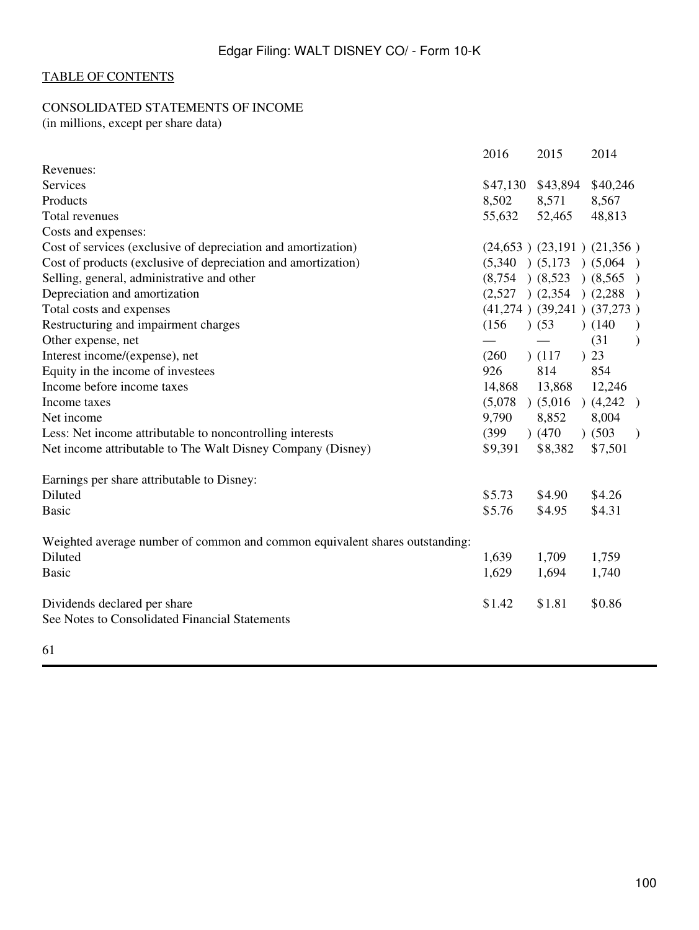# <span id="page-99-0"></span>CONSOLIDATED STATEMENTS OF INCOME

(in millions, except per share data)

|                                                                                | 2016                | 2015     | 2014                             |
|--------------------------------------------------------------------------------|---------------------|----------|----------------------------------|
| Revenues:                                                                      |                     |          |                                  |
| Services                                                                       | \$47,130            | \$43,894 | \$40,246                         |
| Products                                                                       | 8,502               | 8,571    | 8,567                            |
| Total revenues                                                                 | 55,632              | 52,465   | 48,813                           |
| Costs and expenses:                                                            |                     |          |                                  |
| Cost of services (exclusive of depreciation and amortization)                  |                     |          | $(24,653)$ $(23,191)$ $(21,356)$ |
| Cost of products (exclusive of depreciation and amortization)                  | $(5,340)$ $(5,173)$ |          | (5,064)                          |
| Selling, general, administrative and other                                     | (8, 754)            | (8,523)  | (8,565)<br>$\rightarrow$         |
| Depreciation and amortization                                                  | $(2,527)$ $(2,354)$ |          | (2,288)                          |
| Total costs and expenses                                                       |                     |          | $(41,274)$ $(39,241)$ $(37,273)$ |
| Restructuring and impairment charges                                           | (156)               | ) (53)   | (140)<br>$\mathcal{L}$           |
| Other expense, net                                                             |                     |          | (31)<br>$\mathcal{L}$            |
| Interest income/(expense), net                                                 | (260)               | (117)    | 23<br>$\lambda$                  |
| Equity in the income of investees                                              | 926                 | 814      | 854                              |
| Income before income taxes                                                     | 14,868              | 13,868   | 12,246                           |
| Income taxes                                                                   |                     |          | $(5,078)$ $(5,016)$ $(4,242)$    |
| Net income                                                                     | 9,790               | 8,852    | 8,004                            |
| Less: Net income attributable to noncontrolling interests                      | (399)               | (470)    | (503)<br>$\mathcal{L}$           |
| Net income attributable to The Walt Disney Company (Disney)                    | \$9,391             | \$8,382  | \$7,501                          |
| Earnings per share attributable to Disney:                                     |                     |          |                                  |
| Diluted                                                                        | \$5.73              | \$4.90   | \$4.26                           |
| <b>Basic</b>                                                                   | \$5.76              | \$4.95   | \$4.31                           |
| Weighted average number of common and common equivalent shares outstanding:    |                     |          |                                  |
| Diluted                                                                        | 1,639               | 1,709    | 1,759                            |
| <b>Basic</b>                                                                   | 1,629               | 1,694    | 1,740                            |
| Dividends declared per share<br>See Notes to Consolidated Financial Statements | \$1.42              | \$1.81   | \$0.86                           |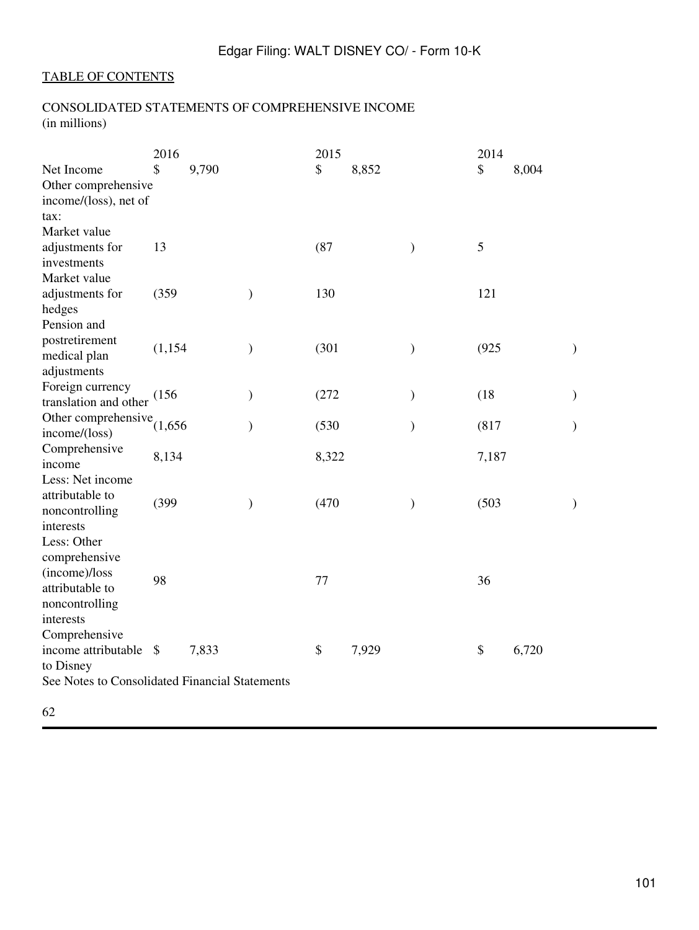### <span id="page-100-0"></span>CONSOLIDATED STATEMENTS OF COMPREHENSIVE INCOME (in millions)

|                                                | 2016     |       |               | 2015  |       |               | 2014  |                        |  |
|------------------------------------------------|----------|-------|---------------|-------|-------|---------------|-------|------------------------|--|
| Net Income                                     | \$       | 9,790 |               | \$    | 8,852 |               | \$    | 8,004                  |  |
| Other comprehensive                            |          |       |               |       |       |               |       |                        |  |
| income/(loss), net of                          |          |       |               |       |       |               |       |                        |  |
| tax:                                           |          |       |               |       |       |               |       |                        |  |
| Market value                                   |          |       |               |       |       |               |       |                        |  |
| adjustments for                                | 13       |       |               | (87)  |       | $\mathcal{E}$ | 5     |                        |  |
| investments                                    |          |       |               |       |       |               |       |                        |  |
| Market value<br>adjustments for                | (359)    |       |               | 130   |       |               | 121   |                        |  |
| hedges                                         |          |       | ⟩             |       |       |               |       |                        |  |
| Pension and                                    |          |       |               |       |       |               |       |                        |  |
| postretirement                                 |          |       |               |       |       |               |       |                        |  |
| medical plan                                   | (1, 154) |       | ⟩             | (301) |       | $\mathcal{E}$ | (925) | $\mathcal{E}$          |  |
| adjustments                                    |          |       |               |       |       |               |       |                        |  |
| Foreign currency                               | (156)    |       | $\mathcal{)}$ | (272) |       | $\mathcal{)}$ | (18)  | $\mathcal{C}^{\prime}$ |  |
| translation and other                          |          |       |               |       |       |               |       |                        |  |
| Other comprehensive $(1,656)$                  |          |       | $\mathcal{E}$ | (530) |       | $\mathcal{E}$ | (817) | $\mathcal{)}$          |  |
| income/(loss)                                  |          |       |               |       |       |               |       |                        |  |
| Comprehensive<br>income                        | 8,134    |       |               | 8,322 |       |               | 7,187 |                        |  |
| Less: Net income                               |          |       |               |       |       |               |       |                        |  |
| attributable to                                |          |       |               |       |       |               |       |                        |  |
| noncontrolling                                 | (399)    |       | $\mathcal{E}$ | (470) |       | $\mathcal{E}$ | (503) | $\mathcal{E}$          |  |
| interests                                      |          |       |               |       |       |               |       |                        |  |
| Less: Other                                    |          |       |               |       |       |               |       |                        |  |
| comprehensive                                  |          |       |               |       |       |               |       |                        |  |
| (income)/loss                                  | 98       |       |               | 77    |       |               | 36    |                        |  |
| attributable to                                |          |       |               |       |       |               |       |                        |  |
| noncontrolling                                 |          |       |               |       |       |               |       |                        |  |
| interests                                      |          |       |               |       |       |               |       |                        |  |
| Comprehensive                                  |          |       |               | \$    |       |               | \$    |                        |  |
| income attributable<br>to Disney               | \$       | 7,833 |               |       | 7,929 |               |       | 6,720                  |  |
| See Notes to Consolidated Financial Statements |          |       |               |       |       |               |       |                        |  |
|                                                |          |       |               |       |       |               |       |                        |  |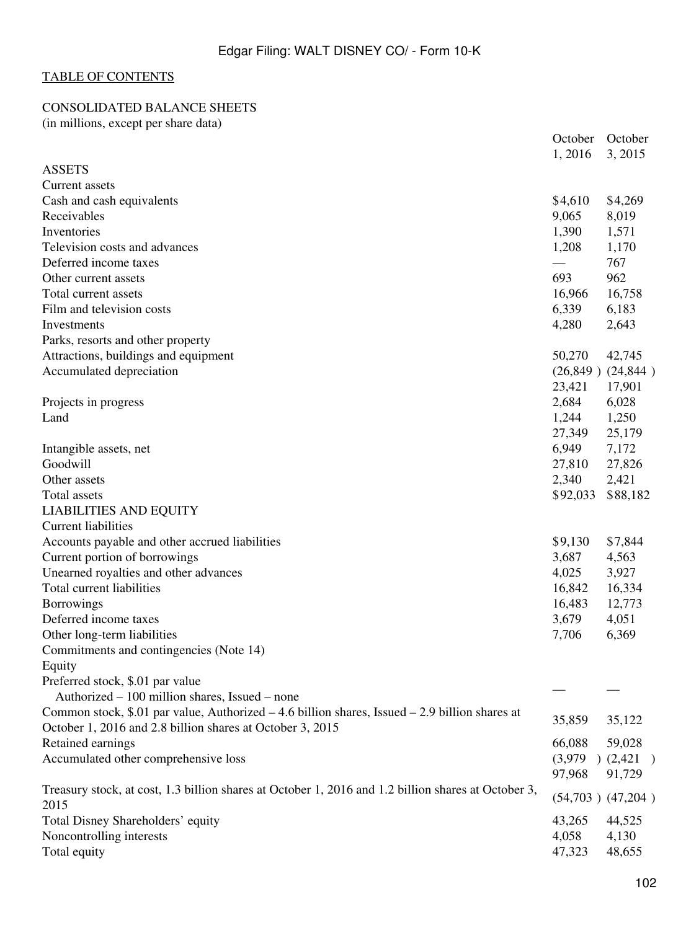# <span id="page-101-0"></span>CONSOLIDATED BALANCE SHEETS

(in millions, except per share data)

|                                                                                                             | October  | October               |
|-------------------------------------------------------------------------------------------------------------|----------|-----------------------|
| <b>ASSETS</b>                                                                                               | 1, 2016  | 3, 2015               |
| Current assets                                                                                              |          |                       |
| Cash and cash equivalents                                                                                   | \$4,610  | \$4,269               |
| Receivables                                                                                                 | 9,065    | 8,019                 |
| Inventories                                                                                                 | 1,390    | 1,571                 |
| Television costs and advances                                                                               | 1,208    | 1,170                 |
| Deferred income taxes                                                                                       |          | 767                   |
| Other current assets                                                                                        | 693      | 962                   |
| Total current assets                                                                                        | 16,966   | 16,758                |
| Film and television costs                                                                                   | 6,339    | 6,183                 |
| Investments                                                                                                 | 4,280    | 2,643                 |
| Parks, resorts and other property                                                                           |          |                       |
| Attractions, buildings and equipment                                                                        | 50,270   | 42,745                |
| Accumulated depreciation                                                                                    |          | $(26,849)$ $(24,844)$ |
|                                                                                                             | 23,421   | 17,901                |
| Projects in progress                                                                                        | 2,684    | 6,028                 |
| Land                                                                                                        | 1,244    | 1,250                 |
|                                                                                                             | 27,349   | 25,179                |
| Intangible assets, net                                                                                      | 6,949    | 7,172                 |
| Goodwill                                                                                                    | 27,810   | 27,826                |
| Other assets                                                                                                | 2,340    | 2,421                 |
| Total assets                                                                                                | \$92,033 | \$88,182              |
| <b>LIABILITIES AND EQUITY</b>                                                                               |          |                       |
| <b>Current liabilities</b>                                                                                  |          |                       |
| Accounts payable and other accrued liabilities                                                              | \$9,130  | \$7,844               |
| Current portion of borrowings                                                                               | 3,687    | 4,563                 |
| Unearned royalties and other advances                                                                       | 4,025    | 3,927                 |
| Total current liabilities                                                                                   | 16,842   | 16,334                |
| <b>Borrowings</b>                                                                                           | 16,483   | 12,773                |
| Deferred income taxes                                                                                       | 3,679    | 4,051                 |
| Other long-term liabilities                                                                                 | 7,706    | 6,369                 |
| Commitments and contingencies (Note 14)                                                                     |          |                       |
| Equity                                                                                                      |          |                       |
| Preferred stock, \$.01 par value                                                                            |          |                       |
| Authorized – 100 million shares, Issued – none                                                              |          |                       |
| Common stock, \$.01 par value, Authorized $-4.6$ billion shares, Issued $-2.9$ billion shares at            | 35,859   | 35,122                |
| October 1, 2016 and 2.8 billion shares at October 3, 2015                                                   |          |                       |
| Retained earnings                                                                                           | 66,088   | 59,028                |
| Accumulated other comprehensive loss                                                                        | (3,979)  | (2,421)               |
|                                                                                                             | 97,968   | 91,729                |
| Treasury stock, at cost, 1.3 billion shares at October 1, 2016 and 1.2 billion shares at October 3,<br>2015 |          | $(54,703)$ $(47,204)$ |
| Total Disney Shareholders' equity                                                                           | 43,265   | 44,525                |
| Noncontrolling interests                                                                                    | 4,058    | 4,130                 |
| Total equity                                                                                                | 47,323   | 48,655                |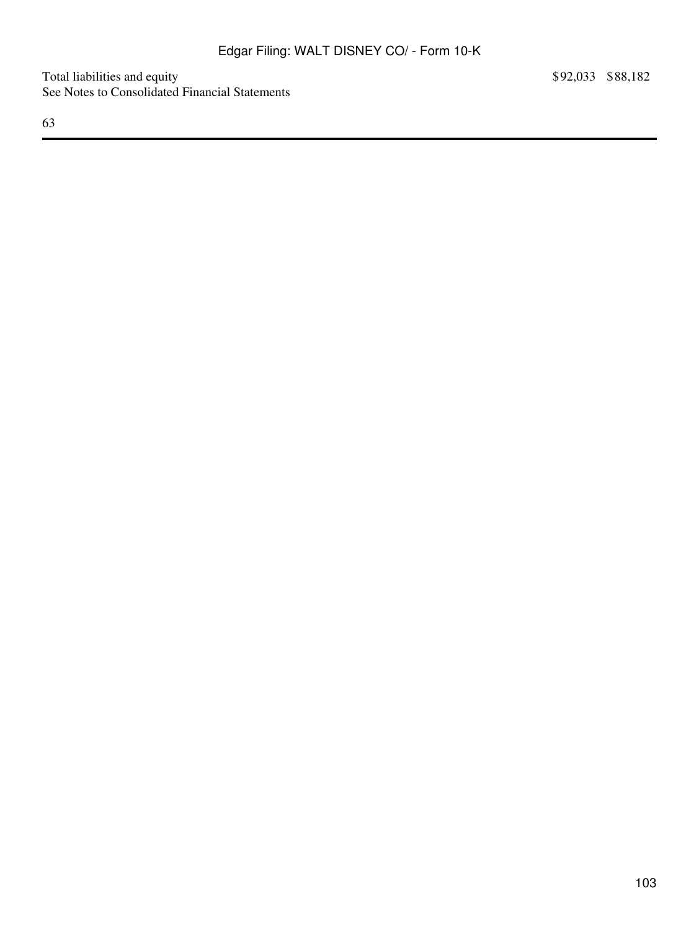Total liabilities and equity \$92,033 \$88,182 See Notes to Consolidated Financial Statements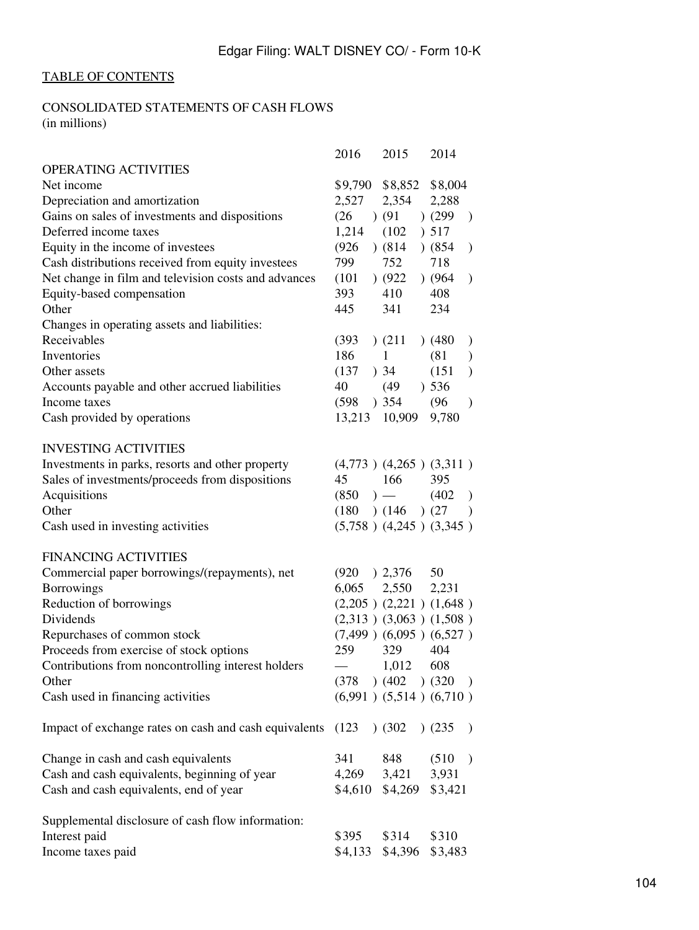### <span id="page-103-0"></span>CONSOLIDATED STATEMENTS OF CASH FLOWS (in millions)

|                                                       | 2016        | 2015                          | 2014                   |
|-------------------------------------------------------|-------------|-------------------------------|------------------------|
| <b>OPERATING ACTIVITIES</b>                           |             |                               |                        |
| Net income                                            | \$9,790     | \$8,852                       | \$8,004                |
| Depreciation and amortization                         | 2,527       | 2,354                         | 2,288                  |
| Gains on sales of investments and dispositions        | (26)        | (91)                          | (299)<br>$\lambda$     |
| Deferred income taxes                                 | 1,214       | (102)                         | ) 517                  |
| Equity in the income of investees                     | (926)       | (814)                         | (854)<br>$\mathcal{L}$ |
| Cash distributions received from equity investees     | 799         | 752                           | 718                    |
| Net change in film and television costs and advances  | (101)       | (922)                         | (964)<br>$\mathcal{L}$ |
| Equity-based compensation                             | 393         | 410                           | 408                    |
| Other                                                 | 445         | 341                           | 234                    |
| Changes in operating assets and liabilities:          |             |                               |                        |
| Receivables                                           | (393)       | (211)                         | (480)<br>$\mathcal{Y}$ |
| Inventories                                           | 186         | $\mathbf{1}$                  | (81)<br>$\mathcal{E}$  |
| Other assets                                          | $(137)$ 34  |                               | (151)<br>$\mathcal{E}$ |
| Accounts payable and other accrued liabilities        | 40          | (49)                          | )536                   |
| Income taxes                                          | $(598)$ 354 |                               | (96)<br>$\mathcal{E}$  |
| Cash provided by operations                           | 13,213      | 10,909                        | 9,780                  |
|                                                       |             |                               |                        |
| <b>INVESTING ACTIVITIES</b>                           |             |                               |                        |
| Investments in parks, resorts and other property      |             | $(4,773)$ $(4,265)$ $(3,311)$ |                        |
| Sales of investments/proceeds from dispositions       | 45          | 166                           | 395                    |
| Acquisitions                                          |             | $(850)$ – $(402)$             | $\lambda$              |
| Other                                                 |             | $(180)$ $(146)$ $(27)$        | $\lambda$              |
| Cash used in investing activities                     |             | $(5,758)$ $(4,245)$ $(3,345)$ |                        |
| <b>FINANCING ACTIVITIES</b>                           |             |                               |                        |
| Commercial paper borrowings/(repayments), net         | (920)       | 2,376                         | 50                     |
| <b>Borrowings</b>                                     | 6,065       | 2,550                         | 2,231                  |
| Reduction of borrowings                               |             | $(2,205)$ $(2,221)$ $(1,648)$ |                        |
| <b>Dividends</b>                                      |             | $(2,313)$ $(3,063)$ $(1,508)$ |                        |
| Repurchases of common stock                           |             | $(7,499)$ $(6,095)$ $(6,527)$ |                        |
| Proceeds from exercise of stock options               | 259         | 329                           | 404                    |
| Contributions from noncontrolling interest holders    |             | 1,012                         | 608                    |
| Other                                                 |             | (378) (402) (320)             |                        |
| Cash used in financing activities                     |             | $(6,991)$ $(5,514)$ $(6,710)$ |                        |
|                                                       |             |                               |                        |
| Impact of exchange rates on cash and cash equivalents | (123)       | (302)                         | (235)<br>$\lambda$     |
| Change in cash and cash equivalents                   | 341         | 848                           | (510)<br>$\rightarrow$ |
| Cash and cash equivalents, beginning of year          | 4,269       | 3,421                         | 3,931                  |
| Cash and cash equivalents, end of year                | \$4,610     | \$4,269                       | \$3,421                |
| Supplemental disclosure of cash flow information:     |             |                               |                        |
| Interest paid                                         | \$395       | \$314                         | \$310                  |
| Income taxes paid                                     | \$4,133     | \$4,396                       | \$3,483                |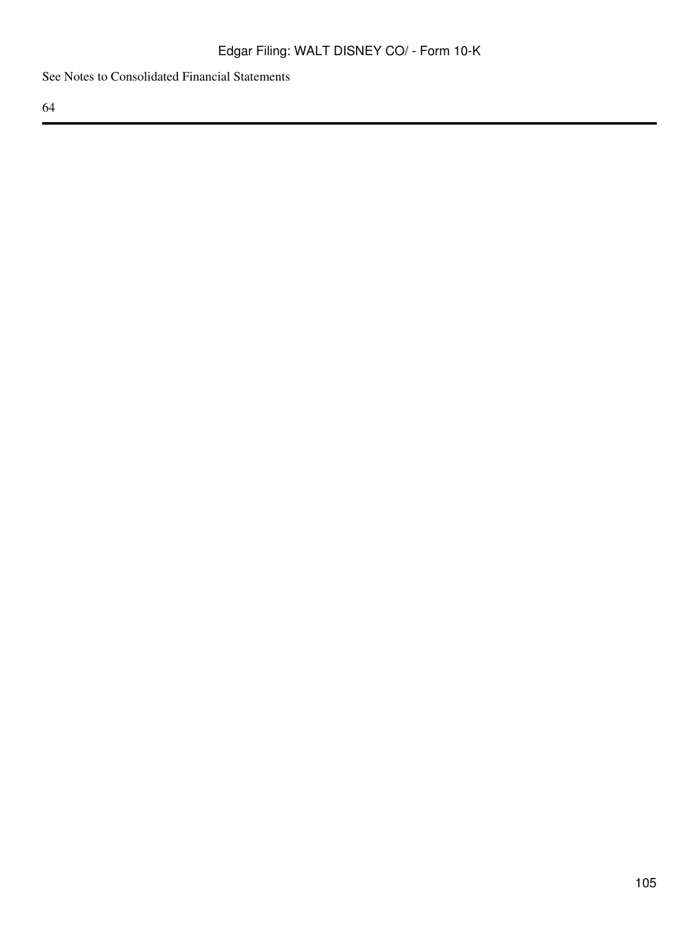See Notes to Consolidated Financial Statements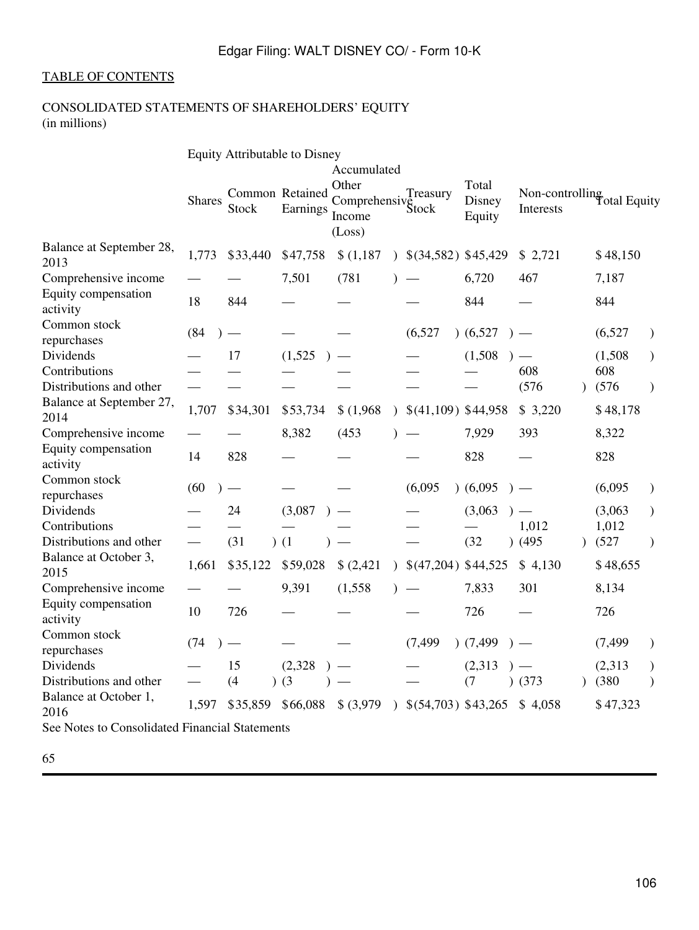# <span id="page-105-0"></span>CONSOLIDATED STATEMENTS OF SHAREHOLDERS' EQUITY (in millions)

|                                                          |               | <b>Equity Attributable to Disney</b> |                 |                                                                 |           |                               |                           |                                              |                         |                            |
|----------------------------------------------------------|---------------|--------------------------------------|-----------------|-----------------------------------------------------------------|-----------|-------------------------------|---------------------------|----------------------------------------------|-------------------------|----------------------------|
|                                                          | <b>Shares</b> | Common Retained<br><b>Stock</b>      | Earnings        | Accumulated<br>Other<br>Comprehensive Stock<br>Income<br>(Loss) |           | Treasury                      | Total<br>Disney<br>Equity | Non-controlling<br>Total Equity<br>Interests |                         |                            |
| Balance at September 28,<br>2013                         | 1,773         | \$33,440                             | \$47,758        | \$(1,187)                                                       |           | $\frac{\$(34,582)}{\$45,429}$ |                           | \$2,721                                      | \$48,150                |                            |
| Comprehensive income<br>Equity compensation<br>activity  | 18            | 844                                  | 7,501           | (781)                                                           |           |                               | 6,720<br>844              | 467                                          | 7,187<br>844            |                            |
| Common stock<br>repurchases                              | (84)          |                                      |                 |                                                                 |           | (6,527)                       | $)$ (6,527)<br>$\lambda$  |                                              | (6,527)                 | $\mathcal{L}$              |
| Dividends<br>Contributions<br>Distributions and other    |               | 17                                   | (1,525)         |                                                                 |           |                               | (1,508)<br>$\lambda$      | 608<br>(576)<br>$\lambda$                    | (1,508)<br>608<br>(576) | $\mathcal{L}$<br>$\lambda$ |
| Balance at September 27,<br>2014                         | 1,707         | \$34,301                             | \$53,734        | \$(1,968)                                                       | $\lambda$ | \$(41,109) \$44,958           |                           | \$3,220                                      | \$48,178                |                            |
| Comprehensive income<br>Equity compensation              | 14            | 828                                  | 8,382           | (453)                                                           |           |                               | 7,929<br>828              | 393                                          | 8,322<br>828            |                            |
| activity<br>Common stock<br>repurchases                  | (60)          |                                      |                 |                                                                 |           | (6,095)                       | (6,095)                   | $)$ —                                        | (6,095)                 | $\mathcal{L}$              |
| Dividends<br>Contributions                               |               | 24                                   | (3,087)         |                                                                 |           |                               | (3,063)                   | $)$ —<br>1,012                               | (3,063)<br>1,012        | $\mathcal{L}$              |
| Distributions and other<br>Balance at October 3,<br>2015 | 1,661         | (31)<br>\$35,122                     | (1)<br>\$59,028 | \$(2,421)                                                       |           | \$(47,204) \$44,525           | (32)                      | (495)<br>\$4,130                             | (527)<br>\$48,655       | $\lambda$                  |
| Comprehensive income<br>Equity compensation<br>activity  | 10            | 726                                  | 9,391           | (1,558)                                                         |           |                               | 7,833<br>726              | 301                                          | 8,134<br>726            |                            |
| Common stock<br>repurchases                              | (74)          | $\overbrace{\phantom{aaaaa}}$        |                 |                                                                 |           | (7, 499)                      | (7,499)                   |                                              | (7, 499)                | $\mathcal{L}$              |
| Dividends<br>Distributions and other                     |               | 15<br>(4)                            | (2,328)<br>)(3) |                                                                 |           |                               | (2,313)<br>(7)            | $)$ —<br>)(373)                              | (2,313)<br>(380)        | $\lambda$<br>$\mathcal{E}$ |
| Balance at October 1,<br>2016                            | 1,597         | \$35,859 \$66,088                    |                 | \$ (3,979)                                                      | $\lambda$ | \$(54,703) \$43,265           |                           | \$4,058                                      | \$47,323                |                            |
| See Notes to Consolidated Financial Statements           |               |                                      |                 |                                                                 |           |                               |                           |                                              |                         |                            |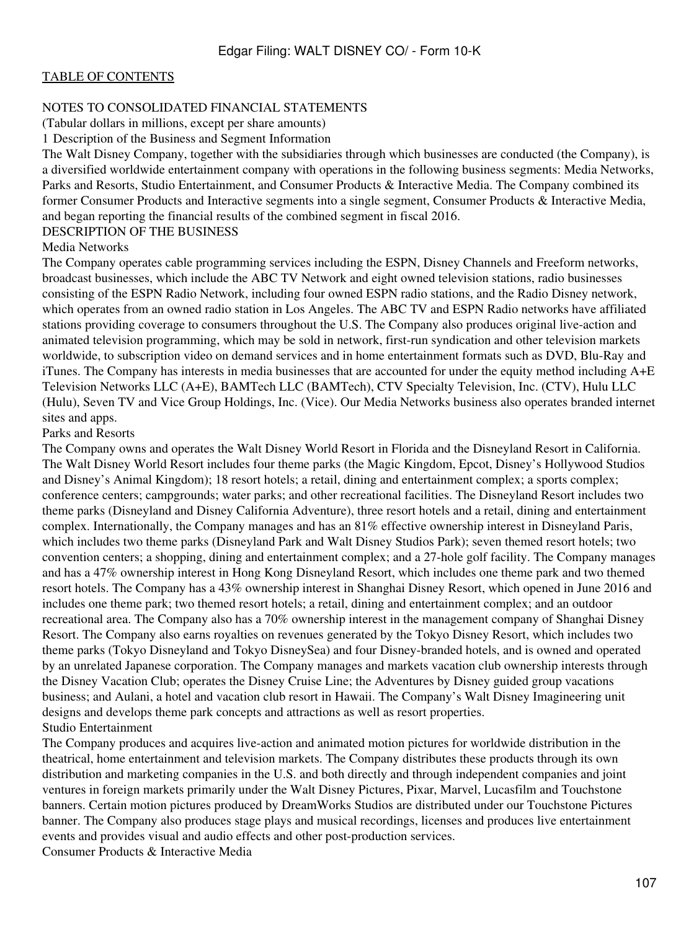#### <span id="page-106-0"></span>NOTES TO CONSOLIDATED FINANCIAL STATEMENTS

(Tabular dollars in millions, except per share amounts)

1 Description of the Business and Segment Information

The Walt Disney Company, together with the subsidiaries through which businesses are conducted (the Company), is a diversified worldwide entertainment company with operations in the following business segments: Media Networks, Parks and Resorts, Studio Entertainment, and Consumer Products & Interactive Media. The Company combined its former Consumer Products and Interactive segments into a single segment, Consumer Products & Interactive Media, and began reporting the financial results of the combined segment in fiscal 2016.

#### DESCRIPTION OF THE BUSINESS

#### Media Networks

The Company operates cable programming services including the ESPN, Disney Channels and Freeform networks, broadcast businesses, which include the ABC TV Network and eight owned television stations, radio businesses consisting of the ESPN Radio Network, including four owned ESPN radio stations, and the Radio Disney network, which operates from an owned radio station in Los Angeles. The ABC TV and ESPN Radio networks have affiliated stations providing coverage to consumers throughout the U.S. The Company also produces original live-action and animated television programming, which may be sold in network, first-run syndication and other television markets worldwide, to subscription video on demand services and in home entertainment formats such as DVD, Blu-Ray and iTunes. The Company has interests in media businesses that are accounted for under the equity method including A+E Television Networks LLC (A+E), BAMTech LLC (BAMTech), CTV Specialty Television, Inc. (CTV), Hulu LLC (Hulu), Seven TV and Vice Group Holdings, Inc. (Vice). Our Media Networks business also operates branded internet sites and apps.

#### Parks and Resorts

The Company owns and operates the Walt Disney World Resort in Florida and the Disneyland Resort in California. The Walt Disney World Resort includes four theme parks (the Magic Kingdom, Epcot, Disney's Hollywood Studios and Disney's Animal Kingdom); 18 resort hotels; a retail, dining and entertainment complex; a sports complex; conference centers; campgrounds; water parks; and other recreational facilities. The Disneyland Resort includes two theme parks (Disneyland and Disney California Adventure), three resort hotels and a retail, dining and entertainment complex. Internationally, the Company manages and has an 81% effective ownership interest in Disneyland Paris, which includes two theme parks (Disneyland Park and Walt Disney Studios Park); seven themed resort hotels; two convention centers; a shopping, dining and entertainment complex; and a 27-hole golf facility. The Company manages and has a 47% ownership interest in Hong Kong Disneyland Resort, which includes one theme park and two themed resort hotels. The Company has a 43% ownership interest in Shanghai Disney Resort, which opened in June 2016 and includes one theme park; two themed resort hotels; a retail, dining and entertainment complex; and an outdoor recreational area. The Company also has a 70% ownership interest in the management company of Shanghai Disney Resort. The Company also earns royalties on revenues generated by the Tokyo Disney Resort, which includes two theme parks (Tokyo Disneyland and Tokyo DisneySea) and four Disney-branded hotels, and is owned and operated by an unrelated Japanese corporation. The Company manages and markets vacation club ownership interests through the Disney Vacation Club; operates the Disney Cruise Line; the Adventures by Disney guided group vacations business; and Aulani, a hotel and vacation club resort in Hawaii. The Company's Walt Disney Imagineering unit designs and develops theme park concepts and attractions as well as resort properties. Studio Entertainment

The Company produces and acquires live-action and animated motion pictures for worldwide distribution in the theatrical, home entertainment and television markets. The Company distributes these products through its own distribution and marketing companies in the U.S. and both directly and through independent companies and joint ventures in foreign markets primarily under the Walt Disney Pictures, Pixar, Marvel, Lucasfilm and Touchstone banners. Certain motion pictures produced by DreamWorks Studios are distributed under our Touchstone Pictures banner. The Company also produces stage plays and musical recordings, licenses and produces live entertainment events and provides visual and audio effects and other post-production services. Consumer Products & Interactive Media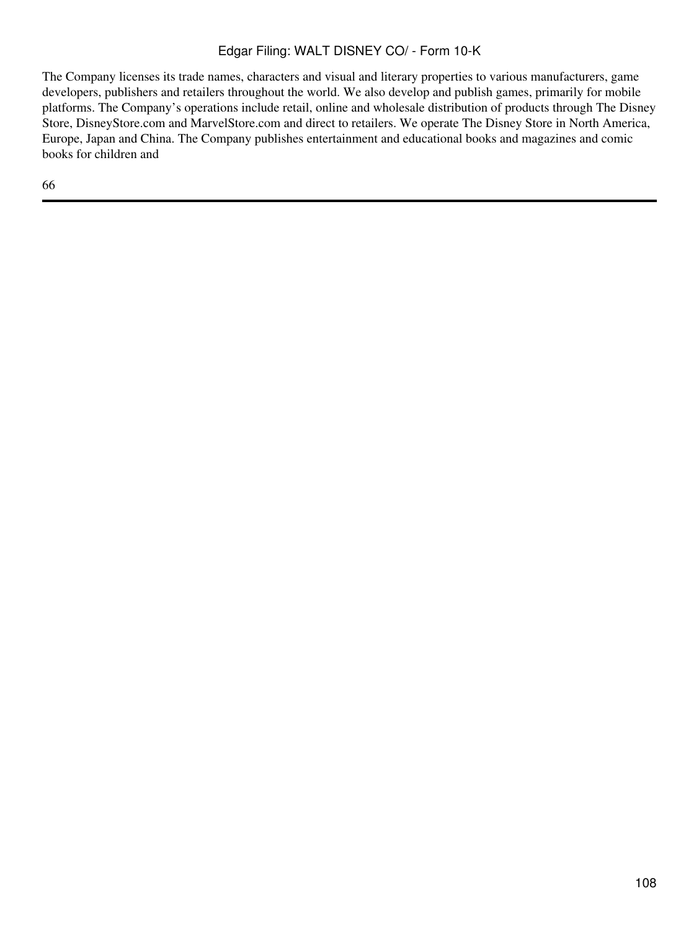The Company licenses its trade names, characters and visual and literary properties to various manufacturers, game developers, publishers and retailers throughout the world. We also develop and publish games, primarily for mobile platforms. The Company's operations include retail, online and wholesale distribution of products through The Disney Store, DisneyStore.com and MarvelStore.com and direct to retailers. We operate The Disney Store in North America, Europe, Japan and China. The Company publishes entertainment and educational books and magazines and comic books for children and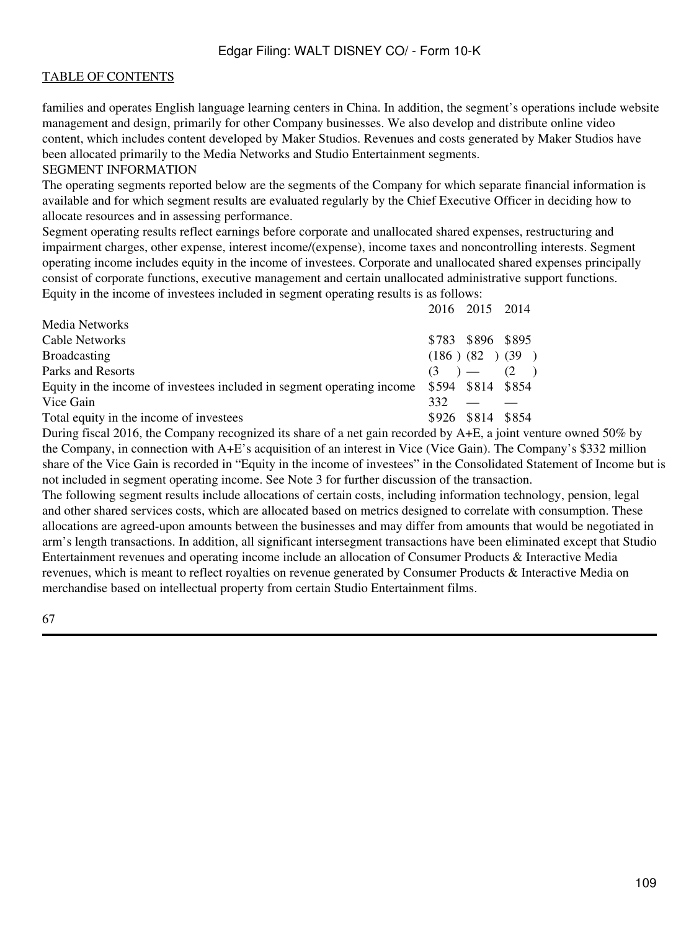families and operates English language learning centers in China. In addition, the segment's operations include website management and design, primarily for other Company businesses. We also develop and distribute online video content, which includes content developed by Maker Studios. Revenues and costs generated by Maker Studios have been allocated primarily to the Media Networks and Studio Entertainment segments.

#### SEGMENT INFORMATION

The operating segments reported below are the segments of the Company for which separate financial information is available and for which segment results are evaluated regularly by the Chief Executive Officer in deciding how to allocate resources and in assessing performance.

Segment operating results reflect earnings before corporate and unallocated shared expenses, restructuring and impairment charges, other expense, interest income/(expense), income taxes and noncontrolling interests. Segment operating income includes equity in the income of investees. Corporate and unallocated shared expenses principally consist of corporate functions, executive management and certain unallocated administrative support functions. Equity in the income of investees included in segment operating results is as follows:

|                                                                        |     | 2016 2015 2014    |               |
|------------------------------------------------------------------------|-----|-------------------|---------------|
| Media Networks                                                         |     |                   |               |
| <b>Cable Networks</b>                                                  |     | \$783 \$896 \$895 |               |
| <b>Broadcasting</b>                                                    |     |                   | (186)(82)(39) |
| Parks and Resorts                                                      |     |                   | $(3)$ $ (2)$  |
| Equity in the income of investees included in segment operating income |     | \$594 \$814 \$854 |               |
| Vice Gain                                                              | 332 |                   |               |
| Total equity in the income of investees                                |     | \$926 \$814 \$854 |               |

During fiscal 2016, the Company recognized its share of a net gain recorded by A+E, a joint venture owned 50% by the Company, in connection with A+E's acquisition of an interest in Vice (Vice Gain). The Company's \$332 million share of the Vice Gain is recorded in "Equity in the income of investees" in the Consolidated Statement of Income but is not included in segment operating income. See Note 3 for further discussion of the transaction.

The following segment results include allocations of certain costs, including information technology, pension, legal and other shared services costs, which are allocated based on metrics designed to correlate with consumption. These allocations are agreed-upon amounts between the businesses and may differ from amounts that would be negotiated in arm's length transactions. In addition, all significant intersegment transactions have been eliminated except that Studio Entertainment revenues and operating income include an allocation of Consumer Products & Interactive Media revenues, which is meant to reflect royalties on revenue generated by Consumer Products & Interactive Media on merchandise based on intellectual property from certain Studio Entertainment films.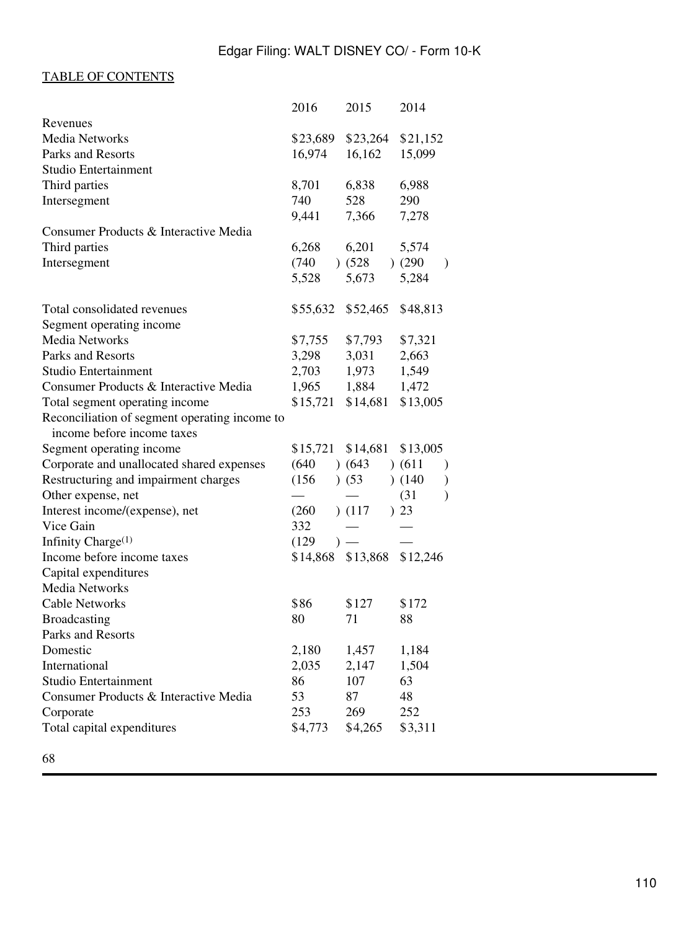|                                                                             | 2016     | 2015     | 2014                       |
|-----------------------------------------------------------------------------|----------|----------|----------------------------|
| Revenues                                                                    |          |          |                            |
| <b>Media Networks</b>                                                       | \$23,689 | \$23,264 | \$21,152                   |
| Parks and Resorts                                                           | 16,974   | 16,162   | 15,099                     |
| <b>Studio Entertainment</b>                                                 |          |          |                            |
| Third parties                                                               | 8,701    | 6,838    | 6,988                      |
| Intersegment                                                                | 740      | 528      | 290                        |
|                                                                             | 9,441    | 7,366    | 7,278                      |
| Consumer Products & Interactive Media                                       |          |          |                            |
| Third parties                                                               | 6,268    | 6,201    | 5,574                      |
| Intersegment                                                                | (740     | (528)    | (290)<br>$\mathcal{E}$     |
|                                                                             | 5,528    | 5,673    | 5,284                      |
| Total consolidated revenues                                                 | \$55,632 | \$52,465 | \$48,813                   |
| Segment operating income                                                    |          |          |                            |
| <b>Media Networks</b>                                                       | \$7,755  | \$7,793  | \$7,321                    |
| Parks and Resorts                                                           | 3,298    | 3,031    | 2,663                      |
| Studio Entertainment                                                        | 2,703    | 1,973    | 1,549                      |
| Consumer Products & Interactive Media                                       | 1,965    | 1,884    | 1,472                      |
| Total segment operating income                                              | \$15,721 | \$14,681 | \$13,005                   |
| Reconciliation of segment operating income to<br>income before income taxes |          |          |                            |
| Segment operating income                                                    | \$15,721 | \$14,681 | \$13,005                   |
| Corporate and unallocated shared expenses                                   | (640)    | (643)    | $)$ (611)<br>$\mathcal{E}$ |
| Restructuring and impairment charges                                        | (156)    | (53)     | (140)<br>$\mathcal{)}$     |
| Other expense, net                                                          |          |          | (31)<br>$\mathcal{E}$      |
| Interest income/(expense), net                                              | (260)    | (117)    | 23                         |
| Vice Gain                                                                   | 332      |          |                            |
| Infinity Charge $(1)$                                                       | (129)    | $)$ —    |                            |
| Income before income taxes                                                  | \$14,868 | \$13,868 | \$12,246                   |
| Capital expenditures                                                        |          |          |                            |
| <b>Media Networks</b>                                                       |          |          |                            |
| <b>Cable Networks</b>                                                       | \$86     | \$127    | \$172                      |
| <b>Broadcasting</b>                                                         | 80       | 71       | 88                         |
| Parks and Resorts                                                           |          |          |                            |
| Domestic                                                                    | 2,180    | 1,457    | 1,184                      |
| International                                                               | 2,035    | 2,147    | 1,504                      |
| <b>Studio Entertainment</b>                                                 | 86       | 107      | 63                         |
| Consumer Products & Interactive Media                                       | 53       | 87       | 48                         |
| Corporate                                                                   | 253      | 269      | 252                        |
| Total capital expenditures                                                  | \$4,773  | \$4,265  | \$3,311                    |
|                                                                             |          |          |                            |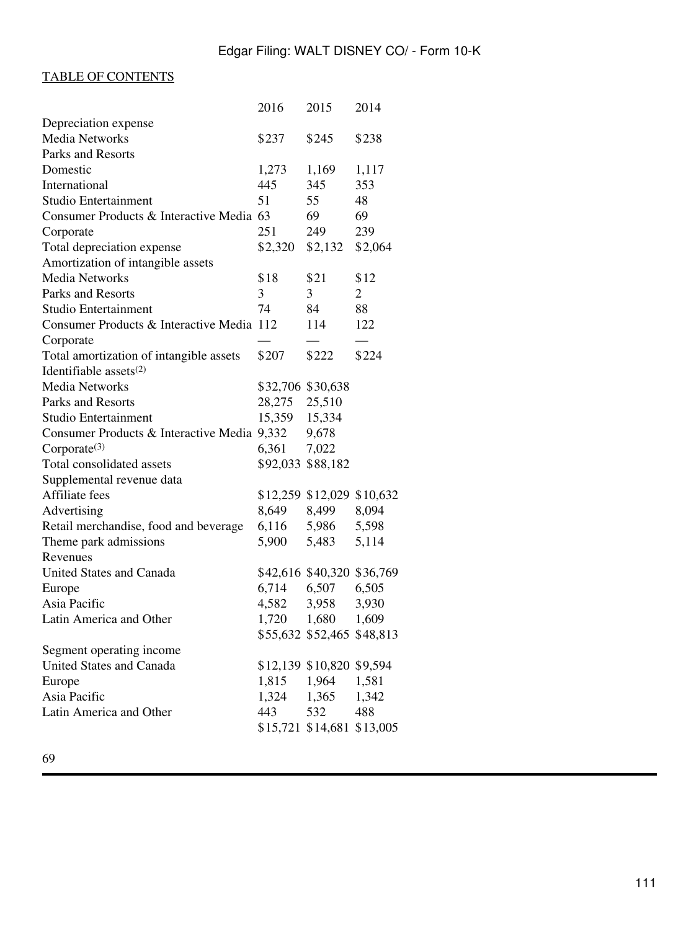|                                             | 2016          | 2015                       | 2014     |
|---------------------------------------------|---------------|----------------------------|----------|
| Depreciation expense                        |               |                            |          |
| <b>Media Networks</b>                       | \$237         | \$245                      | \$238    |
| Parks and Resorts                           |               |                            |          |
| Domestic                                    | 1,273         | 1,169                      | 1,117    |
| International                               | 445           | 345                        | 353      |
| <b>Studio Entertainment</b>                 | 51            | 55                         | 48       |
| Consumer Products & Interactive Media 63    |               | 69                         | 69       |
| Corporate                                   | 251           | 249                        | 239      |
| Total depreciation expense                  | \$2,320       | \$2,132                    | \$2,064  |
| Amortization of intangible assets           |               |                            |          |
| <b>Media Networks</b>                       | \$18          | \$21                       | \$12     |
| Parks and Resorts                           | 3             | 3                          | 2        |
| Studio Entertainment                        | 74            | 84                         | 88       |
| Consumer Products & Interactive Media 112   |               | 114                        | 122      |
| Corporate                                   |               |                            |          |
| Total amortization of intangible assets     | \$207         | \$222                      | \$224    |
| Identifiable assets $^{(2)}$                |               |                            |          |
| <b>Media Networks</b>                       |               | \$32,706 \$30,638          |          |
| Parks and Resorts                           | 28,275        | 25,510                     |          |
| <b>Studio Entertainment</b>                 | 15,359 15,334 |                            |          |
| Consumer Products & Interactive Media 9,332 |               | 9,678                      |          |
| Corporate $(3)$                             | 6,361 7,022   |                            |          |
| Total consolidated assets                   |               | \$92,033 \$88,182          |          |
| Supplemental revenue data                   |               |                            |          |
| Affiliate fees                              | \$12,259      | \$12,029                   | \$10,632 |
| Advertising                                 | 8,649         | 8,499                      | 8,094    |
| Retail merchandise, food and beverage       | 6,116         | 5,986                      | 5,598    |
| Theme park admissions                       | 5,900         | 5,483                      | 5,114    |
| Revenues                                    |               |                            |          |
| <b>United States and Canada</b>             |               | \$42,616 \$40,320          | \$36,769 |
| Europe                                      | 6,714         | 6,507                      | 6,505    |
| Asia Pacific                                | 4,582         | 3,958                      | 3,930    |
| Latin America and Other                     | 1,720         | 1,680                      | 1,609    |
|                                             |               | \$55,632 \$52,465 \$48,813 |          |
| Segment operating income                    |               |                            |          |
| <b>United States and Canada</b>             |               | \$12,139 \$10,820 \$9,594  |          |
| Europe                                      | 1,815         | 1,964                      | 1,581    |
| Asia Pacific                                | 1,324         | 1,365                      | 1,342    |
| Latin America and Other                     | 443           | 532                        | 488      |
|                                             |               | \$15,721 \$14,681 \$13,005 |          |
|                                             |               |                            |          |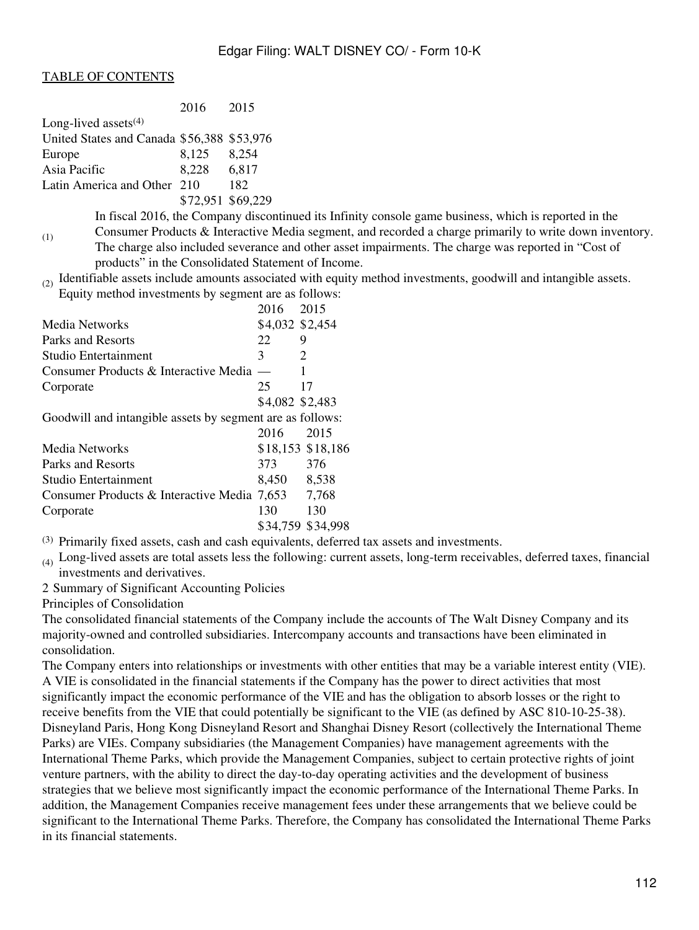|                                                           | 2016              | 2015            |                                                                                                                |
|-----------------------------------------------------------|-------------------|-----------------|----------------------------------------------------------------------------------------------------------------|
| Long-lived assets <sup>(4)</sup>                          |                   |                 |                                                                                                                |
| United States and Canada \$56,388 \$53,976                |                   |                 |                                                                                                                |
| Europe                                                    | 8,125             | 8,254           |                                                                                                                |
| Asia Pacific                                              | 8,228             | 6,817           |                                                                                                                |
| Latin America and Other 210                               |                   | 182             |                                                                                                                |
|                                                           | \$72,951 \$69,229 |                 |                                                                                                                |
|                                                           |                   |                 | In fiscal 2016, the Company discontinued its Infinity console game business, which is reported in the          |
| (1)                                                       |                   |                 | Consumer Products & Interactive Media segment, and recorded a charge primarily to write down inventory.        |
|                                                           |                   |                 | The charge also included severance and other asset impairments. The charge was reported in "Cost of            |
| products" in the Consolidated Statement of Income.        |                   |                 |                                                                                                                |
| (2)                                                       |                   |                 | Identifiable assets include amounts associated with equity method investments, goodwill and intangible assets. |
| Equity method investments by segment are as follows:      |                   |                 |                                                                                                                |
|                                                           |                   | 2016            | 2015                                                                                                           |
| <b>Media Networks</b>                                     |                   | \$4,032 \$2,454 |                                                                                                                |
| Parks and Resorts                                         |                   | 22              | 9                                                                                                              |
| Studio Entertainment                                      |                   | 3               | $\overline{2}$                                                                                                 |
| Consumer Products & Interactive Media —                   |                   |                 |                                                                                                                |
| Corporate                                                 |                   | 25              | 17                                                                                                             |
|                                                           |                   | \$4,082 \$2,483 |                                                                                                                |
| Goodwill and intangible assets by segment are as follows: |                   |                 |                                                                                                                |
|                                                           |                   | 2016            | 2015                                                                                                           |
| <b>Media Networks</b>                                     |                   |                 | \$18,153 \$18,186                                                                                              |
| Parks and Resorts                                         |                   | 373             | 376                                                                                                            |
| Studio Entertainment                                      |                   | 8,450           | 8,538                                                                                                          |
| Consumer Products & Interactive Media 7,653               |                   |                 | 7,768                                                                                                          |
| Corporate                                                 |                   | 130             | 130                                                                                                            |

\$34,759 \$34,998 (3) Primarily fixed assets, cash and cash equivalents, deferred tax assets and investments.

 $(4)$  Long-lived assets are total assets less the following: current assets, long-term receivables, deferred taxes, financial investments and derivatives.

2 Summary of Significant Accounting Policies

Principles of Consolidation

The consolidated financial statements of the Company include the accounts of The Walt Disney Company and its majority-owned and controlled subsidiaries. Intercompany accounts and transactions have been eliminated in consolidation.

The Company enters into relationships or investments with other entities that may be a variable interest entity (VIE). A VIE is consolidated in the financial statements if the Company has the power to direct activities that most significantly impact the economic performance of the VIE and has the obligation to absorb losses or the right to receive benefits from the VIE that could potentially be significant to the VIE (as defined by ASC 810-10-25-38). Disneyland Paris, Hong Kong Disneyland Resort and Shanghai Disney Resort (collectively the International Theme Parks) are VIEs. Company subsidiaries (the Management Companies) have management agreements with the International Theme Parks, which provide the Management Companies, subject to certain protective rights of joint venture partners, with the ability to direct the day-to-day operating activities and the development of business strategies that we believe most significantly impact the economic performance of the International Theme Parks. In addition, the Management Companies receive management fees under these arrangements that we believe could be significant to the International Theme Parks. Therefore, the Company has consolidated the International Theme Parks in its financial statements.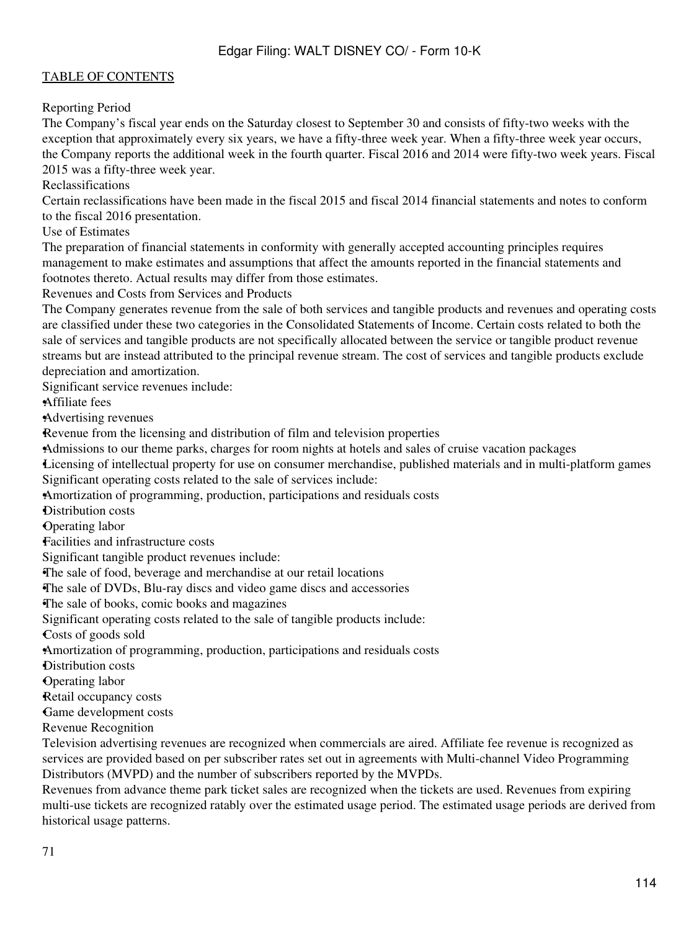Reporting Period

The Company's fiscal year ends on the Saturday closest to September 30 and consists of fifty-two weeks with the exception that approximately every six years, we have a fifty-three week year. When a fifty-three week year occurs, the Company reports the additional week in the fourth quarter. Fiscal 2016 and 2014 were fifty-two week years. Fiscal 2015 was a fifty-three week year.

Reclassifications

Certain reclassifications have been made in the fiscal 2015 and fiscal 2014 financial statements and notes to conform to the fiscal 2016 presentation.

Use of Estimates

The preparation of financial statements in conformity with generally accepted accounting principles requires management to make estimates and assumptions that affect the amounts reported in the financial statements and footnotes thereto. Actual results may differ from those estimates.

Revenues and Costs from Services and Products

The Company generates revenue from the sale of both services and tangible products and revenues and operating costs are classified under these two categories in the Consolidated Statements of Income. Certain costs related to both the sale of services and tangible products are not specifically allocated between the service or tangible product revenue streams but are instead attributed to the principal revenue stream. The cost of services and tangible products exclude depreciation and amortization.

Significant service revenues include:

•Affiliate fees

•Advertising revenues

•Revenue from the licensing and distribution of film and television properties

•Admissions to our theme parks, charges for room nights at hotels and sales of cruise vacation packages

•Licensing of intellectual property for use on consumer merchandise, published materials and in multi-platform games Significant operating costs related to the sale of services include:

•Amortization of programming, production, participations and residuals costs

•Distribution costs

•Operating labor

•Facilities and infrastructure costs

Significant tangible product revenues include:

•The sale of food, beverage and merchandise at our retail locations

•The sale of DVDs, Blu-ray discs and video game discs and accessories

•The sale of books, comic books and magazines

Significant operating costs related to the sale of tangible products include:

•Costs of goods sold

•Amortization of programming, production, participations and residuals costs

•Distribution costs

•Operating labor

Retail occupancy costs

Game development costs

Revenue Recognition

Television advertising revenues are recognized when commercials are aired. Affiliate fee revenue is recognized as services are provided based on per subscriber rates set out in agreements with Multi-channel Video Programming Distributors (MVPD) and the number of subscribers reported by the MVPDs.

Revenues from advance theme park ticket sales are recognized when the tickets are used. Revenues from expiring multi-use tickets are recognized ratably over the estimated usage period. The estimated usage periods are derived from historical usage patterns.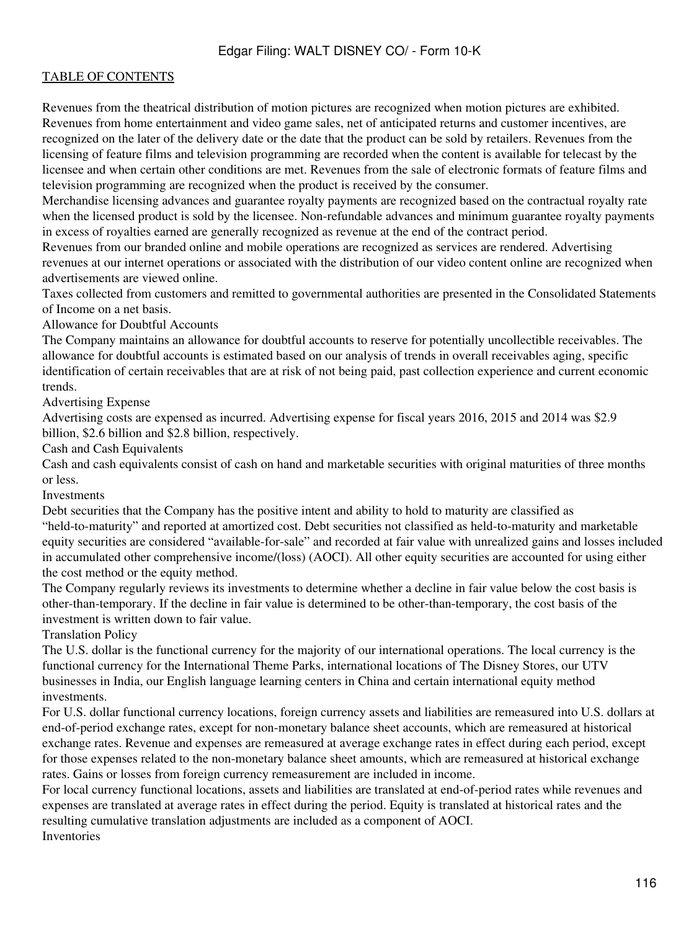# Edgar Filing: WALT DISNEY CO/ - Form 10-K

#### [TABLE OF CONTENTS](#page-2-0)

Revenues from the theatrical distribution of motion pictures are recognized when motion pictures are exhibited. Revenues from home entertainment and video game sales, net of anticipated returns and customer incentives, are recognized on the later of the delivery date or the date that the product can be sold by retailers. Revenues from the licensing of feature films and television programming are recorded when the content is available for telecast by the licensee and when certain other conditions are met. Revenues from the sale of electronic formats of feature films and television programming are recognized when the product is received by the consumer.

Merchandise licensing advances and guarantee royalty payments are recognized based on the contractual royalty rate when the licensed product is sold by the licensee. Non-refundable advances and minimum guarantee royalty payments in excess of royalties earned are generally recognized as revenue at the end of the contract period.

Revenues from our branded online and mobile operations are recognized as services are rendered. Advertising revenues at our internet operations or associated with the distribution of our video content online are recognized when advertisements are viewed online.

Taxes collected from customers and remitted to governmental authorities are presented in the Consolidated Statements of Income on a net basis.

Allowance for Doubtful Accounts

The Company maintains an allowance for doubtful accounts to reserve for potentially uncollectible receivables. The allowance for doubtful accounts is estimated based on our analysis of trends in overall receivables aging, specific identification of certain receivables that are at risk of not being paid, past collection experience and current economic trends.

Advertising Expense

Advertising costs are expensed as incurred. Advertising expense for fiscal years 2016, 2015 and 2014 was \$2.9 billion, \$2.6 billion and \$2.8 billion, respectively.

Cash and Cash Equivalents

Cash and cash equivalents consist of cash on hand and marketable securities with original maturities of three months or less.

Investments

Debt securities that the Company has the positive intent and ability to hold to maturity are classified as "held-to-maturity" and reported at amortized cost. Debt securities not classified as held-to-maturity and marketable equity securities are considered "available-for-sale" and recorded at fair value with unrealized gains and losses included in accumulated other comprehensive income/(loss) (AOCI). All other equity securities are accounted for using either the cost method or the equity method.

The Company regularly reviews its investments to determine whether a decline in fair value below the cost basis is other-than-temporary. If the decline in fair value is determined to be other-than-temporary, the cost basis of the investment is written down to fair value.

Translation Policy

The U.S. dollar is the functional currency for the majority of our international operations. The local currency is the functional currency for the International Theme Parks, international locations of The Disney Stores, our UTV businesses in India, our English language learning centers in China and certain international equity method investments.

For U.S. dollar functional currency locations, foreign currency assets and liabilities are remeasured into U.S. dollars at end-of-period exchange rates, except for non-monetary balance sheet accounts, which are remeasured at historical exchange rates. Revenue and expenses are remeasured at average exchange rates in effect during each period, except for those expenses related to the non-monetary balance sheet amounts, which are remeasured at historical exchange rates. Gains or losses from foreign currency remeasurement are included in income.

For local currency functional locations, assets and liabilities are translated at end-of-period rates while revenues and expenses are translated at average rates in effect during the period. Equity is translated at historical rates and the resulting cumulative translation adjustments are included as a component of AOCI. Inventories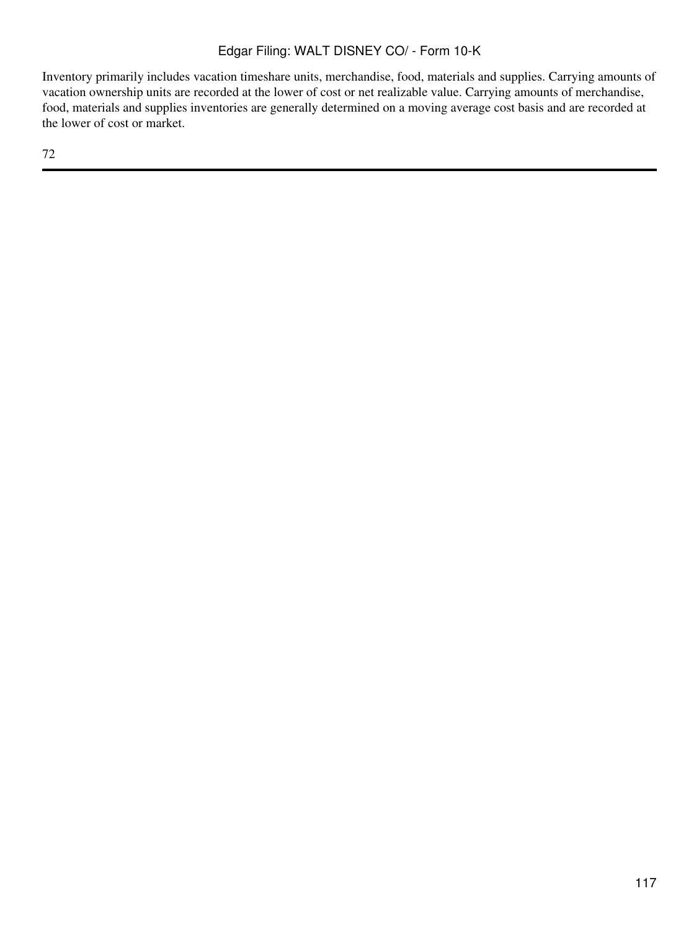# Edgar Filing: WALT DISNEY CO/ - Form 10-K

Inventory primarily includes vacation timeshare units, merchandise, food, materials and supplies. Carrying amounts of vacation ownership units are recorded at the lower of cost or net realizable value. Carrying amounts of merchandise, food, materials and supplies inventories are generally determined on a moving average cost basis and are recorded at the lower of cost or market.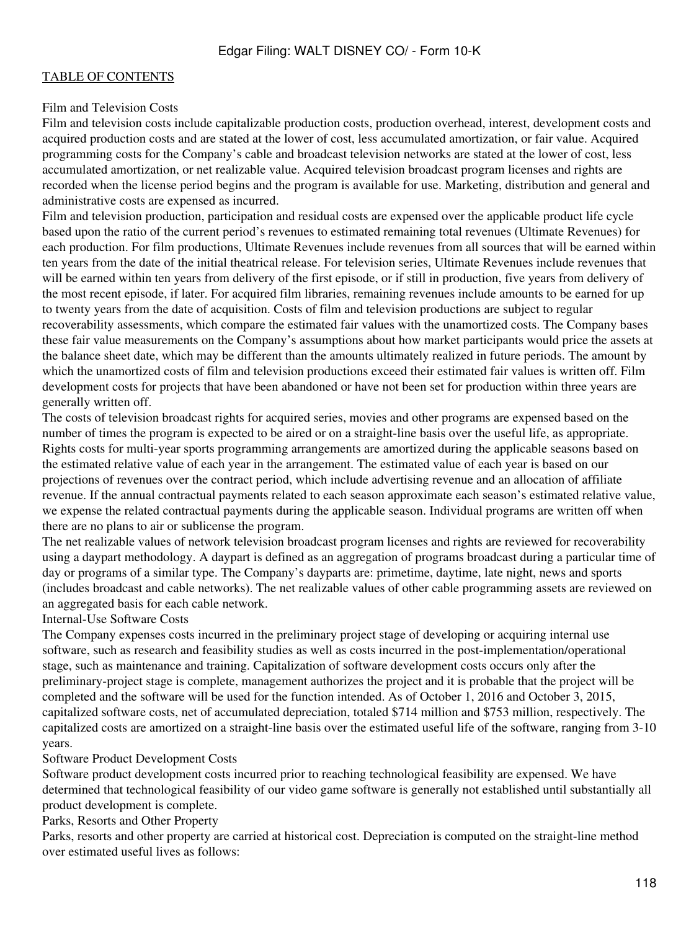# Film and Television Costs

Film and television costs include capitalizable production costs, production overhead, interest, development costs and acquired production costs and are stated at the lower of cost, less accumulated amortization, or fair value. Acquired programming costs for the Company's cable and broadcast television networks are stated at the lower of cost, less accumulated amortization, or net realizable value. Acquired television broadcast program licenses and rights are recorded when the license period begins and the program is available for use. Marketing, distribution and general and administrative costs are expensed as incurred.

Film and television production, participation and residual costs are expensed over the applicable product life cycle based upon the ratio of the current period's revenues to estimated remaining total revenues (Ultimate Revenues) for each production. For film productions, Ultimate Revenues include revenues from all sources that will be earned within ten years from the date of the initial theatrical release. For television series, Ultimate Revenues include revenues that will be earned within ten years from delivery of the first episode, or if still in production, five years from delivery of the most recent episode, if later. For acquired film libraries, remaining revenues include amounts to be earned for up to twenty years from the date of acquisition. Costs of film and television productions are subject to regular recoverability assessments, which compare the estimated fair values with the unamortized costs. The Company bases these fair value measurements on the Company's assumptions about how market participants would price the assets at the balance sheet date, which may be different than the amounts ultimately realized in future periods. The amount by which the unamortized costs of film and television productions exceed their estimated fair values is written off. Film development costs for projects that have been abandoned or have not been set for production within three years are generally written off.

The costs of television broadcast rights for acquired series, movies and other programs are expensed based on the number of times the program is expected to be aired or on a straight-line basis over the useful life, as appropriate. Rights costs for multi-year sports programming arrangements are amortized during the applicable seasons based on the estimated relative value of each year in the arrangement. The estimated value of each year is based on our projections of revenues over the contract period, which include advertising revenue and an allocation of affiliate revenue. If the annual contractual payments related to each season approximate each season's estimated relative value, we expense the related contractual payments during the applicable season. Individual programs are written off when there are no plans to air or sublicense the program.

The net realizable values of network television broadcast program licenses and rights are reviewed for recoverability using a daypart methodology. A daypart is defined as an aggregation of programs broadcast during a particular time of day or programs of a similar type. The Company's dayparts are: primetime, daytime, late night, news and sports (includes broadcast and cable networks). The net realizable values of other cable programming assets are reviewed on an aggregated basis for each cable network.

#### Internal-Use Software Costs

The Company expenses costs incurred in the preliminary project stage of developing or acquiring internal use software, such as research and feasibility studies as well as costs incurred in the post-implementation/operational stage, such as maintenance and training. Capitalization of software development costs occurs only after the preliminary-project stage is complete, management authorizes the project and it is probable that the project will be completed and the software will be used for the function intended. As of October 1, 2016 and October 3, 2015, capitalized software costs, net of accumulated depreciation, totaled \$714 million and \$753 million, respectively. The capitalized costs are amortized on a straight-line basis over the estimated useful life of the software, ranging from 3-10 years.

#### Software Product Development Costs

Software product development costs incurred prior to reaching technological feasibility are expensed. We have determined that technological feasibility of our video game software is generally not established until substantially all product development is complete.

#### Parks, Resorts and Other Property

Parks, resorts and other property are carried at historical cost. Depreciation is computed on the straight-line method over estimated useful lives as follows: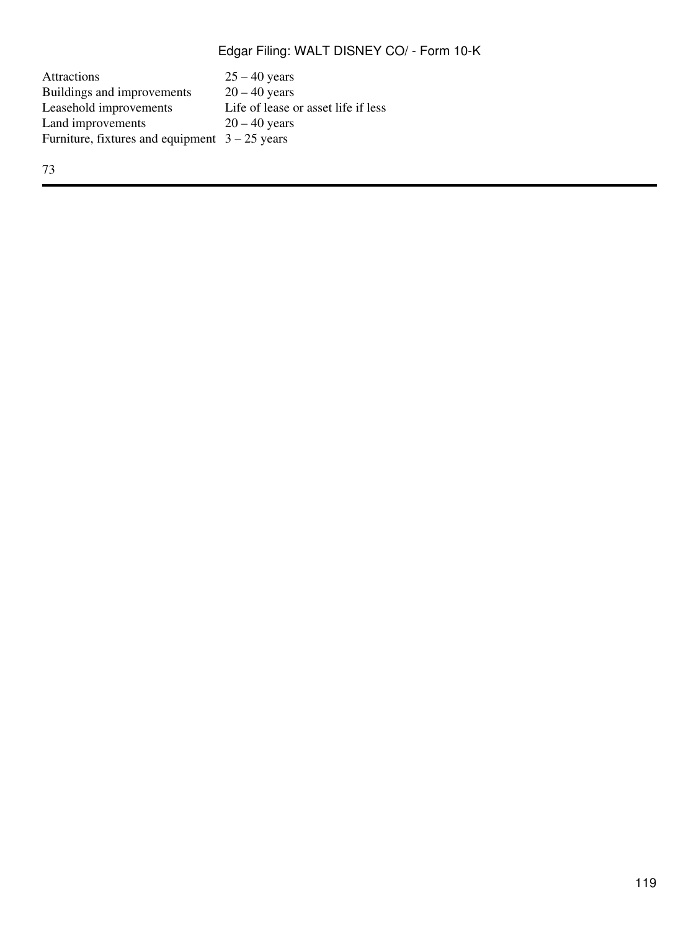# Edgar Filing: WALT DISNEY CO/ - Form 10-K

| Attractions                                      | $25 - 40$ years                     |
|--------------------------------------------------|-------------------------------------|
| Buildings and improvements                       | $20 - 40$ years                     |
| Leasehold improvements                           | Life of lease or asset life if less |
| Land improvements                                | $20 - 40$ years                     |
| Furniture, fixtures and equipment $3 - 25$ years |                                     |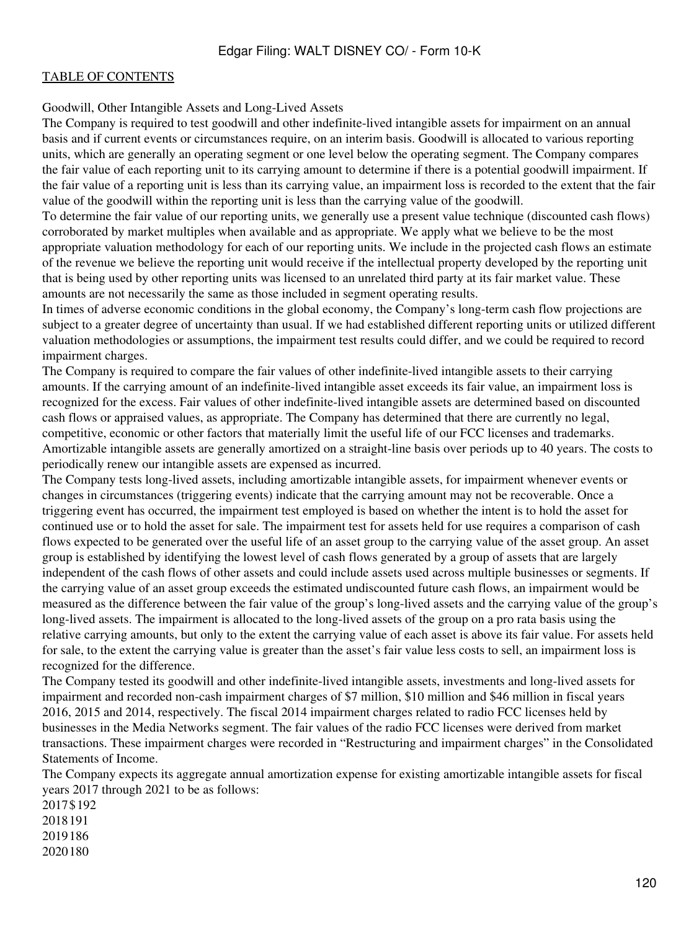#### Goodwill, Other Intangible Assets and Long-Lived Assets

The Company is required to test goodwill and other indefinite-lived intangible assets for impairment on an annual basis and if current events or circumstances require, on an interim basis. Goodwill is allocated to various reporting units, which are generally an operating segment or one level below the operating segment. The Company compares the fair value of each reporting unit to its carrying amount to determine if there is a potential goodwill impairment. If the fair value of a reporting unit is less than its carrying value, an impairment loss is recorded to the extent that the fair value of the goodwill within the reporting unit is less than the carrying value of the goodwill.

To determine the fair value of our reporting units, we generally use a present value technique (discounted cash flows) corroborated by market multiples when available and as appropriate. We apply what we believe to be the most appropriate valuation methodology for each of our reporting units. We include in the projected cash flows an estimate of the revenue we believe the reporting unit would receive if the intellectual property developed by the reporting unit that is being used by other reporting units was licensed to an unrelated third party at its fair market value. These amounts are not necessarily the same as those included in segment operating results.

In times of adverse economic conditions in the global economy, the Company's long-term cash flow projections are subject to a greater degree of uncertainty than usual. If we had established different reporting units or utilized different valuation methodologies or assumptions, the impairment test results could differ, and we could be required to record impairment charges.

The Company is required to compare the fair values of other indefinite-lived intangible assets to their carrying amounts. If the carrying amount of an indefinite-lived intangible asset exceeds its fair value, an impairment loss is recognized for the excess. Fair values of other indefinite-lived intangible assets are determined based on discounted cash flows or appraised values, as appropriate. The Company has determined that there are currently no legal, competitive, economic or other factors that materially limit the useful life of our FCC licenses and trademarks. Amortizable intangible assets are generally amortized on a straight-line basis over periods up to 40 years. The costs to periodically renew our intangible assets are expensed as incurred.

The Company tests long-lived assets, including amortizable intangible assets, for impairment whenever events or changes in circumstances (triggering events) indicate that the carrying amount may not be recoverable. Once a triggering event has occurred, the impairment test employed is based on whether the intent is to hold the asset for continued use or to hold the asset for sale. The impairment test for assets held for use requires a comparison of cash flows expected to be generated over the useful life of an asset group to the carrying value of the asset group. An asset group is established by identifying the lowest level of cash flows generated by a group of assets that are largely independent of the cash flows of other assets and could include assets used across multiple businesses or segments. If the carrying value of an asset group exceeds the estimated undiscounted future cash flows, an impairment would be measured as the difference between the fair value of the group's long-lived assets and the carrying value of the group's long-lived assets. The impairment is allocated to the long-lived assets of the group on a pro rata basis using the relative carrying amounts, but only to the extent the carrying value of each asset is above its fair value. For assets held for sale, to the extent the carrying value is greater than the asset's fair value less costs to sell, an impairment loss is recognized for the difference.

The Company tested its goodwill and other indefinite-lived intangible assets, investments and long-lived assets for impairment and recorded non-cash impairment charges of \$7 million, \$10 million and \$46 million in fiscal years 2016, 2015 and 2014, respectively. The fiscal 2014 impairment charges related to radio FCC licenses held by businesses in the Media Networks segment. The fair values of the radio FCC licenses were derived from market transactions. These impairment charges were recorded in "Restructuring and impairment charges" in the Consolidated Statements of Income.

The Company expects its aggregate annual amortization expense for existing amortizable intangible assets for fiscal years 2017 through 2021 to be as follows: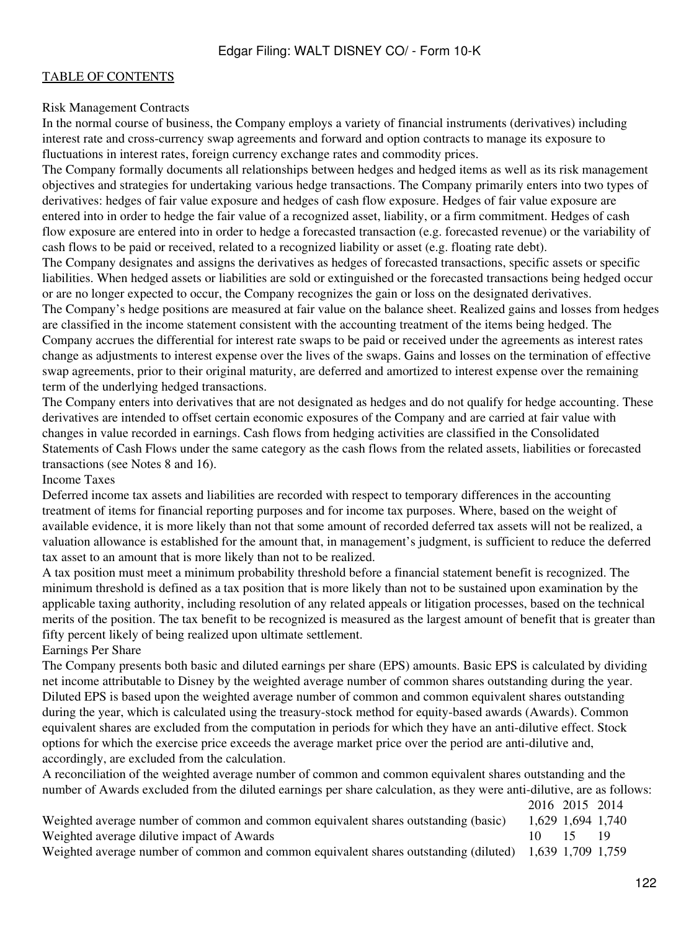#### Risk Management Contracts

In the normal course of business, the Company employs a variety of financial instruments (derivatives) including interest rate and cross-currency swap agreements and forward and option contracts to manage its exposure to fluctuations in interest rates, foreign currency exchange rates and commodity prices.

The Company formally documents all relationships between hedges and hedged items as well as its risk management objectives and strategies for undertaking various hedge transactions. The Company primarily enters into two types of derivatives: hedges of fair value exposure and hedges of cash flow exposure. Hedges of fair value exposure are entered into in order to hedge the fair value of a recognized asset, liability, or a firm commitment. Hedges of cash flow exposure are entered into in order to hedge a forecasted transaction (e.g. forecasted revenue) or the variability of cash flows to be paid or received, related to a recognized liability or asset (e.g. floating rate debt).

The Company designates and assigns the derivatives as hedges of forecasted transactions, specific assets or specific liabilities. When hedged assets or liabilities are sold or extinguished or the forecasted transactions being hedged occur or are no longer expected to occur, the Company recognizes the gain or loss on the designated derivatives.

The Company's hedge positions are measured at fair value on the balance sheet. Realized gains and losses from hedges are classified in the income statement consistent with the accounting treatment of the items being hedged. The Company accrues the differential for interest rate swaps to be paid or received under the agreements as interest rates change as adjustments to interest expense over the lives of the swaps. Gains and losses on the termination of effective swap agreements, prior to their original maturity, are deferred and amortized to interest expense over the remaining term of the underlying hedged transactions.

The Company enters into derivatives that are not designated as hedges and do not qualify for hedge accounting. These derivatives are intended to offset certain economic exposures of the Company and are carried at fair value with changes in value recorded in earnings. Cash flows from hedging activities are classified in the Consolidated Statements of Cash Flows under the same category as the cash flows from the related assets, liabilities or forecasted transactions (see Notes 8 and 16).

#### Income Taxes

Deferred income tax assets and liabilities are recorded with respect to temporary differences in the accounting treatment of items for financial reporting purposes and for income tax purposes. Where, based on the weight of available evidence, it is more likely than not that some amount of recorded deferred tax assets will not be realized, a valuation allowance is established for the amount that, in management's judgment, is sufficient to reduce the deferred tax asset to an amount that is more likely than not to be realized.

A tax position must meet a minimum probability threshold before a financial statement benefit is recognized. The minimum threshold is defined as a tax position that is more likely than not to be sustained upon examination by the applicable taxing authority, including resolution of any related appeals or litigation processes, based on the technical merits of the position. The tax benefit to be recognized is measured as the largest amount of benefit that is greater than fifty percent likely of being realized upon ultimate settlement.

Earnings Per Share

The Company presents both basic and diluted earnings per share (EPS) amounts. Basic EPS is calculated by dividing net income attributable to Disney by the weighted average number of common shares outstanding during the year. Diluted EPS is based upon the weighted average number of common and common equivalent shares outstanding during the year, which is calculated using the treasury-stock method for equity-based awards (Awards). Common equivalent shares are excluded from the computation in periods for which they have an anti-dilutive effect. Stock options for which the exercise price exceeds the average market price over the period are anti-dilutive and, accordingly, are excluded from the calculation.

A reconciliation of the weighted average number of common and common equivalent shares outstanding and the number of Awards excluded from the diluted earnings per share calculation, as they were anti-dilutive, are as follows:

|                                                                                                        | 2010 2013 2014         |  |
|--------------------------------------------------------------------------------------------------------|------------------------|--|
| Weighted average number of common and common equivalent shares outstanding (basic)                     | 1,629 1,694 1,740      |  |
| Weighted average dilutive impact of Awards                                                             | $10 \quad 15 \quad 19$ |  |
| Weighted average number of common and common equivalent shares outstanding (diluted) 1,639 1,709 1,759 |                        |  |

2016 2015 2014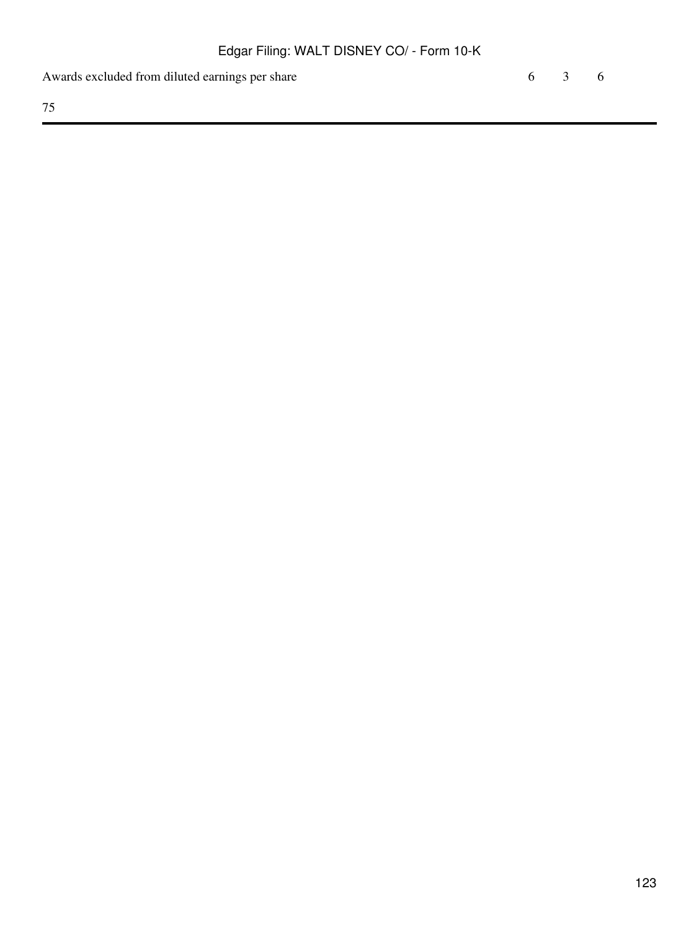Awards excluded from diluted earnings per share 6 6 3 6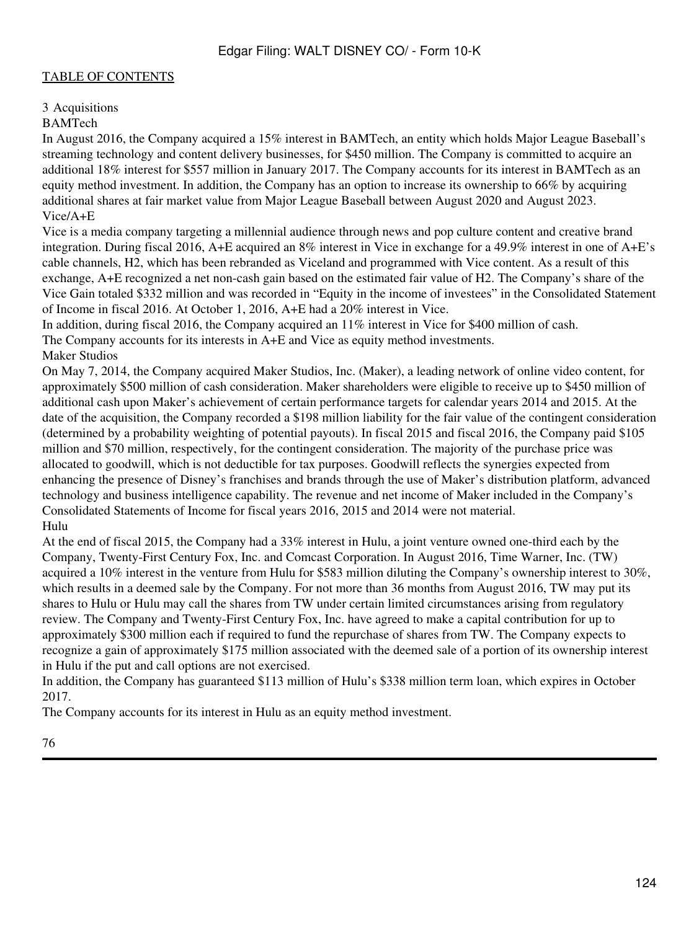### 3 Acquisitions

# BAMTech

In August 2016, the Company acquired a 15% interest in BAMTech, an entity which holds Major League Baseball's streaming technology and content delivery businesses, for \$450 million. The Company is committed to acquire an additional 18% interest for \$557 million in January 2017. The Company accounts for its interest in BAMTech as an equity method investment. In addition, the Company has an option to increase its ownership to 66% by acquiring additional shares at fair market value from Major League Baseball between August 2020 and August 2023. Vice/A+E

Vice is a media company targeting a millennial audience through news and pop culture content and creative brand integration. During fiscal 2016, A+E acquired an 8% interest in Vice in exchange for a 49.9% interest in one of A+E's cable channels, H2, which has been rebranded as Viceland and programmed with Vice content. As a result of this exchange, A+E recognized a net non-cash gain based on the estimated fair value of H2. The Company's share of the Vice Gain totaled \$332 million and was recorded in "Equity in the income of investees" in the Consolidated Statement of Income in fiscal 2016. At October 1, 2016, A+E had a 20% interest in Vice.

In addition, during fiscal 2016, the Company acquired an 11% interest in Vice for \$400 million of cash.

The Company accounts for its interests in A+E and Vice as equity method investments.

Maker Studios

On May 7, 2014, the Company acquired Maker Studios, Inc. (Maker), a leading network of online video content, for approximately \$500 million of cash consideration. Maker shareholders were eligible to receive up to \$450 million of additional cash upon Maker's achievement of certain performance targets for calendar years 2014 and 2015. At the date of the acquisition, the Company recorded a \$198 million liability for the fair value of the contingent consideration (determined by a probability weighting of potential payouts). In fiscal 2015 and fiscal 2016, the Company paid \$105 million and \$70 million, respectively, for the contingent consideration. The majority of the purchase price was allocated to goodwill, which is not deductible for tax purposes. Goodwill reflects the synergies expected from enhancing the presence of Disney's franchises and brands through the use of Maker's distribution platform, advanced technology and business intelligence capability. The revenue and net income of Maker included in the Company's Consolidated Statements of Income for fiscal years 2016, 2015 and 2014 were not material. Hulu

At the end of fiscal 2015, the Company had a 33% interest in Hulu, a joint venture owned one-third each by the Company, Twenty-First Century Fox, Inc. and Comcast Corporation. In August 2016, Time Warner, Inc. (TW) acquired a 10% interest in the venture from Hulu for \$583 million diluting the Company's ownership interest to 30%, which results in a deemed sale by the Company. For not more than 36 months from August 2016, TW may put its shares to Hulu or Hulu may call the shares from TW under certain limited circumstances arising from regulatory review. The Company and Twenty-First Century Fox, Inc. have agreed to make a capital contribution for up to approximately \$300 million each if required to fund the repurchase of shares from TW. The Company expects to recognize a gain of approximately \$175 million associated with the deemed sale of a portion of its ownership interest in Hulu if the put and call options are not exercised.

In addition, the Company has guaranteed \$113 million of Hulu's \$338 million term loan, which expires in October 2017.

The Company accounts for its interest in Hulu as an equity method investment.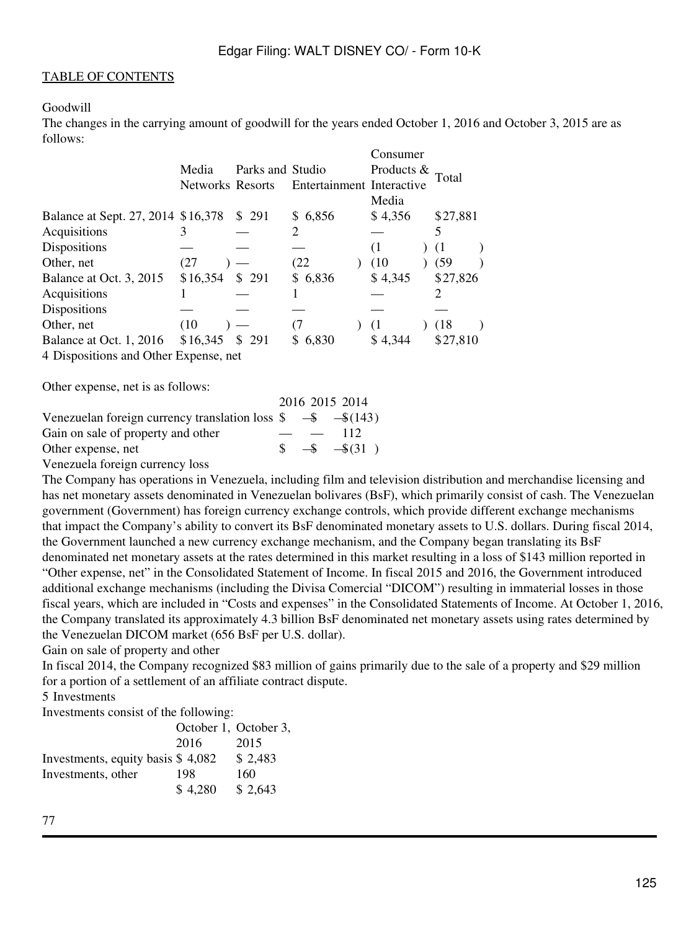#### Goodwill

The changes in the carrying amount of goodwill for the years ended October 1, 2016 and October 3, 2015 are as follows:

|                                      |          |                  |                                            | Consumer      |                |
|--------------------------------------|----------|------------------|--------------------------------------------|---------------|----------------|
|                                      | Media    | Parks and Studio |                                            | Products $\&$ | Total          |
|                                      |          |                  | Networks Resorts Entertainment Interactive |               |                |
|                                      |          |                  |                                            | Media         |                |
| Balance at Sept. 27, 2014 \$16,378   |          | \$291            | \$6,856                                    | \$4,356       | \$27,881       |
| Acquisitions                         | 3        |                  |                                            |               |                |
| Dispositions                         |          |                  |                                            | (1            | <sup>(1)</sup> |
| Other, net                           | (27      |                  | (22)                                       | (10)          | (59)           |
| Balance at Oct. 3, 2015              | \$16,354 | \$291            | \$6,836                                    | \$4,345       | \$27,826       |
| Acquisitions                         |          |                  |                                            |               |                |
| <b>Dispositions</b>                  |          |                  |                                            |               |                |
| Other, net                           | (10)     |                  |                                            | <sup>(1</sup> | (18)           |
| Balance at Oct. 1, 2016              | \$16,345 | \$ 291           | 6,830                                      | \$4,344       | \$27,810       |
| 4 Dispositions and Other Expanse not |          |                  |                                            |               |                |

4 Dispositions and Other Expense, net

Other expense, net is as follows:

|                                                                                              |                      | 2016 2015 2014                                                                                                                                                                                                                                                                                                      |
|----------------------------------------------------------------------------------------------|----------------------|---------------------------------------------------------------------------------------------------------------------------------------------------------------------------------------------------------------------------------------------------------------------------------------------------------------------|
| Venezuelan foreign currency translation loss $\frac{1}{2}$ $\frac{1}{2}$ $\frac{1}{2}$ (143) |                      |                                                                                                                                                                                                                                                                                                                     |
| Gain on sale of property and other                                                           | <u>and the state</u> | 112                                                                                                                                                                                                                                                                                                                 |
| Other expense, net                                                                           |                      | $\frac{1}{2}$ $\frac{1}{2}$ $\frac{1}{2}$ $\frac{1}{2}$ $\frac{1}{2}$ $\frac{1}{2}$ $\frac{1}{2}$ $\frac{1}{2}$ $\frac{1}{2}$ $\frac{1}{2}$ $\frac{1}{2}$ $\frac{1}{2}$ $\frac{1}{2}$ $\frac{1}{2}$ $\frac{1}{2}$ $\frac{1}{2}$ $\frac{1}{2}$ $\frac{1}{2}$ $\frac{1}{2}$ $\frac{1}{2}$ $\frac{1}{2}$ $\frac{1}{2}$ |

Venezuela foreign currency loss

The Company has operations in Venezuela, including film and television distribution and merchandise licensing and has net monetary assets denominated in Venezuelan bolivares (BsF), which primarily consist of cash. The Venezuelan government (Government) has foreign currency exchange controls, which provide different exchange mechanisms that impact the Company's ability to convert its BsF denominated monetary assets to U.S. dollars. During fiscal 2014, the Government launched a new currency exchange mechanism, and the Company began translating its BsF denominated net monetary assets at the rates determined in this market resulting in a loss of \$143 million reported in "Other expense, net" in the Consolidated Statement of Income. In fiscal 2015 and 2016, the Government introduced additional exchange mechanisms (including the Divisa Comercial "DICOM") resulting in immaterial losses in those fiscal years, which are included in "Costs and expenses" in the Consolidated Statements of Income. At October 1, 2016, the Company translated its approximately 4.3 billion BsF denominated net monetary assets using rates determined by the Venezuelan DICOM market (656 BsF per U.S. dollar).

Gain on sale of property and other

In fiscal 2014, the Company recognized \$83 million of gains primarily due to the sale of a property and \$29 million for a portion of a settlement of an affiliate contract dispute.

5 Investments

Investments consist of the following:

|                                   | October 1, October 3, |         |
|-----------------------------------|-----------------------|---------|
|                                   | 2016                  | 2015    |
| Investments, equity basis \$4,082 |                       | \$2,483 |
| Investments, other                | 198.                  | 160     |
|                                   | \$4,280               | \$2,643 |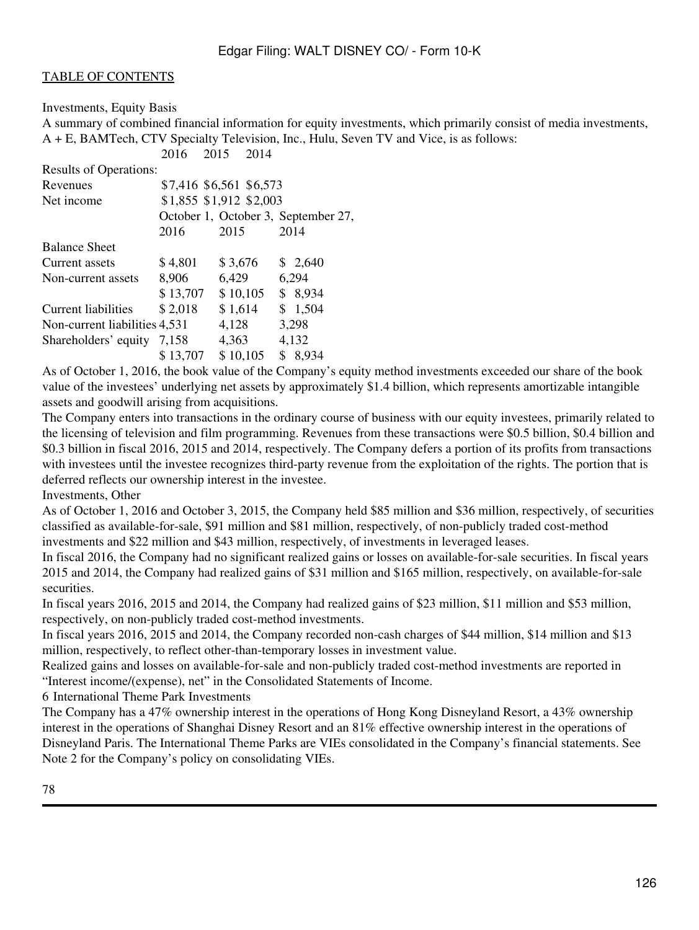#### Investments, Equity Basis A summary of combined financial information for equity investments, which primarily consist of media investments, A + E, BAMTech, CTV Specialty Television, Inc., Hulu, Seven TV and Vice, is as follows:

|                               | 2016     | 2015                    | 2014 |                                     |
|-------------------------------|----------|-------------------------|------|-------------------------------------|
| <b>Results of Operations:</b> |          |                         |      |                                     |
| Revenues                      |          | \$7,416 \$6,561 \$6,573 |      |                                     |
| Net income                    |          | \$1,855 \$1,912 \$2,003 |      |                                     |
|                               |          |                         |      | October 1, October 3, September 27, |
|                               | 2016     | 2015                    |      | 2014                                |
| <b>Balance Sheet</b>          |          |                         |      |                                     |
| Current assets                | \$4,801  | \$3,676                 |      | \$2,640                             |
| Non-current assets            | 8,906    | 6,429                   |      | 6,294                               |
|                               | \$13,707 | \$10,105                |      | \$8,934                             |
| Current liabilities           | \$2,018  | \$1,614                 |      | \$1,504                             |
| Non-current liabilities 4,531 |          | 4,128                   |      | 3,298                               |
| Shareholders' equity          | 7,158    | 4,363                   |      | 4,132                               |
|                               | \$13,707 | \$10,105                |      | \$8,934                             |

As of October 1, 2016, the book value of the Company's equity method investments exceeded our share of the book value of the investees' underlying net assets by approximately \$1.4 billion, which represents amortizable intangible assets and goodwill arising from acquisitions.

The Company enters into transactions in the ordinary course of business with our equity investees, primarily related to the licensing of television and film programming. Revenues from these transactions were \$0.5 billion, \$0.4 billion and \$0.3 billion in fiscal 2016, 2015 and 2014, respectively. The Company defers a portion of its profits from transactions with investees until the investee recognizes third-party revenue from the exploitation of the rights. The portion that is deferred reflects our ownership interest in the investee.

Investments, Other

As of October 1, 2016 and October 3, 2015, the Company held \$85 million and \$36 million, respectively, of securities classified as available-for-sale, \$91 million and \$81 million, respectively, of non-publicly traded cost-method investments and \$22 million and \$43 million, respectively, of investments in leveraged leases.

In fiscal 2016, the Company had no significant realized gains or losses on available-for-sale securities. In fiscal years 2015 and 2014, the Company had realized gains of \$31 million and \$165 million, respectively, on available-for-sale securities.

In fiscal years 2016, 2015 and 2014, the Company had realized gains of \$23 million, \$11 million and \$53 million, respectively, on non-publicly traded cost-method investments.

In fiscal years 2016, 2015 and 2014, the Company recorded non-cash charges of \$44 million, \$14 million and \$13 million, respectively, to reflect other-than-temporary losses in investment value.

Realized gains and losses on available-for-sale and non-publicly traded cost-method investments are reported in "Interest income/(expense), net" in the Consolidated Statements of Income.

6 International Theme Park Investments

The Company has a 47% ownership interest in the operations of Hong Kong Disneyland Resort, a 43% ownership interest in the operations of Shanghai Disney Resort and an 81% effective ownership interest in the operations of Disneyland Paris. The International Theme Parks are VIEs consolidated in the Company's financial statements. See Note 2 for the Company's policy on consolidating VIEs.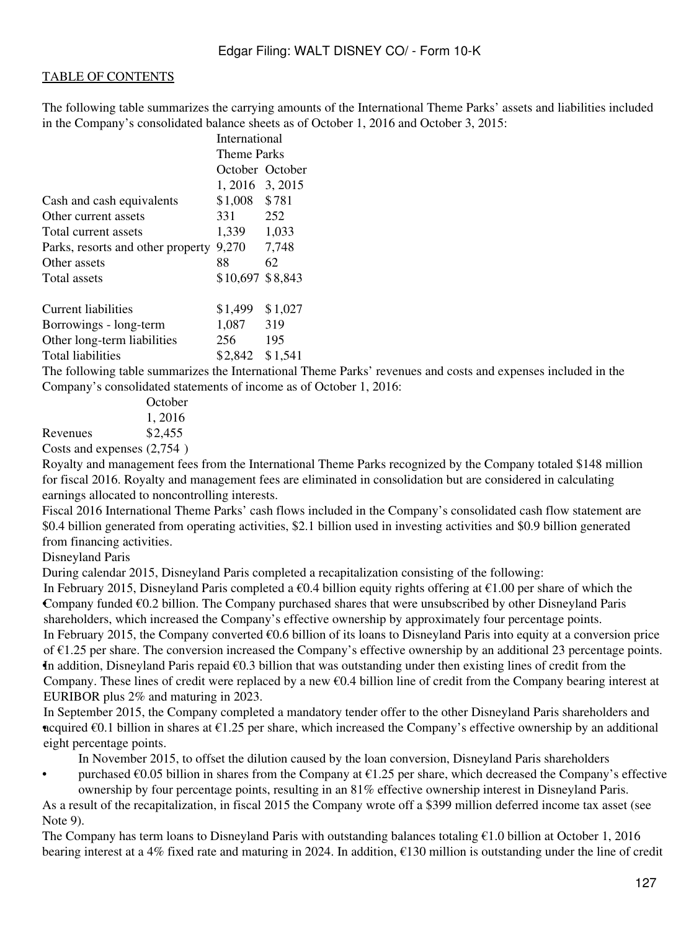The following table summarizes the carrying amounts of the International Theme Parks' assets and liabilities included in the Company's consolidated balance sheets as of October 1, 2016 and October 3, 2015:

|                                   | International   |         |  |
|-----------------------------------|-----------------|---------|--|
|                                   | Theme Parks     |         |  |
|                                   | October October |         |  |
|                                   | 1, 2016         | 3, 2015 |  |
| Cash and cash equivalents         | \$1,008         | \$781   |  |
| Other current assets              | 331             | 252     |  |
| Total current assets              | 1,339           | 1,033   |  |
| Parks, resorts and other property | 9,270           | 7,748   |  |
| Other assets                      | 88              | 62      |  |
| Total assets                      | \$10,697        | \$8,843 |  |
| Current liabilities               | \$1,499         | \$1,027 |  |
| Borrowings - long-term            | 1,087           | 319     |  |
| Other long-term liabilities       | 256             | 195     |  |
| <b>Total liabilities</b>          | \$2,842         | \$1,541 |  |

The following table summarizes the International Theme Parks' revenues and costs and expenses included in the Company's consolidated statements of income as of October 1, 2016:

|                              | October |
|------------------------------|---------|
|                              | 1, 2016 |
| Revenues                     | \$2,455 |
| Costs and expenses $(2.754)$ |         |

Royalty and management fees from the International Theme Parks recognized by the Company totaled \$148 million for fiscal 2016. Royalty and management fees are eliminated in consolidation but are considered in calculating earnings allocated to noncontrolling interests.

Fiscal 2016 International Theme Parks' cash flows included in the Company's consolidated cash flow statement are \$0.4 billion generated from operating activities, \$2.1 billion used in investing activities and \$0.9 billion generated from financing activities.

Disneyland Paris

During calendar 2015, Disneyland Paris completed a recapitalization consisting of the following:

• Company funded €0.2 billion. The Company purchased shares that were unsubscribed by other Disneyland Paris In February 2015, Disneyland Paris completed a  $\epsilon$ 0.4 billion equity rights offering at  $\epsilon$ 1.00 per share of which the shareholders, which increased the Company's effective ownership by approximately four percentage points. In addition, Disneyland Paris repaid €0.3 billion that was outstanding under then existing lines of credit from the In February 2015, the Company converted  $\epsilon$ 0.6 billion of its loans to Disneyland Paris into equity at a conversion price of  $\epsilon$ 1.25 per share. The conversion increased the Company's effective ownership by an additional 23 percentage points. Company. These lines of credit were replaced by a new  $\epsilon$ 0.4 billion line of credit from the Company bearing interest at EURIBOR plus 2% and maturing in 2023.

• acquired €0.1 billion in shares at €1.25 per share, which increased the Company's effective ownership by an additional In September 2015, the Company completed a mandatory tender offer to the other Disneyland Paris shareholders and eight percentage points.

In November 2015, to offset the dilution caused by the loan conversion, Disneyland Paris shareholders

• purchased €0.05 billion in shares from the Company at €1.25 per share, which decreased the Company's effective ownership by four percentage points, resulting in an 81% effective ownership interest in Disneyland Paris.

As a result of the recapitalization, in fiscal 2015 the Company wrote off a \$399 million deferred income tax asset (see Note 9).

The Company has term loans to Disneyland Paris with outstanding balances totaling €1.0 billion at October 1, 2016 bearing interest at a 4% fixed rate and maturing in 2024. In addition,  $\epsilon$ 130 million is outstanding under the line of credit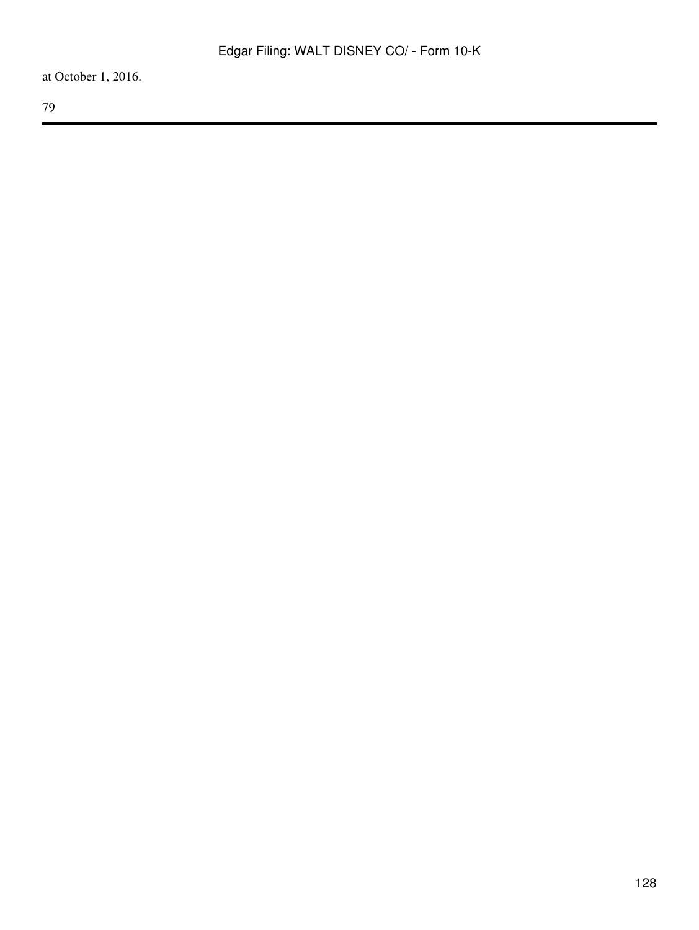at October 1, 2016.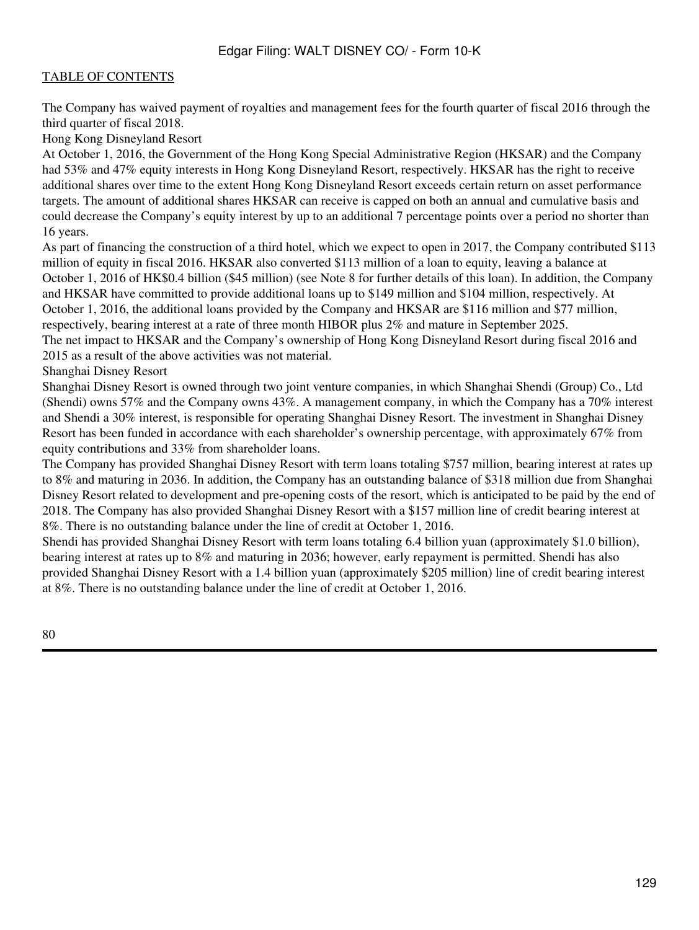The Company has waived payment of royalties and management fees for the fourth quarter of fiscal 2016 through the third quarter of fiscal 2018.

Hong Kong Disneyland Resort

At October 1, 2016, the Government of the Hong Kong Special Administrative Region (HKSAR) and the Company had 53% and 47% equity interests in Hong Kong Disneyland Resort, respectively. HKSAR has the right to receive additional shares over time to the extent Hong Kong Disneyland Resort exceeds certain return on asset performance targets. The amount of additional shares HKSAR can receive is capped on both an annual and cumulative basis and could decrease the Company's equity interest by up to an additional 7 percentage points over a period no shorter than 16 years.

As part of financing the construction of a third hotel, which we expect to open in 2017, the Company contributed \$113 million of equity in fiscal 2016. HKSAR also converted \$113 million of a loan to equity, leaving a balance at October 1, 2016 of HK\$0.4 billion (\$45 million) (see Note 8 for further details of this loan). In addition, the Company and HKSAR have committed to provide additional loans up to \$149 million and \$104 million, respectively. At October 1, 2016, the additional loans provided by the Company and HKSAR are \$116 million and \$77 million, respectively, bearing interest at a rate of three month HIBOR plus 2% and mature in September 2025.

The net impact to HKSAR and the Company's ownership of Hong Kong Disneyland Resort during fiscal 2016 and 2015 as a result of the above activities was not material.

Shanghai Disney Resort

Shanghai Disney Resort is owned through two joint venture companies, in which Shanghai Shendi (Group) Co., Ltd (Shendi) owns 57% and the Company owns 43%. A management company, in which the Company has a 70% interest and Shendi a 30% interest, is responsible for operating Shanghai Disney Resort. The investment in Shanghai Disney Resort has been funded in accordance with each shareholder's ownership percentage, with approximately 67% from equity contributions and 33% from shareholder loans.

The Company has provided Shanghai Disney Resort with term loans totaling \$757 million, bearing interest at rates up to 8% and maturing in 2036. In addition, the Company has an outstanding balance of \$318 million due from Shanghai Disney Resort related to development and pre-opening costs of the resort, which is anticipated to be paid by the end of 2018. The Company has also provided Shanghai Disney Resort with a \$157 million line of credit bearing interest at 8%. There is no outstanding balance under the line of credit at October 1, 2016.

Shendi has provided Shanghai Disney Resort with term loans totaling 6.4 billion yuan (approximately \$1.0 billion), bearing interest at rates up to 8% and maturing in 2036; however, early repayment is permitted. Shendi has also provided Shanghai Disney Resort with a 1.4 billion yuan (approximately \$205 million) line of credit bearing interest at 8%. There is no outstanding balance under the line of credit at October 1, 2016.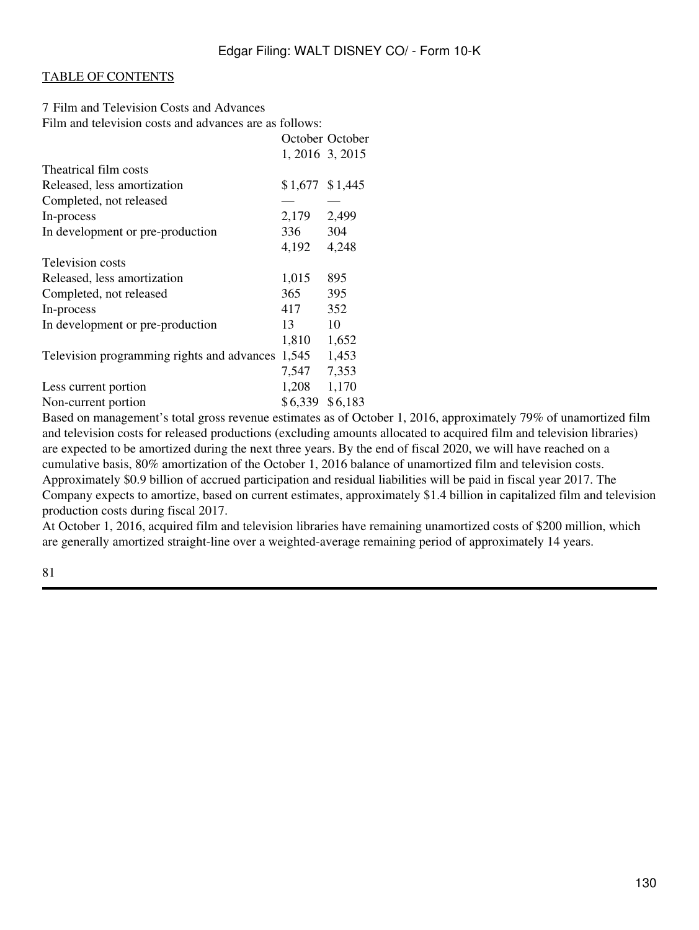7 Film and Television Costs and Advances

Film and television costs and advances are as follows:

|                                            |                   | October October |
|--------------------------------------------|-------------------|-----------------|
|                                            |                   | 1, 2016 3, 2015 |
| Theatrical film costs                      |                   |                 |
| Released, less amortization                | $$1,677$ $$1,445$ |                 |
| Completed, not released                    |                   |                 |
| In-process                                 | 2,179             | 2,499           |
| In development or pre-production           | 336               | 304             |
|                                            | 4,192             | 4,248           |
| <b>Television costs</b>                    |                   |                 |
| Released, less amortization                | 1,015             | 895             |
| Completed, not released                    | 365               | 395             |
| In-process                                 | 417               | 352             |
| In development or pre-production           | 13                | 10              |
|                                            | 1,810             | 1,652           |
| Television programming rights and advances | 1,545             | 1,453           |
|                                            | 7,547             | 7,353           |
| Less current portion                       | 1,208             | 1,170           |
| Non-current portion                        | \$6,339           | \$6,183         |

Based on management's total gross revenue estimates as of October 1, 2016, approximately 79% of unamortized film and television costs for released productions (excluding amounts allocated to acquired film and television libraries) are expected to be amortized during the next three years. By the end of fiscal 2020, we will have reached on a cumulative basis, 80% amortization of the October 1, 2016 balance of unamortized film and television costs. Approximately \$0.9 billion of accrued participation and residual liabilities will be paid in fiscal year 2017. The Company expects to amortize, based on current estimates, approximately \$1.4 billion in capitalized film and television production costs during fiscal 2017.

At October 1, 2016, acquired film and television libraries have remaining unamortized costs of \$200 million, which are generally amortized straight-line over a weighted-average remaining period of approximately 14 years.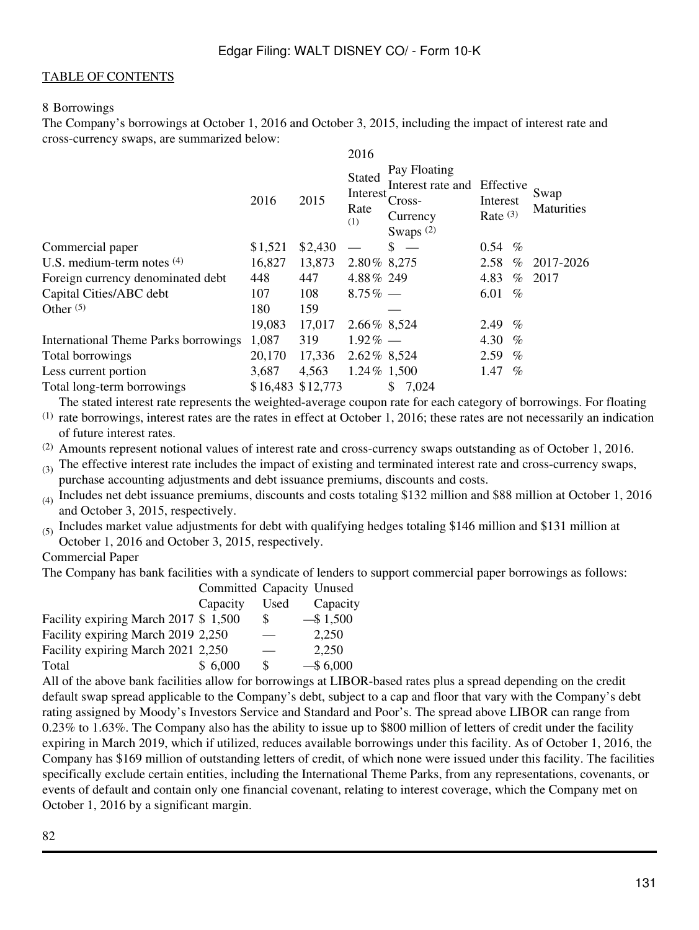#### 8 Borrowings

The Company's borrowings at October 1, 2016 and October 3, 2015, including the impact of interest rate and cross-currency swaps, are summarized below:

| 2016    | 2015    | Stated<br>Rate<br>(1) | Pay Floating<br>Cross-<br>Currency<br>Swaps $(2)$ |                                                                                                                |      | Swap<br>Maturities                                                                    |
|---------|---------|-----------------------|---------------------------------------------------|----------------------------------------------------------------------------------------------------------------|------|---------------------------------------------------------------------------------------|
| \$1,521 | \$2,430 |                       | \$                                                |                                                                                                                | $\%$ |                                                                                       |
| 16,827  | 13,873  |                       |                                                   | 2.58                                                                                                           | $\%$ | 2017-2026                                                                             |
| 448     | 447     |                       |                                                   | 4.83                                                                                                           | $\%$ | 2017                                                                                  |
| 107     | 108     |                       |                                                   | 6.01                                                                                                           | $\%$ |                                                                                       |
| 180     | 159     |                       |                                                   |                                                                                                                |      |                                                                                       |
| 19,083  | 17,017  |                       |                                                   |                                                                                                                |      |                                                                                       |
| 1,087   | 319     |                       |                                                   | 4.30                                                                                                           | $\%$ |                                                                                       |
| 20,170  | 17,336  |                       |                                                   | 2.59                                                                                                           | $\%$ |                                                                                       |
| 3,687   | 4,563   |                       |                                                   |                                                                                                                |      |                                                                                       |
|         |         |                       | 7,024<br>S.                                       |                                                                                                                |      |                                                                                       |
|         |         | \$16,483 \$12,773     | 2016                                              | Interest<br>2.80% 8,275<br>4.88% 249<br>$8.75\%$ —<br>2.66% 8,524<br>$1.92\%$ —<br>2.62% 8,524<br>1.24\% 1,500 |      | Interest rate and Effective<br>Interest<br>Rate $(3)$<br>0.54<br>2.49 $%$<br>1.47 $%$ |

The stated interest rate represents the weighted-average coupon rate for each category of borrowings. For floating

 $<sup>(1)</sup>$  rate borrowings, interest rates are the rates in effect at October 1, 2016; these rates are not necessarily an indication</sup> of future interest rates.

(2) Amounts represent notional values of interest rate and cross-currency swaps outstanding as of October 1, 2016.

 $(3)$  The effective interest rate includes the impact of existing and terminated interest rate and cross-currency swaps, purchase accounting adjustments and debt issuance premiums, discounts and costs.

 $(4)$  Includes net debt issuance premiums, discounts and costs totaling \$132 million and \$88 million at October 1, 2016 and October 3, 2015, respectively.

 $(5)$  Includes market value adjustments for debt with qualifying hedges totaling \$146 million and \$131 million at October 1, 2016 and October 3, 2015, respectively.

# Commercial Paper

The Company has bank facilities with a syndicate of lenders to support commercial paper borrowings as follows:

|                                      | Committed Capacity Unused |              |             |
|--------------------------------------|---------------------------|--------------|-------------|
|                                      | Capacity                  | Used         | Capacity    |
| Facility expiring March 2017 \$1,500 |                           | <sup>S</sup> | $-$ \$1,500 |
| Facility expiring March 2019 2,250   |                           |              | 2,250       |
| Facility expiring March 2021 2,250   |                           |              | 2,250       |
| Total                                | \$6,000                   | \$.          | $-$ \$6,000 |

All of the above bank facilities allow for borrowings at LIBOR-based rates plus a spread depending on the credit default swap spread applicable to the Company's debt, subject to a cap and floor that vary with the Company's debt rating assigned by Moody's Investors Service and Standard and Poor's. The spread above LIBOR can range from 0.23% to 1.63%. The Company also has the ability to issue up to \$800 million of letters of credit under the facility expiring in March 2019, which if utilized, reduces available borrowings under this facility. As of October 1, 2016, the Company has \$169 million of outstanding letters of credit, of which none were issued under this facility. The facilities specifically exclude certain entities, including the International Theme Parks, from any representations, covenants, or events of default and contain only one financial covenant, relating to interest coverage, which the Company met on October 1, 2016 by a significant margin.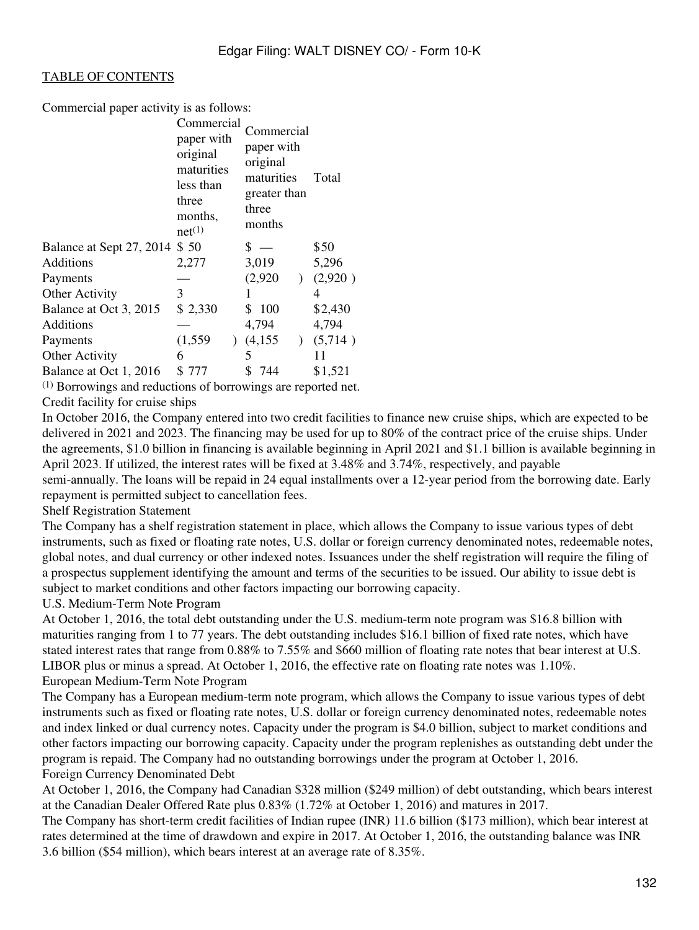Commercial paper activity is as follows:

|                          | Commercial<br>paper with<br>original<br>maturities<br>less than<br>three<br>months,<br>net <sup>(1)</sup> | Commercial<br>paper with<br>original<br>maturities<br>greater than<br>three<br>months | Total   |
|--------------------------|-----------------------------------------------------------------------------------------------------------|---------------------------------------------------------------------------------------|---------|
| Balance at Sept 27, 2014 | \$ 50                                                                                                     | S.                                                                                    | \$50    |
| Additions                | 2,277                                                                                                     | 3,019                                                                                 | 5,296   |
| Payments                 |                                                                                                           | (2,920)<br>$\mathcal{L}$                                                              | (2,920) |
| Other Activity           | 3                                                                                                         |                                                                                       | 4       |
| Balance at Oct 3, 2015   | \$2,330                                                                                                   | \$<br>100                                                                             | \$2,430 |
| Additions                |                                                                                                           | 4,794                                                                                 | 4,794   |
| Payments                 | (1,559)                                                                                                   | (4,155)<br>$\lambda$                                                                  | (5,714) |
| Other Activity           | 6                                                                                                         | 5                                                                                     | 11      |
| Balance at Oct 1, 2016   | \$777                                                                                                     | 744                                                                                   | \$1,521 |

(1) Borrowings and reductions of borrowings are reported net.

Credit facility for cruise ships

In October 2016, the Company entered into two credit facilities to finance new cruise ships, which are expected to be delivered in 2021 and 2023. The financing may be used for up to 80% of the contract price of the cruise ships. Under the agreements, \$1.0 billion in financing is available beginning in April 2021 and \$1.1 billion is available beginning in April 2023. If utilized, the interest rates will be fixed at 3.48% and 3.74%, respectively, and payable semi-annually. The loans will be repaid in 24 equal installments over a 12-year period from the borrowing date. Early

repayment is permitted subject to cancellation fees.

Shelf Registration Statement

The Company has a shelf registration statement in place, which allows the Company to issue various types of debt instruments, such as fixed or floating rate notes, U.S. dollar or foreign currency denominated notes, redeemable notes, global notes, and dual currency or other indexed notes. Issuances under the shelf registration will require the filing of a prospectus supplement identifying the amount and terms of the securities to be issued. Our ability to issue debt is subject to market conditions and other factors impacting our borrowing capacity.

U.S. Medium-Term Note Program

At October 1, 2016, the total debt outstanding under the U.S. medium-term note program was \$16.8 billion with maturities ranging from 1 to 77 years. The debt outstanding includes \$16.1 billion of fixed rate notes, which have stated interest rates that range from 0.88% to 7.55% and \$660 million of floating rate notes that bear interest at U.S. LIBOR plus or minus a spread. At October 1, 2016, the effective rate on floating rate notes was 1.10%. European Medium-Term Note Program

The Company has a European medium-term note program, which allows the Company to issue various types of debt instruments such as fixed or floating rate notes, U.S. dollar or foreign currency denominated notes, redeemable notes and index linked or dual currency notes. Capacity under the program is \$4.0 billion, subject to market conditions and other factors impacting our borrowing capacity. Capacity under the program replenishes as outstanding debt under the program is repaid. The Company had no outstanding borrowings under the program at October 1, 2016. Foreign Currency Denominated Debt

At October 1, 2016, the Company had Canadian \$328 million (\$249 million) of debt outstanding, which bears interest at the Canadian Dealer Offered Rate plus 0.83% (1.72% at October 1, 2016) and matures in 2017.

The Company has short-term credit facilities of Indian rupee (INR) 11.6 billion (\$173 million), which bear interest at rates determined at the time of drawdown and expire in 2017. At October 1, 2016, the outstanding balance was INR 3.6 billion (\$54 million), which bears interest at an average rate of 8.35%.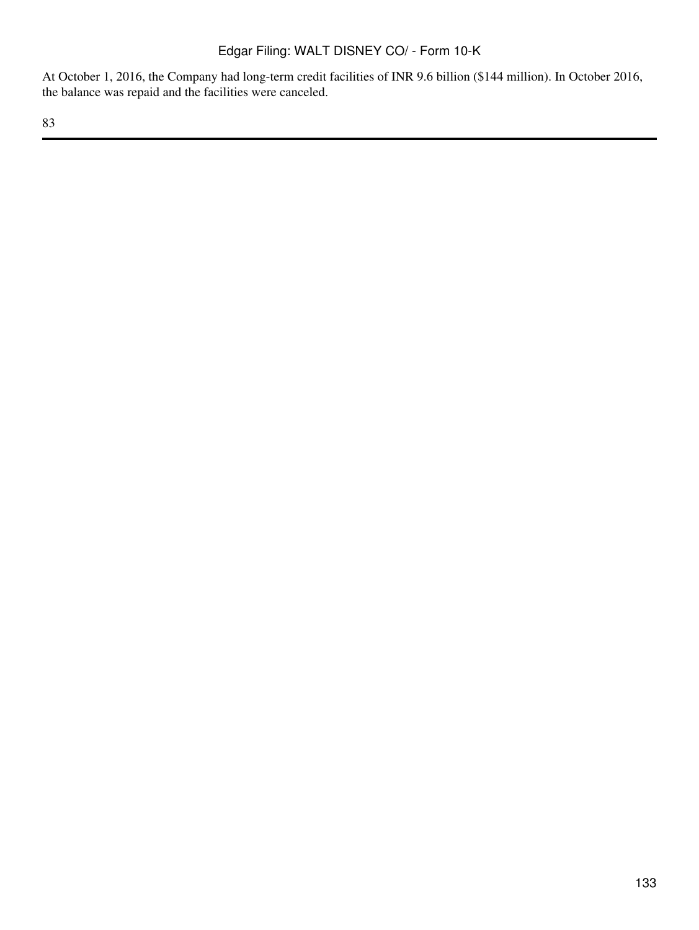# Edgar Filing: WALT DISNEY CO/ - Form 10-K

At October 1, 2016, the Company had long-term credit facilities of INR 9.6 billion (\$144 million). In October 2016, the balance was repaid and the facilities were canceled.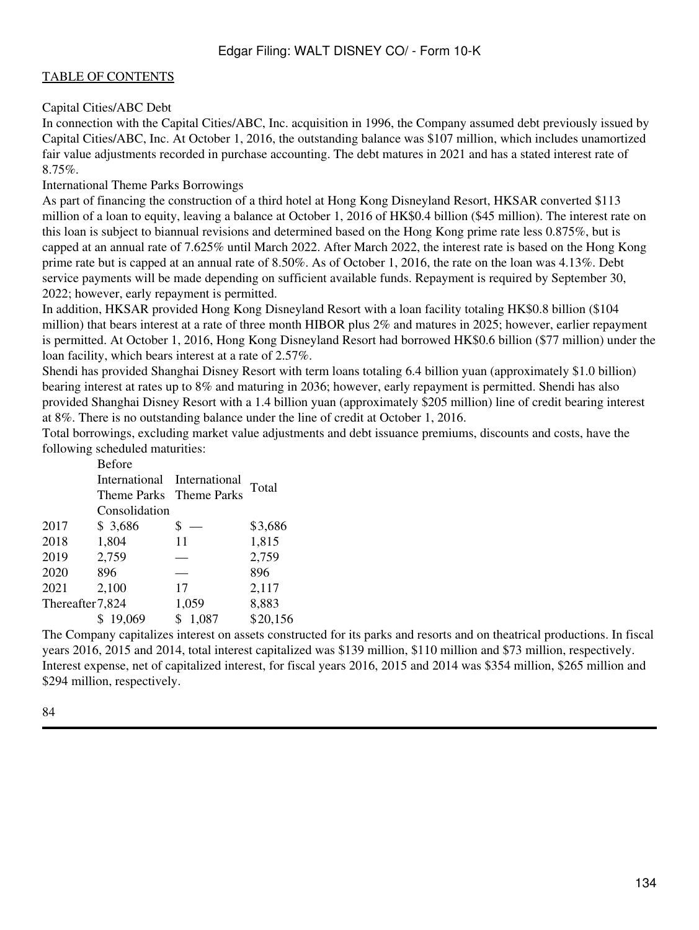Capital Cities/ABC Debt

In connection with the Capital Cities/ABC, Inc. acquisition in 1996, the Company assumed debt previously issued by Capital Cities/ABC, Inc. At October 1, 2016, the outstanding balance was \$107 million, which includes unamortized fair value adjustments recorded in purchase accounting. The debt matures in 2021 and has a stated interest rate of 8.75%.

International Theme Parks Borrowings

As part of financing the construction of a third hotel at Hong Kong Disneyland Resort, HKSAR converted \$113 million of a loan to equity, leaving a balance at October 1, 2016 of HK\$0.4 billion (\$45 million). The interest rate on this loan is subject to biannual revisions and determined based on the Hong Kong prime rate less 0.875%, but is capped at an annual rate of 7.625% until March 2022. After March 2022, the interest rate is based on the Hong Kong prime rate but is capped at an annual rate of 8.50%. As of October 1, 2016, the rate on the loan was 4.13%. Debt service payments will be made depending on sufficient available funds. Repayment is required by September 30, 2022; however, early repayment is permitted.

In addition, HKSAR provided Hong Kong Disneyland Resort with a loan facility totaling HK\$0.8 billion (\$104 million) that bears interest at a rate of three month HIBOR plus 2% and matures in 2025; however, earlier repayment is permitted. At October 1, 2016, Hong Kong Disneyland Resort had borrowed HK\$0.6 billion (\$77 million) under the loan facility, which bears interest at a rate of 2.57%.

Shendi has provided Shanghai Disney Resort with term loans totaling 6.4 billion yuan (approximately \$1.0 billion) bearing interest at rates up to 8% and maturing in 2036; however, early repayment is permitted. Shendi has also provided Shanghai Disney Resort with a 1.4 billion yuan (approximately \$205 million) line of credit bearing interest at 8%. There is no outstanding balance under the line of credit at October 1, 2016.

Total borrowings, excluding market value adjustments and debt issuance premiums, discounts and costs, have the following scheduled maturities:

|                  | <b>Before</b>               |             |          |
|------------------|-----------------------------|-------------|----------|
|                  | International International |             | Total    |
|                  | Theme Parks Theme Parks     |             |          |
|                  | Consolidation               |             |          |
| 2017             | \$3,686                     | S           | \$3,686  |
| 2018             | 1,804                       | 11          | 1,815    |
| 2019             | 2,759                       |             | 2,759    |
| 2020             | 896                         |             | 896      |
| 2021             | 2,100                       | 17          | 2,117    |
| Thereafter 7,824 |                             | 1,059       | 8,883    |
|                  | 19,069                      | \$<br>1,087 | \$20,156 |
|                  |                             |             |          |

The Company capitalizes interest on assets constructed for its parks and resorts and on theatrical productions. In fiscal years 2016, 2015 and 2014, total interest capitalized was \$139 million, \$110 million and \$73 million, respectively. Interest expense, net of capitalized interest, for fiscal years 2016, 2015 and 2014 was \$354 million, \$265 million and \$294 million, respectively.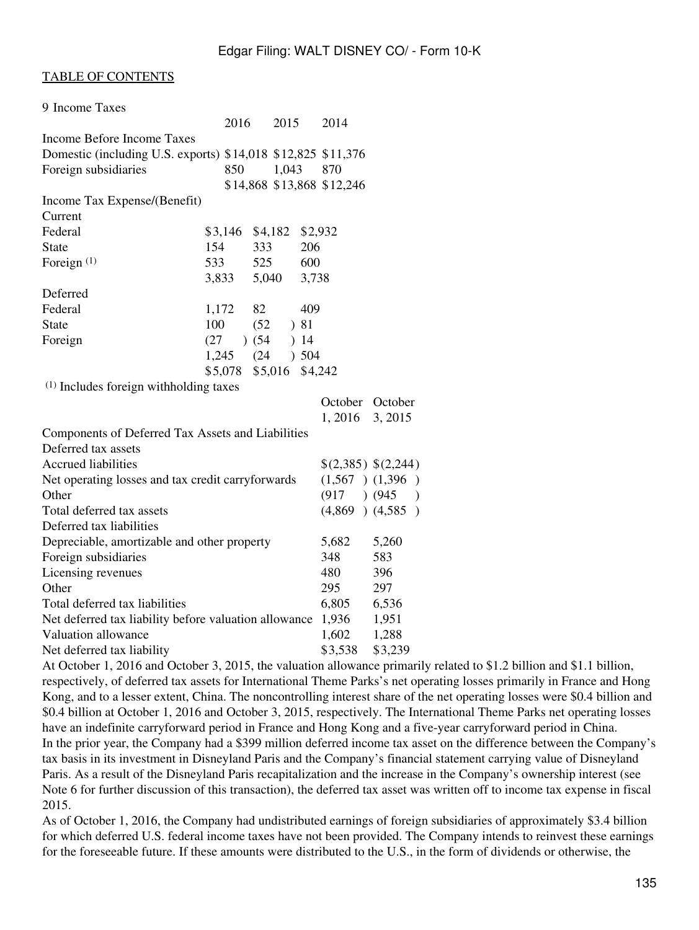| 9 Income Taxes                                                            |                         |    |       |       |                            |         |  |
|---------------------------------------------------------------------------|-------------------------|----|-------|-------|----------------------------|---------|--|
|                                                                           | 2016                    |    | 2015  |       | 2014                       |         |  |
| Income Before Income Taxes                                                |                         |    |       |       |                            |         |  |
| Domestic (including U.S. exports) \$14,018 \$12,825 \$11,376              |                         |    |       |       |                            |         |  |
| Foreign subsidiaries                                                      | 850                     |    | 1,043 |       | 870                        |         |  |
|                                                                           |                         |    |       |       | \$14,868 \$13,868 \$12,246 |         |  |
| Income Tax Expense/(Benefit)                                              |                         |    |       |       |                            |         |  |
| Current                                                                   |                         |    |       |       |                            |         |  |
| Federal                                                                   | \$3,146 \$4,182 \$2,932 |    |       |       |                            |         |  |
| <b>State</b>                                                              | 154                     |    | 333   | 206   |                            |         |  |
| Foreign $(1)$                                                             | 533                     |    | 525   | 600   |                            |         |  |
|                                                                           | 3,833                   |    | 5,040 | 3,738 |                            |         |  |
| Deferred                                                                  |                         |    |       |       |                            |         |  |
| Federal                                                                   | 1,172                   | 82 |       | 409   |                            |         |  |
| <b>State</b>                                                              | 100 (52) 81             |    |       |       |                            |         |  |
| Foreign                                                                   | (27) (54) 14            |    |       |       |                            |         |  |
|                                                                           | $1,245$ $(24)$ $504$    |    |       |       |                            |         |  |
|                                                                           | \$5,078 \$5,016 \$4,242 |    |       |       |                            |         |  |
| $(1)$ Includes foreign withholding taxes                                  |                         |    |       |       |                            |         |  |
|                                                                           |                         |    |       |       | October October            |         |  |
|                                                                           |                         |    |       |       | 1, 2016                    | 3, 2015 |  |
| Components of Deferred Tax Assets and Liabilities                         |                         |    |       |       |                            |         |  |
| Deferred tax assets                                                       |                         |    |       |       |                            |         |  |
| <b>Accrued liabilities</b>                                                |                         |    |       |       | \$(2,385) \$(2,244)        |         |  |
| Net operating losses and tax credit carryforwards                         |                         |    |       |       | $(1,567)$ $(1,396)$        |         |  |
| Other                                                                     |                         |    |       |       | (917) (945)                |         |  |
| Total deferred tax assets                                                 |                         |    |       |       | $(4,869)$ $(4,585)$        |         |  |
| Deferred tax liabilities                                                  |                         |    |       |       |                            |         |  |
| Depreciable, amortizable and other property                               |                         |    |       |       | 5,682                      | 5,260   |  |
| Foreign subsidiaries                                                      |                         |    |       |       | 348                        | 583     |  |
| Licensing revenues                                                        |                         |    |       |       | 480                        | 396     |  |
| Other                                                                     |                         |    |       |       | 295                        | 297     |  |
| Total deferred tax liabilities                                            |                         |    |       |       | 6,805                      | 6,536   |  |
| Net deferred tax liability before valuation allowance 1,936               |                         |    |       |       |                            | 1,951   |  |
| Valuation allowance                                                       |                         |    |       |       | 1,602                      | 1,288   |  |
| Net deferred tax liability                                                |                         |    |       |       | \$3,538                    | \$3,239 |  |
| At October 1, 2016 and October 2, 2015, the velocities effections univers |                         |    |       |       |                            |         |  |

At October 1, 2016 and October 3, 2015, the valuation allowance primarily related to \$1.2 billion and \$1.1 billion, respectively, of deferred tax assets for International Theme Parks's net operating losses primarily in France and Hong Kong, and to a lesser extent, China. The noncontrolling interest share of the net operating losses were \$0.4 billion and \$0.4 billion at October 1, 2016 and October 3, 2015, respectively. The International Theme Parks net operating losses have an indefinite carryforward period in France and Hong Kong and a five-year carryforward period in China. In the prior year, the Company had a \$399 million deferred income tax asset on the difference between the Company's tax basis in its investment in Disneyland Paris and the Company's financial statement carrying value of Disneyland Paris. As a result of the Disneyland Paris recapitalization and the increase in the Company's ownership interest (see Note 6 for further discussion of this transaction), the deferred tax asset was written off to income tax expense in fiscal 2015.

As of October 1, 2016, the Company had undistributed earnings of foreign subsidiaries of approximately \$3.4 billion for which deferred U.S. federal income taxes have not been provided. The Company intends to reinvest these earnings for the foreseeable future. If these amounts were distributed to the U.S., in the form of dividends or otherwise, the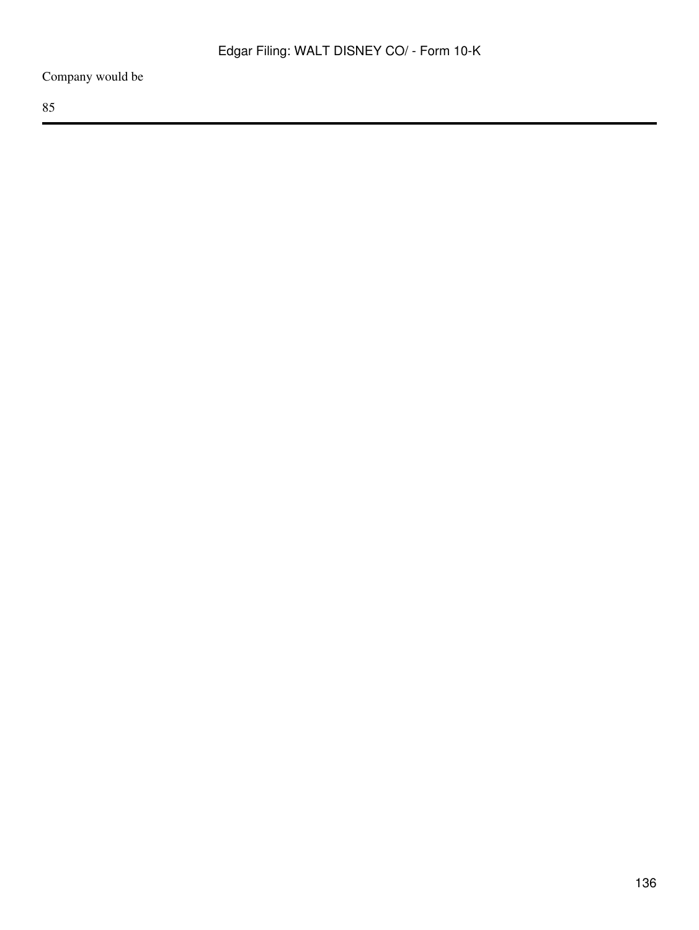Company would be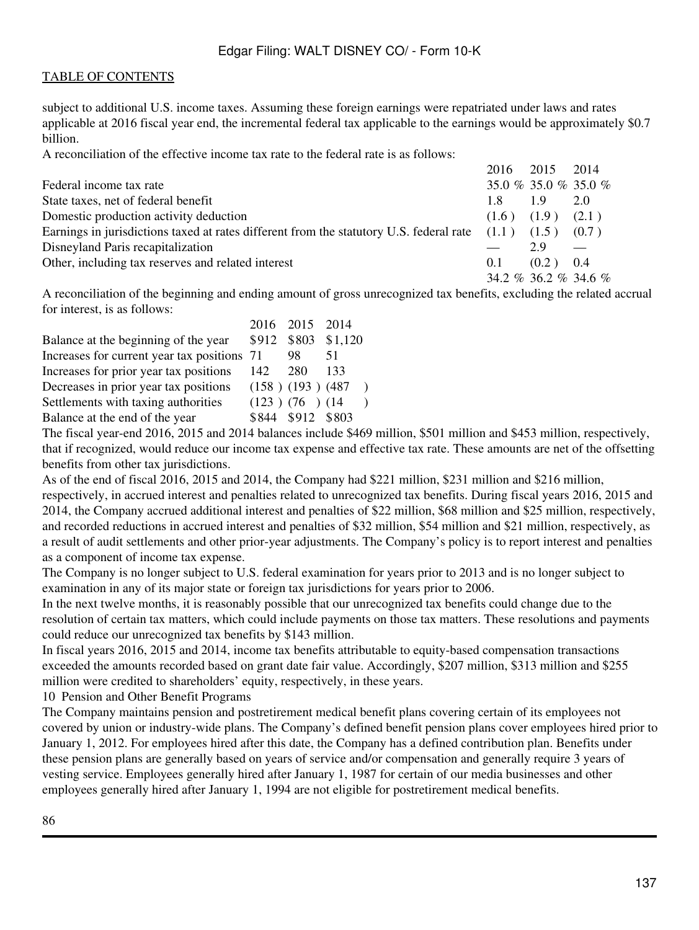subject to additional U.S. income taxes. Assuming these foreign earnings were repatriated under laws and rates applicable at 2016 fiscal year end, the incremental federal tax applicable to the earnings would be approximately \$0.7 billion.

A reconciliation of the effective income tax rate to the federal rate is as follows:

|                                                                                               | 2016  | 2015                 | 2014  |
|-----------------------------------------------------------------------------------------------|-------|----------------------|-------|
| Federal income tax rate                                                                       |       | 35.0 % 35.0 % 35.0 % |       |
| State taxes, net of federal benefit                                                           | 1.8   | 1.9                  | 2.0   |
| Domestic production activity deduction                                                        | (1.6) | (1.9)                | (2.1) |
| Earnings in jurisdictions taxed at rates different from the statutory U.S. federal rate (1.1) |       | (1.5)                | (0.7) |
| Disneyland Paris recapitalization                                                             |       | 29                   |       |
| Other, including tax reserves and related interest                                            | 0.1   | (0.2)                | 0.4   |
|                                                                                               |       | 34.2 % 36.2 % 34.6 % |       |

A reconciliation of the beginning and ending amount of gross unrecognized tax benefits, excluding the related accrual for interest, is as follows:

|                                          |             | 2016 2015 2014          |         |  |
|------------------------------------------|-------------|-------------------------|---------|--|
| Balance at the beginning of the year     | \$912 \$803 |                         | \$1,120 |  |
| Increases for current year tax positions | -71         | 98                      | 51      |  |
| Increases for prior year tax positions   | 142         | 280                     | 133     |  |
| Decreases in prior year tax positions    |             | $(158)$ $(193)$ $(487)$ |         |  |
| Settlements with taxing authorities      |             | (123) (76) (14)         |         |  |
| Balance at the end of the year           |             | \$844 \$912 \$803       |         |  |

The fiscal year-end 2016, 2015 and 2014 balances include \$469 million, \$501 million and \$453 million, respectively, that if recognized, would reduce our income tax expense and effective tax rate. These amounts are net of the offsetting benefits from other tax jurisdictions.

As of the end of fiscal 2016, 2015 and 2014, the Company had \$221 million, \$231 million and \$216 million, respectively, in accrued interest and penalties related to unrecognized tax benefits. During fiscal years 2016, 2015 and 2014, the Company accrued additional interest and penalties of \$22 million, \$68 million and \$25 million, respectively, and recorded reductions in accrued interest and penalties of \$32 million, \$54 million and \$21 million, respectively, as a result of audit settlements and other prior-year adjustments. The Company's policy is to report interest and penalties as a component of income tax expense.

The Company is no longer subject to U.S. federal examination for years prior to 2013 and is no longer subject to examination in any of its major state or foreign tax jurisdictions for years prior to 2006.

In the next twelve months, it is reasonably possible that our unrecognized tax benefits could change due to the resolution of certain tax matters, which could include payments on those tax matters. These resolutions and payments could reduce our unrecognized tax benefits by \$143 million.

In fiscal years 2016, 2015 and 2014, income tax benefits attributable to equity-based compensation transactions exceeded the amounts recorded based on grant date fair value. Accordingly, \$207 million, \$313 million and \$255 million were credited to shareholders' equity, respectively, in these years.

10 Pension and Other Benefit Programs

The Company maintains pension and postretirement medical benefit plans covering certain of its employees not covered by union or industry-wide plans. The Company's defined benefit pension plans cover employees hired prior to January 1, 2012. For employees hired after this date, the Company has a defined contribution plan. Benefits under these pension plans are generally based on years of service and/or compensation and generally require 3 years of vesting service. Employees generally hired after January 1, 1987 for certain of our media businesses and other employees generally hired after January 1, 1994 are not eligible for postretirement medical benefits.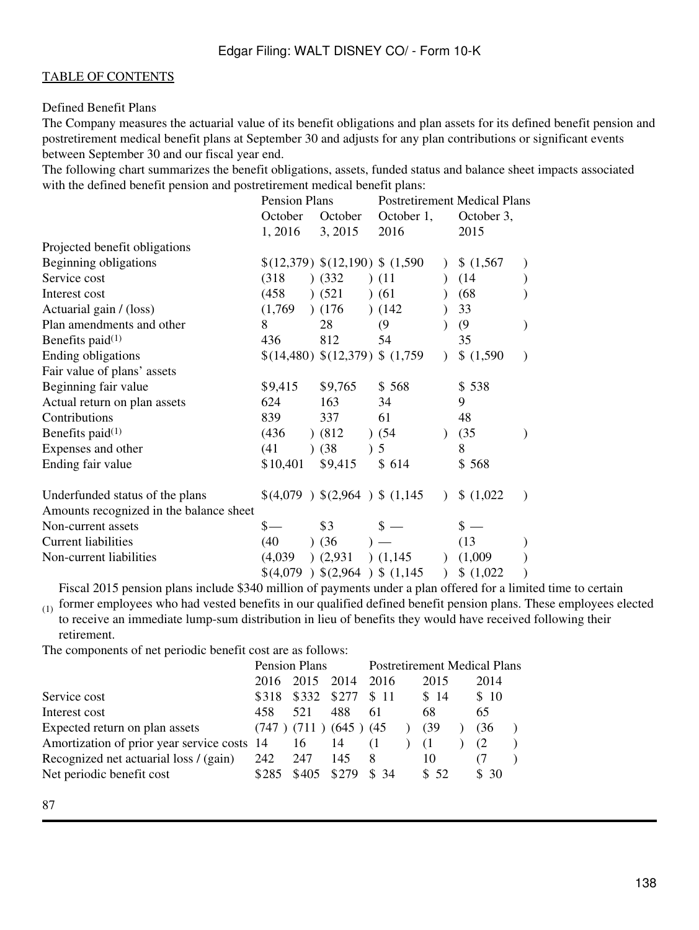#### Defined Benefit Plans

The Company measures the actuarial value of its benefit obligations and plan assets for its defined benefit pension and postretirement medical benefit plans at September 30 and adjusts for any plan contributions or significant events between September 30 and our fiscal year end.

The following chart summarizes the benefit obligations, assets, funded status and balance sheet impacts associated with the defined benefit pension and postretirement medical benefit plans:

|                                         | <b>Pension Plans</b> |         |         |            |                                  | <b>Postretirement Medical Plans</b> |                |  |
|-----------------------------------------|----------------------|---------|---------|------------|----------------------------------|-------------------------------------|----------------|--|
|                                         | October              | October |         | October 1, |                                  | October 3,                          |                |  |
|                                         | 1, 2016              |         | 3, 2015 |            | 2016                             |                                     | 2015           |  |
| Projected benefit obligations           |                      |         |         |            |                                  |                                     |                |  |
| Beginning obligations                   |                      |         |         |            | \$(12,379) \$(12,190) \$(1,590)  |                                     | \$(1,567)      |  |
| Service cost                            | (318)                |         | (332)   |            | (11)                             |                                     | (14)           |  |
| Interest cost                           | (458)                |         | (521)   |            | (61)                             |                                     | (68)           |  |
| Actuarial gain / (loss)                 | (1,769)              |         | (176)   |            | (142)                            |                                     | 33             |  |
| Plan amendments and other               | 8                    |         | 28      |            | (9)                              |                                     | (9)            |  |
| Benefits paid $(1)$                     | 436                  |         | 812     |            | 54                               |                                     | 35             |  |
| Ending obligations                      |                      |         |         |            | \$(14,480) \$(12,379) \$(1,759)  | $\lambda$                           | \$(1,590)      |  |
| Fair value of plans' assets             |                      |         |         |            |                                  |                                     |                |  |
| Beginning fair value                    | \$9,415              |         | \$9,765 |            | \$568                            |                                     | \$538          |  |
| Actual return on plan assets            | 624                  |         | 163     |            | 34                               |                                     | 9              |  |
| Contributions                           | 839                  |         | 337     |            | 61                               |                                     | 48             |  |
| Benefits paid $(1)$                     | (436)                |         | (812)   |            | (54)                             |                                     | (35)           |  |
| Expenses and other                      | (41)                 |         | (38)    |            | 5 <sup>5</sup>                   |                                     | 8              |  |
| Ending fair value                       | \$10,401             |         | \$9,415 |            | \$614                            |                                     | \$568          |  |
| Underfunded status of the plans         |                      |         |         |            | $$(4,079)$ $$(2,964)$ $$(1,145)$ | $\lambda$                           | \$(1,022)      |  |
| Amounts recognized in the balance sheet |                      |         |         |            |                                  |                                     |                |  |
| Non-current assets                      | $S-$                 |         | \$3     |            |                                  |                                     | $\mathbf{s} =$ |  |
| <b>Current liabilities</b>              | (40)                 |         | ) (36)  |            |                                  |                                     | (13)           |  |
| Non-current liabilities                 | (4,039)              |         | (2,931) |            | (1,145)                          |                                     | (1,009)        |  |
|                                         |                      |         |         |            | $$(4,079)$ $$(2,964)$ $$(1,145)$ |                                     | \$(1,022)      |  |

 $_{(1)}$  former employees who had vested benefits in our qualified defined benefit pension plans. These employees elected Fiscal 2015 pension plans include \$340 million of payments under a plan offered for a limited time to certain

to receive an immediate lump-sum distribution in lieu of benefits they would have received following their retirement.

The components of net periodic benefit cost are as follows:

|                                             | Pension Plans |                                |       | <b>Postretirement Medical Plans</b> |  |       |  |       |  |
|---------------------------------------------|---------------|--------------------------------|-------|-------------------------------------|--|-------|--|-------|--|
|                                             | 2016          | 2015                           | 2014  | 2016                                |  | 2015  |  | 2014  |  |
| Service cost                                |               | \$318 \$332 \$277              |       | \$ 11                               |  | \$14  |  | \$ 10 |  |
| Interest cost                               | 458           | 521                            | 488   | 61                                  |  | 68    |  | 65    |  |
| Expected return on plan assets              |               | $(747)$ $(711)$ $(645)$ $(45)$ |       |                                     |  | (39)  |  | (36   |  |
| Amortization of prior year service costs 14 |               | -16                            | -14   | (1)                                 |  |       |  |       |  |
| Recognized net actuarial loss / (gain)      | - 242         | 247                            | 145   | 8                                   |  | 10    |  |       |  |
| Net periodic benefit cost                   | \$285         | \$405                          | \$279 | \$ 34                               |  | \$ 52 |  | \$ 30 |  |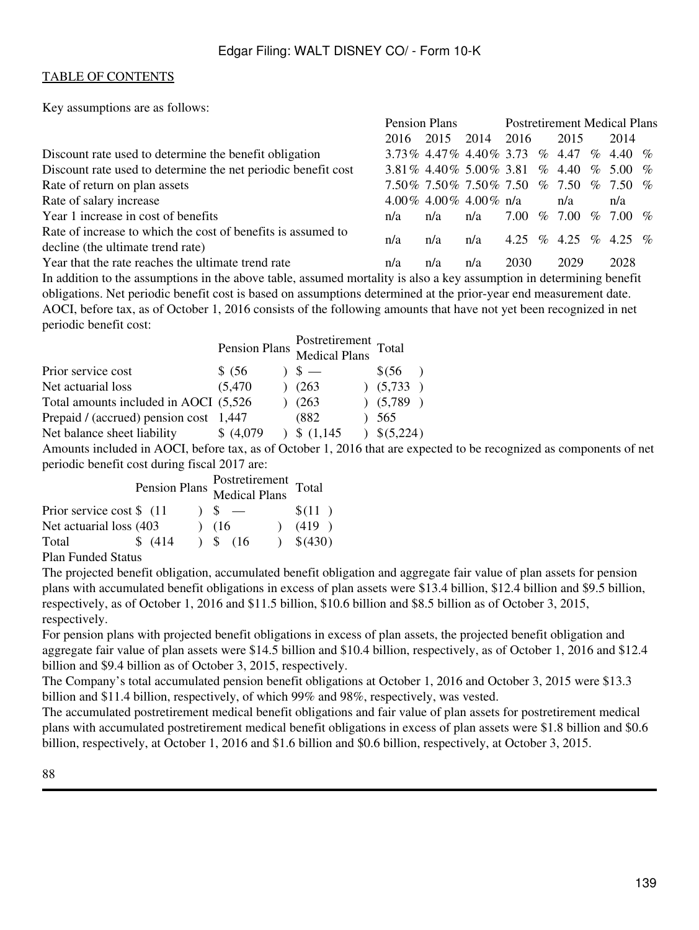Key assumptions are as follows:

|                                                               | Pension Plans |                                                |      |      |             | <b>Postretirement Medical Plans</b> |                      |  |
|---------------------------------------------------------------|---------------|------------------------------------------------|------|------|-------------|-------------------------------------|----------------------|--|
|                                                               | 2016          | 2015                                           | 2014 | 2016 | 2015        |                                     | 2014                 |  |
| Discount rate used to determine the benefit obligation        |               | $3.73\%$ 4.47\% 4.40\% 3.73 \% 4.47 \%         |      |      |             |                                     | 4.40 %               |  |
| Discount rate used to determine the net periodic benefit cost |               | $3.81\%$ 4.40\% 5.00\% 3.81 \% 4.40 \% 5.00 \% |      |      |             |                                     |                      |  |
| Rate of return on plan assets                                 |               | 7.50% 7.50% 7.50% 7.50 % 7.50 % 7.50 %         |      |      |             |                                     |                      |  |
| Rate of salary increase                                       |               | 4.00% 4.00% 4.00% n/a                          |      |      | n/a         |                                     | n/a                  |  |
| Year 1 increase in cost of benefits                           | n/a           | n/a                                            | n/a  |      | 7.00 % 7.00 |                                     | $\%$ 7.00 $\%$       |  |
| Rate of increase to which the cost of benefits is assumed to  | n/a           | n/a                                            | n/a  |      |             |                                     | 4.25 % 4.25 % 4.25 % |  |
| decline (the ultimate trend rate)                             |               |                                                |      |      |             |                                     |                      |  |
| Year that the rate reaches the ultimate trend rate            | n/a           | n/a                                            | n/a  | 2030 | 2029        |                                     | 2028                 |  |

In addition to the assumptions in the above table, assumed mortality is also a key assumption in determining benefit obligations. Net periodic benefit cost is based on assumptions determined at the prior-year end measurement date. AOCI, before tax, as of October 1, 2016 consists of the following amounts that have not yet been recognized in net periodic benefit cost:

|                                                                                           | Pension Plans Postretirement Total<br>Medical Plans Total |                           |                   |  |
|-------------------------------------------------------------------------------------------|-----------------------------------------------------------|---------------------------|-------------------|--|
| Prior service cost                                                                        | \$~(56)                                                   | $3-$                      | \$ (56)           |  |
| Net actuarial loss                                                                        | (5,470)                                                   | (263)                     | (5,733)           |  |
| Total amounts included in AOCI (5,526)                                                    |                                                           | (263)                     | (5,789)           |  |
| Prepaid / (accrued) pension cost 1,447                                                    |                                                           | (882)                     | 365               |  |
| Net balance sheet liability                                                               | \$(4,079)                                                 | $\binom{1}{1}$ \$ (1,145) | $\big)$ \$(5,224) |  |
| $\Lambda$ mounts included in $\Lambda$ OCI hofore toy as of October 1, 2016 that are even |                                                           |                           |                   |  |

Amounts included in AOCI, before tax, as of October 1, 2016 that are expected to be recognized as components of net periodic benefit cost during fiscal 2017 are:

|                            | Pension Plans Postretirement Total<br>Medical Plans Total |                    |      |               |                 |  |
|----------------------------|-----------------------------------------------------------|--------------------|------|---------------|-----------------|--|
| Prior service cost \$ (11) |                                                           | $\rightarrow$ \$ — |      |               | \$(11)          |  |
| Net actuarial loss (403)   |                                                           |                    | (16) |               | (419)           |  |
| Total                      | \$(414)                                                   |                    |      | $3 \t3 \t(16$ | $\sqrt{5(430)}$ |  |
| <b>Plan Funded Status</b>  |                                                           |                    |      |               |                 |  |

The projected benefit obligation, accumulated benefit obligation and aggregate fair value of plan assets for pension plans with accumulated benefit obligations in excess of plan assets were \$13.4 billion, \$12.4 billion and \$9.5 billion, respectively, as of October 1, 2016 and \$11.5 billion, \$10.6 billion and \$8.5 billion as of October 3, 2015, respectively.

For pension plans with projected benefit obligations in excess of plan assets, the projected benefit obligation and aggregate fair value of plan assets were \$14.5 billion and \$10.4 billion, respectively, as of October 1, 2016 and \$12.4 billion and \$9.4 billion as of October 3, 2015, respectively.

The Company's total accumulated pension benefit obligations at October 1, 2016 and October 3, 2015 were \$13.3 billion and \$11.4 billion, respectively, of which 99% and 98%, respectively, was vested.

The accumulated postretirement medical benefit obligations and fair value of plan assets for postretirement medical plans with accumulated postretirement medical benefit obligations in excess of plan assets were \$1.8 billion and \$0.6 billion, respectively, at October 1, 2016 and \$1.6 billion and \$0.6 billion, respectively, at October 3, 2015.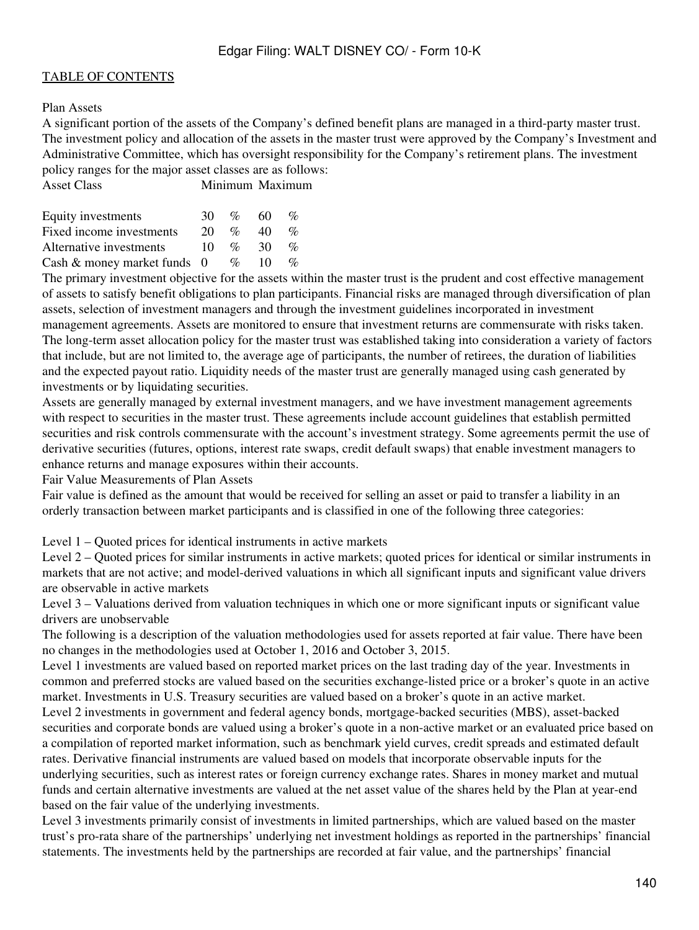#### Plan Assets

A significant portion of the assets of the Company's defined benefit plans are managed in a third-party master trust. The investment policy and allocation of the assets in the master trust were approved by the Company's Investment and Administrative Committee, which has oversight responsibility for the Company's retirement plans. The investment policy ranges for the major asset classes are as follows:<br>Asset Class Minimum Maximum

| <b>Asset Class</b>          |     |      |    | Minimum Maximum |  |
|-----------------------------|-----|------|----|-----------------|--|
| Equity investments          | 30. | $\%$ | 60 | $\mathcal{O}_0$ |  |
| Fixed income investments    | 20  | $\%$ | 40 | $\mathcal{O}_0$ |  |
| Alternative investments     | 10  | $\%$ | 30 | $\mathcal{O}_0$ |  |
| Cash & money market funds 0 |     | $\%$ | 10 | $\mathcal{O}_D$ |  |

The primary investment objective for the assets within the master trust is the prudent and cost effective management of assets to satisfy benefit obligations to plan participants. Financial risks are managed through diversification of plan assets, selection of investment managers and through the investment guidelines incorporated in investment management agreements. Assets are monitored to ensure that investment returns are commensurate with risks taken. The long-term asset allocation policy for the master trust was established taking into consideration a variety of factors that include, but are not limited to, the average age of participants, the number of retirees, the duration of liabilities and the expected payout ratio. Liquidity needs of the master trust are generally managed using cash generated by investments or by liquidating securities.

Assets are generally managed by external investment managers, and we have investment management agreements with respect to securities in the master trust. These agreements include account guidelines that establish permitted securities and risk controls commensurate with the account's investment strategy. Some agreements permit the use of derivative securities (futures, options, interest rate swaps, credit default swaps) that enable investment managers to enhance returns and manage exposures within their accounts.

Fair Value Measurements of Plan Assets

Fair value is defined as the amount that would be received for selling an asset or paid to transfer a liability in an orderly transaction between market participants and is classified in one of the following three categories:

Level 1 – Quoted prices for identical instruments in active markets

Level 2 – Quoted prices for similar instruments in active markets; quoted prices for identical or similar instruments in markets that are not active; and model-derived valuations in which all significant inputs and significant value drivers are observable in active markets

Level 3 – Valuations derived from valuation techniques in which one or more significant inputs or significant value drivers are unobservable

The following is a description of the valuation methodologies used for assets reported at fair value. There have been no changes in the methodologies used at October 1, 2016 and October 3, 2015.

Level 1 investments are valued based on reported market prices on the last trading day of the year. Investments in common and preferred stocks are valued based on the securities exchange-listed price or a broker's quote in an active market. Investments in U.S. Treasury securities are valued based on a broker's quote in an active market.

Level 2 investments in government and federal agency bonds, mortgage-backed securities (MBS), asset-backed securities and corporate bonds are valued using a broker's quote in a non-active market or an evaluated price based on a compilation of reported market information, such as benchmark yield curves, credit spreads and estimated default rates. Derivative financial instruments are valued based on models that incorporate observable inputs for the underlying securities, such as interest rates or foreign currency exchange rates. Shares in money market and mutual funds and certain alternative investments are valued at the net asset value of the shares held by the Plan at year-end based on the fair value of the underlying investments.

Level 3 investments primarily consist of investments in limited partnerships, which are valued based on the master trust's pro-rata share of the partnerships' underlying net investment holdings as reported in the partnerships' financial statements. The investments held by the partnerships are recorded at fair value, and the partnerships' financial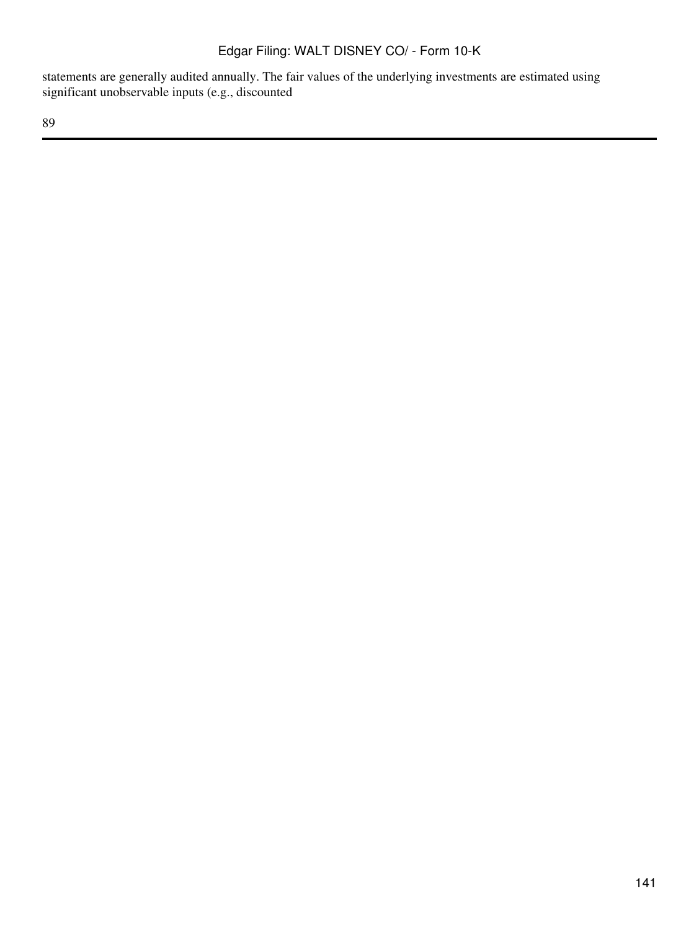# Edgar Filing: WALT DISNEY CO/ - Form 10-K

statements are generally audited annually. The fair values of the underlying investments are estimated using significant unobservable inputs (e.g., discounted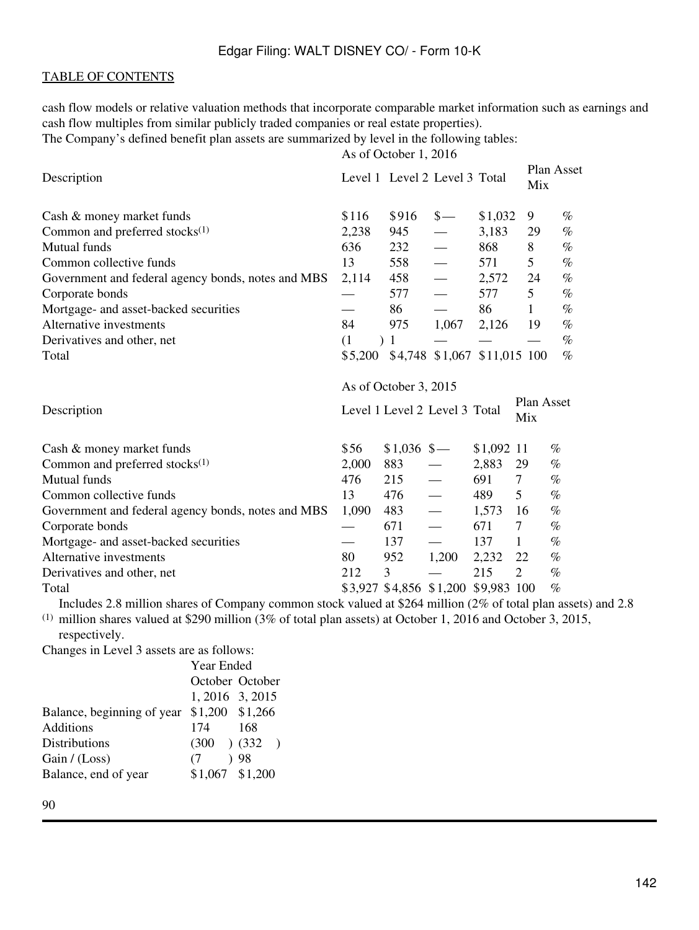cash flow models or relative valuation methods that incorporate comparable market information such as earnings and cash flow multiples from similar publicly traded companies or real estate properties).

The Company's defined benefit plan assets are summarized by level in the following tables:

As of October 1, 2016

| Description                                        |         |                       | Level 1 Level 2 Level 3 Total       |            | Mix               | Plan Asset |
|----------------------------------------------------|---------|-----------------------|-------------------------------------|------------|-------------------|------------|
| Cash & money market funds                          | \$116   | \$916                 | $\frac{1}{2}$                       | \$1,032    | 9                 | $\%$       |
| Common and preferred stocks $(1)$                  | 2,238   | 945                   |                                     | 3,183      | 29                | $\%$       |
| Mutual funds                                       | 636     | 232                   |                                     | 868        | $8\,$             | $\%$       |
| Common collective funds                            | 13      | 558                   | $\overbrace{\qquad \qquad }^{ }$    | 571        | 5                 | $\%$       |
| Government and federal agency bonds, notes and MBS | 2,114   | 458                   | $\overline{\phantom{0}}$            | 2,572      | 24                | $\%$       |
| Corporate bonds                                    |         | 577                   |                                     | 577        | 5                 | $\%$       |
| Mortgage- and asset-backed securities              |         | 86                    |                                     | 86         | $\mathbf{1}$      | $\%$       |
| Alternative investments                            | 84      | 975                   | 1,067                               | 2,126      | 19                | $\%$       |
| Derivatives and other, net                         | (1)     | $\binom{1}{1}$        |                                     |            |                   | $\%$       |
| Total                                              | \$5,200 |                       | \$4,748 \$1,067 \$11,015 100        |            |                   | $\%$       |
|                                                    |         | As of October 3, 2015 |                                     |            |                   |            |
| Description                                        |         |                       | Level 1 Level 2 Level 3 Total       |            | Plan Asset<br>Mix |            |
| Cash & money market funds                          | \$56    | $$1,036$ \$-          |                                     | \$1,092 11 |                   | $\%$       |
| Common and preferred stocks <sup>(1)</sup>         | 2,000   | 883                   |                                     | 2,883      | 29                | $\%$       |
| Mutual funds                                       | 476     | 215                   |                                     | 691        | $\tau$            | $\%$       |
| Common collective funds                            | 13      | 476                   | $\hspace{0.05cm}$                   | 489        | 5                 | $\%$       |
| Government and federal agency bonds, notes and MBS | 1,090   | 483                   | $\overline{\phantom{m}}$            | 1,573      | 16                | $\%$       |
| Corporate bonds                                    |         | 671                   |                                     | 671        | $\tau$            | $\%$       |
| Mortgage- and asset-backed securities              |         | 137                   |                                     | 137        | $\mathbf{1}$      | $\%$       |
|                                                    |         | 952                   | 1,200                               | 2,232      | 22                | $\%$       |
| Alternative investments                            | 80      |                       |                                     |            |                   |            |
| Derivatives and other, net                         | 212     | 3                     |                                     | 215        | $\overline{2}$    | $\%$       |
| Total                                              |         |                       | \$3,927 \$4,856 \$1,200 \$9,983 100 |            |                   | $\%$       |

(1) million shares valued at \$290 million (3% of total plan assets) at October 1, 2016 and October 3, 2015, respectively.

Changes in Level 3 assets are as follows:

|                                            | Year Ended       |     |  |
|--------------------------------------------|------------------|-----|--|
|                                            | October October  |     |  |
|                                            | 1, 2016 3, 2015  |     |  |
| Balance, beginning of year \$1,200 \$1,266 |                  |     |  |
| Additions                                  | 174              | 168 |  |
| Distributions                              | $(300)$ $(332)$  |     |  |
| Gain / (Loss)                              | (7.              | 98  |  |
| Balance, end of year                       | $$1,067$ \$1,200 |     |  |
|                                            |                  |     |  |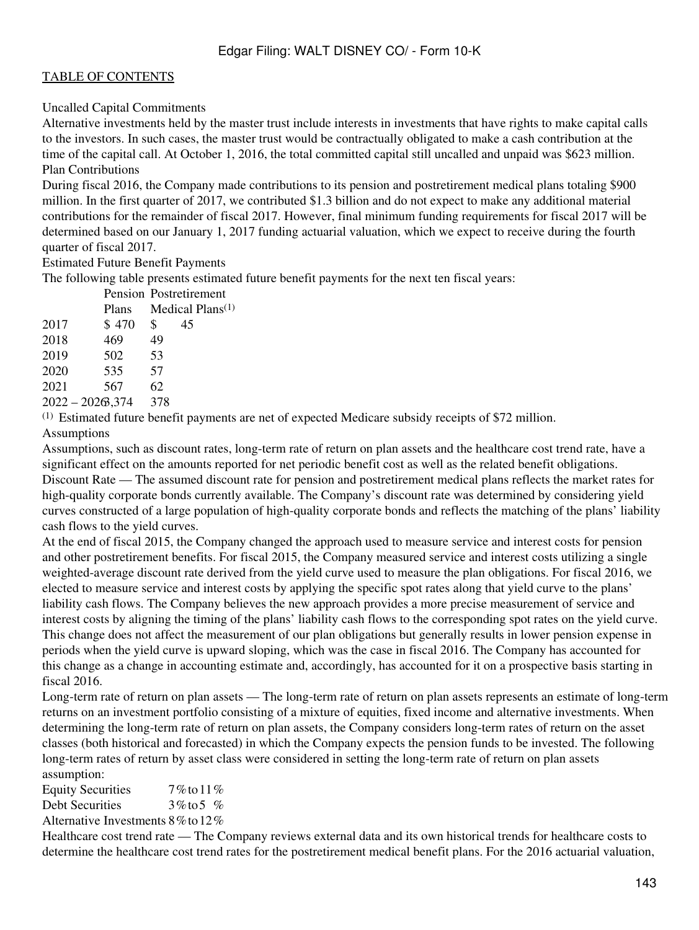Uncalled Capital Commitments

Alternative investments held by the master trust include interests in investments that have rights to make capital calls to the investors. In such cases, the master trust would be contractually obligated to make a cash contribution at the time of the capital call. At October 1, 2016, the total committed capital still uncalled and unpaid was \$623 million. Plan Contributions

During fiscal 2016, the Company made contributions to its pension and postretirement medical plans totaling \$900 million. In the first quarter of 2017, we contributed \$1.3 billion and do not expect to make any additional material contributions for the remainder of fiscal 2017. However, final minimum funding requirements for fiscal 2017 will be determined based on our January 1, 2017 funding actuarial valuation, which we expect to receive during the fourth quarter of fiscal 2017.

Estimated Future Benefit Payments

The following table presents estimated future benefit payments for the next ten fiscal years:

Pension Postretirement

|                   | Plans |     | Medical Plans <sup><math>(1)</math></sup> |  |
|-------------------|-------|-----|-------------------------------------------|--|
| 2017              | \$470 | \$  | 45                                        |  |
| 2018              | 469   | 49  |                                           |  |
| 2019              | 502   | 53  |                                           |  |
| 2020              | 535   | 57  |                                           |  |
| 2021              | 567   | 62  |                                           |  |
| $2022 - 20263374$ |       | 378 |                                           |  |

(1) Estimated future benefit payments are net of expected Medicare subsidy receipts of \$72 million.

Assumptions

Assumptions, such as discount rates, long-term rate of return on plan assets and the healthcare cost trend rate, have a significant effect on the amounts reported for net periodic benefit cost as well as the related benefit obligations. Discount Rate — The assumed discount rate for pension and postretirement medical plans reflects the market rates for high-quality corporate bonds currently available. The Company's discount rate was determined by considering yield curves constructed of a large population of high-quality corporate bonds and reflects the matching of the plans' liability cash flows to the yield curves.

At the end of fiscal 2015, the Company changed the approach used to measure service and interest costs for pension and other postretirement benefits. For fiscal 2015, the Company measured service and interest costs utilizing a single weighted-average discount rate derived from the yield curve used to measure the plan obligations. For fiscal 2016, we elected to measure service and interest costs by applying the specific spot rates along that yield curve to the plans' liability cash flows. The Company believes the new approach provides a more precise measurement of service and interest costs by aligning the timing of the plans' liability cash flows to the corresponding spot rates on the yield curve. This change does not affect the measurement of our plan obligations but generally results in lower pension expense in periods when the yield curve is upward sloping, which was the case in fiscal 2016. The Company has accounted for this change as a change in accounting estimate and, accordingly, has accounted for it on a prospective basis starting in fiscal 2016.

Long-term rate of return on plan assets — The long-term rate of return on plan assets represents an estimate of long-term returns on an investment portfolio consisting of a mixture of equities, fixed income and alternative investments. When determining the long-term rate of return on plan assets, the Company considers long-term rates of return on the asset classes (both historical and forecasted) in which the Company expects the pension funds to be invested. The following long-term rates of return by asset class were considered in setting the long-term rate of return on plan assets assumption:

| <b>Equity Securities</b> | 7% to 11%      |
|--------------------------|----------------|
| <b>Debt Securities</b>   | $3\%$ to $5\%$ |

Alternative Investments 8%to12%

Healthcare cost trend rate — The Company reviews external data and its own historical trends for healthcare costs to determine the healthcare cost trend rates for the postretirement medical benefit plans. For the 2016 actuarial valuation,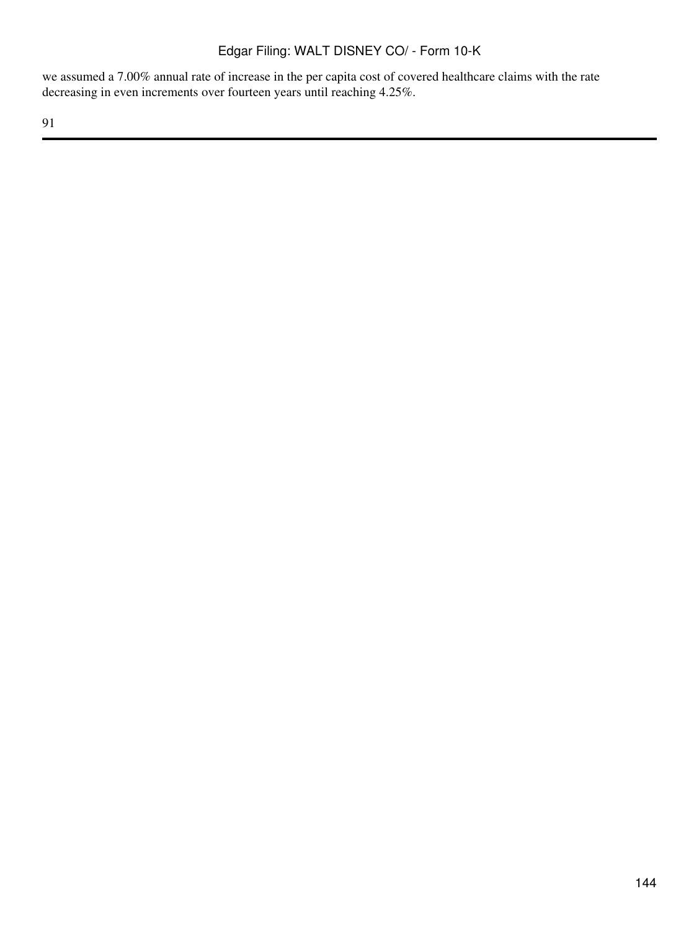# Edgar Filing: WALT DISNEY CO/ - Form 10-K

we assumed a 7.00% annual rate of increase in the per capita cost of covered healthcare claims with the rate decreasing in even increments over fourteen years until reaching 4.25%.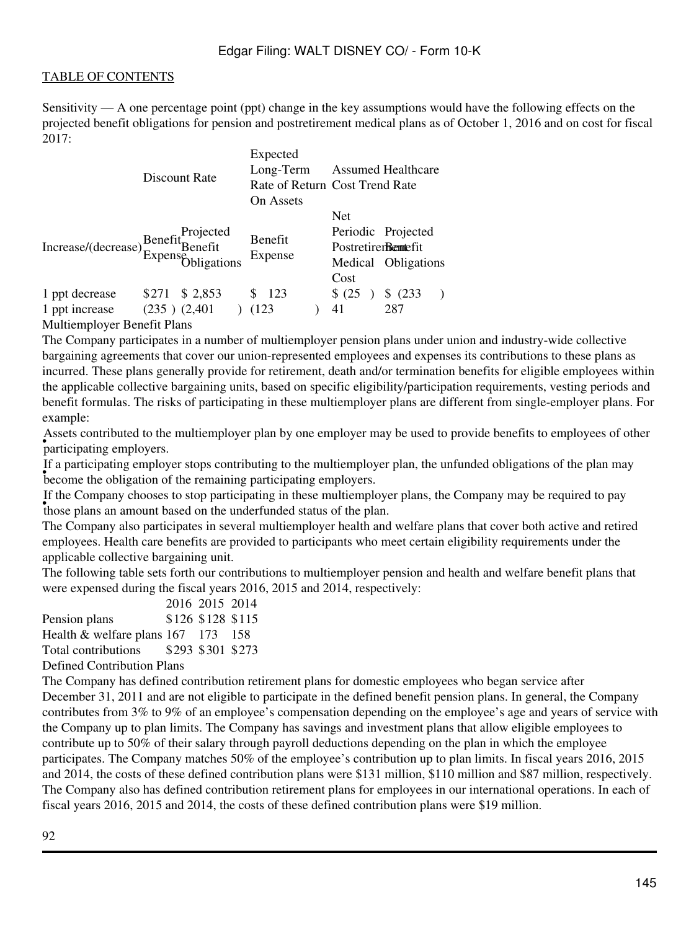Sensitivity — A one percentage point (ppt) change in the key assumptions would have the following effects on the projected benefit obligations for pension and postretirement medical plans as of October 1, 2016 and on cost for fiscal  $2017$ 

|                                                                                                        |                   | Discount Rate   | Expected<br>Long-Term<br>Rate of Return Cost Trend Rate<br>On Assets |                                           | <b>Assumed Healthcare</b>                 |
|--------------------------------------------------------------------------------------------------------|-------------------|-----------------|----------------------------------------------------------------------|-------------------------------------------|-------------------------------------------|
| Increase/(decrease)<br>Expensement<br>Expensement<br>Obligations                                       |                   |                 | Benefit<br>Expense                                                   | <b>Net</b><br>PostretirenBennefit<br>Cost | Periodic Projected<br>Medical Obligations |
| 1 ppt decrease                                                                                         |                   | $$271$ \$ 2,853 | \$123                                                                | \$ (25)                                   | $\binom{3}{2}$ \$ (233)                   |
| 1 ppt increase                                                                                         | $(235)$ $(2,401)$ |                 | (123)                                                                | 41                                        | 287                                       |
| $M_{\odot}$ $1$ , $\ldots$ $1$ $\ldots$ $\ldots$ $\ldots$ $\ldots$ $\ldots$ $\ldots$ $\ldots$ $\ldots$ |                   |                 |                                                                      |                                           |                                           |

## Multiemployer Benefit Plans

The Company participates in a number of multiemployer pension plans under union and industry-wide collective bargaining agreements that cover our union-represented employees and expenses its contributions to these plans as incurred. These plans generally provide for retirement, death and/or termination benefits for eligible employees within the applicable collective bargaining units, based on specific eligibility/participation requirements, vesting periods and benefit formulas. The risks of participating in these multiemployer plans are different from single-employer plans. For example:

**•** issues contributed to the Assets contributed to the multiemployer plan by one employer may be used to provide benefits to employees of other

**the participating employer steps controlling to the mathemptoy** become the obligation of the remaining participating employers. If a participating employer stops contributing to the multiemployer plan, the unfunded obligations of the plan may

the company chooses to stop participating in these mathemptoys those plans an amount based on the underfunded status of the plan. If the Company chooses to stop participating in these multiemployer plans, the Company may be required to pay

The Company also participates in several multiemployer health and welfare plans that cover both active and retired employees. Health care benefits are provided to participants who meet certain eligibility requirements under the applicable collective bargaining unit.

The following table sets forth our contributions to multiemployer pension and health and welfare benefit plans that were expensed during the fiscal years 2016, 2015 and 2014, respectively:

|                                        |                   | 2016 2015 2014    |  |
|----------------------------------------|-------------------|-------------------|--|
| Pension plans                          |                   | \$126 \$128 \$115 |  |
| Health $&$ welfare plans $167$ 173 158 |                   |                   |  |
| Total contributions                    | \$293 \$301 \$273 |                   |  |
|                                        |                   |                   |  |

Defined Contribution Plans

The Company has defined contribution retirement plans for domestic employees who began service after December 31, 2011 and are not eligible to participate in the defined benefit pension plans. In general, the Company contributes from 3% to 9% of an employee's compensation depending on the employee's age and years of service with the Company up to plan limits. The Company has savings and investment plans that allow eligible employees to contribute up to 50% of their salary through payroll deductions depending on the plan in which the employee participates. The Company matches 50% of the employee's contribution up to plan limits. In fiscal years 2016, 2015 and 2014, the costs of these defined contribution plans were \$131 million, \$110 million and \$87 million, respectively. The Company also has defined contribution retirement plans for employees in our international operations. In each of fiscal years 2016, 2015 and 2014, the costs of these defined contribution plans were \$19 million.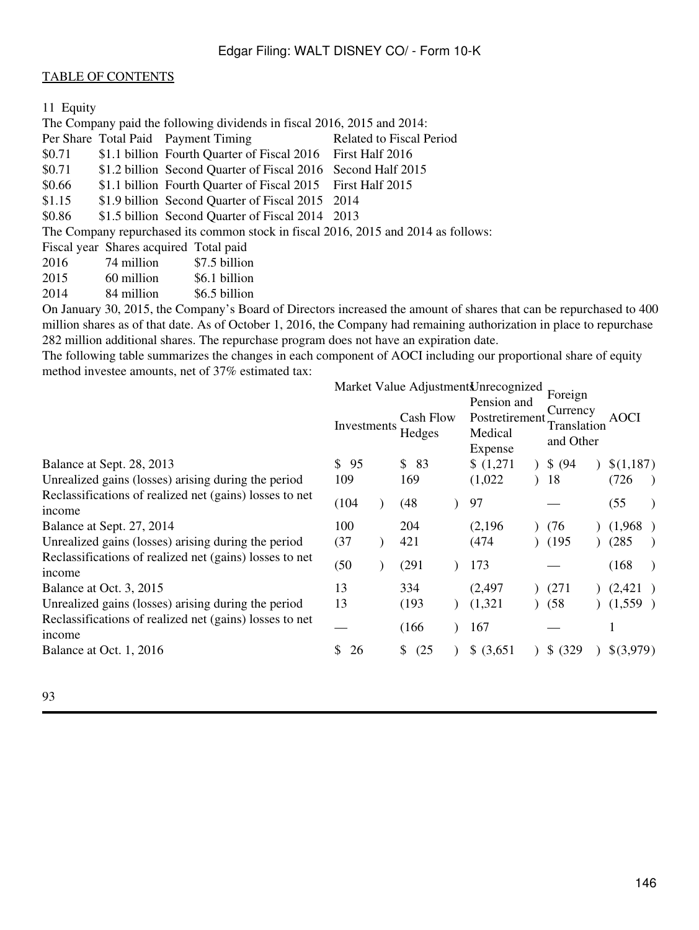## 11 Equity

| The Company paid the following dividends in fiscal 2016, 2015 and 2014:            |                                                              |                          |  |  |  |  |  |
|------------------------------------------------------------------------------------|--------------------------------------------------------------|--------------------------|--|--|--|--|--|
| Per Share Total Paid Payment Timing                                                |                                                              | Related to Fiscal Period |  |  |  |  |  |
| \$0.71                                                                             | \$1.1 billion Fourth Quarter of Fiscal 2016 First Half 2016  |                          |  |  |  |  |  |
| \$0.71                                                                             | \$1.2 billion Second Quarter of Fiscal 2016 Second Half 2015 |                          |  |  |  |  |  |
| \$0.66                                                                             | \$1.1 billion Fourth Quarter of Fiscal 2015 First Half 2015  |                          |  |  |  |  |  |
| \$1.15                                                                             | \$1.9 billion Second Quarter of Fiscal 2015 2014             |                          |  |  |  |  |  |
| \$0.86                                                                             | \$1.5 billion Second Quarter of Fiscal 2014 2013             |                          |  |  |  |  |  |
| The Company repurchased its common stock in fiscal 2016, 2015 and 2014 as follows: |                                                              |                          |  |  |  |  |  |
| Fiscal year Shares acquired Total paid                                             |                                                              |                          |  |  |  |  |  |
| 2016                                                                               | 74 million \$7.5 billion                                     |                          |  |  |  |  |  |

| ------- | .          |               |
|---------|------------|---------------|
| 2015    | 60 million | \$6.1 billion |
| 2014    | 84 million | \$6.5 billion |

On January 30, 2015, the Company's Board of Directors increased the amount of shares that can be repurchased to 400 million shares as of that date. As of October 1, 2016, the Company had remaining authorization in place to repurchase 282 million additional shares. The repurchase program does not have an expiration date.

The following table summarizes the changes in each component of AOCI including our proportional share of equity method investee amounts, net of 37% estimated tax:

|                                                                   | Market Value AdjustmentUnrecognized<br>Foreign<br>Pension and |  |                     |  |                                       |  |                                      |  |                        |           |
|-------------------------------------------------------------------|---------------------------------------------------------------|--|---------------------|--|---------------------------------------|--|--------------------------------------|--|------------------------|-----------|
|                                                                   | Investments                                                   |  | Cash Flow<br>Hedges |  | Postretirement,<br>Medical<br>Expense |  | Currency<br>Translation<br>and Other |  | AOCI                   |           |
| Balance at Sept. 28, 2013                                         | \$95                                                          |  | \$83                |  | \$(1,271)                             |  | \$ (94)                              |  | \$(1,187)              |           |
| Unrealized gains (losses) arising during the period               | 109                                                           |  | 169                 |  | (1,022)                               |  | 18                                   |  | (726)<br>$\rightarrow$ |           |
| Reclassifications of realized net (gains) losses to net<br>income | (104)                                                         |  | (48)                |  | 97                                    |  |                                      |  | (55)                   | $\lambda$ |
| Balance at Sept. 27, 2014                                         | 100                                                           |  | 204                 |  | (2,196)                               |  | (76)                                 |  | (1,968)                |           |
| Unrealized gains (losses) arising during the period               | (37)                                                          |  | 421                 |  | (474)                                 |  | (195)                                |  | (285)<br>$\rightarrow$ |           |
| Reclassifications of realized net (gains) losses to net<br>income | (50)                                                          |  | (291)               |  | 173                                   |  |                                      |  | (168)<br>$\rightarrow$ |           |
| Balance at Oct. 3, 2015                                           | 13                                                            |  | 334                 |  | (2, 497)                              |  | (271)                                |  | (2,421)                |           |
| Unrealized gains (losses) arising during the period               | 13                                                            |  | (193)               |  | (1,321)                               |  | (58)                                 |  | (1,559)                |           |
| Reclassifications of realized net (gains) losses to net<br>income |                                                               |  | (166)               |  | 167                                   |  |                                      |  |                        |           |
| Balance at Oct. 1, 2016                                           | S.<br>26                                                      |  | \$<br>(25)          |  | \$ (3,651)                            |  | \$ (329)                             |  | \$(3.979)              |           |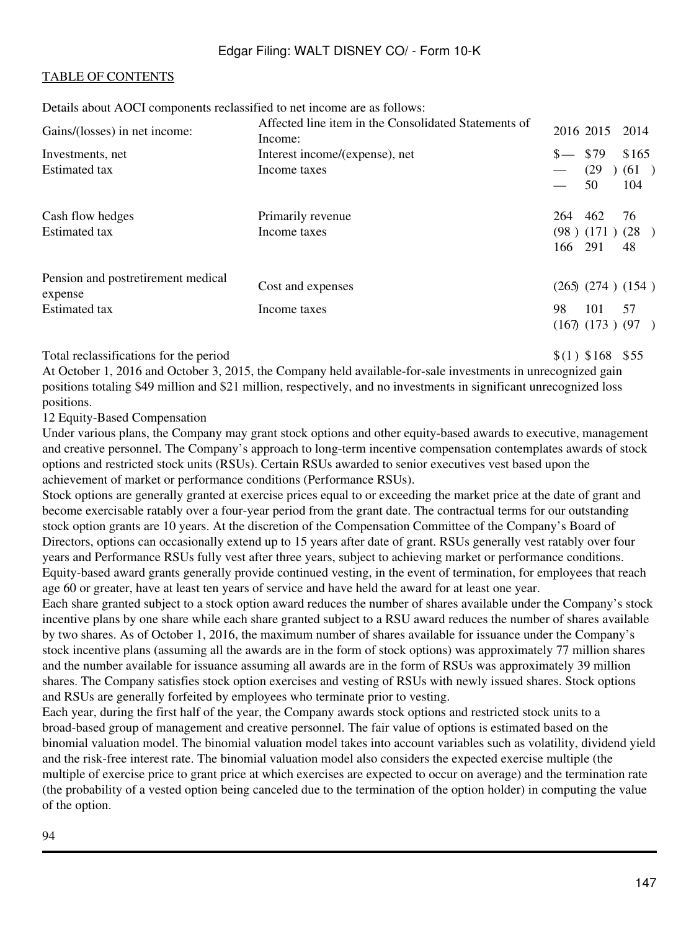Details about AOCI components reclassified to net income are as follows:

| Gains/(losses) in net income:                 | Affected line item in the Consolidated Statements of<br>Income: |            | 2016 2015                           | 2014                 |
|-----------------------------------------------|-----------------------------------------------------------------|------------|-------------------------------------|----------------------|
| Investments, net<br>Estimated tax             | Interest income/(expense), net<br>Income taxes                  | $S-$       | \$79<br>(29)<br>50                  | \$165<br>(61)<br>104 |
| Cash flow hedges<br>Estimated tax             | Primarily revenue<br>Income taxes                               | 264<br>166 | 462<br>$(98)$ $(171)$ $(28)$<br>291 | 76<br>48             |
| Pension and postretirement medical<br>expense | Cost and expenses                                               |            | $(265)$ $(274)$ $(154)$             |                      |
| <b>Estimated</b> tax                          | Income taxes                                                    | 98         | 101<br>(167)(173)(97)               | 57                   |

Total reclassifications for the period  $\{(1)$  \$168 \$55

At October 1, 2016 and October 3, 2015, the Company held available-for-sale investments in unrecognized gain positions totaling \$49 million and \$21 million, respectively, and no investments in significant unrecognized loss positions.

12 Equity-Based Compensation

Under various plans, the Company may grant stock options and other equity-based awards to executive, management and creative personnel. The Company's approach to long-term incentive compensation contemplates awards of stock options and restricted stock units (RSUs). Certain RSUs awarded to senior executives vest based upon the achievement of market or performance conditions (Performance RSUs).

Stock options are generally granted at exercise prices equal to or exceeding the market price at the date of grant and become exercisable ratably over a four-year period from the grant date. The contractual terms for our outstanding stock option grants are 10 years. At the discretion of the Compensation Committee of the Company's Board of Directors, options can occasionally extend up to 15 years after date of grant. RSUs generally vest ratably over four years and Performance RSUs fully vest after three years, subject to achieving market or performance conditions. Equity-based award grants generally provide continued vesting, in the event of termination, for employees that reach age 60 or greater, have at least ten years of service and have held the award for at least one year.

Each share granted subject to a stock option award reduces the number of shares available under the Company's stock incentive plans by one share while each share granted subject to a RSU award reduces the number of shares available by two shares. As of October 1, 2016, the maximum number of shares available for issuance under the Company's stock incentive plans (assuming all the awards are in the form of stock options) was approximately 77 million shares and the number available for issuance assuming all awards are in the form of RSUs was approximately 39 million shares. The Company satisfies stock option exercises and vesting of RSUs with newly issued shares. Stock options and RSUs are generally forfeited by employees who terminate prior to vesting.

Each year, during the first half of the year, the Company awards stock options and restricted stock units to a broad-based group of management and creative personnel. The fair value of options is estimated based on the binomial valuation model. The binomial valuation model takes into account variables such as volatility, dividend yield and the risk-free interest rate. The binomial valuation model also considers the expected exercise multiple (the multiple of exercise price to grant price at which exercises are expected to occur on average) and the termination rate (the probability of a vested option being canceled due to the termination of the option holder) in computing the value of the option.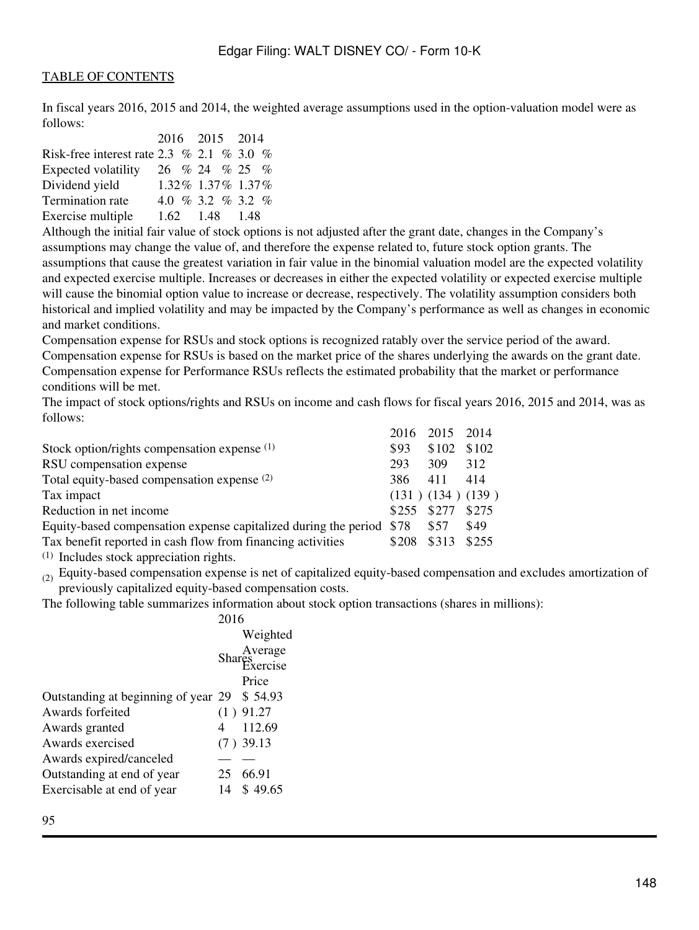In fiscal years 2016, 2015 and 2014, the weighted average assumptions used in the option-valuation model were as follows:

|                                           | 2016 2015 2014               |  |  |  |
|-------------------------------------------|------------------------------|--|--|--|
| Risk-free interest rate 2.3 % 2.1 % 3.0 % |                              |  |  |  |
| Expected volatility                       | 26 % 24 % 25 %               |  |  |  |
| Dividend yield                            | 1.32% 1.37% 1.37%            |  |  |  |
| Termination rate                          | 4.0 % 3.2 % 3.2 %            |  |  |  |
| Exercise multiple                         | $1.62 \quad 1.48 \quad 1.48$ |  |  |  |

Although the initial fair value of stock options is not adjusted after the grant date, changes in the Company's assumptions may change the value of, and therefore the expense related to, future stock option grants. The assumptions that cause the greatest variation in fair value in the binomial valuation model are the expected volatility and expected exercise multiple. Increases or decreases in either the expected volatility or expected exercise multiple will cause the binomial option value to increase or decrease, respectively. The volatility assumption considers both historical and implied volatility and may be impacted by the Company's performance as well as changes in economic and market conditions.

Compensation expense for RSUs and stock options is recognized ratably over the service period of the award. Compensation expense for RSUs is based on the market price of the shares underlying the awards on the grant date. Compensation expense for Performance RSUs reflects the estimated probability that the market or performance conditions will be met.

The impact of stock options/rights and RSUs on income and cash flows for fiscal years 2016, 2015 and 2014, was as follows:

|                                                                      |       | 2016 2015 2014          |       |
|----------------------------------------------------------------------|-------|-------------------------|-------|
| Stock option/rights compensation expense $(1)$                       | \$93  | \$102                   | \$102 |
| RSU compensation expense                                             | 293   | 309                     | 312   |
| Total equity-based compensation expense (2)                          | 386   | 411                     | 414   |
| Tax impact                                                           |       | $(131)$ $(134)$ $(139)$ |       |
| Reduction in net income                                              |       | \$255 \$277 \$275       |       |
| Equity-based compensation expense capitalized during the period \$78 |       | \$57                    | \$49  |
| Tax benefit reported in cash flow from financing activities          | \$208 | \$313                   | \$255 |

(1) Includes stock appreciation rights.

 $(2)$  Equity-based compensation expense is net of capitalized equity-based compensation and excludes amortization of previously capitalized equity-based compensation costs.

The following table summarizes information about stock option transactions (shares in millions):

|                                     | 2016 |                    |
|-------------------------------------|------|--------------------|
|                                     |      | Weighted           |
|                                     |      | Shares<br>Exercise |
|                                     |      | Price              |
| Outstanding at beginning of year 29 |      | \$54.93            |
| Awards forfeited                    |      | $(1)$ 91.27        |
| Awards granted                      |      | 112.69             |
| Awards exercised                    |      | $(7)$ 39.13        |
| Awards expired/canceled             |      |                    |
| Outstanding at end of year          | 25   | 66.91              |
| Exercisable at end of year          | 14   | \$49.65            |
|                                     |      |                    |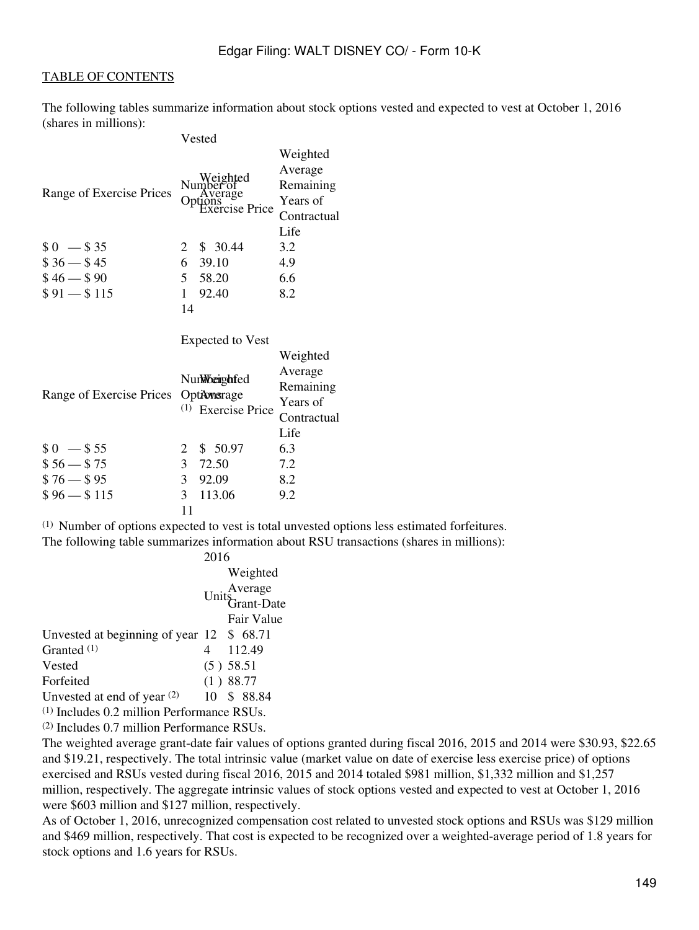The following tables summarize information about stock options vested and expected to vest at October 1, 2016 (shares in millions):

|                           |              | Vested                                                     |                                                                     |
|---------------------------|--------------|------------------------------------------------------------|---------------------------------------------------------------------|
| Range of Exercise Prices  |              | Weighted<br>Number of<br>Average<br>Options<br>rcise Price | Weighted<br>Average<br>Remaining<br>Years of<br>Contractual<br>Life |
| $$0 - $35$                |              | 2 \$ 30.44                                                 | 3.2                                                                 |
| $$36 - $45$               |              | 6 39.10                                                    | 4.9                                                                 |
| $$46 - $90$               |              | 5 58.20                                                    | 6.6                                                                 |
| $$91 - $115$              | $\mathbf{1}$ | 92.40                                                      | 8.2                                                                 |
|                           | 14           |                                                            |                                                                     |
|                           |              |                                                            |                                                                     |
|                           |              | <b>Expected to Vest</b>                                    |                                                                     |
| Range of Exercise Prices  | (1)          | Numbelighted<br>Optionsrage<br><b>Exercise Price</b>       | Weighted<br>Average<br>Remaining<br>Years of<br>Contractual         |
|                           | 2            |                                                            | Life                                                                |
| $$0 - $55$<br>$$56 - $75$ |              | \$50.97<br>3 72.50                                         | 6.3<br>7.2                                                          |
| $$76 - $95$               |              | 3 92.09                                                    | 8.2                                                                 |
| $$96 - $115$              | 3            | 113.06                                                     | 9.2                                                                 |

(1) Number of options expected to vest is total unvested options less estimated forfeitures. The following table summarizes information about RSU transactions (shares in millions):

|  | Weighted                                                                                                                                                                  |
|--|---------------------------------------------------------------------------------------------------------------------------------------------------------------------------|
|  |                                                                                                                                                                           |
|  |                                                                                                                                                                           |
|  | Fair Value                                                                                                                                                                |
|  |                                                                                                                                                                           |
|  | 112.49                                                                                                                                                                    |
|  |                                                                                                                                                                           |
|  |                                                                                                                                                                           |
|  |                                                                                                                                                                           |
|  |                                                                                                                                                                           |
|  | 2016<br>Units<br>Grant-Date<br>Unvested at beginning of year $12 \quad $68.71$<br>(5) 58.51<br>$(1)$ 88.77<br>10 \$ 88.84<br>$(1)$ Includes 0.2 million Performance RSUs. |

(2) Includes 0.7 million Performance RSUs.

The weighted average grant-date fair values of options granted during fiscal 2016, 2015 and 2014 were \$30.93, \$22.65 and \$19.21, respectively. The total intrinsic value (market value on date of exercise less exercise price) of options exercised and RSUs vested during fiscal 2016, 2015 and 2014 totaled \$981 million, \$1,332 million and \$1,257 million, respectively. The aggregate intrinsic values of stock options vested and expected to vest at October 1, 2016 were \$603 million and \$127 million, respectively.

As of October 1, 2016, unrecognized compensation cost related to unvested stock options and RSUs was \$129 million and \$469 million, respectively. That cost is expected to be recognized over a weighted-average period of 1.8 years for stock options and 1.6 years for RSUs.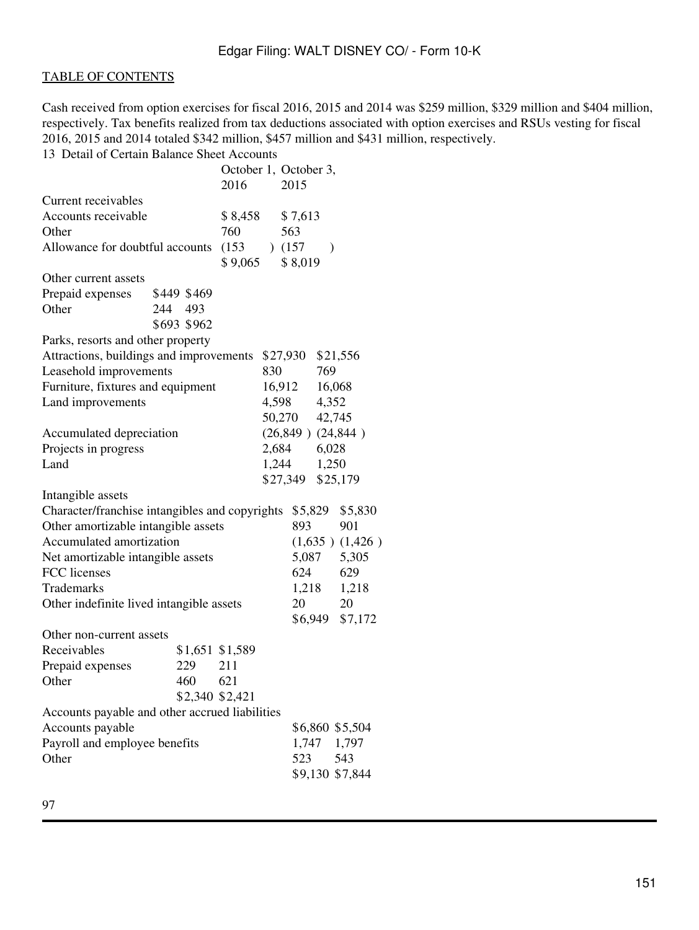Cash received from option exercises for fiscal 2016, 2015 and 2014 was \$259 million, \$329 million and \$404 million, respectively. Tax benefits realized from tax deductions associated with option exercises and RSUs vesting for fiscal 2016, 2015 and 2014 totaled \$342 million, \$457 million and \$431 million, respectively. 13 Detail of Certain Balance Sheet Accounts

|                                                |                 | October 1, October 3,<br>2016 |     | 2015                  |               |                     |
|------------------------------------------------|-----------------|-------------------------------|-----|-----------------------|---------------|---------------------|
| Current receivables                            |                 |                               |     |                       |               |                     |
| Accounts receivable                            |                 | $$8,458$ $$7,613$             |     |                       |               |                     |
| Other                                          |                 | 760                           |     | 563                   |               |                     |
| Allowance for doubtful accounts                |                 | (153)<br>\$9,065              |     | (157)<br>\$8,019      | $\mathcal{E}$ |                     |
| Other current assets                           |                 |                               |     |                       |               |                     |
| Prepaid expenses                               | \$449 \$469     |                               |     |                       |               |                     |
| Other                                          | 244 493         |                               |     |                       |               |                     |
|                                                | \$693 \$962     |                               |     |                       |               |                     |
| Parks, resorts and other property              |                 |                               |     |                       |               |                     |
| Attractions, buildings and improvements        |                 |                               |     | \$27,930 \$21,556     |               |                     |
| Leasehold improvements                         |                 |                               | 830 |                       | 769           |                     |
| Furniture, fixtures and equipment              |                 |                               |     | 16,912 16,068         |               |                     |
| Land improvements                              |                 |                               |     | 4,598 4,352           |               |                     |
|                                                |                 |                               |     | 50,270 42,745         |               |                     |
| Accumulated depreciation                       |                 |                               |     | $(26,849)$ $(24,844)$ |               |                     |
| Projects in progress                           |                 |                               |     | 2,684 6,028           |               |                     |
| Land                                           |                 |                               |     | 1,244 1,250           |               |                     |
|                                                |                 |                               |     | \$27,349 \$25,179     |               |                     |
| Intangible assets                              |                 |                               |     |                       |               |                     |
| Character/franchise intangibles and copyrights |                 |                               |     | \$5,829               |               | \$5,830             |
| Other amortizable intangible assets            |                 |                               |     | 893                   |               | 901                 |
| Accumulated amortization                       |                 |                               |     |                       |               | $(1,635)$ $(1,426)$ |
| Net amortizable intangible assets              |                 |                               |     | 5,087                 |               | 5,305               |
| <b>FCC</b> licenses                            |                 |                               |     | 624                   |               | 629                 |
| <b>Trademarks</b>                              |                 |                               |     |                       |               | 1,218 1,218         |
| Other indefinite lived intangible assets       |                 |                               |     | 20                    |               | 20                  |
|                                                |                 |                               |     |                       |               | \$6,949 \$7,172     |
| Other non-current assets                       |                 |                               |     |                       |               |                     |
| Receivables                                    | \$1,651 \$1,589 |                               |     |                       |               |                     |
| Prepaid expenses                               | 229             | 211                           |     |                       |               |                     |
| Other                                          | 460             | 621                           |     |                       |               |                     |
|                                                | \$2,340 \$2,421 |                               |     |                       |               |                     |
| Accounts payable and other accrued liabilities |                 |                               |     |                       |               |                     |
| Accounts payable                               |                 |                               |     |                       |               | \$6,860 \$5,504     |
| Payroll and employee benefits                  |                 |                               |     |                       |               | 1,747 1,797         |
| Other                                          |                 |                               |     | 523                   |               | 543                 |
|                                                |                 |                               |     |                       |               | \$9,130 \$7,844     |
|                                                |                 |                               |     |                       |               |                     |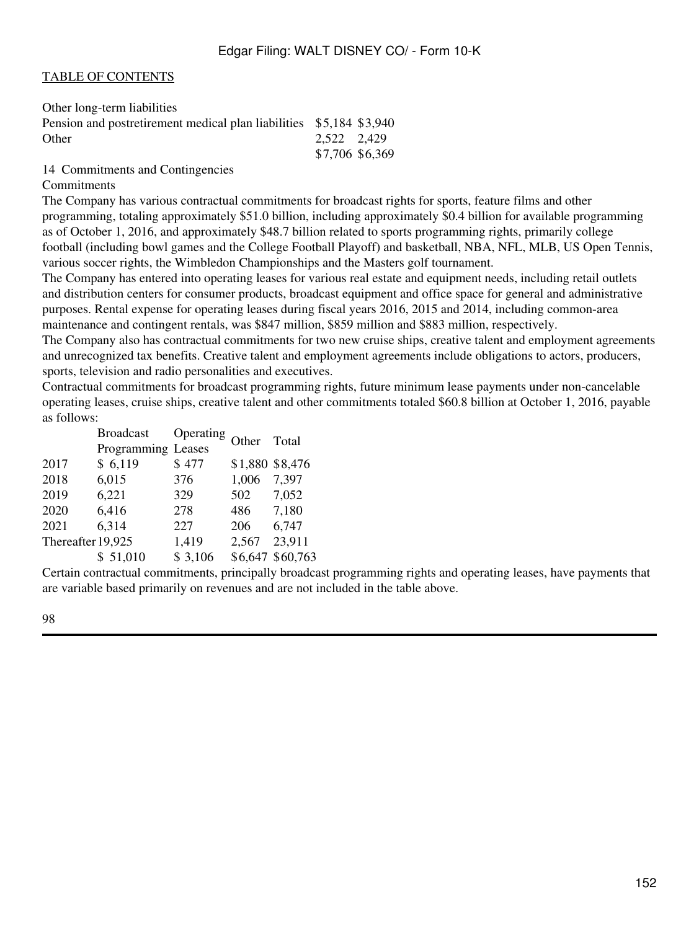| Other long-term liabilities                                         |                 |  |
|---------------------------------------------------------------------|-----------------|--|
| Pension and postretirement medical plan liabilities \$5,184 \$3,940 |                 |  |
| <b>Other</b>                                                        | 2.522 2.429     |  |
|                                                                     | \$7,706 \$6,369 |  |

14 Commitments and Contingencies

Commitments

The Company has various contractual commitments for broadcast rights for sports, feature films and other programming, totaling approximately \$51.0 billion, including approximately \$0.4 billion for available programming as of October 1, 2016, and approximately \$48.7 billion related to sports programming rights, primarily college football (including bowl games and the College Football Playoff) and basketball, NBA, NFL, MLB, US Open Tennis, various soccer rights, the Wimbledon Championships and the Masters golf tournament.

The Company has entered into operating leases for various real estate and equipment needs, including retail outlets and distribution centers for consumer products, broadcast equipment and office space for general and administrative purposes. Rental expense for operating leases during fiscal years 2016, 2015 and 2014, including common-area maintenance and contingent rentals, was \$847 million, \$859 million and \$883 million, respectively.

The Company also has contractual commitments for two new cruise ships, creative talent and employment agreements and unrecognized tax benefits. Creative talent and employment agreements include obligations to actors, producers, sports, television and radio personalities and executives.

Contractual commitments for broadcast programming rights, future minimum lease payments under non-cancelable operating leases, cruise ships, creative talent and other commitments totaled \$60.8 billion at October 1, 2016, payable as follows:

|                   | <b>Broadcast</b>   | Operating | Other           | Total            |
|-------------------|--------------------|-----------|-----------------|------------------|
|                   | Programming Leases |           |                 |                  |
| 2017              | \$6,119            | \$477     | \$1,880 \$8,476 |                  |
| 2018              | 6,015              | 376       | 1,006           | 7,397            |
| 2019              | 6,221              | 329       | 502             | 7,052            |
| 2020              | 6,416              | 278       | 486             | 7,180            |
| 2021              | 6,314              | 227       | 206             | 6,747            |
| Thereafter 19,925 |                    | 1,419     | 2,567           | 23,911           |
|                   | \$51,010           | \$3,106   |                 | \$6,647 \$60,763 |

Certain contractual commitments, principally broadcast programming rights and operating leases, have payments that are variable based primarily on revenues and are not included in the table above.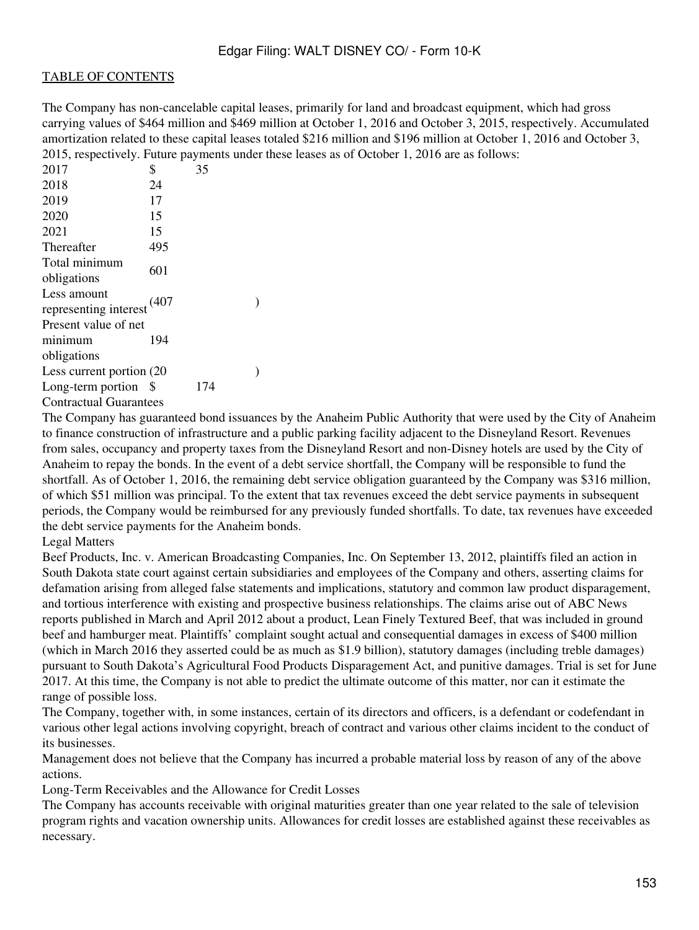The Company has non-cancelable capital leases, primarily for land and broadcast equipment, which had gross carrying values of \$464 million and \$469 million at October 1, 2016 and October 3, 2015, respectively. Accumulated amortization related to these capital leases totaled \$216 million and \$196 million at October 1, 2016 and October 3, 2015, respectively. Future payments under these leases as of October 1, 2016 are as follows:

| 2017                      | \$    | 35  |  |
|---------------------------|-------|-----|--|
| 2018                      | 24    |     |  |
| 2019                      | 17    |     |  |
| 2020                      | 15    |     |  |
| 2021                      | 15    |     |  |
| Thereafter                | 495   |     |  |
| Total minimum             | 601   |     |  |
| obligations               |       |     |  |
| Less amount               | (407) |     |  |
| representing interest     |       |     |  |
| Present value of net      |       |     |  |
| minimum                   | 194   |     |  |
| obligations               |       |     |  |
| Less current portion (20) |       |     |  |
| Long-term portion         | S     | 174 |  |
| Contractual Guarantees    |       |     |  |

The Company has guaranteed bond issuances by the Anaheim Public Authority that were used by the City of Anaheim to finance construction of infrastructure and a public parking facility adjacent to the Disneyland Resort. Revenues from sales, occupancy and property taxes from the Disneyland Resort and non-Disney hotels are used by the City of Anaheim to repay the bonds. In the event of a debt service shortfall, the Company will be responsible to fund the shortfall. As of October 1, 2016, the remaining debt service obligation guaranteed by the Company was \$316 million, of which \$51 million was principal. To the extent that tax revenues exceed the debt service payments in subsequent periods, the Company would be reimbursed for any previously funded shortfalls. To date, tax revenues have exceeded the debt service payments for the Anaheim bonds.

## Legal Matters

Beef Products, Inc. v. American Broadcasting Companies, Inc. On September 13, 2012, plaintiffs filed an action in South Dakota state court against certain subsidiaries and employees of the Company and others, asserting claims for defamation arising from alleged false statements and implications, statutory and common law product disparagement, and tortious interference with existing and prospective business relationships. The claims arise out of ABC News reports published in March and April 2012 about a product, Lean Finely Textured Beef, that was included in ground beef and hamburger meat. Plaintiffs' complaint sought actual and consequential damages in excess of \$400 million (which in March 2016 they asserted could be as much as \$1.9 billion), statutory damages (including treble damages) pursuant to South Dakota's Agricultural Food Products Disparagement Act, and punitive damages. Trial is set for June 2017. At this time, the Company is not able to predict the ultimate outcome of this matter, nor can it estimate the range of possible loss.

The Company, together with, in some instances, certain of its directors and officers, is a defendant or codefendant in various other legal actions involving copyright, breach of contract and various other claims incident to the conduct of its businesses.

Management does not believe that the Company has incurred a probable material loss by reason of any of the above actions.

Long-Term Receivables and the Allowance for Credit Losses

The Company has accounts receivable with original maturities greater than one year related to the sale of television program rights and vacation ownership units. Allowances for credit losses are established against these receivables as necessary.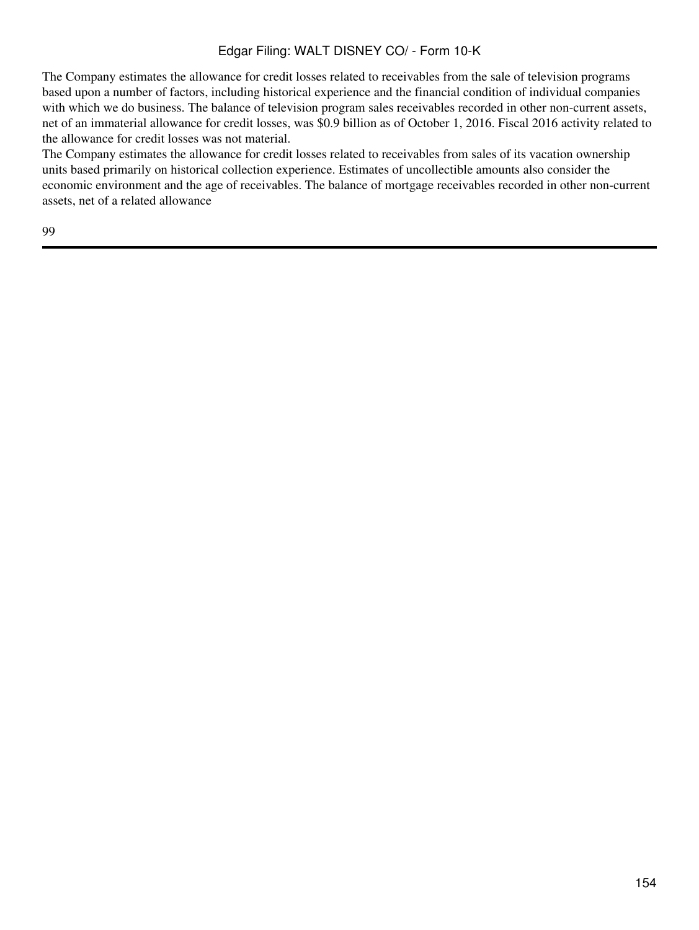## Edgar Filing: WALT DISNEY CO/ - Form 10-K

The Company estimates the allowance for credit losses related to receivables from the sale of television programs based upon a number of factors, including historical experience and the financial condition of individual companies with which we do business. The balance of television program sales receivables recorded in other non-current assets, net of an immaterial allowance for credit losses, was \$0.9 billion as of October 1, 2016. Fiscal 2016 activity related to the allowance for credit losses was not material.

The Company estimates the allowance for credit losses related to receivables from sales of its vacation ownership units based primarily on historical collection experience. Estimates of uncollectible amounts also consider the economic environment and the age of receivables. The balance of mortgage receivables recorded in other non-current assets, net of a related allowance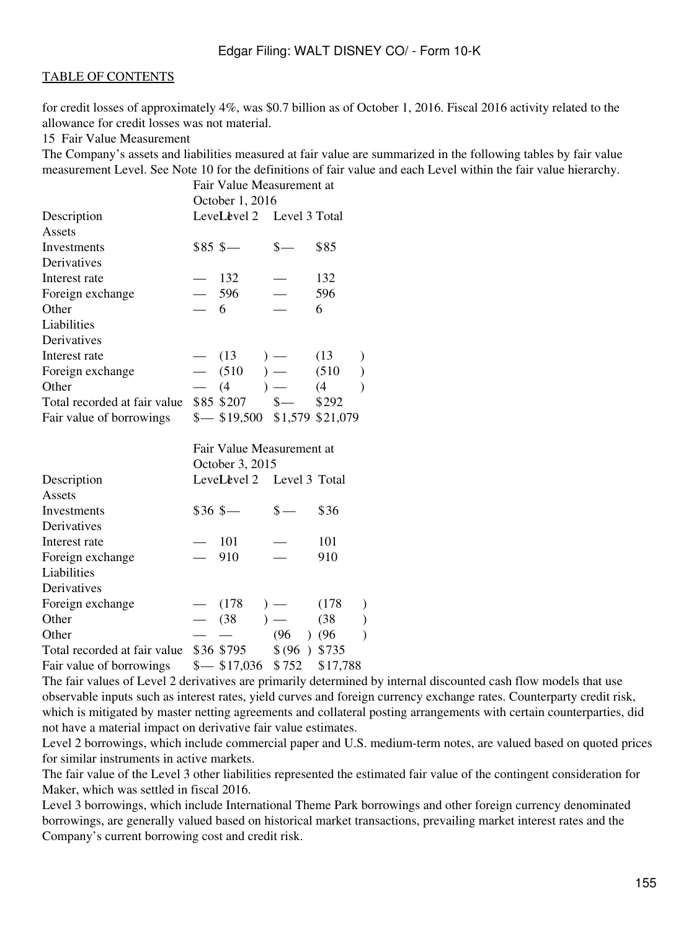for credit losses of approximately 4%, was \$0.7 billion as of October 1, 2016. Fiscal 2016 activity related to the allowance for credit losses was not material.

15 Fair Value Measurement

The Company's assets and liabilities measured at fair value are summarized in the following tables by fair value measurement Level. See Note 10 for the definitions of fair value and each Level within the fair value hierarchy. Fair Value Measurement at

| anic ivicasurement at                             |                           |                                                                   |                |           |               |  |  |  |
|---------------------------------------------------|---------------------------|-------------------------------------------------------------------|----------------|-----------|---------------|--|--|--|
|                                                   | October 1, 2016           |                                                                   |                |           |               |  |  |  |
| Description                                       |                           | LeveLevel 2 Level 3 Total                                         |                |           |               |  |  |  |
| Assets                                            |                           |                                                                   |                |           |               |  |  |  |
| Investments                                       |                           | $$85$ \$                                                          | $\mathsf{s}-$  | \$85      |               |  |  |  |
| Derivatives                                       |                           |                                                                   |                |           |               |  |  |  |
| Interest rate                                     |                           | $-132$                                                            |                | 132       |               |  |  |  |
| Foreign exchange                                  |                           | $-596$                                                            |                | 596       |               |  |  |  |
| Other                                             | $-6$                      |                                                                   |                | 6         |               |  |  |  |
| Liabilities                                       |                           |                                                                   |                |           |               |  |  |  |
| Derivatives                                       |                           |                                                                   |                |           |               |  |  |  |
| Interest rate                                     |                           | - $(13)$ ) - $(13)$<br>- $(510)$ ) - $(510)$<br>- $(4)$ ) - $(4)$ |                |           |               |  |  |  |
| Foreign exchange                                  |                           |                                                                   |                |           |               |  |  |  |
| Other                                             |                           |                                                                   |                |           |               |  |  |  |
| Total recorded at fair value \$85 \$207 \$— \$292 |                           |                                                                   |                |           |               |  |  |  |
| Fair value of borrowings                          |                           | $\frac{$-819,500}{$1,579$21,079}$                                 |                |           |               |  |  |  |
|                                                   |                           |                                                                   |                |           |               |  |  |  |
|                                                   | Fair Value Measurement at |                                                                   |                |           |               |  |  |  |
|                                                   |                           | October 3, 2015                                                   |                |           |               |  |  |  |
| Description                                       |                           | LeveLevel 2 Level 3 Total                                         |                |           |               |  |  |  |
| Assets                                            |                           |                                                                   |                |           |               |  |  |  |
| <b>Investments</b>                                |                           | $$36$ \$                                                          | $\mathcal{S}-$ | \$36      |               |  |  |  |
| Derivatives                                       |                           |                                                                   |                |           |               |  |  |  |
| Interest rate                                     |                           | $-$ 101                                                           |                | 101       |               |  |  |  |
| Foreign exchange                                  |                           | $-910$                                                            |                | 910       |               |  |  |  |
| Liabilities                                       |                           |                                                                   |                |           |               |  |  |  |
| Derivatives                                       |                           |                                                                   |                |           |               |  |  |  |
| Foreign exchange                                  |                           | $-$ (178)                                                         |                | $- (178)$ |               |  |  |  |
|                                                   |                           |                                                                   |                |           |               |  |  |  |
| Other                                             |                           | $-$ (38)                                                          | $-$ (38)       |           | $\mathcal{E}$ |  |  |  |

Total recorded at fair value  $$36$  \$795 \$ (96) \$735 Fair value of borrowings  $\qquad - $17,036 \quad $752 \quad $17,788$ 

The fair values of Level 2 derivatives are primarily determined by internal discounted cash flow models that use observable inputs such as interest rates, yield curves and foreign currency exchange rates. Counterparty credit risk, which is mitigated by master netting agreements and collateral posting arrangements with certain counterparties, did not have a material impact on derivative fair value estimates.

Level 2 borrowings, which include commercial paper and U.S. medium-term notes, are valued based on quoted prices for similar instruments in active markets.

The fair value of the Level 3 other liabilities represented the estimated fair value of the contingent consideration for Maker, which was settled in fiscal 2016.

Level 3 borrowings, which include International Theme Park borrowings and other foreign currency denominated borrowings, are generally valued based on historical market transactions, prevailing market interest rates and the Company's current borrowing cost and credit risk.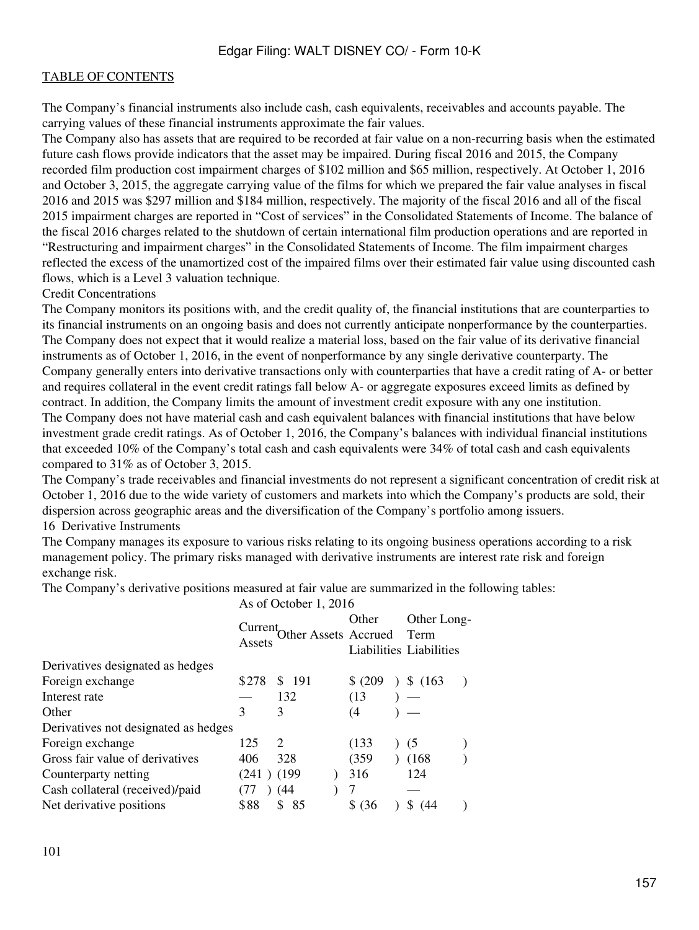The Company's financial instruments also include cash, cash equivalents, receivables and accounts payable. The carrying values of these financial instruments approximate the fair values.

The Company also has assets that are required to be recorded at fair value on a non-recurring basis when the estimated future cash flows provide indicators that the asset may be impaired. During fiscal 2016 and 2015, the Company recorded film production cost impairment charges of \$102 million and \$65 million, respectively. At October 1, 2016 and October 3, 2015, the aggregate carrying value of the films for which we prepared the fair value analyses in fiscal 2016 and 2015 was \$297 million and \$184 million, respectively. The majority of the fiscal 2016 and all of the fiscal 2015 impairment charges are reported in "Cost of services" in the Consolidated Statements of Income. The balance of the fiscal 2016 charges related to the shutdown of certain international film production operations and are reported in "Restructuring and impairment charges" in the Consolidated Statements of Income. The film impairment charges reflected the excess of the unamortized cost of the impaired films over their estimated fair value using discounted cash flows, which is a Level 3 valuation technique.

Credit Concentrations

The Company monitors its positions with, and the credit quality of, the financial institutions that are counterparties to its financial instruments on an ongoing basis and does not currently anticipate nonperformance by the counterparties. The Company does not expect that it would realize a material loss, based on the fair value of its derivative financial instruments as of October 1, 2016, in the event of nonperformance by any single derivative counterparty. The Company generally enters into derivative transactions only with counterparties that have a credit rating of A- or better and requires collateral in the event credit ratings fall below A- or aggregate exposures exceed limits as defined by contract. In addition, the Company limits the amount of investment credit exposure with any one institution. The Company does not have material cash and cash equivalent balances with financial institutions that have below investment grade credit ratings. As of October 1, 2016, the Company's balances with individual financial institutions that exceeded 10% of the Company's total cash and cash equivalents were 34% of total cash and cash equivalents compared to 31% as of October 3, 2015.

The Company's trade receivables and financial investments do not represent a significant concentration of credit risk at October 1, 2016 due to the wide variety of customers and markets into which the Company's products are sold, their dispersion across geographic areas and the diversification of the Company's portfolio among issuers. 16 Derivative Instruments

The Company manages its exposure to various risks relating to its ongoing business operations according to a risk management policy. The primary risks managed with derivative instruments are interest rate risk and foreign exchange risk.

The Company's derivative positions measured at fair value are summarized in the following tables:

|                                      | Current <sub>-</sub><br>Assets | Other Assets Accrued | Other    |               | Other Long-<br>Term<br>Liabilities Liabilities |  |
|--------------------------------------|--------------------------------|----------------------|----------|---------------|------------------------------------------------|--|
| Derivatives designated as hedges     |                                |                      |          |               |                                                |  |
| Foreign exchange                     | \$278                          | \$ 191               | \$ (209) | $\rightarrow$ | \$(163)                                        |  |
| Interest rate                        |                                | 132                  | (13)     |               |                                                |  |
| Other                                | 3                              | 3                    | (4       |               |                                                |  |
| Derivatives not designated as hedges |                                |                      |          |               |                                                |  |
| Foreign exchange                     | 125                            | 2                    | (133)    |               | (5)                                            |  |
| Gross fair value of derivatives      | 406                            | 328                  | (359)    |               | (168)                                          |  |
| Counterparty netting                 | $(241)$ (199                   |                      | 316      |               | 124                                            |  |
| Cash collateral (received)/paid      |                                | (44)                 |          |               |                                                |  |
| Net derivative positions             | \$88                           | S<br>85              | (36      |               |                                                |  |
|                                      |                                |                      |          |               |                                                |  |

As of October 1, 2016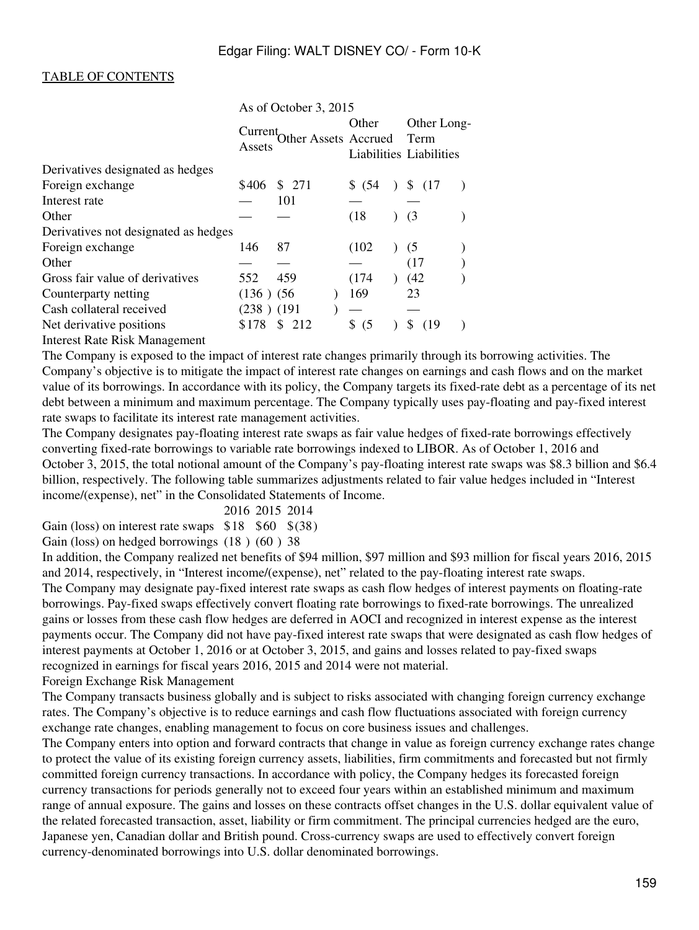|                                      | As of October 3, 2015 |                      |         |           |                                                |  |  |
|--------------------------------------|-----------------------|----------------------|---------|-----------|------------------------------------------------|--|--|
|                                      | Current<br>Assets     | Other Assets Accrued | Other   |           | Other Long-<br>Term<br>Liabilities Liabilities |  |  |
| Derivatives designated as hedges     |                       |                      |         |           |                                                |  |  |
| Foreign exchange                     | \$406                 | \$ 271               | \$~(54) | $\lambda$ | \$(17)                                         |  |  |
| Interest rate                        |                       | 101                  |         |           |                                                |  |  |
| Other                                |                       |                      | (18)    |           | (3)                                            |  |  |
| Derivatives not designated as hedges |                       |                      |         |           |                                                |  |  |
| Foreign exchange                     | 146                   | 87                   | (102)   |           | (5)                                            |  |  |
| Other                                |                       |                      |         |           | (17)                                           |  |  |
| Gross fair value of derivatives      | 552                   | 459                  | (174)   |           | (42)                                           |  |  |
| Counterparty netting                 | $(136)$ $(56)$        |                      | 169     |           | 23                                             |  |  |
| Cash collateral received             | $(238)$ $(191)$       |                      |         |           |                                                |  |  |
| Net derivative positions             | \$178                 | \$.<br>212           | \$~(5)  |           | S<br>(19)                                      |  |  |
| <b>Interest Rate Risk Management</b> |                       |                      |         |           |                                                |  |  |

The Company is exposed to the impact of interest rate changes primarily through its borrowing activities. The Company's objective is to mitigate the impact of interest rate changes on earnings and cash flows and on the market value of its borrowings. In accordance with its policy, the Company targets its fixed-rate debt as a percentage of its net debt between a minimum and maximum percentage. The Company typically uses pay-floating and pay-fixed interest rate swaps to facilitate its interest rate management activities.

The Company designates pay-floating interest rate swaps as fair value hedges of fixed-rate borrowings effectively converting fixed-rate borrowings to variable rate borrowings indexed to LIBOR. As of October 1, 2016 and October 3, 2015, the total notional amount of the Company's pay-floating interest rate swaps was \$8.3 billion and \$6.4 billion, respectively. The following table summarizes adjustments related to fair value hedges included in "Interest income/(expense), net" in the Consolidated Statements of Income.

2016 2015 2014

Gain (loss) on interest rate swaps  $$18$  \$60 \$(38)

Gain (loss) on hedged borrowings (18) (60) 38

In addition, the Company realized net benefits of \$94 million, \$97 million and \$93 million for fiscal years 2016, 2015 and 2014, respectively, in "Interest income/(expense), net" related to the pay-floating interest rate swaps. The Company may designate pay-fixed interest rate swaps as cash flow hedges of interest payments on floating-rate borrowings. Pay-fixed swaps effectively convert floating rate borrowings to fixed-rate borrowings. The unrealized gains or losses from these cash flow hedges are deferred in AOCI and recognized in interest expense as the interest payments occur. The Company did not have pay-fixed interest rate swaps that were designated as cash flow hedges of interest payments at October 1, 2016 or at October 3, 2015, and gains and losses related to pay-fixed swaps recognized in earnings for fiscal years 2016, 2015 and 2014 were not material.

Foreign Exchange Risk Management

The Company transacts business globally and is subject to risks associated with changing foreign currency exchange rates. The Company's objective is to reduce earnings and cash flow fluctuations associated with foreign currency exchange rate changes, enabling management to focus on core business issues and challenges.

The Company enters into option and forward contracts that change in value as foreign currency exchange rates change to protect the value of its existing foreign currency assets, liabilities, firm commitments and forecasted but not firmly committed foreign currency transactions. In accordance with policy, the Company hedges its forecasted foreign currency transactions for periods generally not to exceed four years within an established minimum and maximum range of annual exposure. The gains and losses on these contracts offset changes in the U.S. dollar equivalent value of the related forecasted transaction, asset, liability or firm commitment. The principal currencies hedged are the euro, Japanese yen, Canadian dollar and British pound. Cross-currency swaps are used to effectively convert foreign currency-denominated borrowings into U.S. dollar denominated borrowings.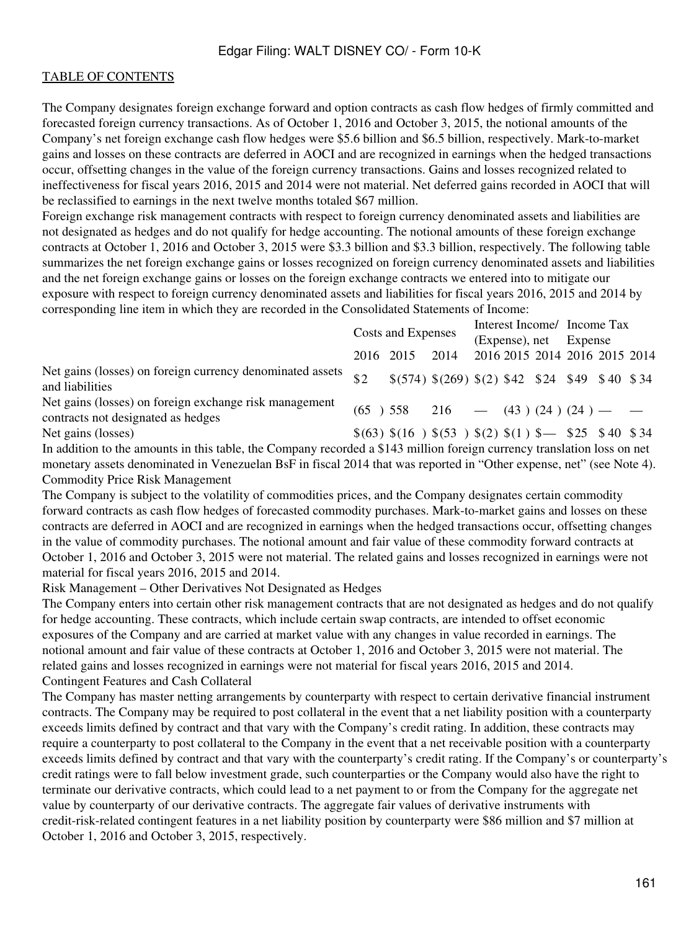The Company designates foreign exchange forward and option contracts as cash flow hedges of firmly committed and forecasted foreign currency transactions. As of October 1, 2016 and October 3, 2015, the notional amounts of the Company's net foreign exchange cash flow hedges were \$5.6 billion and \$6.5 billion, respectively. Mark-to-market gains and losses on these contracts are deferred in AOCI and are recognized in earnings when the hedged transactions occur, offsetting changes in the value of the foreign currency transactions. Gains and losses recognized related to ineffectiveness for fiscal years 2016, 2015 and 2014 were not material. Net deferred gains recorded in AOCI that will be reclassified to earnings in the next twelve months totaled \$67 million.

Foreign exchange risk management contracts with respect to foreign currency denominated assets and liabilities are not designated as hedges and do not qualify for hedge accounting. The notional amounts of these foreign exchange contracts at October 1, 2016 and October 3, 2015 were \$3.3 billion and \$3.3 billion, respectively. The following table summarizes the net foreign exchange gains or losses recognized on foreign currency denominated assets and liabilities and the net foreign exchange gains or losses on the foreign exchange contracts we entered into to mitigate our exposure with respect to foreign currency denominated assets and liabilities for fiscal years 2016, 2015 and 2014 by corresponding line item in which they are recorded in the Consolidated Statements of Income:

|                                                                                              | Costs and Expenses |  | Interest Income/ Income Tax                                                                                                                              |  |  |  |  |                               |  |
|----------------------------------------------------------------------------------------------|--------------------|--|----------------------------------------------------------------------------------------------------------------------------------------------------------|--|--|--|--|-------------------------------|--|
|                                                                                              |                    |  | (Expense), net Expense                                                                                                                                   |  |  |  |  |                               |  |
|                                                                                              | 2016 2015          |  | 2014                                                                                                                                                     |  |  |  |  | 2016 2015 2014 2016 2015 2014 |  |
| Net gains (losses) on foreign currency denominated assets<br>and liabilities                 | \$2                |  | $$(574) $(269) $(2) $42 $24 $49 $40 $34$                                                                                                                 |  |  |  |  |                               |  |
| Net gains (losses) on foreign exchange risk management<br>contracts not designated as hedges |                    |  | $(65)$ 558 216 - $(43)$ $(24)$ $(24)$ -                                                                                                                  |  |  |  |  |                               |  |
| Net gains (losses)                                                                           |                    |  | $\{(63) \, \text{\$}(\{16) \} \, \text{\$}(\{53) \} \, \text{\$}(\{2) \} \, \text{\$}(\{1) \} \, \text{\$} \rightarrow \$ \, 25 \, \$ \, 40 \, \$ \, 34$ |  |  |  |  |                               |  |

In addition to the amounts in this table, the Company recorded a \$143 million foreign currency translation loss on net monetary assets denominated in Venezuelan BsF in fiscal 2014 that was reported in "Other expense, net" (see Note 4). Commodity Price Risk Management

The Company is subject to the volatility of commodities prices, and the Company designates certain commodity forward contracts as cash flow hedges of forecasted commodity purchases. Mark-to-market gains and losses on these contracts are deferred in AOCI and are recognized in earnings when the hedged transactions occur, offsetting changes in the value of commodity purchases. The notional amount and fair value of these commodity forward contracts at October 1, 2016 and October 3, 2015 were not material. The related gains and losses recognized in earnings were not material for fiscal years 2016, 2015 and 2014.

Risk Management – Other Derivatives Not Designated as Hedges

The Company enters into certain other risk management contracts that are not designated as hedges and do not qualify for hedge accounting. These contracts, which include certain swap contracts, are intended to offset economic exposures of the Company and are carried at market value with any changes in value recorded in earnings. The notional amount and fair value of these contracts at October 1, 2016 and October 3, 2015 were not material. The related gains and losses recognized in earnings were not material for fiscal years 2016, 2015 and 2014. Contingent Features and Cash Collateral

The Company has master netting arrangements by counterparty with respect to certain derivative financial instrument contracts. The Company may be required to post collateral in the event that a net liability position with a counterparty exceeds limits defined by contract and that vary with the Company's credit rating. In addition, these contracts may require a counterparty to post collateral to the Company in the event that a net receivable position with a counterparty exceeds limits defined by contract and that vary with the counterparty's credit rating. If the Company's or counterparty's credit ratings were to fall below investment grade, such counterparties or the Company would also have the right to terminate our derivative contracts, which could lead to a net payment to or from the Company for the aggregate net value by counterparty of our derivative contracts. The aggregate fair values of derivative instruments with credit-risk-related contingent features in a net liability position by counterparty were \$86 million and \$7 million at October 1, 2016 and October 3, 2015, respectively.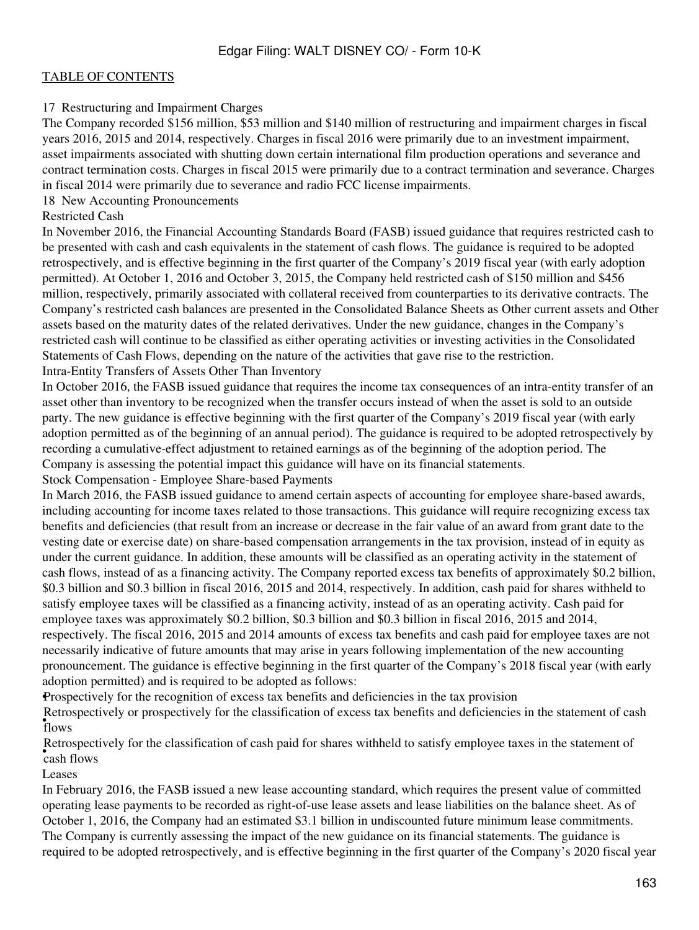## 17 Restructuring and Impairment Charges

The Company recorded \$156 million, \$53 million and \$140 million of restructuring and impairment charges in fiscal years 2016, 2015 and 2014, respectively. Charges in fiscal 2016 were primarily due to an investment impairment, asset impairments associated with shutting down certain international film production operations and severance and contract termination costs. Charges in fiscal 2015 were primarily due to a contract termination and severance. Charges in fiscal 2014 were primarily due to severance and radio FCC license impairments.

18 New Accounting Pronouncements

## Restricted Cash

In November 2016, the Financial Accounting Standards Board (FASB) issued guidance that requires restricted cash to be presented with cash and cash equivalents in the statement of cash flows. The guidance is required to be adopted retrospectively, and is effective beginning in the first quarter of the Company's 2019 fiscal year (with early adoption permitted). At October 1, 2016 and October 3, 2015, the Company held restricted cash of \$150 million and \$456 million, respectively, primarily associated with collateral received from counterparties to its derivative contracts. The Company's restricted cash balances are presented in the Consolidated Balance Sheets as Other current assets and Other assets based on the maturity dates of the related derivatives. Under the new guidance, changes in the Company's restricted cash will continue to be classified as either operating activities or investing activities in the Consolidated Statements of Cash Flows, depending on the nature of the activities that gave rise to the restriction. Intra-Entity Transfers of Assets Other Than Inventory

In October 2016, the FASB issued guidance that requires the income tax consequences of an intra-entity transfer of an asset other than inventory to be recognized when the transfer occurs instead of when the asset is sold to an outside party. The new guidance is effective beginning with the first quarter of the Company's 2019 fiscal year (with early adoption permitted as of the beginning of an annual period). The guidance is required to be adopted retrospectively by recording a cumulative-effect adjustment to retained earnings as of the beginning of the adoption period. The Company is assessing the potential impact this guidance will have on its financial statements.

Stock Compensation - Employee Share-based Payments

In March 2016, the FASB issued guidance to amend certain aspects of accounting for employee share-based awards, including accounting for income taxes related to those transactions. This guidance will require recognizing excess tax benefits and deficiencies (that result from an increase or decrease in the fair value of an award from grant date to the vesting date or exercise date) on share-based compensation arrangements in the tax provision, instead of in equity as under the current guidance. In addition, these amounts will be classified as an operating activity in the statement of cash flows, instead of as a financing activity. The Company reported excess tax benefits of approximately \$0.2 billion, \$0.3 billion and \$0.3 billion in fiscal 2016, 2015 and 2014, respectively. In addition, cash paid for shares withheld to satisfy employee taxes will be classified as a financing activity, instead of as an operating activity. Cash paid for employee taxes was approximately \$0.2 billion, \$0.3 billion and \$0.3 billion in fiscal 2016, 2015 and 2014, respectively. The fiscal 2016, 2015 and 2014 amounts of excess tax benefits and cash paid for employee taxes are not necessarily indicative of future amounts that may arise in years following implementation of the new accounting pronouncement. The guidance is effective beginning in the first quarter of the Company's 2018 fiscal year (with early adoption permitted) and is required to be adopted as follows:

•Prospectively for the recognition of excess tax benefits and deficiencies in the tax provision

• flows Retrospectively or prospectively for the classification of excess tax benefits and deficiencies in the statement of cash

• cash flows Retrospectively for the classification of cash paid for shares withheld to satisfy employee taxes in the statement of

Leases

In February 2016, the FASB issued a new lease accounting standard, which requires the present value of committed operating lease payments to be recorded as right-of-use lease assets and lease liabilities on the balance sheet. As of October 1, 2016, the Company had an estimated \$3.1 billion in undiscounted future minimum lease commitments. The Company is currently assessing the impact of the new guidance on its financial statements. The guidance is required to be adopted retrospectively, and is effective beginning in the first quarter of the Company's 2020 fiscal year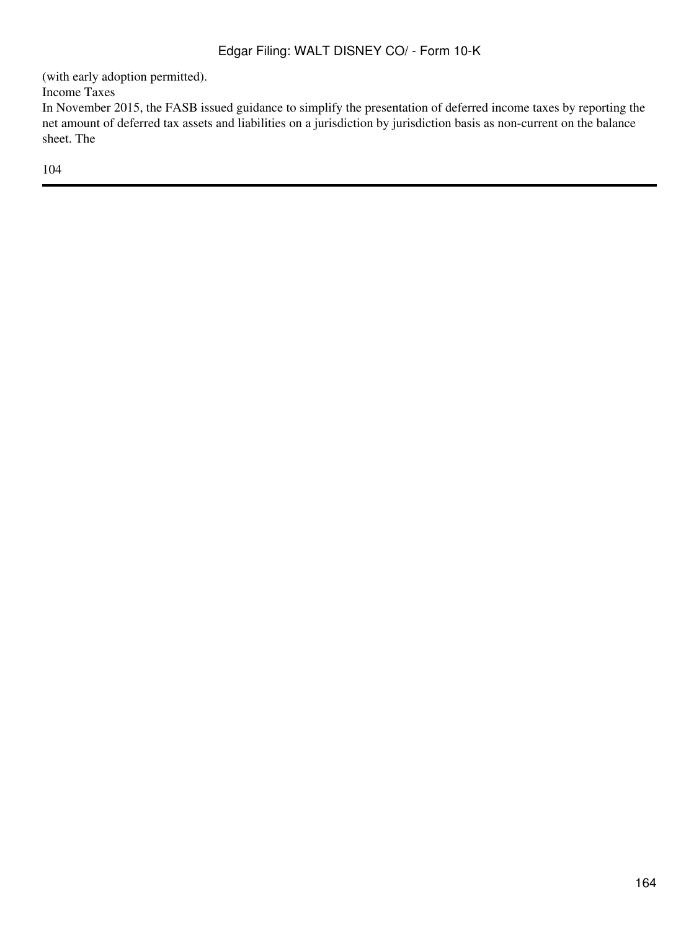(with early adoption permitted).

Income Taxes

In November 2015, the FASB issued guidance to simplify the presentation of deferred income taxes by reporting the net amount of deferred tax assets and liabilities on a jurisdiction by jurisdiction basis as non-current on the balance sheet. The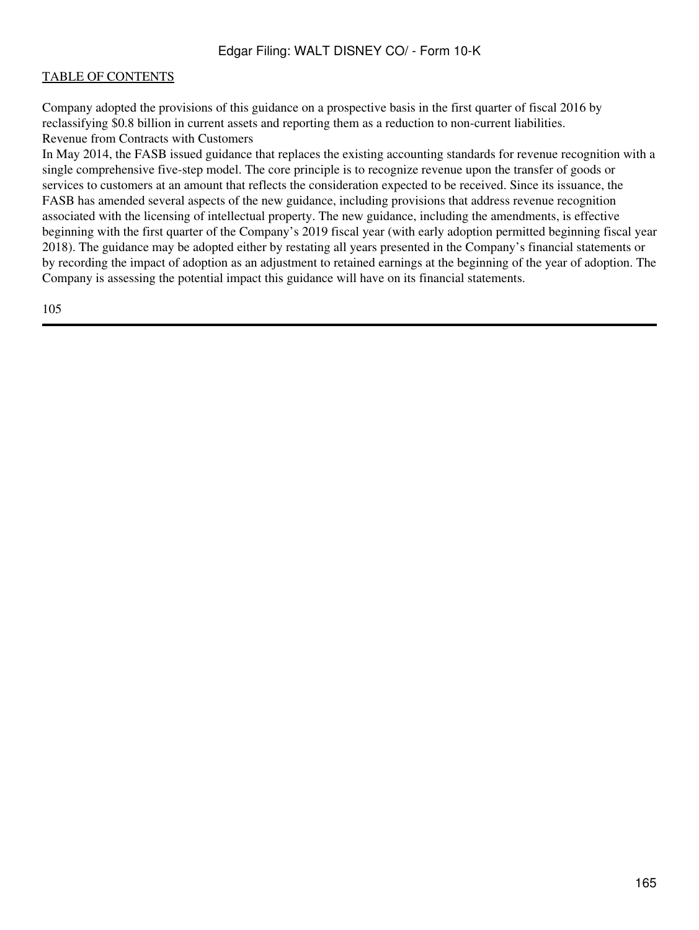Company adopted the provisions of this guidance on a prospective basis in the first quarter of fiscal 2016 by reclassifying \$0.8 billion in current assets and reporting them as a reduction to non-current liabilities. Revenue from Contracts with Customers

In May 2014, the FASB issued guidance that replaces the existing accounting standards for revenue recognition with a single comprehensive five-step model. The core principle is to recognize revenue upon the transfer of goods or services to customers at an amount that reflects the consideration expected to be received. Since its issuance, the FASB has amended several aspects of the new guidance, including provisions that address revenue recognition associated with the licensing of intellectual property. The new guidance, including the amendments, is effective beginning with the first quarter of the Company's 2019 fiscal year (with early adoption permitted beginning fiscal year 2018). The guidance may be adopted either by restating all years presented in the Company's financial statements or by recording the impact of adoption as an adjustment to retained earnings at the beginning of the year of adoption. The Company is assessing the potential impact this guidance will have on its financial statements.